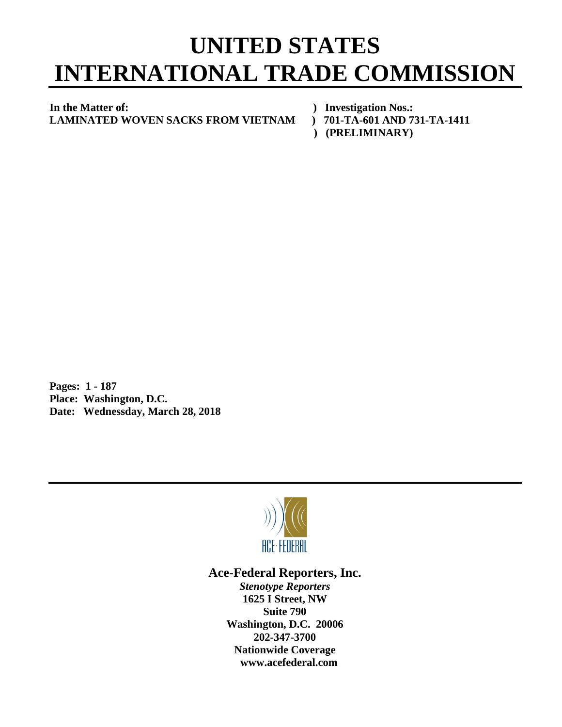## **UNITED STATES INTERNATIONAL TRADE COMMISSION**

**In the Matter of: ) Investigation Nos.: LAMINATED WOVEN SACKS FROM VIETNAM ) 701-TA-601 AND 731-TA-1411** 

 **) (PRELIMINARY)**

**Pages: 1 - 187 Place: Washington, D.C. Date: Wednessday, March 28, 2018**



## **Ace-Federal Reporters, Inc.**

*Stenotype Reporters* **1625 I Street, NW Suite 790 Washington, D.C. 20006 202-347-3700 Nationwide Coverage www.acefederal.com**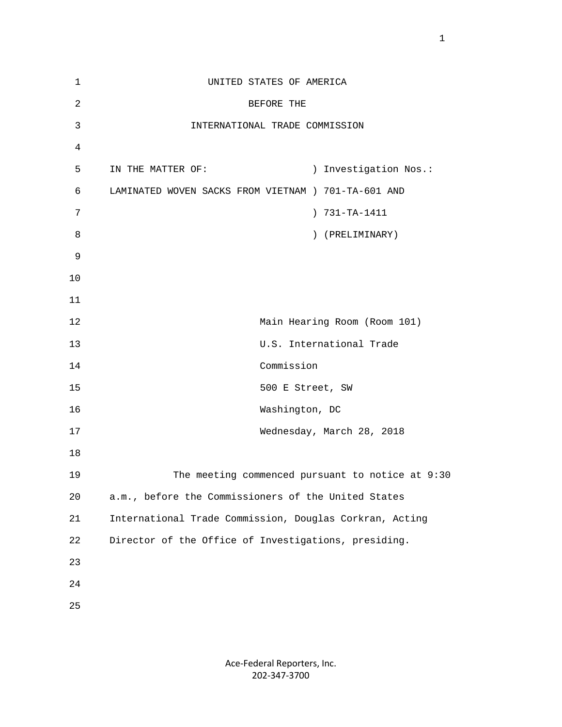| $1\,$          | UNITED STATES OF AMERICA                                |
|----------------|---------------------------------------------------------|
| $\sqrt{2}$     | BEFORE THE                                              |
| $\mathfrak{Z}$ | INTERNATIONAL TRADE COMMISSION                          |
| $\overline{4}$ |                                                         |
| 5              | ) Investigation Nos.:<br>IN THE MATTER OF:              |
| 6              | LAMINATED WOVEN SACKS FROM VIETNAM ) 701-TA-601 AND     |
| $7\phantom{.}$ | ) 731-TA-1411                                           |
| 8              | (PRELIMINARY)                                           |
| $\overline{9}$ |                                                         |
| 10             |                                                         |
| 11             |                                                         |
| 12             | Main Hearing Room (Room 101)                            |
| 13             | U.S. International Trade                                |
| 14             | Commission                                              |
| 15             | 500 E Street, SW                                        |
| 16             | Washington, DC                                          |
| 17             | Wednesday, March 28, 2018                               |
| 18             |                                                         |
| 19             | The meeting commenced pursuant to notice at 9:30        |
| 20             | a.m., before the Commissioners of the United States     |
| 21             | International Trade Commission, Douglas Corkran, Acting |
| 22             | Director of the Office of Investigations, presiding.    |
| 23             |                                                         |
| 24             |                                                         |
| 25             |                                                         |
|                |                                                         |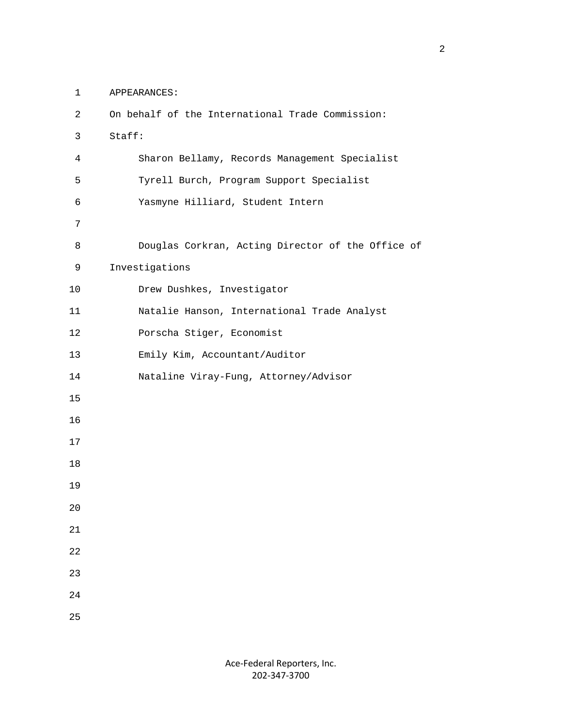1 APPEARANCES:

| 2  | On behalf of the International Trade Commission:  |
|----|---------------------------------------------------|
| 3  | Staff:                                            |
| 4  | Sharon Bellamy, Records Management Specialist     |
| 5  | Tyrell Burch, Program Support Specialist          |
| 6  | Yasmyne Hilliard, Student Intern                  |
| 7  |                                                   |
| 8  | Douglas Corkran, Acting Director of the Office of |
| 9  | Investigations                                    |
| 10 | Drew Dushkes, Investigator                        |
| 11 | Natalie Hanson, International Trade Analyst       |
| 12 | Porscha Stiger, Economist                         |
| 13 | Emily Kim, Accountant/Auditor                     |
| 14 | Nataline Viray-Fung, Attorney/Advisor             |
| 15 |                                                   |
| 16 |                                                   |
| 17 |                                                   |
| 18 |                                                   |
| 19 |                                                   |
| 20 |                                                   |
| 21 |                                                   |
| 22 |                                                   |
| 23 |                                                   |
| 24 |                                                   |
| 25 |                                                   |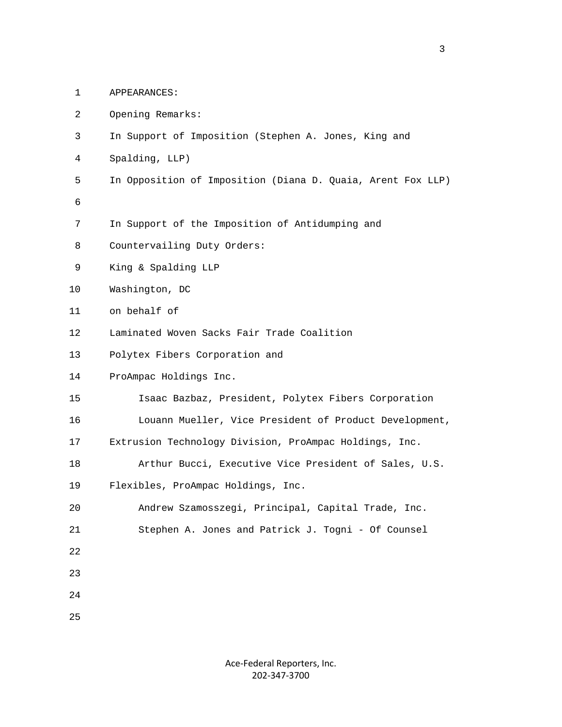- 1 APPEARANCES:
- 2 Opening Remarks:
- 3 In Support of Imposition (Stephen A. Jones, King and
- 4 Spalding, LLP)
- 5 In Opposition of Imposition (Diana D. Quaia, Arent Fox LLP)
- 6
	- 7 In Support of the Imposition of Antidumping and
	- 8 Countervailing Duty Orders:
	- 9 King & Spalding LLP
	- 10 Washington, DC
	- 11 on behalf of
	- 12 Laminated Woven Sacks Fair Trade Coalition
	- 13 Polytex Fibers Corporation and
	- 14 ProAmpac Holdings Inc.
	- 15 Isaac Bazbaz, President, Polytex Fibers Corporation
	- 16 Louann Mueller, Vice President of Product Development,
	- 17 Extrusion Technology Division, ProAmpac Holdings, Inc.
	- 18 Arthur Bucci, Executive Vice President of Sales, U.S.
	- 19 Flexibles, ProAmpac Holdings, Inc.
	- 20 Andrew Szamosszegi, Principal, Capital Trade, Inc.
	- 21 Stephen A. Jones and Patrick J. Togni Of Counsel
	- 22
- 23
	- 24
	- 25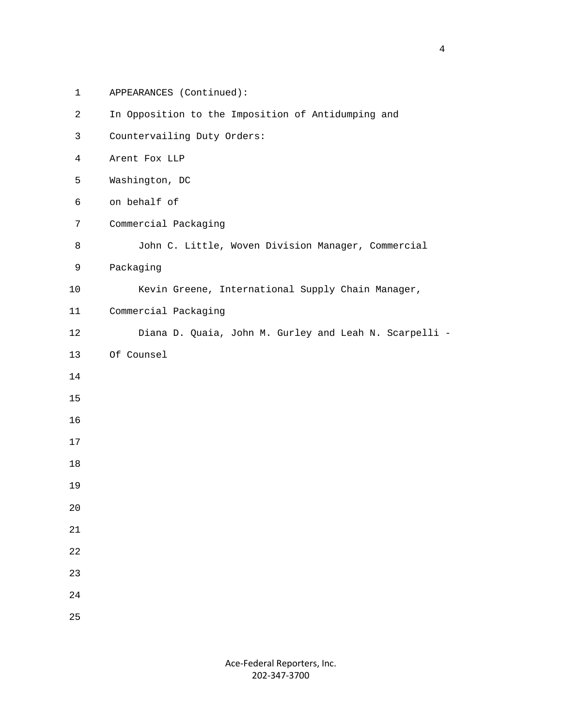1 APPEARANCES (Continued): 2 In Opposition to the Imposition of Antidumping and 3 Countervailing Duty Orders: 4 Arent Fox LLP 5 Washington, DC 6 on behalf of 7 Commercial Packaging 8 John C. Little, Woven Division Manager, Commercial 9 Packaging 10 Kevin Greene, International Supply Chain Manager, 11 Commercial Packaging 12 Diana D. Quaia, John M. Gurley and Leah N. Scarpelli - 13 Of Counsel 14 15 16 17 18 19 20 21 22 23 24 25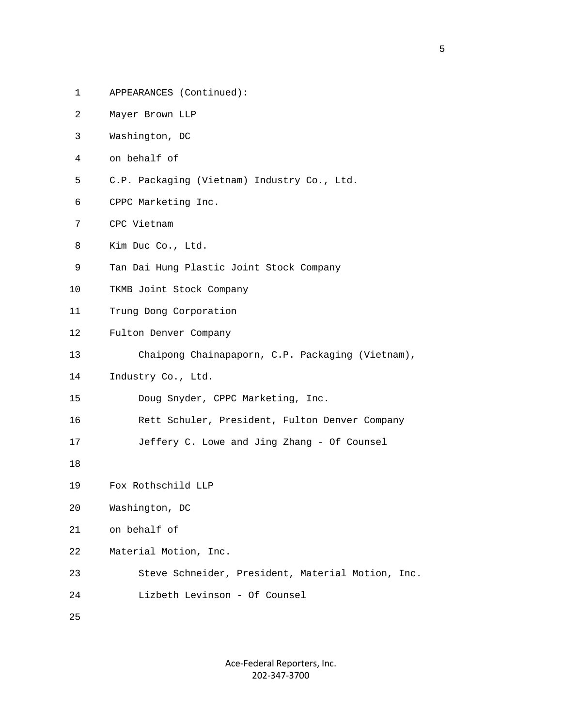| 1  | APPEARANCES (Continued):                          |
|----|---------------------------------------------------|
| 2  | Mayer Brown LLP                                   |
| 3  | Washington, DC                                    |
| 4  | on behalf of                                      |
| 5  | C.P. Packaging (Vietnam) Industry Co., Ltd.       |
| 6  | CPPC Marketing Inc.                               |
| 7  | CPC Vietnam                                       |
| 8  | Kim Duc Co., Ltd.                                 |
| 9  | Tan Dai Hung Plastic Joint Stock Company          |
| 10 | TKMB Joint Stock Company                          |
| 11 | Trung Dong Corporation                            |
| 12 | Fulton Denver Company                             |
| 13 | Chaipong Chainapaporn, C.P. Packaging (Vietnam),  |
| 14 | Industry Co., Ltd.                                |
| 15 | Doug Snyder, CPPC Marketing, Inc.                 |
| 16 | Rett Schuler, President, Fulton Denver Company    |
| 17 | Jeffery C. Lowe and Jing Zhang - Of Counsel       |
| 18 |                                                   |
| 19 | Fox Rothschild LLP                                |
| 20 | Washington, DC                                    |
| 21 | on behalf of                                      |
| 22 | Material Motion, Inc.                             |
| 23 | Steve Schneider, President, Material Motion, Inc. |
| 24 | Lizbeth Levinson - Of Counsel                     |
| 25 |                                                   |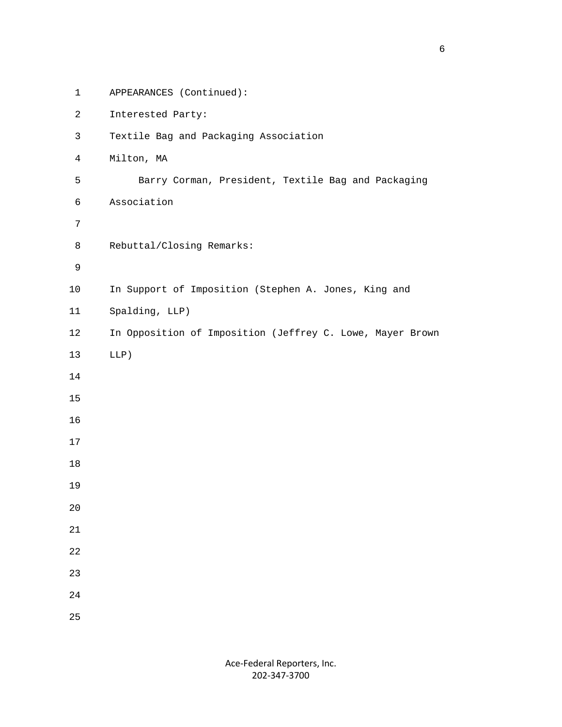| $\mathbf 1$    | APPEARANCES (Continued):                                  |
|----------------|-----------------------------------------------------------|
| $\overline{a}$ | Interested Party:                                         |
| $\mathsf{3}$   | Textile Bag and Packaging Association                     |
| $\overline{4}$ | Milton, MA                                                |
| 5              | Barry Corman, President, Textile Bag and Packaging        |
| 6              | Association                                               |
| $\overline{7}$ |                                                           |
| 8              | Rebuttal/Closing Remarks:                                 |
| 9              |                                                           |
| 10             | In Support of Imposition (Stephen A. Jones, King and      |
| 11             | Spalding, LLP)                                            |
| 12             | In Opposition of Imposition (Jeffrey C. Lowe, Mayer Brown |
| 13             | $LLP$ )                                                   |
| 14             |                                                           |
| 15             |                                                           |
| 16             |                                                           |
| 17             |                                                           |
| 18             |                                                           |
| 19             |                                                           |
| $20\,$         |                                                           |
| 21             |                                                           |
| 22             |                                                           |
| 23             |                                                           |
| 24             |                                                           |
| 25             |                                                           |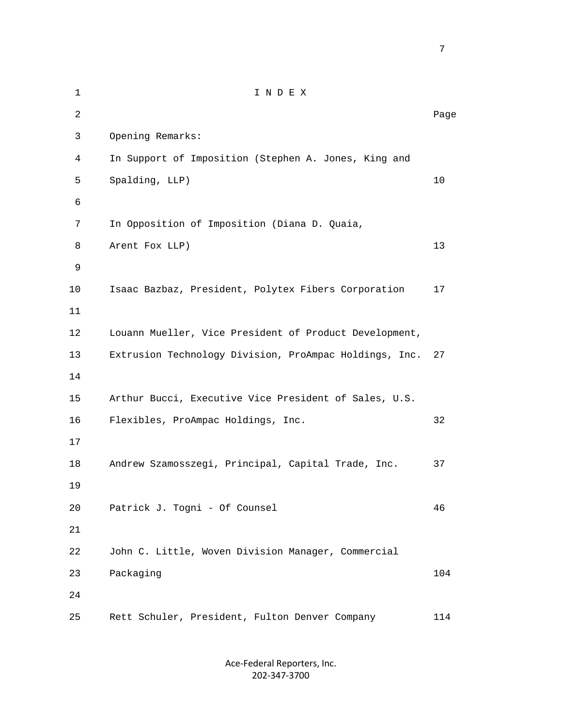1 I N D E X 2 Dage of the state of the state of the state of the state of the state of the state of the state of the state of the state of the state of the state of the state of the state of the state of the state of the state of the 3 Opening Remarks: 4 In Support of Imposition (Stephen A. Jones, King and 5 Spalding, LLP) 10 6 7 In Opposition of Imposition (Diana D. Quaia, 8 Arent Fox LLP) 13 9 10 Isaac Bazbaz, President, Polytex Fibers Corporation 17 11 12 Louann Mueller, Vice President of Product Development, 13 Extrusion Technology Division, ProAmpac Holdings, Inc. 27 14 15 Arthur Bucci, Executive Vice President of Sales, U.S. 16 Flexibles, ProAmpac Holdings, Inc. 32 17 18 Andrew Szamosszegi, Principal, Capital Trade, Inc. 37 19 20 Patrick J. Togni - Of Counsel 46 21 22 John C. Little, Woven Division Manager, Commercial 23 Packaging 104 24 25 Rett Schuler, President, Fulton Denver Company 114

> Ace-Federal Reporters, Inc. 202-347-3700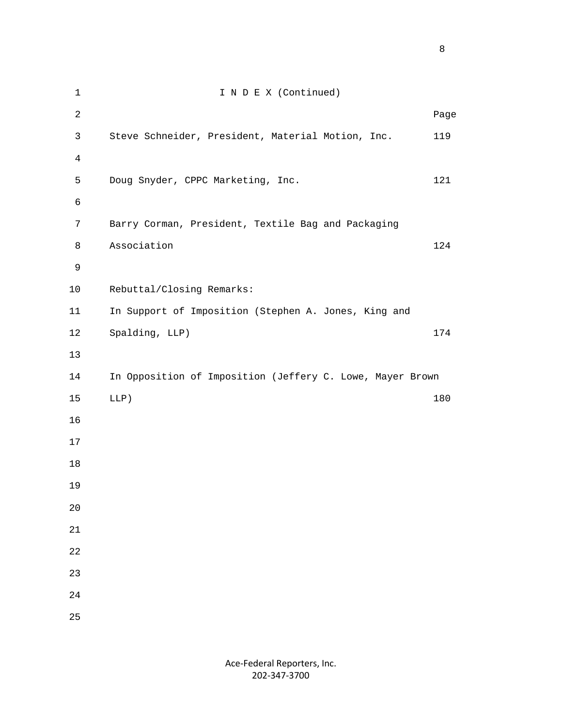| $\mathbf 1$    | I N D E X (Continued)                                     |      |
|----------------|-----------------------------------------------------------|------|
| $\overline{2}$ |                                                           | Page |
| $\mathsf{3}$   | Steve Schneider, President, Material Motion, Inc.         | 119  |
| $\overline{4}$ |                                                           |      |
| 5              | Doug Snyder, CPPC Marketing, Inc.                         | 121  |
| 6              |                                                           |      |
| 7              | Barry Corman, President, Textile Bag and Packaging        |      |
| 8              | Association                                               | 124  |
| $\mathsf 9$    |                                                           |      |
| $10$           | Rebuttal/Closing Remarks:                                 |      |
| 11             | In Support of Imposition (Stephen A. Jones, King and      |      |
| 12             | Spalding, LLP)                                            | 174  |
| 13             |                                                           |      |
| 14             | In Opposition of Imposition (Jeffery C. Lowe, Mayer Brown |      |
| 15             | $LLP$ )                                                   | 180  |
| 16             |                                                           |      |
| 17             |                                                           |      |
| 18             |                                                           |      |
| 19             |                                                           |      |
| 20             |                                                           |      |
| 21             |                                                           |      |
| 22             |                                                           |      |
| 23             |                                                           |      |
| 24             |                                                           |      |
| 25             |                                                           |      |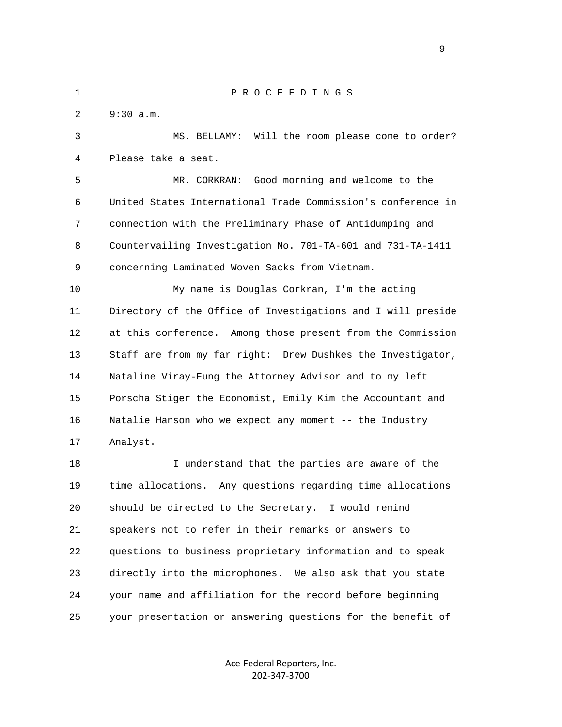1 P R O C E E D I N G S 2 9:30 a.m. 3 MS. BELLAMY: Will the room please come to order? 4 Please take a seat. 5 MR. CORKRAN: Good morning and welcome to the 6 United States International Trade Commission's conference in 7 connection with the Preliminary Phase of Antidumping and 8 Countervailing Investigation No. 701-TA-601 and 731-TA-1411 9 concerning Laminated Woven Sacks from Vietnam. 10 My name is Douglas Corkran, I'm the acting 11 Directory of the Office of Investigations and I will preside 12 at this conference. Among those present from the Commission 13 Staff are from my far right: Drew Dushkes the Investigator, 14 Nataline Viray-Fung the Attorney Advisor and to my left 15 Porscha Stiger the Economist, Emily Kim the Accountant and 16 Natalie Hanson who we expect any moment -- the Industry 17 Analyst. 18 I understand that the parties are aware of the 19 time allocations. Any questions regarding time allocations 20 should be directed to the Secretary. I would remind 21 speakers not to refer in their remarks or answers to 22 questions to business proprietary information and to speak 23 directly into the microphones. We also ask that you state 24 your name and affiliation for the record before beginning 25 your presentation or answering questions for the benefit of

> Ace-Federal Reporters, Inc. 202-347-3700

 $\sim$  9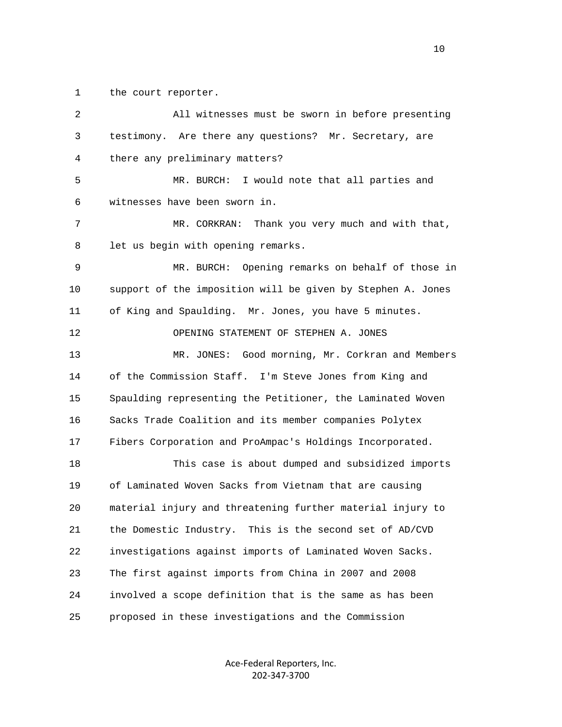1 the court reporter.

| 2  | All witnesses must be sworn in before presenting            |
|----|-------------------------------------------------------------|
| 3  | testimony. Are there any questions? Mr. Secretary, are      |
| 4  | there any preliminary matters?                              |
| 5  | MR. BURCH: I would note that all parties and                |
| 6  | witnesses have been sworn in.                               |
| 7  | MR. CORKRAN: Thank you very much and with that,             |
| 8  | let us begin with opening remarks.                          |
| 9  | Opening remarks on behalf of those in<br>MR. BURCH:         |
| 10 | support of the imposition will be given by Stephen A. Jones |
| 11 | of King and Spaulding. Mr. Jones, you have 5 minutes.       |
| 12 | OPENING STATEMENT OF STEPHEN A. JONES                       |
| 13 | MR. JONES: Good morning, Mr. Corkran and Members            |
| 14 | of the Commission Staff. I'm Steve Jones from King and      |
| 15 | Spaulding representing the Petitioner, the Laminated Woven  |
| 16 | Sacks Trade Coalition and its member companies Polytex      |
| 17 | Fibers Corporation and ProAmpac's Holdings Incorporated.    |
| 18 | This case is about dumped and subsidized imports            |
| 19 | of Laminated Woven Sacks from Vietnam that are causing      |
| 20 | material injury and threatening further material injury to  |
| 21 | the Domestic Industry. This is the second set of AD/CVD     |
| 22 | investigations against imports of Laminated Woven Sacks.    |
| 23 | The first against imports from China in 2007 and 2008       |
| 24 | involved a scope definition that is the same as has been    |
| 25 | proposed in these investigations and the Commission         |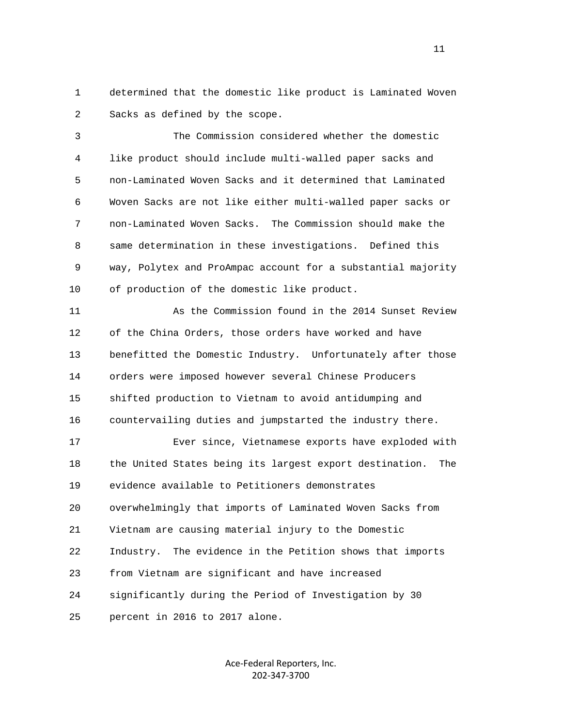1 determined that the domestic like product is Laminated Woven 2 Sacks as defined by the scope.

 3 The Commission considered whether the domestic 4 like product should include multi-walled paper sacks and 5 non-Laminated Woven Sacks and it determined that Laminated 6 Woven Sacks are not like either multi-walled paper sacks or 7 non-Laminated Woven Sacks. The Commission should make the 8 same determination in these investigations. Defined this 9 way, Polytex and ProAmpac account for a substantial majority 10 of production of the domestic like product.

 11 As the Commission found in the 2014 Sunset Review 12 of the China Orders, those orders have worked and have 13 benefitted the Domestic Industry. Unfortunately after those 14 orders were imposed however several Chinese Producers 15 shifted production to Vietnam to avoid antidumping and 16 countervailing duties and jumpstarted the industry there.

 17 Ever since, Vietnamese exports have exploded with 18 the United States being its largest export destination. The 19 evidence available to Petitioners demonstrates 20 overwhelmingly that imports of Laminated Woven Sacks from 21 Vietnam are causing material injury to the Domestic 22 Industry. The evidence in the Petition shows that imports 23 from Vietnam are significant and have increased 24 significantly during the Period of Investigation by 30 25 percent in 2016 to 2017 alone.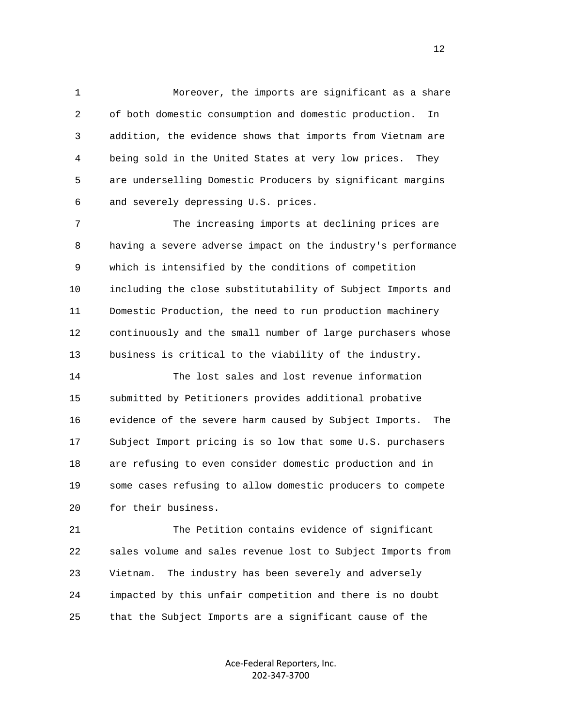1 Moreover, the imports are significant as a share 2 of both domestic consumption and domestic production. In 3 addition, the evidence shows that imports from Vietnam are 4 being sold in the United States at very low prices. They 5 are underselling Domestic Producers by significant margins 6 and severely depressing U.S. prices.

 7 The increasing imports at declining prices are 8 having a severe adverse impact on the industry's performance 9 which is intensified by the conditions of competition 10 including the close substitutability of Subject Imports and 11 Domestic Production, the need to run production machinery 12 continuously and the small number of large purchasers whose 13 business is critical to the viability of the industry.

 14 The lost sales and lost revenue information 15 submitted by Petitioners provides additional probative 16 evidence of the severe harm caused by Subject Imports. The 17 Subject Import pricing is so low that some U.S. purchasers 18 are refusing to even consider domestic production and in 19 some cases refusing to allow domestic producers to compete 20 for their business.

 21 The Petition contains evidence of significant 22 sales volume and sales revenue lost to Subject Imports from 23 Vietnam. The industry has been severely and adversely 24 impacted by this unfair competition and there is no doubt 25 that the Subject Imports are a significant cause of the

> Ace-Federal Reporters, Inc. 202-347-3700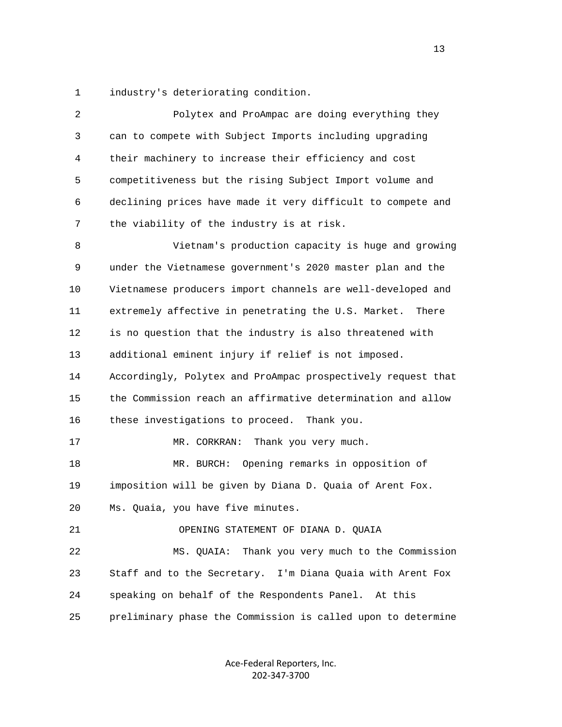1 industry's deteriorating condition.

| $\overline{c}$ | Polytex and ProAmpac are doing everything they                |
|----------------|---------------------------------------------------------------|
| 3              | can to compete with Subject Imports including upgrading       |
| 4              | their machinery to increase their efficiency and cost         |
| 5              | competitiveness but the rising Subject Import volume and      |
| 6              | declining prices have made it very difficult to compete and   |
| 7              | the viability of the industry is at risk.                     |
| 8              | Vietnam's production capacity is huge and growing             |
| 9              | under the Vietnamese government's 2020 master plan and the    |
| 10             | Vietnamese producers import channels are well-developed and   |
| 11             | extremely affective in penetrating the U.S. Market.<br>There  |
| 12             | is no question that the industry is also threatened with      |
| 13             | additional eminent injury if relief is not imposed.           |
| 14             | Accordingly, Polytex and ProAmpac prospectively request that  |
| 15             | the Commission reach an affirmative determination and allow   |
| 16             | these investigations to proceed. Thank you.                   |
| 17             | Thank you very much.<br>MR. CORKRAN:                          |
| 18             | Opening remarks in opposition of<br>MR. BURCH:                |
| 19             | imposition will be given by Diana D. Quaia of Arent Fox.      |
| 20             | Ms. Quaia, you have five minutes.                             |
| 21             | OPENING STATEMENT OF DIANA D. QUAIA                           |
| 22             | Thank you very much to the Commission<br>MS. OUAIA:           |
| 23             | Staff and to the Secretary.<br>I'm Diana Quaia with Arent Fox |
| 24             | speaking on behalf of the Respondents Panel. At this          |
| 25             | preliminary phase the Commission is called upon to determine  |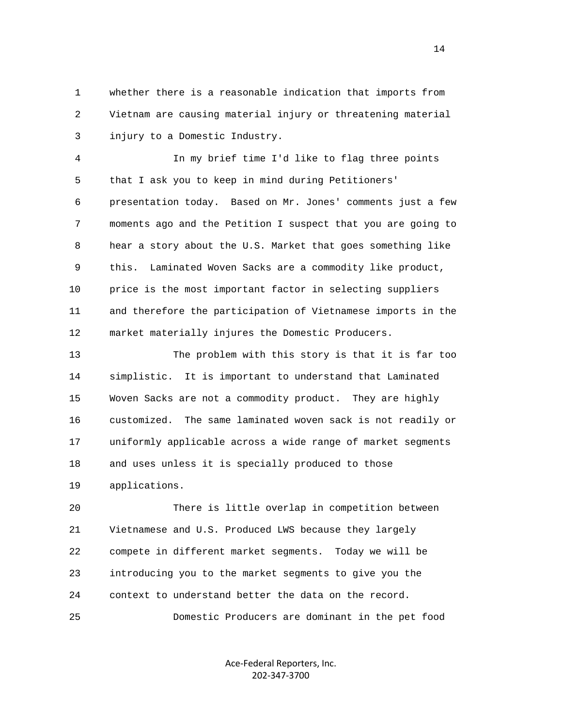1 whether there is a reasonable indication that imports from 2 Vietnam are causing material injury or threatening material 3 injury to a Domestic Industry.

 4 In my brief time I'd like to flag three points 5 that I ask you to keep in mind during Petitioners' 6 presentation today. Based on Mr. Jones' comments just a few 7 moments ago and the Petition I suspect that you are going to 8 hear a story about the U.S. Market that goes something like 9 this. Laminated Woven Sacks are a commodity like product, 10 price is the most important factor in selecting suppliers 11 and therefore the participation of Vietnamese imports in the 12 market materially injures the Domestic Producers.

 13 The problem with this story is that it is far too 14 simplistic. It is important to understand that Laminated 15 Woven Sacks are not a commodity product. They are highly 16 customized. The same laminated woven sack is not readily or 17 uniformly applicable across a wide range of market segments 18 and uses unless it is specially produced to those 19 applications.

 20 There is little overlap in competition between 21 Vietnamese and U.S. Produced LWS because they largely 22 compete in different market segments. Today we will be 23 introducing you to the market segments to give you the 24 context to understand better the data on the record. 25 Domestic Producers are dominant in the pet food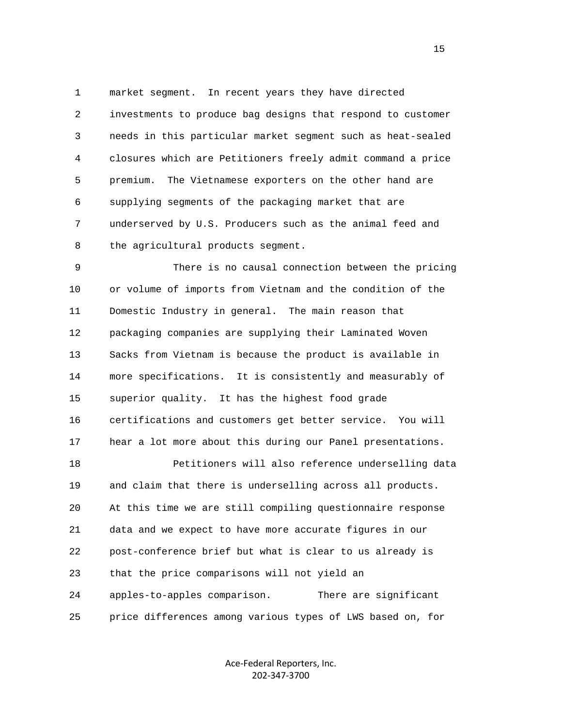1 market segment. In recent years they have directed 2 investments to produce bag designs that respond to customer 3 needs in this particular market segment such as heat-sealed 4 closures which are Petitioners freely admit command a price 5 premium. The Vietnamese exporters on the other hand are 6 supplying segments of the packaging market that are 7 underserved by U.S. Producers such as the animal feed and 8 the agricultural products segment.

 9 There is no causal connection between the pricing 10 or volume of imports from Vietnam and the condition of the 11 Domestic Industry in general. The main reason that 12 packaging companies are supplying their Laminated Woven 13 Sacks from Vietnam is because the product is available in 14 more specifications. It is consistently and measurably of 15 superior quality. It has the highest food grade 16 certifications and customers get better service. You will 17 hear a lot more about this during our Panel presentations. 18 Petitioners will also reference underselling data 19 and claim that there is underselling across all products. 20 At this time we are still compiling questionnaire response 21 data and we expect to have more accurate figures in our 22 post-conference brief but what is clear to us already is 23 that the price comparisons will not yield an 24 apples-to-apples comparison. There are significant 25 price differences among various types of LWS based on, for

> Ace-Federal Reporters, Inc. 202-347-3700

the contract of the contract of the contract of the contract of the contract of the contract of the contract of the contract of the contract of the contract of the contract of the contract of the contract of the contract o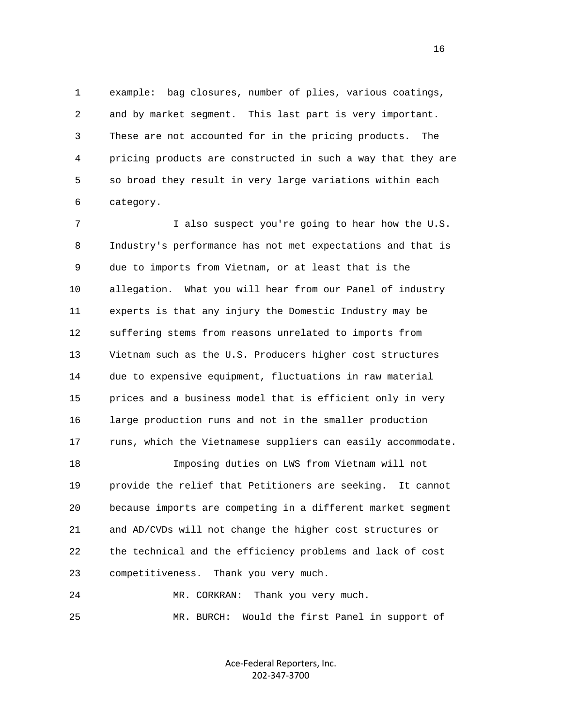1 example: bag closures, number of plies, various coatings, 2 and by market segment. This last part is very important. 3 These are not accounted for in the pricing products. The 4 pricing products are constructed in such a way that they are 5 so broad they result in very large variations within each 6 category.

 7 I also suspect you're going to hear how the U.S. 8 Industry's performance has not met expectations and that is 9 due to imports from Vietnam, or at least that is the 10 allegation. What you will hear from our Panel of industry 11 experts is that any injury the Domestic Industry may be 12 suffering stems from reasons unrelated to imports from 13 Vietnam such as the U.S. Producers higher cost structures 14 due to expensive equipment, fluctuations in raw material 15 prices and a business model that is efficient only in very 16 large production runs and not in the smaller production 17 runs, which the Vietnamese suppliers can easily accommodate. 18 Imposing duties on LWS from Vietnam will not 19 provide the relief that Petitioners are seeking. It cannot 20 because imports are competing in a different market segment 21 and AD/CVDs will not change the higher cost structures or 22 the technical and the efficiency problems and lack of cost 23 competitiveness. Thank you very much.

 24 MR. CORKRAN: Thank you very much. 25 MR. BURCH: Would the first Panel in support of

> Ace-Federal Reporters, Inc. 202-347-3700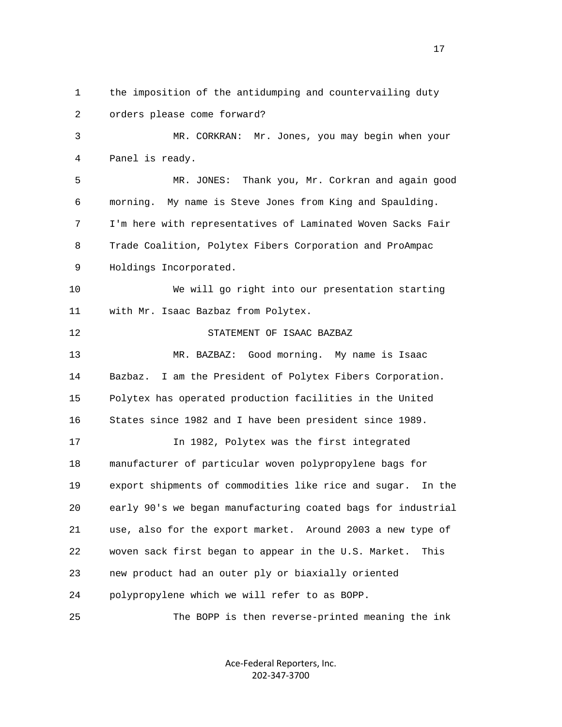1 the imposition of the antidumping and countervailing duty 2 orders please come forward?

 3 MR. CORKRAN: Mr. Jones, you may begin when your 4 Panel is ready.

 5 MR. JONES: Thank you, Mr. Corkran and again good 6 morning. My name is Steve Jones from King and Spaulding. 7 I'm here with representatives of Laminated Woven Sacks Fair 8 Trade Coalition, Polytex Fibers Corporation and ProAmpac 9 Holdings Incorporated.

 10 We will go right into our presentation starting 11 with Mr. Isaac Bazbaz from Polytex.

12 STATEMENT OF ISAAC BAZBAZ

 13 MR. BAZBAZ: Good morning. My name is Isaac 14 Bazbaz. I am the President of Polytex Fibers Corporation. 15 Polytex has operated production facilities in the United 16 States since 1982 and I have been president since 1989.

 17 In 1982, Polytex was the first integrated 18 manufacturer of particular woven polypropylene bags for 19 export shipments of commodities like rice and sugar. In the 20 early 90's we began manufacturing coated bags for industrial 21 use, also for the export market. Around 2003 a new type of 22 woven sack first began to appear in the U.S. Market. This 23 new product had an outer ply or biaxially oriented 24 polypropylene which we will refer to as BOPP.

25 The BOPP is then reverse-printed meaning the ink

Ace-Federal Reporters, Inc. 202-347-3700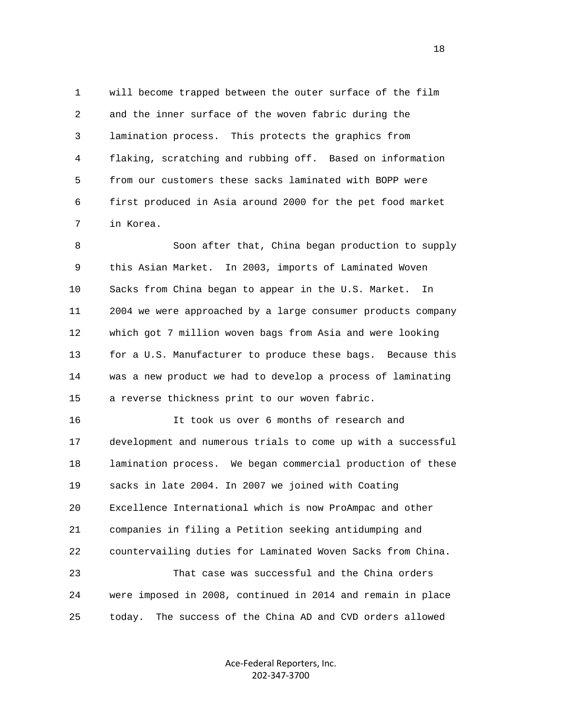1 will become trapped between the outer surface of the film 2 and the inner surface of the woven fabric during the 3 lamination process. This protects the graphics from 4 flaking, scratching and rubbing off. Based on information 5 from our customers these sacks laminated with BOPP were 6 first produced in Asia around 2000 for the pet food market 7 in Korea.

 8 Soon after that, China began production to supply 9 this Asian Market. In 2003, imports of Laminated Woven 10 Sacks from China began to appear in the U.S. Market. In 11 2004 we were approached by a large consumer products company 12 which got 7 million woven bags from Asia and were looking 13 for a U.S. Manufacturer to produce these bags. Because this 14 was a new product we had to develop a process of laminating 15 a reverse thickness print to our woven fabric.

 16 It took us over 6 months of research and 17 development and numerous trials to come up with a successful 18 lamination process. We began commercial production of these 19 sacks in late 2004. In 2007 we joined with Coating 20 Excellence International which is now ProAmpac and other 21 companies in filing a Petition seeking antidumping and 22 countervailing duties for Laminated Woven Sacks from China. 23 That case was successful and the China orders 24 were imposed in 2008, continued in 2014 and remain in place

25 today. The success of the China AD and CVD orders allowed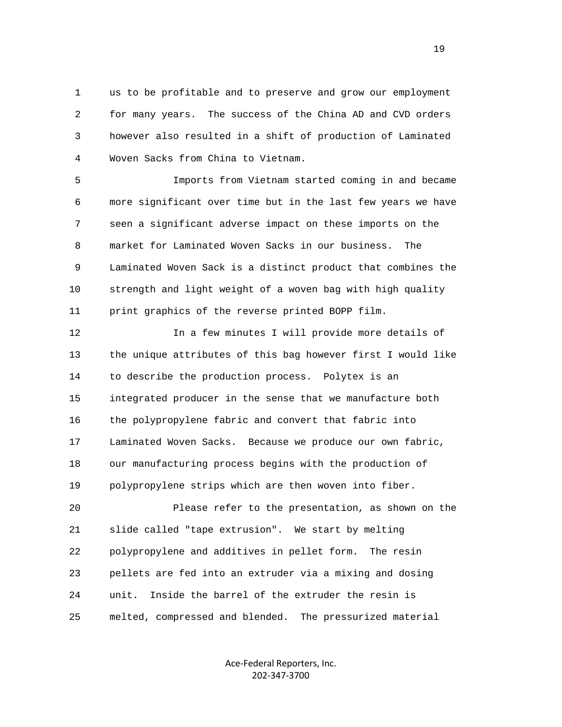1 us to be profitable and to preserve and grow our employment 2 for many years. The success of the China AD and CVD orders 3 however also resulted in a shift of production of Laminated 4 Woven Sacks from China to Vietnam.

 5 Imports from Vietnam started coming in and became 6 more significant over time but in the last few years we have 7 seen a significant adverse impact on these imports on the 8 market for Laminated Woven Sacks in our business. The 9 Laminated Woven Sack is a distinct product that combines the 10 strength and light weight of a woven bag with high quality 11 print graphics of the reverse printed BOPP film.

 12 In a few minutes I will provide more details of 13 the unique attributes of this bag however first I would like 14 to describe the production process. Polytex is an 15 integrated producer in the sense that we manufacture both 16 the polypropylene fabric and convert that fabric into 17 Laminated Woven Sacks. Because we produce our own fabric, 18 our manufacturing process begins with the production of 19 polypropylene strips which are then woven into fiber.

 20 Please refer to the presentation, as shown on the 21 slide called "tape extrusion". We start by melting 22 polypropylene and additives in pellet form. The resin 23 pellets are fed into an extruder via a mixing and dosing 24 unit. Inside the barrel of the extruder the resin is 25 melted, compressed and blended. The pressurized material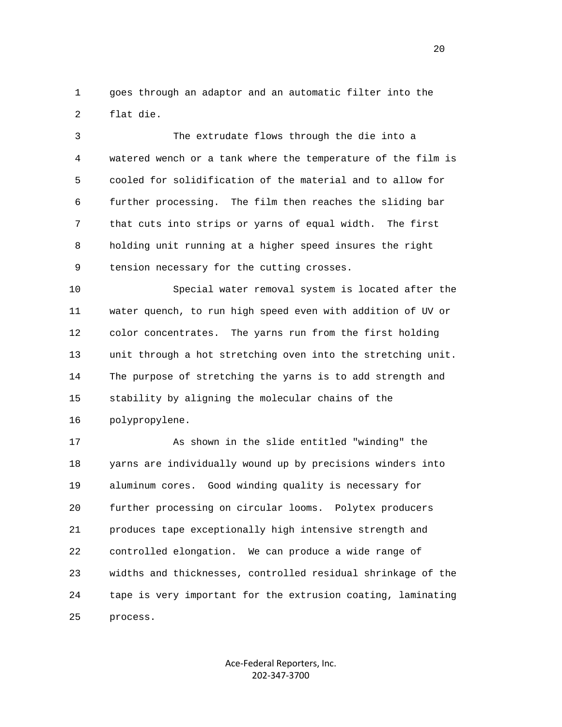1 goes through an adaptor and an automatic filter into the 2 flat die.

 3 The extrudate flows through the die into a 4 watered wench or a tank where the temperature of the film is 5 cooled for solidification of the material and to allow for 6 further processing. The film then reaches the sliding bar 7 that cuts into strips or yarns of equal width. The first 8 holding unit running at a higher speed insures the right 9 tension necessary for the cutting crosses.

 10 Special water removal system is located after the 11 water quench, to run high speed even with addition of UV or 12 color concentrates. The yarns run from the first holding 13 unit through a hot stretching oven into the stretching unit. 14 The purpose of stretching the yarns is to add strength and 15 stability by aligning the molecular chains of the 16 polypropylene.

 17 As shown in the slide entitled "winding" the 18 yarns are individually wound up by precisions winders into 19 aluminum cores. Good winding quality is necessary for 20 further processing on circular looms. Polytex producers 21 produces tape exceptionally high intensive strength and 22 controlled elongation. We can produce a wide range of 23 widths and thicknesses, controlled residual shrinkage of the 24 tape is very important for the extrusion coating, laminating 25 process.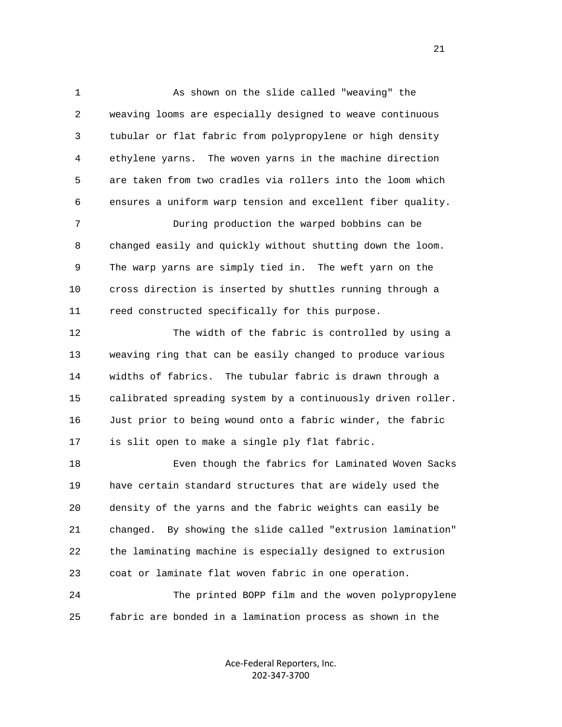1 As shown on the slide called "weaving" the 2 weaving looms are especially designed to weave continuous 3 tubular or flat fabric from polypropylene or high density 4 ethylene yarns. The woven yarns in the machine direction 5 are taken from two cradles via rollers into the loom which 6 ensures a uniform warp tension and excellent fiber quality.

 7 During production the warped bobbins can be 8 changed easily and quickly without shutting down the loom. 9 The warp yarns are simply tied in. The weft yarn on the 10 cross direction is inserted by shuttles running through a 11 reed constructed specifically for this purpose.

 12 The width of the fabric is controlled by using a 13 weaving ring that can be easily changed to produce various 14 widths of fabrics. The tubular fabric is drawn through a 15 calibrated spreading system by a continuously driven roller. 16 Just prior to being wound onto a fabric winder, the fabric 17 is slit open to make a single ply flat fabric.

 18 Even though the fabrics for Laminated Woven Sacks 19 have certain standard structures that are widely used the 20 density of the yarns and the fabric weights can easily be 21 changed. By showing the slide called "extrusion lamination" 22 the laminating machine is especially designed to extrusion 23 coat or laminate flat woven fabric in one operation.

 24 The printed BOPP film and the woven polypropylene 25 fabric are bonded in a lamination process as shown in the

> Ace-Federal Reporters, Inc. 202-347-3700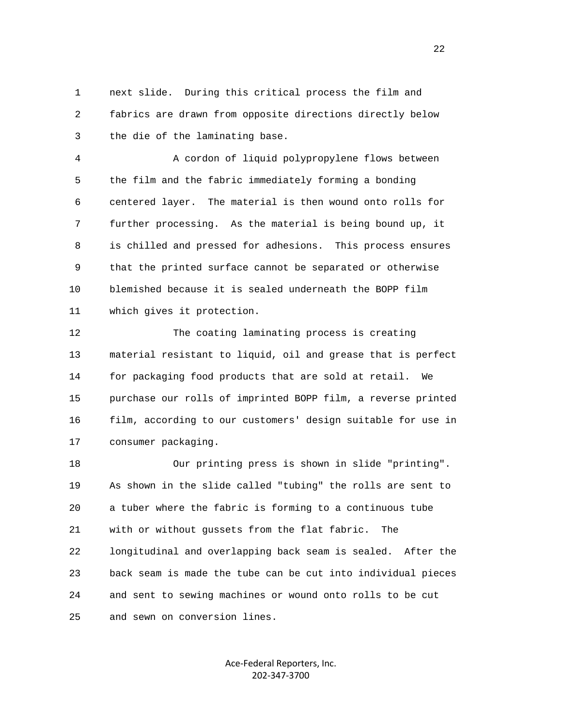1 next slide. During this critical process the film and 2 fabrics are drawn from opposite directions directly below 3 the die of the laminating base.

 4 A cordon of liquid polypropylene flows between 5 the film and the fabric immediately forming a bonding 6 centered layer. The material is then wound onto rolls for 7 further processing. As the material is being bound up, it 8 is chilled and pressed for adhesions. This process ensures 9 that the printed surface cannot be separated or otherwise 10 blemished because it is sealed underneath the BOPP film 11 which gives it protection.

 12 The coating laminating process is creating 13 material resistant to liquid, oil and grease that is perfect 14 for packaging food products that are sold at retail. We 15 purchase our rolls of imprinted BOPP film, a reverse printed 16 film, according to our customers' design suitable for use in 17 consumer packaging.

 18 Our printing press is shown in slide "printing". 19 As shown in the slide called "tubing" the rolls are sent to 20 a tuber where the fabric is forming to a continuous tube 21 with or without gussets from the flat fabric. The 22 longitudinal and overlapping back seam is sealed. After the 23 back seam is made the tube can be cut into individual pieces 24 and sent to sewing machines or wound onto rolls to be cut 25 and sewn on conversion lines.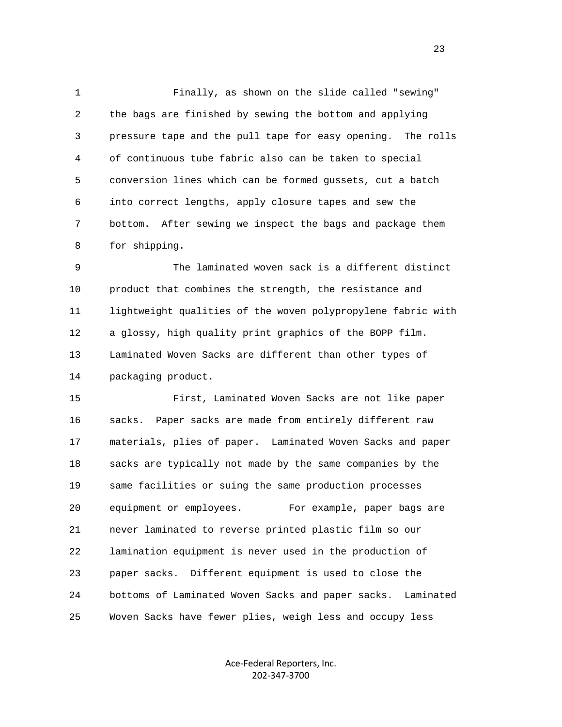1 Finally, as shown on the slide called "sewing" 2 the bags are finished by sewing the bottom and applying 3 pressure tape and the pull tape for easy opening. The rolls 4 of continuous tube fabric also can be taken to special 5 conversion lines which can be formed gussets, cut a batch 6 into correct lengths, apply closure tapes and sew the 7 bottom. After sewing we inspect the bags and package them 8 for shipping.

 9 The laminated woven sack is a different distinct 10 product that combines the strength, the resistance and 11 lightweight qualities of the woven polypropylene fabric with 12 a glossy, high quality print graphics of the BOPP film. 13 Laminated Woven Sacks are different than other types of 14 packaging product.

 15 First, Laminated Woven Sacks are not like paper 16 sacks. Paper sacks are made from entirely different raw 17 materials, plies of paper. Laminated Woven Sacks and paper 18 sacks are typically not made by the same companies by the 19 same facilities or suing the same production processes 20 equipment or employees. For example, paper bags are 21 never laminated to reverse printed plastic film so our 22 lamination equipment is never used in the production of 23 paper sacks. Different equipment is used to close the 24 bottoms of Laminated Woven Sacks and paper sacks. Laminated 25 Woven Sacks have fewer plies, weigh less and occupy less

> Ace-Federal Reporters, Inc. 202-347-3700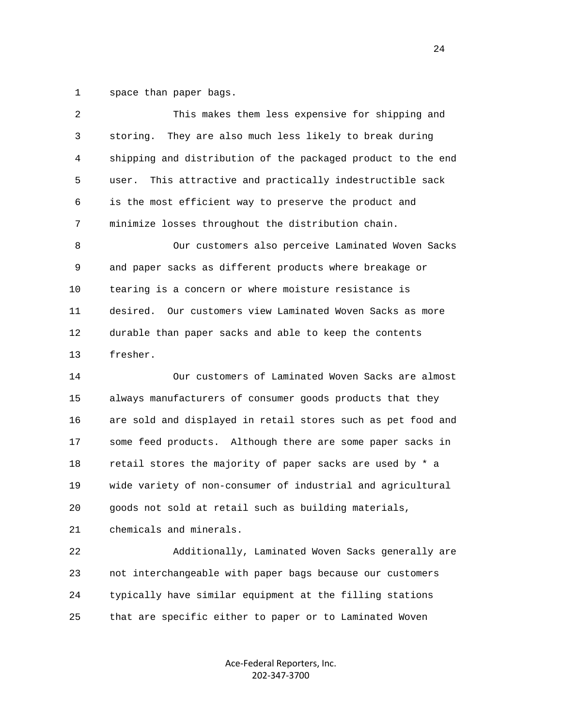1 space than paper bags.

| 2            | This makes them less expensive for shipping and              |
|--------------|--------------------------------------------------------------|
| $\mathsf{3}$ | They are also much less likely to break during<br>storing.   |
| 4            | shipping and distribution of the packaged product to the end |
| 5            | This attractive and practically indestructible sack<br>user. |
| 6            | is the most efficient way to preserve the product and        |
| 7            | minimize losses throughout the distribution chain.           |
| 8            | Our customers also perceive Laminated Woven Sacks            |
| 9            | and paper sacks as different products where breakage or      |
| 10           | tearing is a concern or where moisture resistance is         |
| 11           | desired. Our customers view Laminated Woven Sacks as more    |
| 12           | durable than paper sacks and able to keep the contents       |
| 13           | fresher.                                                     |
| 14           | Our customers of Laminated Woven Sacks are almost            |
| 15           | always manufacturers of consumer goods products that they    |
| 16           | are sold and displayed in retail stores such as pet food and |
| 17           | some feed products. Although there are some paper sacks in   |
| 18           | retail stores the majority of paper sacks are used by $*$ a  |
| 19           | wide variety of non-consumer of industrial and agricultural  |

20 goods not sold at retail such as building materials,

21 chemicals and minerals.

 22 Additionally, Laminated Woven Sacks generally are 23 not interchangeable with paper bags because our customers 24 typically have similar equipment at the filling stations 25 that are specific either to paper or to Laminated Woven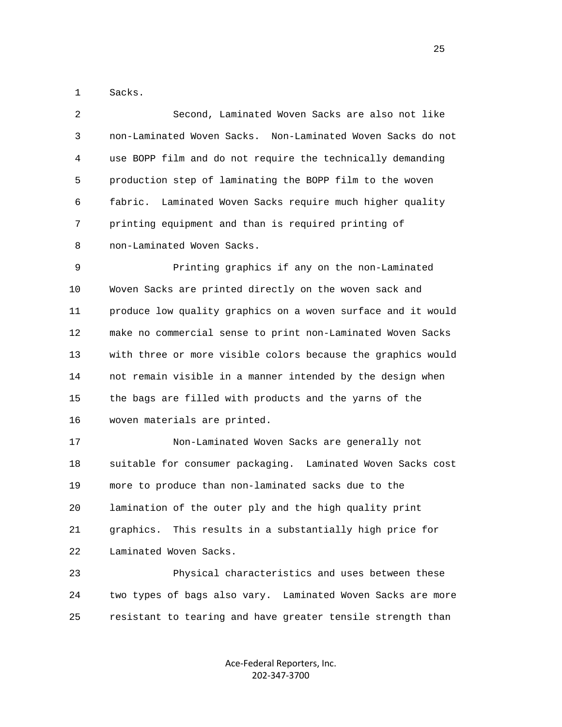1 Sacks.

 2 Second, Laminated Woven Sacks are also not like 3 non-Laminated Woven Sacks. Non-Laminated Woven Sacks do not 4 use BOPP film and do not require the technically demanding 5 production step of laminating the BOPP film to the woven 6 fabric. Laminated Woven Sacks require much higher quality 7 printing equipment and than is required printing of 8 non-Laminated Woven Sacks.

 9 Printing graphics if any on the non-Laminated 10 Woven Sacks are printed directly on the woven sack and 11 produce low quality graphics on a woven surface and it would 12 make no commercial sense to print non-Laminated Woven Sacks 13 with three or more visible colors because the graphics would 14 not remain visible in a manner intended by the design when 15 the bags are filled with products and the yarns of the 16 woven materials are printed.

 17 Non-Laminated Woven Sacks are generally not 18 suitable for consumer packaging. Laminated Woven Sacks cost 19 more to produce than non-laminated sacks due to the 20 lamination of the outer ply and the high quality print 21 graphics. This results in a substantially high price for 22 Laminated Woven Sacks.

 23 Physical characteristics and uses between these 24 two types of bags also vary. Laminated Woven Sacks are more 25 resistant to tearing and have greater tensile strength than

> Ace-Federal Reporters, Inc. 202-347-3700

<u>25 and 25</u>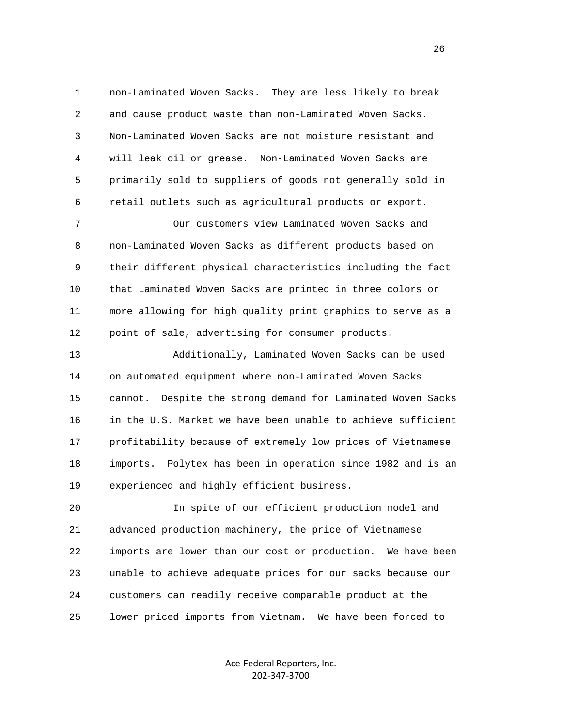1 non-Laminated Woven Sacks. They are less likely to break 2 and cause product waste than non-Laminated Woven Sacks. 3 Non-Laminated Woven Sacks are not moisture resistant and 4 will leak oil or grease. Non-Laminated Woven Sacks are 5 primarily sold to suppliers of goods not generally sold in 6 retail outlets such as agricultural products or export.

 7 Our customers view Laminated Woven Sacks and 8 non-Laminated Woven Sacks as different products based on 9 their different physical characteristics including the fact 10 that Laminated Woven Sacks are printed in three colors or 11 more allowing for high quality print graphics to serve as a 12 point of sale, advertising for consumer products.

 13 Additionally, Laminated Woven Sacks can be used 14 on automated equipment where non-Laminated Woven Sacks 15 cannot. Despite the strong demand for Laminated Woven Sacks 16 in the U.S. Market we have been unable to achieve sufficient 17 profitability because of extremely low prices of Vietnamese 18 imports. Polytex has been in operation since 1982 and is an 19 experienced and highly efficient business.

 20 In spite of our efficient production model and 21 advanced production machinery, the price of Vietnamese 22 imports are lower than our cost or production. We have been 23 unable to achieve adequate prices for our sacks because our 24 customers can readily receive comparable product at the 25 lower priced imports from Vietnam. We have been forced to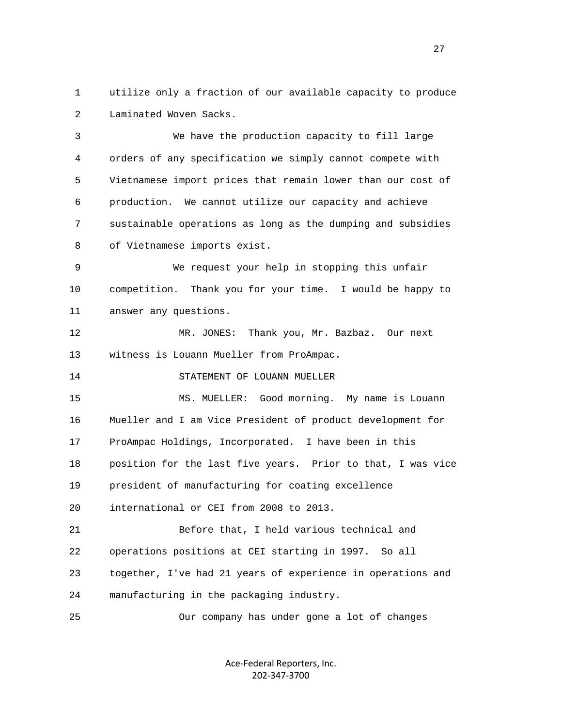1 utilize only a fraction of our available capacity to produce 2 Laminated Woven Sacks.

 3 We have the production capacity to fill large 4 orders of any specification we simply cannot compete with 5 Vietnamese import prices that remain lower than our cost of 6 production. We cannot utilize our capacity and achieve 7 sustainable operations as long as the dumping and subsidies 8 of Vietnamese imports exist.

 9 We request your help in stopping this unfair 10 competition. Thank you for your time. I would be happy to 11 answer any questions.

 12 MR. JONES: Thank you, Mr. Bazbaz. Our next 13 witness is Louann Mueller from ProAmpac.

14 STATEMENT OF LOUANN MUELLER

 15 MS. MUELLER: Good morning. My name is Louann 16 Mueller and I am Vice President of product development for 17 ProAmpac Holdings, Incorporated. I have been in this 18 position for the last five years. Prior to that, I was vice 19 president of manufacturing for coating excellence 20 international or CEI from 2008 to 2013.

 21 Before that, I held various technical and 22 operations positions at CEI starting in 1997. So all 23 together, I've had 21 years of experience in operations and 24 manufacturing in the packaging industry.

25 Our company has under gone a lot of changes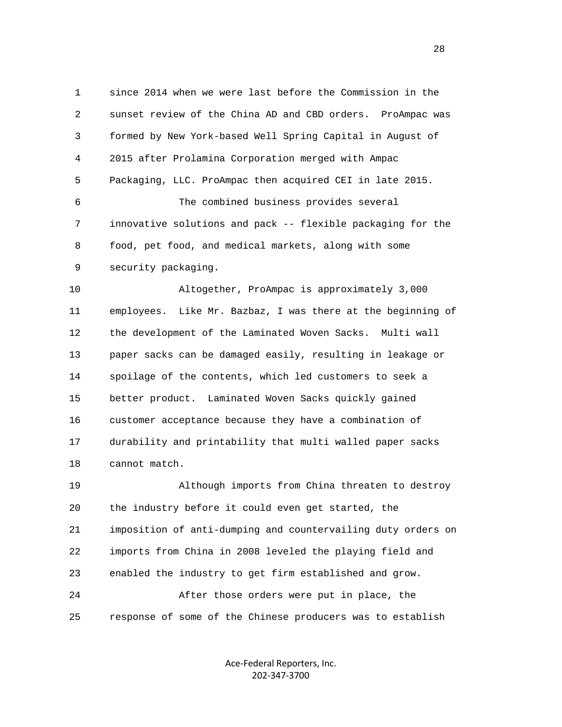1 since 2014 when we were last before the Commission in the 2 sunset review of the China AD and CBD orders. ProAmpac was 3 formed by New York-based Well Spring Capital in August of 4 2015 after Prolamina Corporation merged with Ampac 5 Packaging, LLC. ProAmpac then acquired CEI in late 2015. 6 The combined business provides several 7 innovative solutions and pack -- flexible packaging for the 8 food, pet food, and medical markets, along with some 9 security packaging. 10 Altogether, ProAmpac is approximately 3,000 11 employees. Like Mr. Bazbaz, I was there at the beginning of 12 the development of the Laminated Woven Sacks. Multi wall 13 paper sacks can be damaged easily, resulting in leakage or 14 spoilage of the contents, which led customers to seek a 15 better product. Laminated Woven Sacks quickly gained 16 customer acceptance because they have a combination of 17 durability and printability that multi walled paper sacks 18 cannot match. 19 Although imports from China threaten to destroy 20 the industry before it could even get started, the 21 imposition of anti-dumping and countervailing duty orders on 22 imports from China in 2008 leveled the playing field and 23 enabled the industry to get firm established and grow.

 24 After those orders were put in place, the 25 response of some of the Chinese producers was to establish

> Ace-Federal Reporters, Inc. 202-347-3700

<u>28 and 28</u>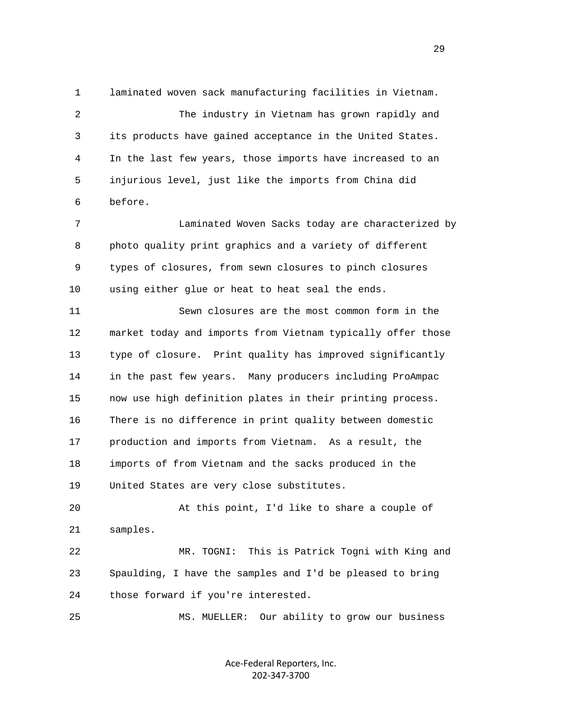1 laminated woven sack manufacturing facilities in Vietnam.

 2 The industry in Vietnam has grown rapidly and 3 its products have gained acceptance in the United States. 4 In the last few years, those imports have increased to an 5 injurious level, just like the imports from China did 6 before.

 7 Laminated Woven Sacks today are characterized by 8 photo quality print graphics and a variety of different 9 types of closures, from sewn closures to pinch closures 10 using either glue or heat to heat seal the ends.

 11 Sewn closures are the most common form in the 12 market today and imports from Vietnam typically offer those 13 type of closure. Print quality has improved significantly 14 in the past few years. Many producers including ProAmpac 15 now use high definition plates in their printing process. 16 There is no difference in print quality between domestic 17 production and imports from Vietnam. As a result, the 18 imports of from Vietnam and the sacks produced in the 19 United States are very close substitutes.

 20 At this point, I'd like to share a couple of 21 samples.

 22 MR. TOGNI: This is Patrick Togni with King and 23 Spaulding, I have the samples and I'd be pleased to bring 24 those forward if you're interested.

25 MS. MUELLER: Our ability to grow our business

Ace-Federal Reporters, Inc. 202-347-3700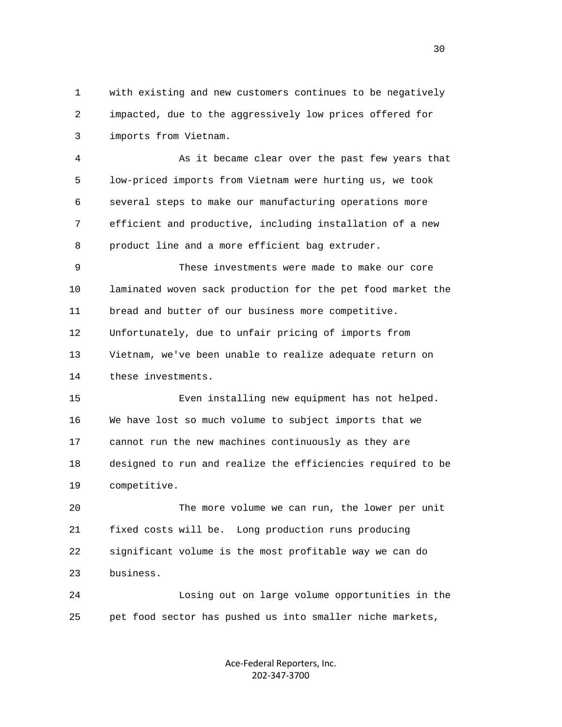1 with existing and new customers continues to be negatively 2 impacted, due to the aggressively low prices offered for 3 imports from Vietnam.

 4 As it became clear over the past few years that 5 low-priced imports from Vietnam were hurting us, we took 6 several steps to make our manufacturing operations more 7 efficient and productive, including installation of a new 8 product line and a more efficient bag extruder.

 9 These investments were made to make our core 10 laminated woven sack production for the pet food market the 11 bread and butter of our business more competitive. 12 Unfortunately, due to unfair pricing of imports from 13 Vietnam, we've been unable to realize adequate return on 14 these investments.

 15 Even installing new equipment has not helped. 16 We have lost so much volume to subject imports that we 17 cannot run the new machines continuously as they are 18 designed to run and realize the efficiencies required to be 19 competitive.

 20 The more volume we can run, the lower per unit 21 fixed costs will be. Long production runs producing 22 significant volume is the most profitable way we can do 23 business.

 24 Losing out on large volume opportunities in the 25 pet food sector has pushed us into smaller niche markets,

> Ace-Federal Reporters, Inc. 202-347-3700

 $30<sup>2</sup>$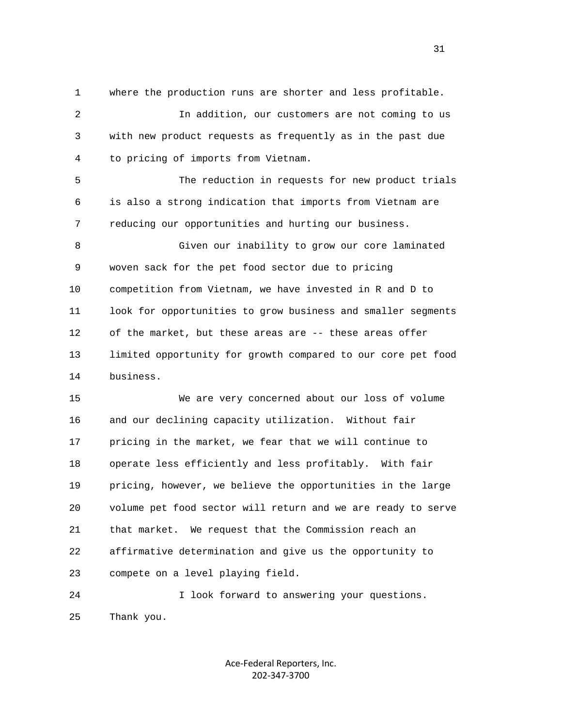1 where the production runs are shorter and less profitable.

 2 In addition, our customers are not coming to us 3 with new product requests as frequently as in the past due 4 to pricing of imports from Vietnam.

 5 The reduction in requests for new product trials 6 is also a strong indication that imports from Vietnam are 7 reducing our opportunities and hurting our business.

 8 Given our inability to grow our core laminated 9 woven sack for the pet food sector due to pricing 10 competition from Vietnam, we have invested in R and D to 11 look for opportunities to grow business and smaller segments 12 of the market, but these areas are -- these areas offer 13 limited opportunity for growth compared to our core pet food 14 business.

 15 We are very concerned about our loss of volume 16 and our declining capacity utilization. Without fair 17 pricing in the market, we fear that we will continue to 18 operate less efficiently and less profitably. With fair 19 pricing, however, we believe the opportunities in the large 20 volume pet food sector will return and we are ready to serve 21 that market. We request that the Commission reach an 22 affirmative determination and give us the opportunity to 23 compete on a level playing field.

 24 I look forward to answering your questions. 25 Thank you.

> Ace-Federal Reporters, Inc. 202-347-3700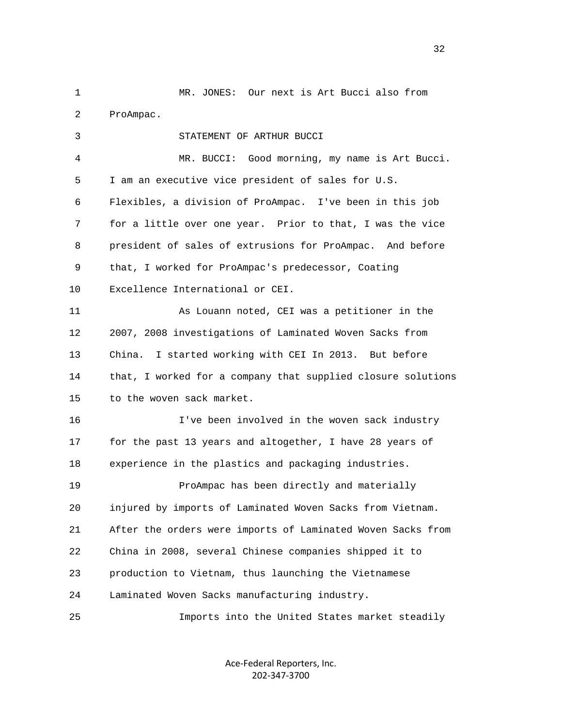1 MR. JONES: Our next is Art Bucci also from 2 ProAmpac. 3 STATEMENT OF ARTHUR BUCCI 4 MR. BUCCI: Good morning, my name is Art Bucci. 5 I am an executive vice president of sales for U.S. 6 Flexibles, a division of ProAmpac. I've been in this job 7 for a little over one year. Prior to that, I was the vice 8 president of sales of extrusions for ProAmpac. And before 9 that, I worked for ProAmpac's predecessor, Coating 10 Excellence International or CEI. 11 As Louann noted, CEI was a petitioner in the 12 2007, 2008 investigations of Laminated Woven Sacks from 13 China. I started working with CEI In 2013. But before 14 that, I worked for a company that supplied closure solutions 15 to the woven sack market. 16 I've been involved in the woven sack industry 17 for the past 13 years and altogether, I have 28 years of 18 experience in the plastics and packaging industries. 19 ProAmpac has been directly and materially 20 injured by imports of Laminated Woven Sacks from Vietnam. 21 After the orders were imports of Laminated Woven Sacks from 22 China in 2008, several Chinese companies shipped it to 23 production to Vietnam, thus launching the Vietnamese 24 Laminated Woven Sacks manufacturing industry. 25 Imports into the United States market steadily

> Ace-Federal Reporters, Inc. 202-347-3700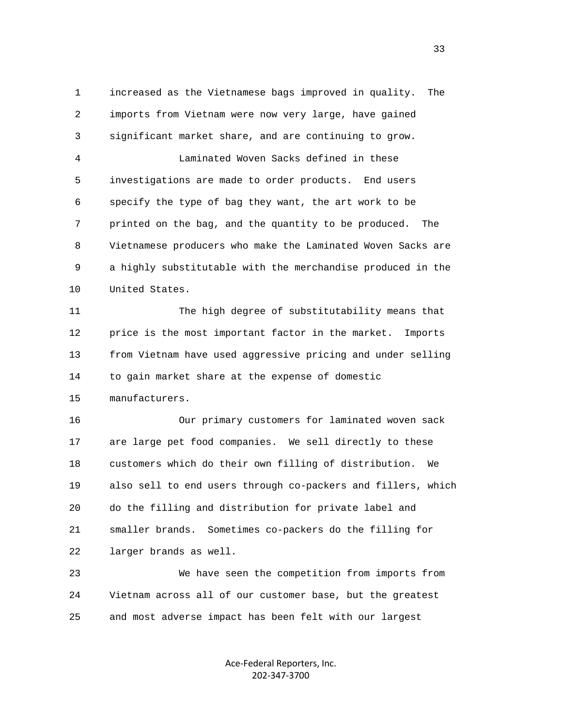1 increased as the Vietnamese bags improved in quality. The 2 imports from Vietnam were now very large, have gained 3 significant market share, and are continuing to grow.

 4 Laminated Woven Sacks defined in these 5 investigations are made to order products. End users 6 specify the type of bag they want, the art work to be 7 printed on the bag, and the quantity to be produced. The 8 Vietnamese producers who make the Laminated Woven Sacks are 9 a highly substitutable with the merchandise produced in the 10 United States.

 11 The high degree of substitutability means that 12 price is the most important factor in the market. Imports 13 from Vietnam have used aggressive pricing and under selling 14 to gain market share at the expense of domestic 15 manufacturers.

 16 Our primary customers for laminated woven sack 17 are large pet food companies. We sell directly to these 18 customers which do their own filling of distribution. We 19 also sell to end users through co-packers and fillers, which 20 do the filling and distribution for private label and 21 smaller brands. Sometimes co-packers do the filling for 22 larger brands as well.

 23 We have seen the competition from imports from 24 Vietnam across all of our customer base, but the greatest 25 and most adverse impact has been felt with our largest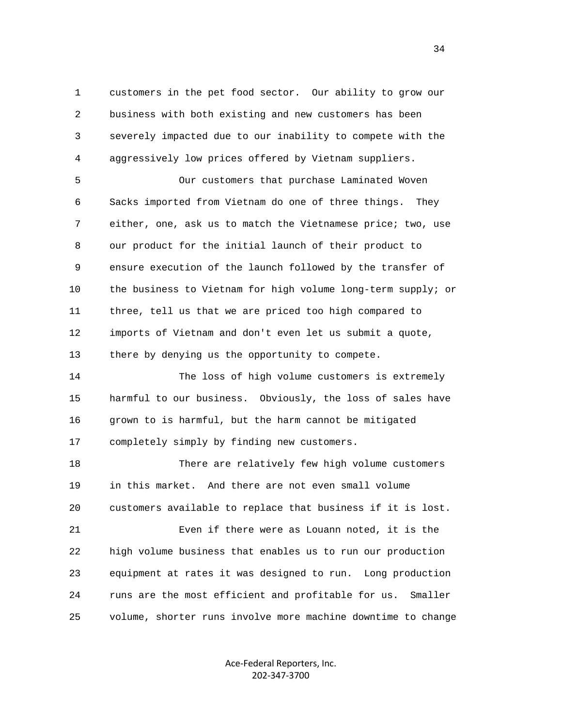1 customers in the pet food sector. Our ability to grow our 2 business with both existing and new customers has been 3 severely impacted due to our inability to compete with the 4 aggressively low prices offered by Vietnam suppliers.

 5 Our customers that purchase Laminated Woven 6 Sacks imported from Vietnam do one of three things. They 7 either, one, ask us to match the Vietnamese price; two, use 8 our product for the initial launch of their product to 9 ensure execution of the launch followed by the transfer of 10 the business to Vietnam for high volume long-term supply; or 11 three, tell us that we are priced too high compared to 12 imports of Vietnam and don't even let us submit a quote, 13 there by denying us the opportunity to compete.

 14 The loss of high volume customers is extremely 15 harmful to our business. Obviously, the loss of sales have 16 grown to is harmful, but the harm cannot be mitigated 17 completely simply by finding new customers.

 18 There are relatively few high volume customers 19 in this market. And there are not even small volume 20 customers available to replace that business if it is lost.

 21 Even if there were as Louann noted, it is the 22 high volume business that enables us to run our production 23 equipment at rates it was designed to run. Long production 24 runs are the most efficient and profitable for us. Smaller 25 volume, shorter runs involve more machine downtime to change

> Ace-Federal Reporters, Inc. 202-347-3700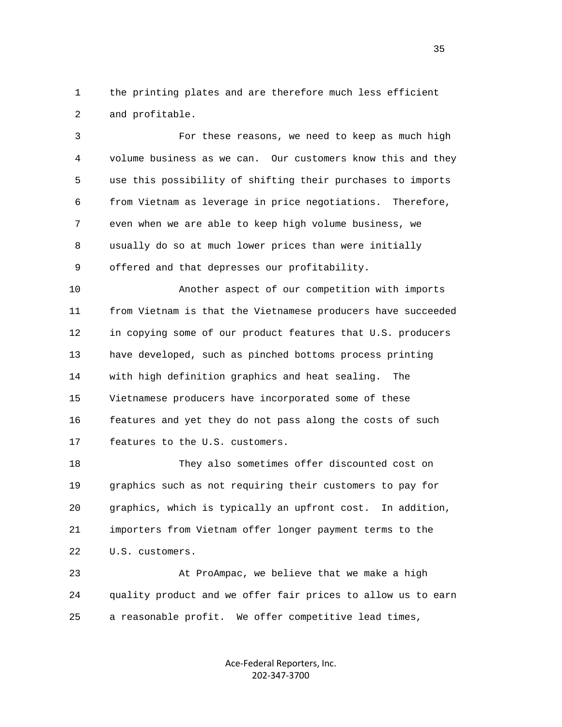1 the printing plates and are therefore much less efficient 2 and profitable.

 3 For these reasons, we need to keep as much high 4 volume business as we can. Our customers know this and they 5 use this possibility of shifting their purchases to imports 6 from Vietnam as leverage in price negotiations. Therefore, 7 even when we are able to keep high volume business, we 8 usually do so at much lower prices than were initially 9 offered and that depresses our profitability.

 10 Another aspect of our competition with imports 11 from Vietnam is that the Vietnamese producers have succeeded 12 in copying some of our product features that U.S. producers 13 have developed, such as pinched bottoms process printing 14 with high definition graphics and heat sealing. The 15 Vietnamese producers have incorporated some of these 16 features and yet they do not pass along the costs of such 17 features to the U.S. customers.

 18 They also sometimes offer discounted cost on 19 graphics such as not requiring their customers to pay for 20 graphics, which is typically an upfront cost. In addition, 21 importers from Vietnam offer longer payment terms to the 22 U.S. customers.

 23 At ProAmpac, we believe that we make a high 24 quality product and we offer fair prices to allow us to earn 25 a reasonable profit. We offer competitive lead times,

> Ace-Federal Reporters, Inc. 202-347-3700

<u>35 and 200 minutes and 200 minutes and 200 minutes and 200 minutes and 200 minutes and 200 minutes and 200 minutes and 200 minutes and 200 minutes and 200 minutes and 200 minutes and 200 minutes and 200 minutes and 200 mi</u>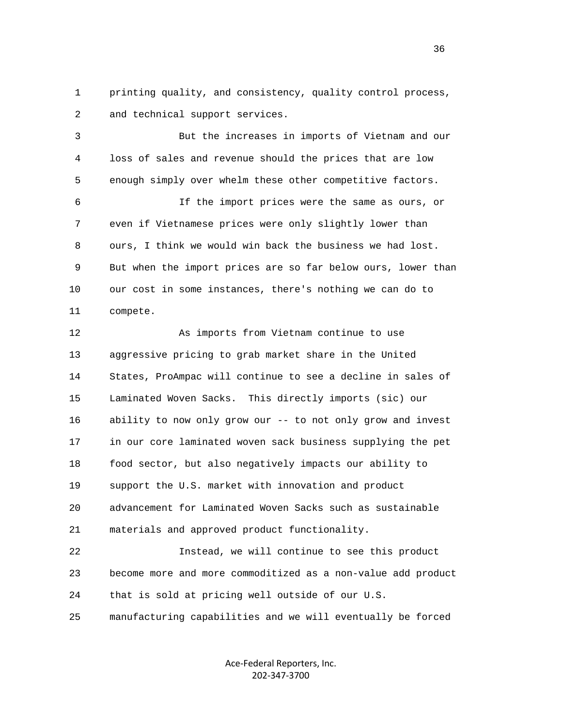1 printing quality, and consistency, quality control process, 2 and technical support services.

 3 But the increases in imports of Vietnam and our 4 loss of sales and revenue should the prices that are low 5 enough simply over whelm these other competitive factors.

 6 If the import prices were the same as ours, or 7 even if Vietnamese prices were only slightly lower than 8 ours, I think we would win back the business we had lost. 9 But when the import prices are so far below ours, lower than 10 our cost in some instances, there's nothing we can do to 11 compete.

 12 As imports from Vietnam continue to use 13 aggressive pricing to grab market share in the United 14 States, ProAmpac will continue to see a decline in sales of 15 Laminated Woven Sacks. This directly imports (sic) our 16 ability to now only grow our -- to not only grow and invest 17 in our core laminated woven sack business supplying the pet 18 food sector, but also negatively impacts our ability to 19 support the U.S. market with innovation and product 20 advancement for Laminated Woven Sacks such as sustainable 21 materials and approved product functionality.

 22 Instead, we will continue to see this product 23 become more and more commoditized as a non-value add product 24 that is sold at pricing well outside of our U.S. 25 manufacturing capabilities and we will eventually be forced

> Ace-Federal Reporters, Inc. 202-347-3700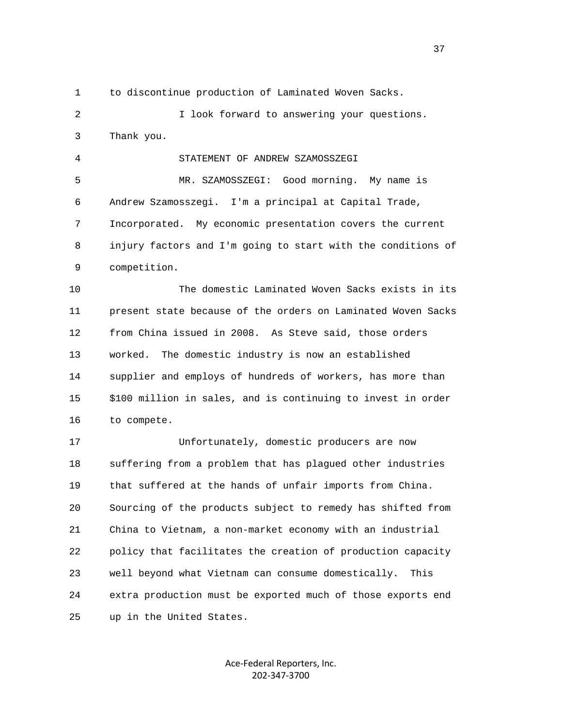1 to discontinue production of Laminated Woven Sacks.

4 STATEMENT OF ANDREW SZAMOSSZEGI

 2 I look forward to answering your questions. 3 Thank you.

 5 MR. SZAMOSSZEGI: Good morning. My name is 6 Andrew Szamosszegi. I'm a principal at Capital Trade, 7 Incorporated. My economic presentation covers the current 8 injury factors and I'm going to start with the conditions of 9 competition.

 10 The domestic Laminated Woven Sacks exists in its 11 present state because of the orders on Laminated Woven Sacks 12 from China issued in 2008. As Steve said, those orders 13 worked. The domestic industry is now an established 14 supplier and employs of hundreds of workers, has more than 15 \$100 million in sales, and is continuing to invest in order 16 to compete.

 17 Unfortunately, domestic producers are now 18 suffering from a problem that has plagued other industries 19 that suffered at the hands of unfair imports from China. 20 Sourcing of the products subject to remedy has shifted from 21 China to Vietnam, a non-market economy with an industrial 22 policy that facilitates the creation of production capacity 23 well beyond what Vietnam can consume domestically. This 24 extra production must be exported much of those exports end 25 up in the United States.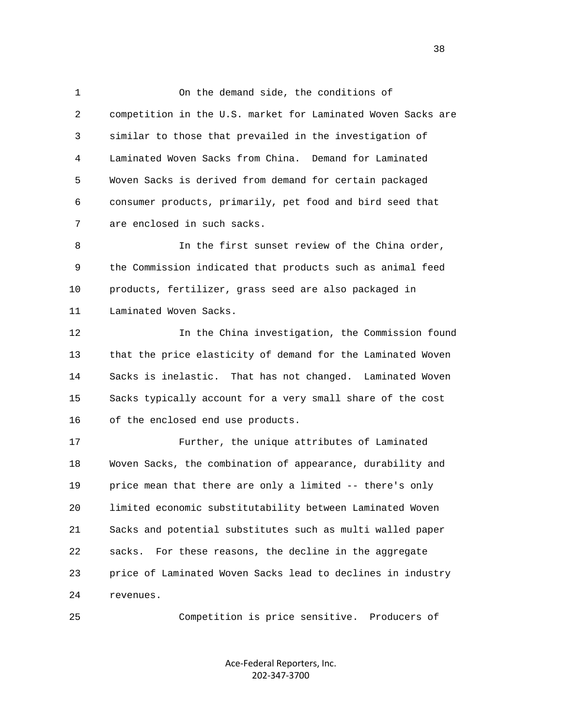1 On the demand side, the conditions of 2 competition in the U.S. market for Laminated Woven Sacks are 3 similar to those that prevailed in the investigation of 4 Laminated Woven Sacks from China. Demand for Laminated 5 Woven Sacks is derived from demand for certain packaged 6 consumer products, primarily, pet food and bird seed that 7 are enclosed in such sacks.

 8 In the first sunset review of the China order, 9 the Commission indicated that products such as animal feed 10 products, fertilizer, grass seed are also packaged in 11 Laminated Woven Sacks.

 12 In the China investigation, the Commission found 13 that the price elasticity of demand for the Laminated Woven 14 Sacks is inelastic. That has not changed. Laminated Woven 15 Sacks typically account for a very small share of the cost 16 of the enclosed end use products.

 17 Further, the unique attributes of Laminated 18 Woven Sacks, the combination of appearance, durability and 19 price mean that there are only a limited -- there's only 20 limited economic substitutability between Laminated Woven 21 Sacks and potential substitutes such as multi walled paper 22 sacks. For these reasons, the decline in the aggregate 23 price of Laminated Woven Sacks lead to declines in industry 24 revenues.

25 Competition is price sensitive. Producers of

Ace-Federal Reporters, Inc. 202-347-3700

<u>38 and 2001 and 2001 and 2001 and 2001 and 2001 and 2001 and 2001 and 2001 and 2001 and 2001 and 2001 and 200</u>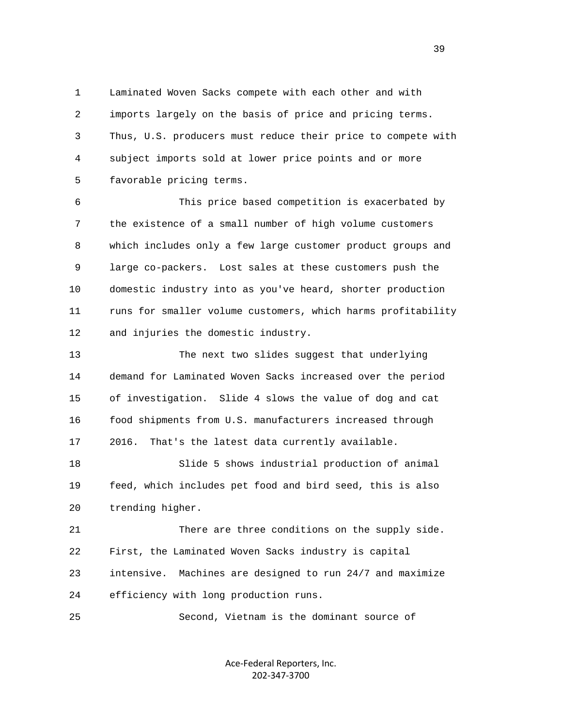1 Laminated Woven Sacks compete with each other and with 2 imports largely on the basis of price and pricing terms. 3 Thus, U.S. producers must reduce their price to compete with 4 subject imports sold at lower price points and or more 5 favorable pricing terms.

 6 This price based competition is exacerbated by 7 the existence of a small number of high volume customers 8 which includes only a few large customer product groups and 9 large co-packers. Lost sales at these customers push the 10 domestic industry into as you've heard, shorter production 11 runs for smaller volume customers, which harms profitability 12 and injuries the domestic industry.

 13 The next two slides suggest that underlying 14 demand for Laminated Woven Sacks increased over the period 15 of investigation. Slide 4 slows the value of dog and cat 16 food shipments from U.S. manufacturers increased through 17 2016. That's the latest data currently available.

 18 Slide 5 shows industrial production of animal 19 feed, which includes pet food and bird seed, this is also 20 trending higher.

 21 There are three conditions on the supply side. 22 First, the Laminated Woven Sacks industry is capital 23 intensive. Machines are designed to run 24/7 and maximize 24 efficiency with long production runs.

25 Second, Vietnam is the dominant source of

Ace-Federal Reporters, Inc. 202-347-3700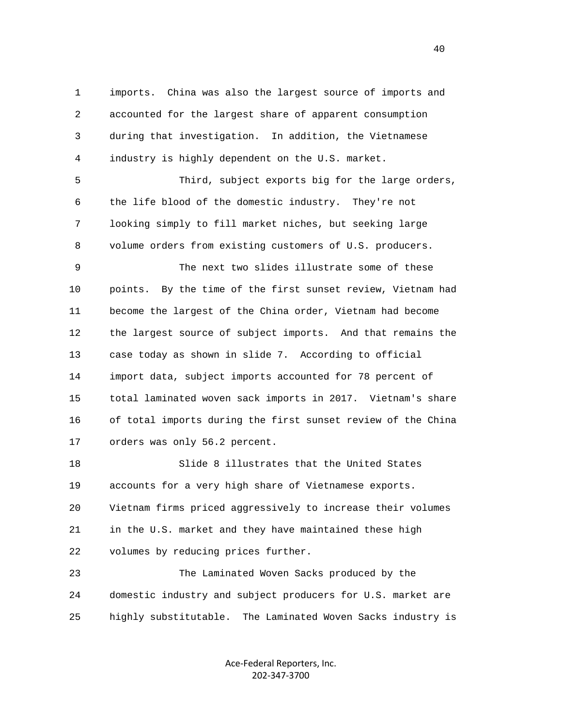1 imports. China was also the largest source of imports and 2 accounted for the largest share of apparent consumption 3 during that investigation. In addition, the Vietnamese 4 industry is highly dependent on the U.S. market.

 5 Third, subject exports big for the large orders, 6 the life blood of the domestic industry. They're not 7 looking simply to fill market niches, but seeking large 8 volume orders from existing customers of U.S. producers.

 9 The next two slides illustrate some of these 10 points. By the time of the first sunset review, Vietnam had 11 become the largest of the China order, Vietnam had become 12 the largest source of subject imports. And that remains the 13 case today as shown in slide 7. According to official 14 import data, subject imports accounted for 78 percent of 15 total laminated woven sack imports in 2017. Vietnam's share 16 of total imports during the first sunset review of the China 17 orders was only 56.2 percent.

 18 Slide 8 illustrates that the United States 19 accounts for a very high share of Vietnamese exports. 20 Vietnam firms priced aggressively to increase their volumes 21 in the U.S. market and they have maintained these high 22 volumes by reducing prices further.

 23 The Laminated Woven Sacks produced by the 24 domestic industry and subject producers for U.S. market are 25 highly substitutable. The Laminated Woven Sacks industry is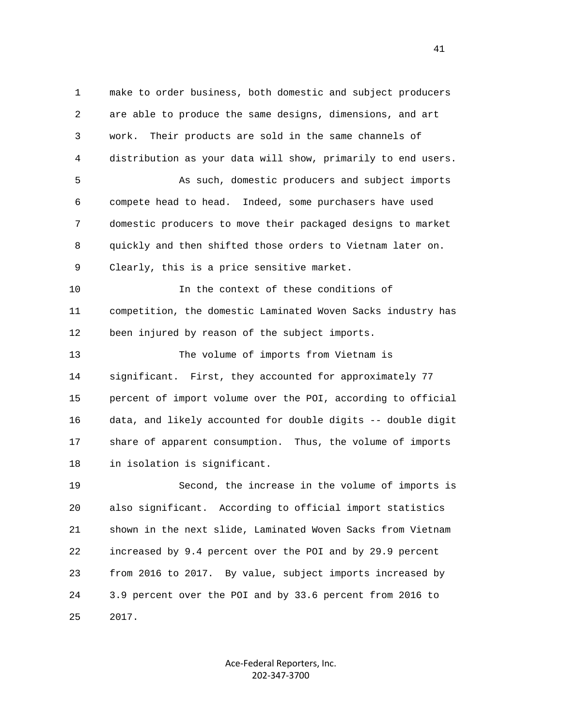1 make to order business, both domestic and subject producers 2 are able to produce the same designs, dimensions, and art 3 work. Their products are sold in the same channels of 4 distribution as your data will show, primarily to end users. 5 As such, domestic producers and subject imports 6 compete head to head. Indeed, some purchasers have used 7 domestic producers to move their packaged designs to market 8 quickly and then shifted those orders to Vietnam later on. 9 Clearly, this is a price sensitive market. 10 In the context of these conditions of 11 competition, the domestic Laminated Woven Sacks industry has 12 been injured by reason of the subject imports. 13 The volume of imports from Vietnam is 14 significant. First, they accounted for approximately 77 15 percent of import volume over the POI, according to official 16 data, and likely accounted for double digits -- double digit 17 share of apparent consumption. Thus, the volume of imports 18 in isolation is significant. 19 Second, the increase in the volume of imports is 20 also significant. According to official import statistics 21 shown in the next slide, Laminated Woven Sacks from Vietnam 22 increased by 9.4 percent over the POI and by 29.9 percent 23 from 2016 to 2017. By value, subject imports increased by 24 3.9 percent over the POI and by 33.6 percent from 2016 to 25 2017.

> Ace-Federal Reporters, Inc. 202-347-3700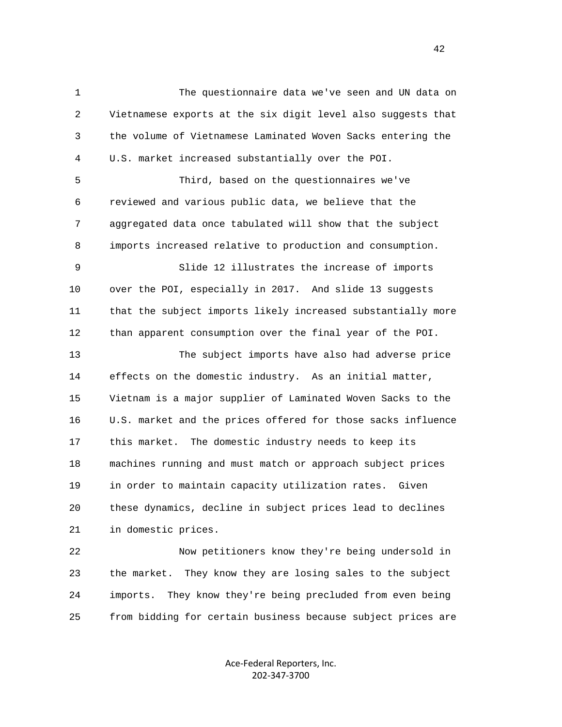1 The questionnaire data we've seen and UN data on 2 Vietnamese exports at the six digit level also suggests that 3 the volume of Vietnamese Laminated Woven Sacks entering the 4 U.S. market increased substantially over the POI.

 5 Third, based on the questionnaires we've 6 reviewed and various public data, we believe that the 7 aggregated data once tabulated will show that the subject 8 imports increased relative to production and consumption.

 9 Slide 12 illustrates the increase of imports 10 over the POI, especially in 2017. And slide 13 suggests 11 that the subject imports likely increased substantially more 12 than apparent consumption over the final year of the POI.

 13 The subject imports have also had adverse price 14 effects on the domestic industry. As an initial matter, 15 Vietnam is a major supplier of Laminated Woven Sacks to the 16 U.S. market and the prices offered for those sacks influence 17 this market. The domestic industry needs to keep its 18 machines running and must match or approach subject prices 19 in order to maintain capacity utilization rates. Given 20 these dynamics, decline in subject prices lead to declines 21 in domestic prices.

 22 Now petitioners know they're being undersold in 23 the market. They know they are losing sales to the subject 24 imports. They know they're being precluded from even being 25 from bidding for certain business because subject prices are

> Ace-Federal Reporters, Inc. 202-347-3700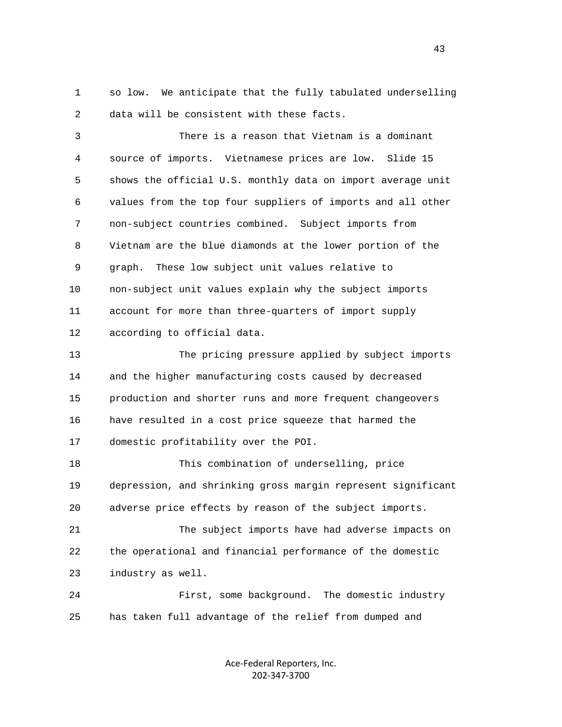1 so low. We anticipate that the fully tabulated underselling 2 data will be consistent with these facts.

 3 There is a reason that Vietnam is a dominant 4 source of imports. Vietnamese prices are low. Slide 15 5 shows the official U.S. monthly data on import average unit 6 values from the top four suppliers of imports and all other 7 non-subject countries combined. Subject imports from 8 Vietnam are the blue diamonds at the lower portion of the 9 graph. These low subject unit values relative to 10 non-subject unit values explain why the subject imports 11 account for more than three-quarters of import supply 12 according to official data.

 13 The pricing pressure applied by subject imports 14 and the higher manufacturing costs caused by decreased 15 production and shorter runs and more frequent changeovers 16 have resulted in a cost price squeeze that harmed the 17 domestic profitability over the POI.

 18 This combination of underselling, price 19 depression, and shrinking gross margin represent significant 20 adverse price effects by reason of the subject imports.

 21 The subject imports have had adverse impacts on 22 the operational and financial performance of the domestic 23 industry as well.

 24 First, some background. The domestic industry 25 has taken full advantage of the relief from dumped and

> Ace-Federal Reporters, Inc. 202-347-3700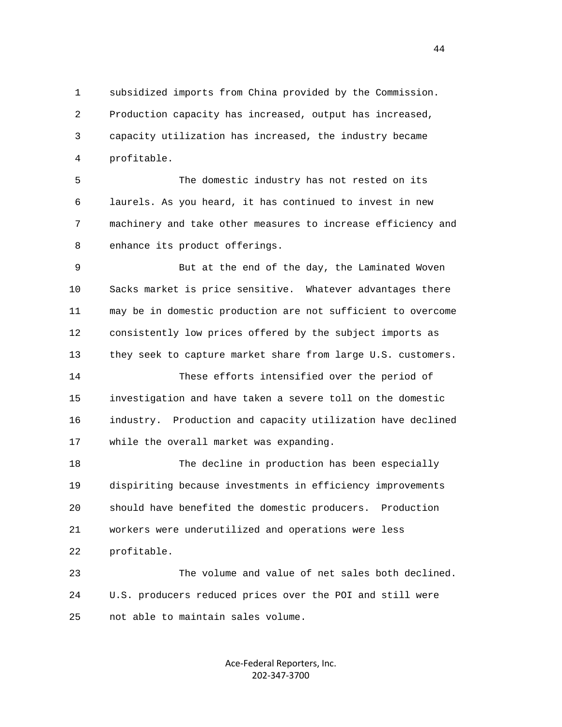1 subsidized imports from China provided by the Commission. 2 Production capacity has increased, output has increased, 3 capacity utilization has increased, the industry became 4 profitable.

 5 The domestic industry has not rested on its 6 laurels. As you heard, it has continued to invest in new 7 machinery and take other measures to increase efficiency and 8 enhance its product offerings.

 9 But at the end of the day, the Laminated Woven 10 Sacks market is price sensitive. Whatever advantages there 11 may be in domestic production are not sufficient to overcome 12 consistently low prices offered by the subject imports as 13 they seek to capture market share from large U.S. customers.

 14 These efforts intensified over the period of 15 investigation and have taken a severe toll on the domestic 16 industry. Production and capacity utilization have declined 17 while the overall market was expanding.

 18 The decline in production has been especially 19 dispiriting because investments in efficiency improvements 20 should have benefited the domestic producers. Production 21 workers were underutilized and operations were less 22 profitable.

 23 The volume and value of net sales both declined. 24 U.S. producers reduced prices over the POI and still were 25 not able to maintain sales volume.

> Ace-Federal Reporters, Inc. 202-347-3700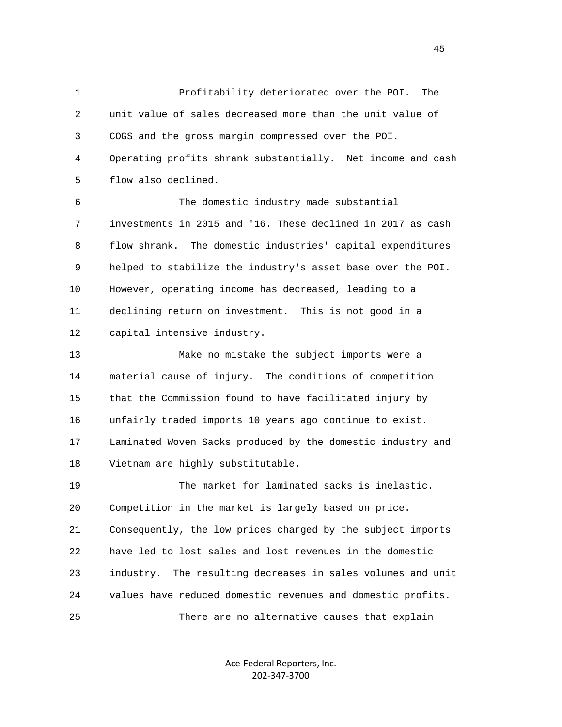1 Profitability deteriorated over the POI. The 2 unit value of sales decreased more than the unit value of 3 COGS and the gross margin compressed over the POI. 4 Operating profits shrank substantially. Net income and cash 5 flow also declined. 6 The domestic industry made substantial 7 investments in 2015 and '16. These declined in 2017 as cash 8 flow shrank. The domestic industries' capital expenditures 9 helped to stabilize the industry's asset base over the POI. 10 However, operating income has decreased, leading to a 11 declining return on investment. This is not good in a 12 capital intensive industry. 13 Make no mistake the subject imports were a

 14 material cause of injury. The conditions of competition 15 that the Commission found to have facilitated injury by 16 unfairly traded imports 10 years ago continue to exist. 17 Laminated Woven Sacks produced by the domestic industry and 18 Vietnam are highly substitutable.

 19 The market for laminated sacks is inelastic. 20 Competition in the market is largely based on price. 21 Consequently, the low prices charged by the subject imports 22 have led to lost sales and lost revenues in the domestic 23 industry. The resulting decreases in sales volumes and unit 24 values have reduced domestic revenues and domestic profits. 25 There are no alternative causes that explain

> Ace-Federal Reporters, Inc. 202-347-3700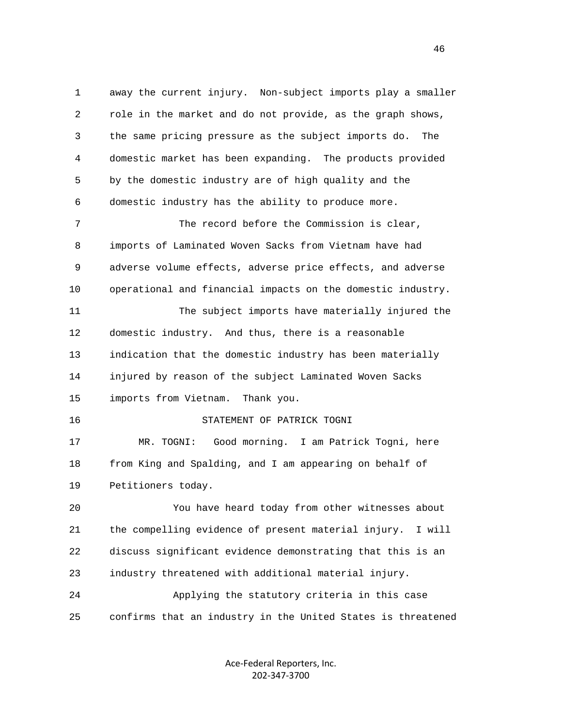1 away the current injury. Non-subject imports play a smaller 2 role in the market and do not provide, as the graph shows, 3 the same pricing pressure as the subject imports do. The 4 domestic market has been expanding. The products provided 5 by the domestic industry are of high quality and the 6 domestic industry has the ability to produce more. 7 The record before the Commission is clear, 8 imports of Laminated Woven Sacks from Vietnam have had 9 adverse volume effects, adverse price effects, and adverse 10 operational and financial impacts on the domestic industry. 11 The subject imports have materially injured the 12 domestic industry. And thus, there is a reasonable 13 indication that the domestic industry has been materially 14 injured by reason of the subject Laminated Woven Sacks 15 imports from Vietnam. Thank you. 16 STATEMENT OF PATRICK TOGNI 17 MR. TOGNI: Good morning. I am Patrick Togni, here 18 from King and Spalding, and I am appearing on behalf of 19 Petitioners today. 20 You have heard today from other witnesses about 21 the compelling evidence of present material injury. I will 22 discuss significant evidence demonstrating that this is an 23 industry threatened with additional material injury. 24 Applying the statutory criteria in this case 25 confirms that an industry in the United States is threatened

> Ace-Federal Reporters, Inc. 202-347-3700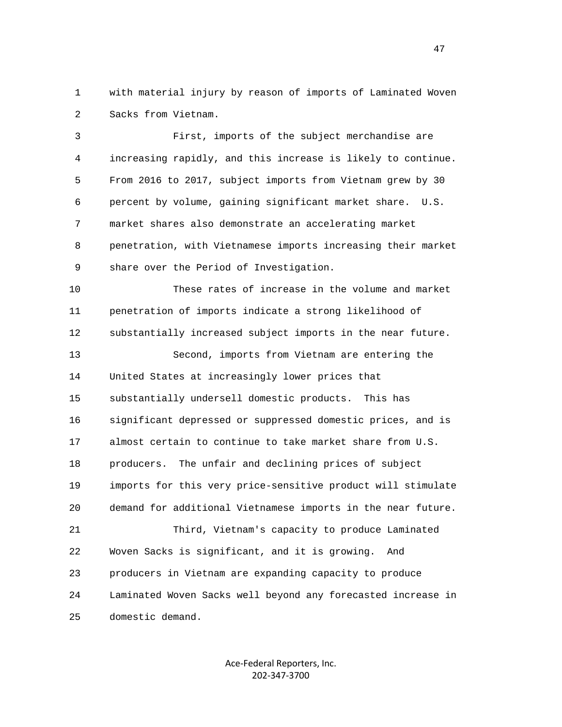1 with material injury by reason of imports of Laminated Woven 2 Sacks from Vietnam.

 3 First, imports of the subject merchandise are 4 increasing rapidly, and this increase is likely to continue. 5 From 2016 to 2017, subject imports from Vietnam grew by 30 6 percent by volume, gaining significant market share. U.S. 7 market shares also demonstrate an accelerating market 8 penetration, with Vietnamese imports increasing their market 9 share over the Period of Investigation.

 10 These rates of increase in the volume and market 11 penetration of imports indicate a strong likelihood of 12 substantially increased subject imports in the near future. 13 Second, imports from Vietnam are entering the 14 United States at increasingly lower prices that 15 substantially undersell domestic products. This has 16 significant depressed or suppressed domestic prices, and is 17 almost certain to continue to take market share from U.S. 18 producers. The unfair and declining prices of subject 19 imports for this very price-sensitive product will stimulate 20 demand for additional Vietnamese imports in the near future. 21 Third, Vietnam's capacity to produce Laminated 22 Woven Sacks is significant, and it is growing. And 23 producers in Vietnam are expanding capacity to produce

 24 Laminated Woven Sacks well beyond any forecasted increase in 25 domestic demand.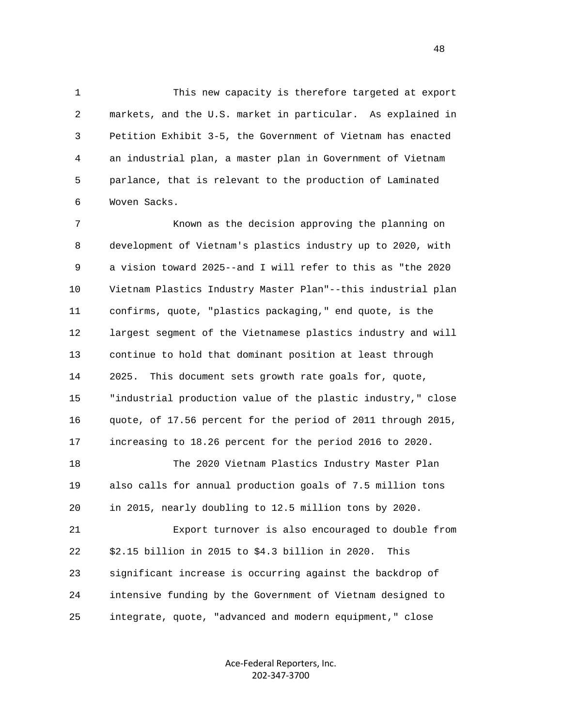1 This new capacity is therefore targeted at export 2 markets, and the U.S. market in particular. As explained in 3 Petition Exhibit 3-5, the Government of Vietnam has enacted 4 an industrial plan, a master plan in Government of Vietnam 5 parlance, that is relevant to the production of Laminated 6 Woven Sacks.

 7 Known as the decision approving the planning on 8 development of Vietnam's plastics industry up to 2020, with 9 a vision toward 2025--and I will refer to this as "the 2020 10 Vietnam Plastics Industry Master Plan"--this industrial plan 11 confirms, quote, "plastics packaging," end quote, is the 12 largest segment of the Vietnamese plastics industry and will 13 continue to hold that dominant position at least through 14 2025. This document sets growth rate goals for, quote, 15 "industrial production value of the plastic industry," close 16 quote, of 17.56 percent for the period of 2011 through 2015, 17 increasing to 18.26 percent for the period 2016 to 2020. 18 The 2020 Vietnam Plastics Industry Master Plan 19 also calls for annual production goals of 7.5 million tons 20 in 2015, nearly doubling to 12.5 million tons by 2020. 21 Export turnover is also encouraged to double from

 22 \$2.15 billion in 2015 to \$4.3 billion in 2020. This 23 significant increase is occurring against the backdrop of 24 intensive funding by the Government of Vietnam designed to 25 integrate, quote, "advanced and modern equipment," close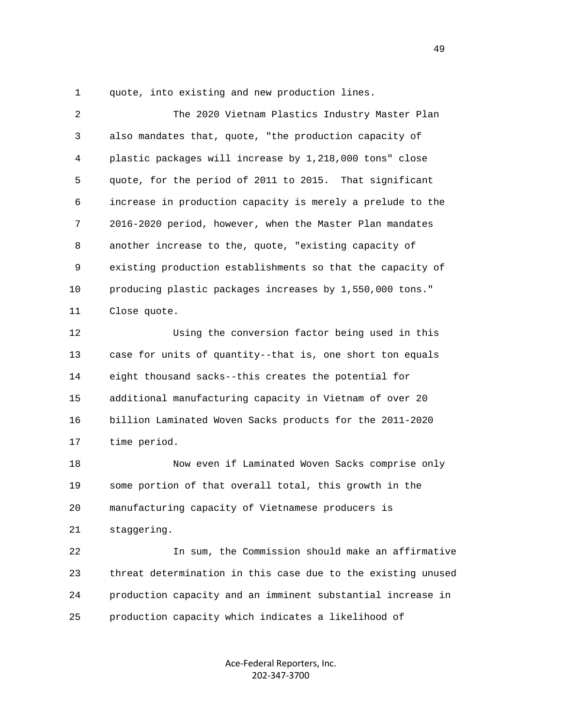1 quote, into existing and new production lines.

 2 The 2020 Vietnam Plastics Industry Master Plan 3 also mandates that, quote, "the production capacity of 4 plastic packages will increase by 1,218,000 tons" close 5 quote, for the period of 2011 to 2015. That significant 6 increase in production capacity is merely a prelude to the 7 2016-2020 period, however, when the Master Plan mandates 8 another increase to the, quote, "existing capacity of 9 existing production establishments so that the capacity of 10 producing plastic packages increases by 1,550,000 tons." 11 Close quote. 12 Using the conversion factor being used in this 13 case for units of quantity--that is, one short ton equals

 14 eight thousand sacks--this creates the potential for 15 additional manufacturing capacity in Vietnam of over 20 16 billion Laminated Woven Sacks products for the 2011-2020 17 time period.

 18 Now even if Laminated Woven Sacks comprise only 19 some portion of that overall total, this growth in the 20 manufacturing capacity of Vietnamese producers is 21 staggering.

 22 In sum, the Commission should make an affirmative 23 threat determination in this case due to the existing unused 24 production capacity and an imminent substantial increase in 25 production capacity which indicates a likelihood of

> Ace-Federal Reporters, Inc. 202-347-3700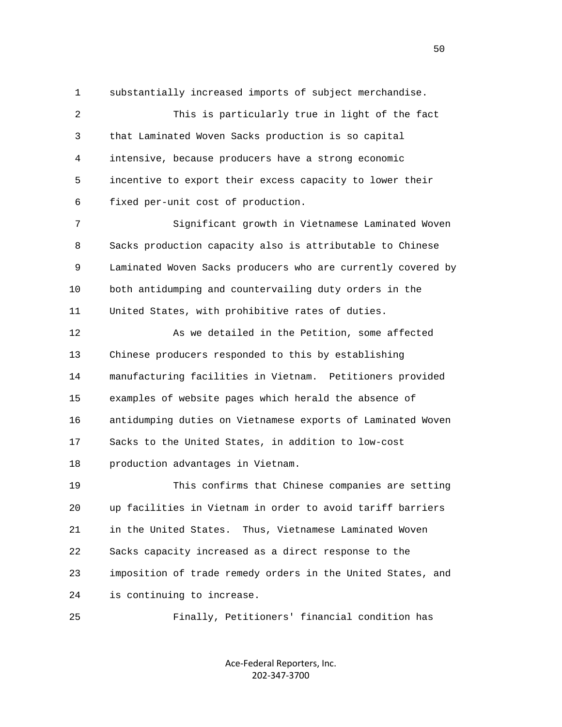1 substantially increased imports of subject merchandise.

 2 This is particularly true in light of the fact 3 that Laminated Woven Sacks production is so capital 4 intensive, because producers have a strong economic 5 incentive to export their excess capacity to lower their 6 fixed per-unit cost of production.

 7 Significant growth in Vietnamese Laminated Woven 8 Sacks production capacity also is attributable to Chinese 9 Laminated Woven Sacks producers who are currently covered by 10 both antidumping and countervailing duty orders in the 11 United States, with prohibitive rates of duties.

 12 As we detailed in the Petition, some affected 13 Chinese producers responded to this by establishing 14 manufacturing facilities in Vietnam. Petitioners provided 15 examples of website pages which herald the absence of 16 antidumping duties on Vietnamese exports of Laminated Woven 17 Sacks to the United States, in addition to low-cost 18 production advantages in Vietnam.

 19 This confirms that Chinese companies are setting 20 up facilities in Vietnam in order to avoid tariff barriers 21 in the United States. Thus, Vietnamese Laminated Woven 22 Sacks capacity increased as a direct response to the 23 imposition of trade remedy orders in the United States, and 24 is continuing to increase.

25 Finally, Petitioners' financial condition has

Ace-Federal Reporters, Inc. 202-347-3700

 $50<sub>50</sub>$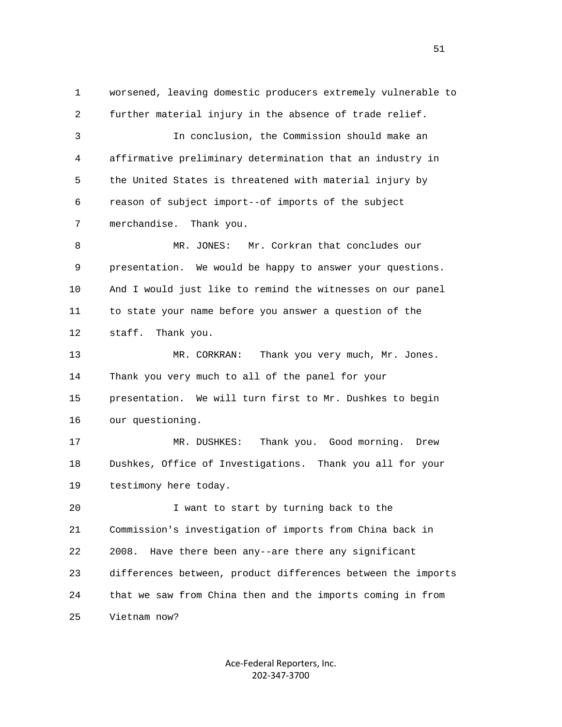1 worsened, leaving domestic producers extremely vulnerable to 2 further material injury in the absence of trade relief. 3 In conclusion, the Commission should make an 4 affirmative preliminary determination that an industry in 5 the United States is threatened with material injury by 6 reason of subject import--of imports of the subject 7 merchandise. Thank you. 8 MR. JONES: Mr. Corkran that concludes our 9 presentation. We would be happy to answer your questions. 10 And I would just like to remind the witnesses on our panel 11 to state your name before you answer a question of the 12 staff. Thank you. 13 MR. CORKRAN: Thank you very much, Mr. Jones. 14 Thank you very much to all of the panel for your 15 presentation. We will turn first to Mr. Dushkes to begin 16 our questioning. 17 MR. DUSHKES: Thank you. Good morning. Drew 18 Dushkes, Office of Investigations. Thank you all for your 19 testimony here today. 20 I want to start by turning back to the 21 Commission's investigation of imports from China back in 22 2008. Have there been any--are there any significant 23 differences between, product differences between the imports 24 that we saw from China then and the imports coming in from 25 Vietnam now?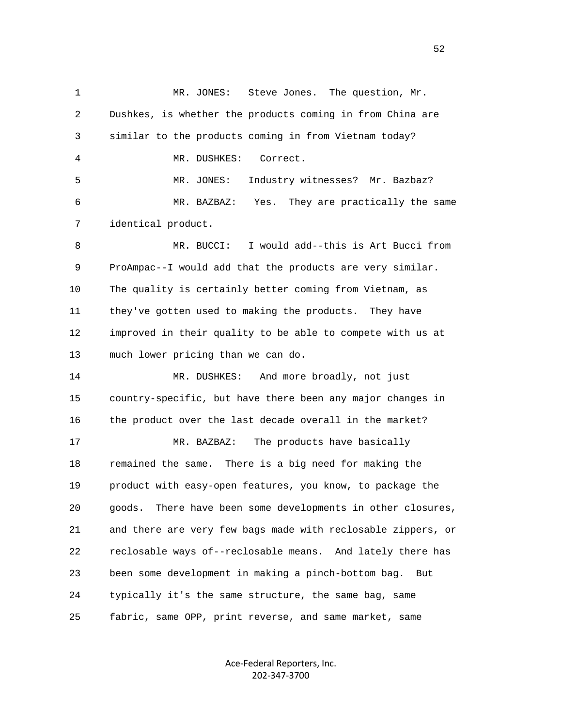1 MR. JONES: Steve Jones. The question, Mr. 2 Dushkes, is whether the products coming in from China are 3 similar to the products coming in from Vietnam today? 4 MR. DUSHKES: Correct. 5 MR. JONES: Industry witnesses? Mr. Bazbaz? 6 MR. BAZBAZ: Yes. They are practically the same 7 identical product. 8 MR. BUCCI: I would add--this is Art Bucci from 9 ProAmpac--I would add that the products are very similar. 10 The quality is certainly better coming from Vietnam, as 11 they've gotten used to making the products. They have 12 improved in their quality to be able to compete with us at 13 much lower pricing than we can do. 14 MR. DUSHKES: And more broadly, not just 15 country-specific, but have there been any major changes in 16 the product over the last decade overall in the market? 17 MR. BAZBAZ: The products have basically 18 remained the same. There is a big need for making the 19 product with easy-open features, you know, to package the 20 goods. There have been some developments in other closures, 21 and there are very few bags made with reclosable zippers, or 22 reclosable ways of--reclosable means. And lately there has 23 been some development in making a pinch-bottom bag. But 24 typically it's the same structure, the same bag, same 25 fabric, same OPP, print reverse, and same market, same

> Ace-Federal Reporters, Inc. 202-347-3700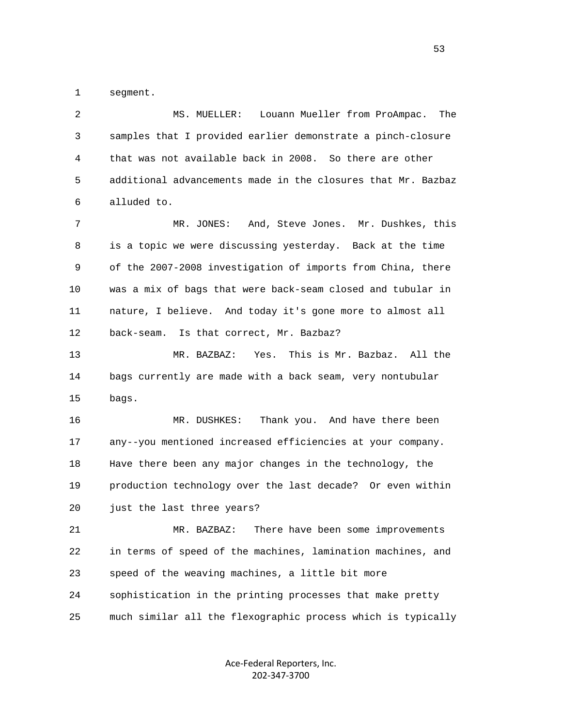1 segment.

 2 MS. MUELLER: Louann Mueller from ProAmpac. The 3 samples that I provided earlier demonstrate a pinch-closure 4 that was not available back in 2008. So there are other 5 additional advancements made in the closures that Mr. Bazbaz 6 alluded to.

 7 MR. JONES: And, Steve Jones. Mr. Dushkes, this 8 is a topic we were discussing yesterday. Back at the time 9 of the 2007-2008 investigation of imports from China, there 10 was a mix of bags that were back-seam closed and tubular in 11 nature, I believe. And today it's gone more to almost all 12 back-seam. Is that correct, Mr. Bazbaz?

 13 MR. BAZBAZ: Yes. This is Mr. Bazbaz. All the 14 bags currently are made with a back seam, very nontubular 15 bags.

 16 MR. DUSHKES: Thank you. And have there been 17 any--you mentioned increased efficiencies at your company. 18 Have there been any major changes in the technology, the 19 production technology over the last decade? Or even within 20 just the last three years?

 21 MR. BAZBAZ: There have been some improvements 22 in terms of speed of the machines, lamination machines, and 23 speed of the weaving machines, a little bit more 24 sophistication in the printing processes that make pretty 25 much similar all the flexographic process which is typically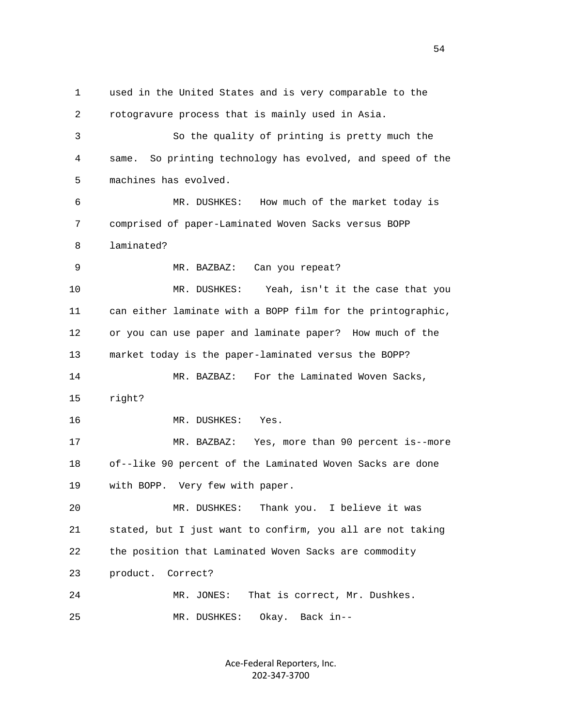1 used in the United States and is very comparable to the 2 rotogravure process that is mainly used in Asia. 3 So the quality of printing is pretty much the 4 same. So printing technology has evolved, and speed of the 5 machines has evolved. 6 MR. DUSHKES: How much of the market today is 7 comprised of paper-Laminated Woven Sacks versus BOPP 8 laminated? 9 MR. BAZBAZ: Can you repeat? 10 MR. DUSHKES: Yeah, isn't it the case that you 11 can either laminate with a BOPP film for the printographic, 12 or you can use paper and laminate paper? How much of the 13 market today is the paper-laminated versus the BOPP? 14 MR. BAZBAZ: For the Laminated Woven Sacks, 15 right? 16 MR. DUSHKES: Yes. 17 MR. BAZBAZ: Yes, more than 90 percent is--more 18 of--like 90 percent of the Laminated Woven Sacks are done 19 with BOPP. Very few with paper. 20 MR. DUSHKES: Thank you. I believe it was 21 stated, but I just want to confirm, you all are not taking 22 the position that Laminated Woven Sacks are commodity 23 product. Correct? 24 MR. JONES: That is correct, Mr. Dushkes. 25 MR. DUSHKES: Okay. Back in--

> Ace-Federal Reporters, Inc. 202-347-3700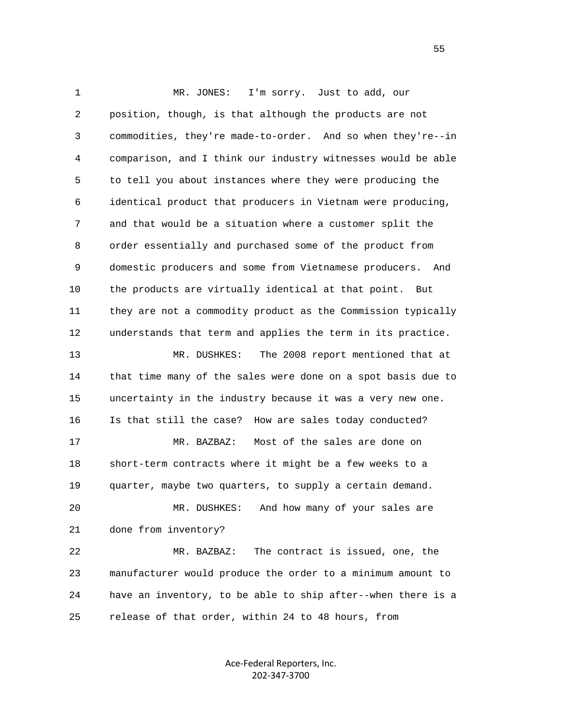1 MR. JONES: I'm sorry. Just to add, our 2 position, though, is that although the products are not 3 commodities, they're made-to-order. And so when they're--in 4 comparison, and I think our industry witnesses would be able 5 to tell you about instances where they were producing the 6 identical product that producers in Vietnam were producing, 7 and that would be a situation where a customer split the 8 order essentially and purchased some of the product from 9 domestic producers and some from Vietnamese producers. And 10 the products are virtually identical at that point. But 11 they are not a commodity product as the Commission typically 12 understands that term and applies the term in its practice. 13 MR. DUSHKES: The 2008 report mentioned that at 14 that time many of the sales were done on a spot basis due to 15 uncertainty in the industry because it was a very new one. 16 Is that still the case? How are sales today conducted? 17 MR. BAZBAZ: Most of the sales are done on 18 short-term contracts where it might be a few weeks to a 19 quarter, maybe two quarters, to supply a certain demand. 20 MR. DUSHKES: And how many of your sales are 21 done from inventory? 22 MR. BAZBAZ: The contract is issued, one, the 23 manufacturer would produce the order to a minimum amount to 24 have an inventory, to be able to ship after--when there is a 25 release of that order, within 24 to 48 hours, from

> Ace-Federal Reporters, Inc. 202-347-3700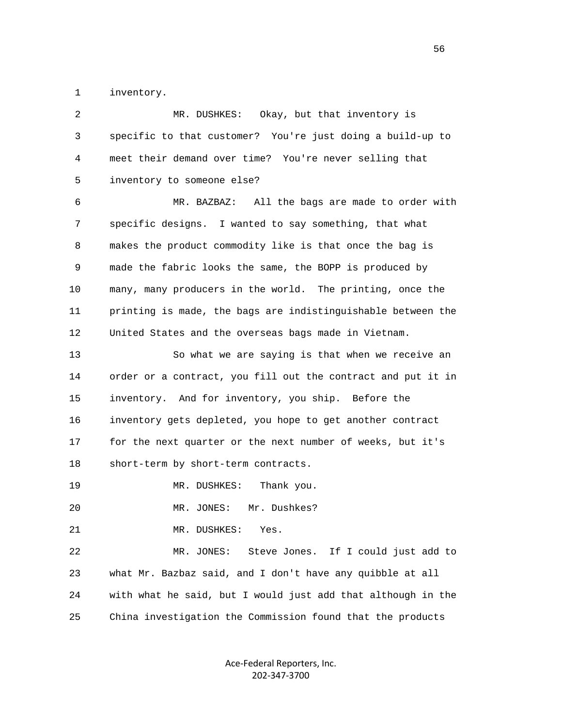1 inventory.

| $\overline{2}$ | MR. DUSHKES: Okay, but that inventory is                     |
|----------------|--------------------------------------------------------------|
| 3              | specific to that customer? You're just doing a build-up to   |
| 4              | meet their demand over time? You're never selling that       |
| 5              | inventory to someone else?                                   |
| 6              | All the bags are made to order with<br>MR. BAZBAZ:           |
| 7              | specific designs. I wanted to say something, that what       |
| 8              | makes the product commodity like is that once the bag is     |
| 9              | made the fabric looks the same, the BOPP is produced by      |
| 10             | many, many producers in the world. The printing, once the    |
| 11             | printing is made, the bags are indistinguishable between the |
| 12             | United States and the overseas bags made in Vietnam.         |
| 13             | So what we are saying is that when we receive an             |
| 14             | order or a contract, you fill out the contract and put it in |
| 15             | inventory. And for inventory, you ship. Before the           |
| 16             | inventory gets depleted, you hope to get another contract    |
| 17             | for the next quarter or the next number of weeks, but it's   |
| 18             | short-term by short-term contracts.                          |
| 19             | MR. DUSHKES:<br>Thank you.                                   |
| 20             | MR. JONES: Mr. Dushkes?                                      |
| 21             | MR. DUSHKES:<br>Yes.                                         |
| 22             | MR. JONES:<br>Steve Jones.<br>If I could just add to         |
| 23             | what Mr. Bazbaz said, and I don't have any quibble at all    |
| 24             | with what he said, but I would just add that although in the |
| 25             | China investigation the Commission found that the products   |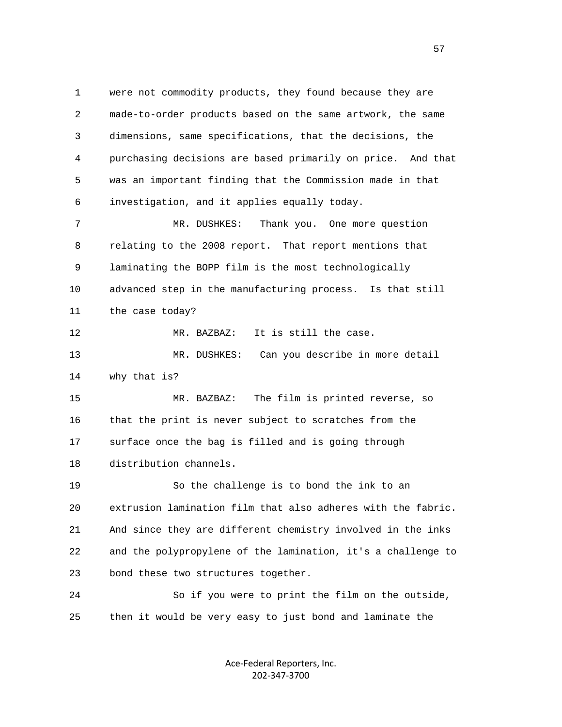1 were not commodity products, they found because they are 2 made-to-order products based on the same artwork, the same 3 dimensions, same specifications, that the decisions, the 4 purchasing decisions are based primarily on price. And that 5 was an important finding that the Commission made in that 6 investigation, and it applies equally today.

 7 MR. DUSHKES: Thank you. One more question 8 relating to the 2008 report. That report mentions that 9 laminating the BOPP film is the most technologically 10 advanced step in the manufacturing process. Is that still 11 the case today?

12 MR. BAZBAZ: It is still the case.

 13 MR. DUSHKES: Can you describe in more detail 14 why that is?

 15 MR. BAZBAZ: The film is printed reverse, so 16 that the print is never subject to scratches from the 17 surface once the bag is filled and is going through 18 distribution channels.

 19 So the challenge is to bond the ink to an 20 extrusion lamination film that also adheres with the fabric. 21 And since they are different chemistry involved in the inks 22 and the polypropylene of the lamination, it's a challenge to 23 bond these two structures together.

 24 So if you were to print the film on the outside, 25 then it would be very easy to just bond and laminate the

> Ace-Federal Reporters, Inc. 202-347-3700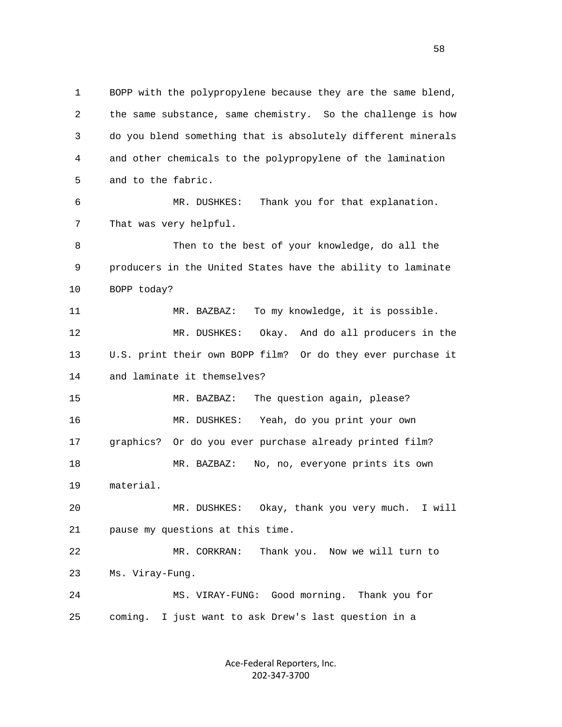1 BOPP with the polypropylene because they are the same blend, 2 the same substance, same chemistry. So the challenge is how 3 do you blend something that is absolutely different minerals 4 and other chemicals to the polypropylene of the lamination 5 and to the fabric. 6 MR. DUSHKES: Thank you for that explanation. 7 That was very helpful. 8 Then to the best of your knowledge, do all the 9 producers in the United States have the ability to laminate 10 BOPP today? 11 MR. BAZBAZ: To my knowledge, it is possible. 12 MR. DUSHKES: Okay. And do all producers in the 13 U.S. print their own BOPP film? Or do they ever purchase it 14 and laminate it themselves? 15 MR. BAZBAZ: The question again, please? 16 MR. DUSHKES: Yeah, do you print your own 17 graphics? Or do you ever purchase already printed film? 18 MR. BAZBAZ: No, no, everyone prints its own 19 material. 20 MR. DUSHKES: Okay, thank you very much. I will 21 pause my questions at this time. 22 MR. CORKRAN: Thank you. Now we will turn to 23 Ms. Viray-Fung. 24 MS. VIRAY-FUNG: Good morning. Thank you for 25 coming. I just want to ask Drew's last question in a

> Ace-Federal Reporters, Inc. 202-347-3700

 $58<sup>58</sup>$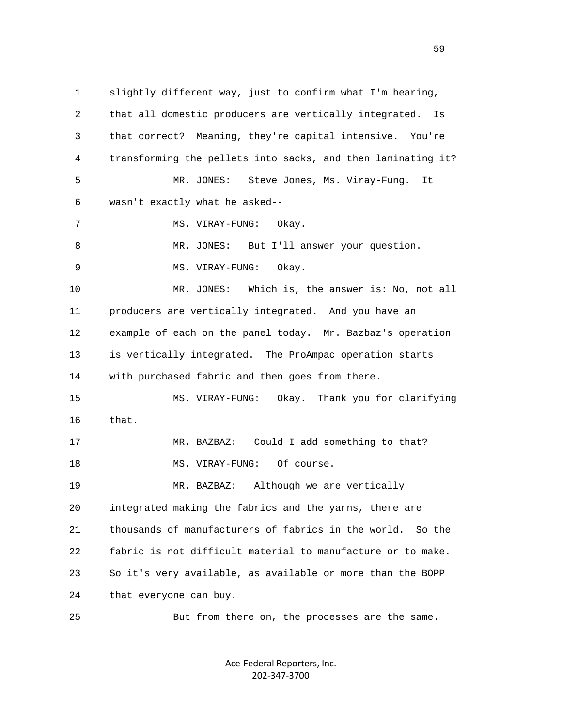1 slightly different way, just to confirm what I'm hearing, 2 that all domestic producers are vertically integrated. Is 3 that correct? Meaning, they're capital intensive. You're 4 transforming the pellets into sacks, and then laminating it? 5 MR. JONES: Steve Jones, Ms. Viray-Fung. It 6 wasn't exactly what he asked-- 7 MS. VIRAY-FUNG: Okay. 8 MR. JONES: But I'll answer your question. 9 MS. VIRAY-FUNG: Okay. 10 MR. JONES: Which is, the answer is: No, not all 11 producers are vertically integrated. And you have an 12 example of each on the panel today. Mr. Bazbaz's operation 13 is vertically integrated. The ProAmpac operation starts 14 with purchased fabric and then goes from there. 15 MS. VIRAY-FUNG: Okay. Thank you for clarifying 16 that. 17 MR. BAZBAZ: Could I add something to that? 18 MS. VIRAY-FUNG: Of course. 19 MR. BAZBAZ: Although we are vertically 20 integrated making the fabrics and the yarns, there are 21 thousands of manufacturers of fabrics in the world. So the 22 fabric is not difficult material to manufacture or to make. 23 So it's very available, as available or more than the BOPP 24 that everyone can buy.

> Ace-Federal Reporters, Inc. 202-347-3700

25 But from there on, the processes are the same.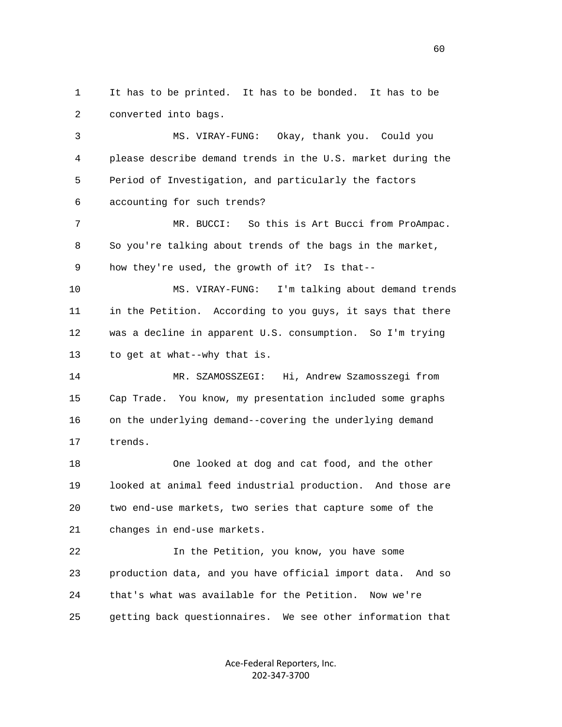1 It has to be printed. It has to be bonded. It has to be 2 converted into bags.

 3 MS. VIRAY-FUNG: Okay, thank you. Could you 4 please describe demand trends in the U.S. market during the 5 Period of Investigation, and particularly the factors 6 accounting for such trends?

 7 MR. BUCCI: So this is Art Bucci from ProAmpac. 8 So you're talking about trends of the bags in the market, 9 how they're used, the growth of it? Is that--

 10 MS. VIRAY-FUNG: I'm talking about demand trends 11 in the Petition. According to you guys, it says that there 12 was a decline in apparent U.S. consumption. So I'm trying 13 to get at what--why that is.

 14 MR. SZAMOSSZEGI: Hi, Andrew Szamosszegi from 15 Cap Trade. You know, my presentation included some graphs 16 on the underlying demand--covering the underlying demand 17 trends.

 18 One looked at dog and cat food, and the other 19 looked at animal feed industrial production. And those are 20 two end-use markets, two series that capture some of the 21 changes in end-use markets.

 22 In the Petition, you know, you have some 23 production data, and you have official import data. And so 24 that's what was available for the Petition. Now we're 25 getting back questionnaires. We see other information that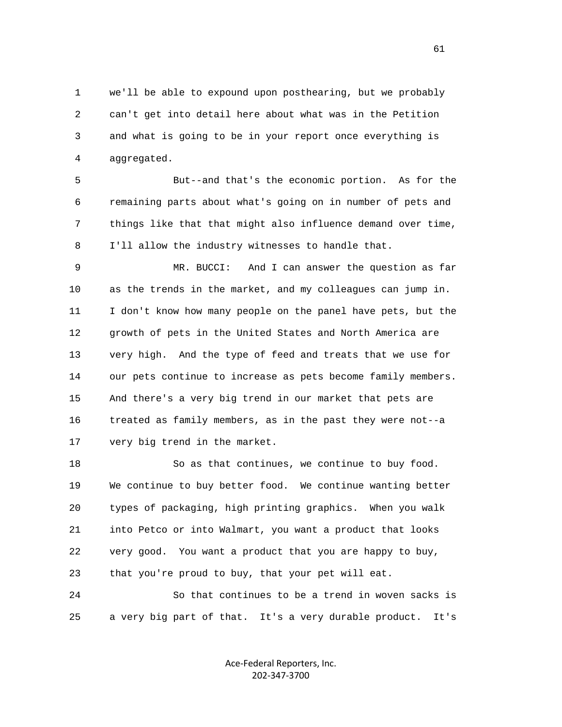1 we'll be able to expound upon posthearing, but we probably 2 can't get into detail here about what was in the Petition 3 and what is going to be in your report once everything is 4 aggregated.

 5 But--and that's the economic portion. As for the 6 remaining parts about what's going on in number of pets and 7 things like that that might also influence demand over time, 8 I'll allow the industry witnesses to handle that.

 9 MR. BUCCI: And I can answer the question as far 10 as the trends in the market, and my colleagues can jump in. 11 I don't know how many people on the panel have pets, but the 12 growth of pets in the United States and North America are 13 very high. And the type of feed and treats that we use for 14 our pets continue to increase as pets become family members. 15 And there's a very big trend in our market that pets are 16 treated as family members, as in the past they were not--a 17 very big trend in the market.

 18 So as that continues, we continue to buy food. 19 We continue to buy better food. We continue wanting better 20 types of packaging, high printing graphics. When you walk 21 into Petco or into Walmart, you want a product that looks 22 very good. You want a product that you are happy to buy, 23 that you're proud to buy, that your pet will eat.

 24 So that continues to be a trend in woven sacks is 25 a very big part of that. It's a very durable product. It's

> Ace-Federal Reporters, Inc. 202-347-3700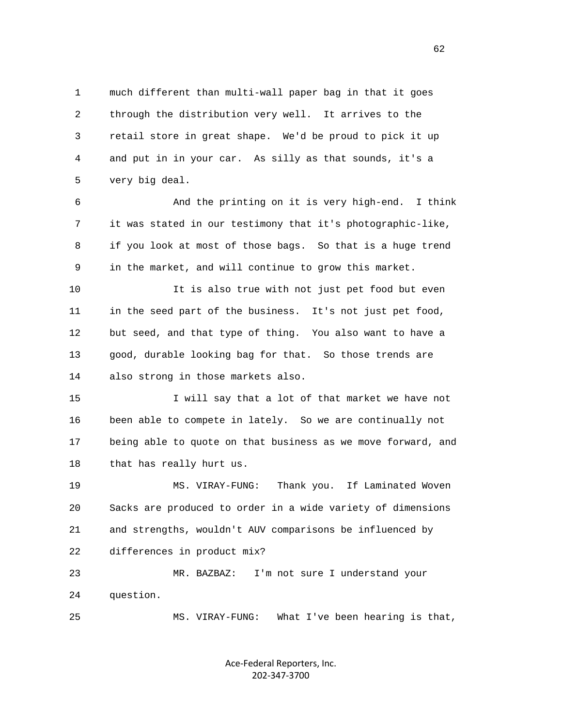1 much different than multi-wall paper bag in that it goes 2 through the distribution very well. It arrives to the 3 retail store in great shape. We'd be proud to pick it up 4 and put in in your car. As silly as that sounds, it's a 5 very big deal.

 6 And the printing on it is very high-end. I think 7 it was stated in our testimony that it's photographic-like, 8 if you look at most of those bags. So that is a huge trend 9 in the market, and will continue to grow this market.

 10 It is also true with not just pet food but even 11 in the seed part of the business. It's not just pet food, 12 but seed, and that type of thing. You also want to have a 13 good, durable looking bag for that. So those trends are 14 also strong in those markets also.

 15 I will say that a lot of that market we have not 16 been able to compete in lately. So we are continually not 17 being able to quote on that business as we move forward, and 18 that has really hurt us.

 19 MS. VIRAY-FUNG: Thank you. If Laminated Woven 20 Sacks are produced to order in a wide variety of dimensions 21 and strengths, wouldn't AUV comparisons be influenced by 22 differences in product mix?

 23 MR. BAZBAZ: I'm not sure I understand your 24 question.

25 MS. VIRAY-FUNG: What I've been hearing is that,

Ace-Federal Reporters, Inc. 202-347-3700

 $\sim$  62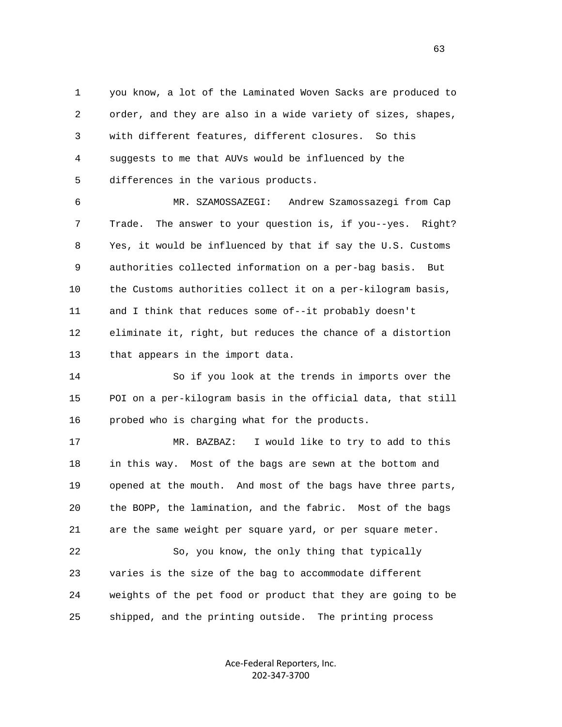1 you know, a lot of the Laminated Woven Sacks are produced to 2 order, and they are also in a wide variety of sizes, shapes, 3 with different features, different closures. So this 4 suggests to me that AUVs would be influenced by the 5 differences in the various products.

 6 MR. SZAMOSSAZEGI: Andrew Szamossazegi from Cap 7 Trade. The answer to your question is, if you--yes. Right? 8 Yes, it would be influenced by that if say the U.S. Customs 9 authorities collected information on a per-bag basis. But 10 the Customs authorities collect it on a per-kilogram basis, 11 and I think that reduces some of--it probably doesn't 12 eliminate it, right, but reduces the chance of a distortion 13 that appears in the import data.

 14 So if you look at the trends in imports over the 15 POI on a per-kilogram basis in the official data, that still 16 probed who is charging what for the products.

 17 MR. BAZBAZ: I would like to try to add to this 18 in this way. Most of the bags are sewn at the bottom and 19 opened at the mouth. And most of the bags have three parts, 20 the BOPP, the lamination, and the fabric. Most of the bags 21 are the same weight per square yard, or per square meter.

 22 So, you know, the only thing that typically 23 varies is the size of the bag to accommodate different 24 weights of the pet food or product that they are going to be 25 shipped, and the printing outside. The printing process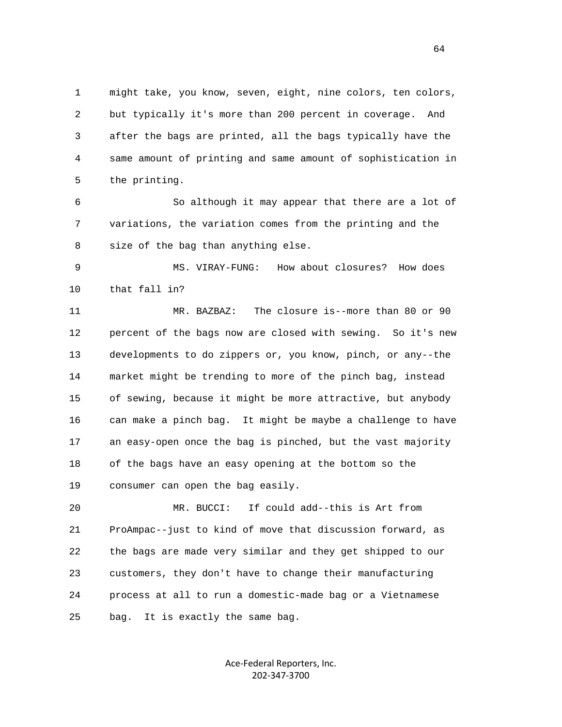1 might take, you know, seven, eight, nine colors, ten colors, 2 but typically it's more than 200 percent in coverage. And 3 after the bags are printed, all the bags typically have the 4 same amount of printing and same amount of sophistication in 5 the printing.

 6 So although it may appear that there are a lot of 7 variations, the variation comes from the printing and the 8 size of the bag than anything else.

 9 MS. VIRAY-FUNG: How about closures? How does 10 that fall in?

 11 MR. BAZBAZ: The closure is--more than 80 or 90 12 percent of the bags now are closed with sewing. So it's new 13 developments to do zippers or, you know, pinch, or any--the 14 market might be trending to more of the pinch bag, instead 15 of sewing, because it might be more attractive, but anybody 16 can make a pinch bag. It might be maybe a challenge to have 17 an easy-open once the bag is pinched, but the vast majority 18 of the bags have an easy opening at the bottom so the 19 consumer can open the bag easily.

 20 MR. BUCCI: If could add--this is Art from 21 ProAmpac--just to kind of move that discussion forward, as 22 the bags are made very similar and they get shipped to our 23 customers, they don't have to change their manufacturing 24 process at all to run a domestic-made bag or a Vietnamese 25 bag. It is exactly the same bag.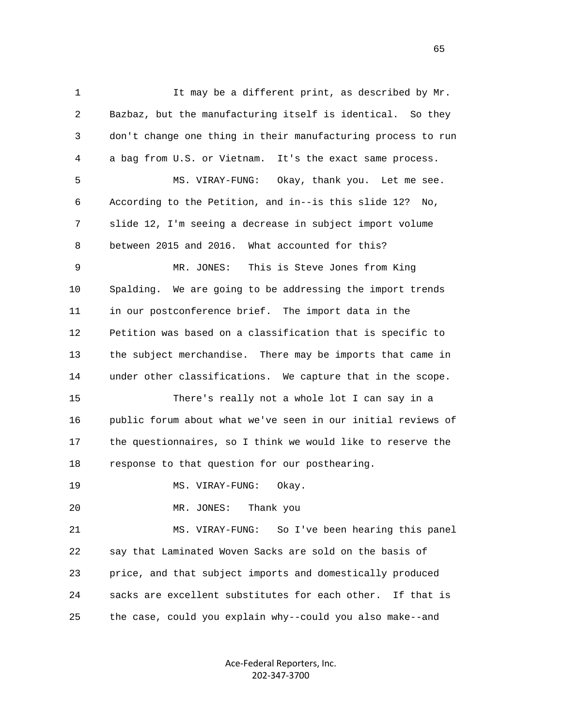1 It may be a different print, as described by Mr. 2 Bazbaz, but the manufacturing itself is identical. So they 3 don't change one thing in their manufacturing process to run 4 a bag from U.S. or Vietnam. It's the exact same process. 5 MS. VIRAY-FUNG: Okay, thank you. Let me see. 6 According to the Petition, and in--is this slide 12? No, 7 slide 12, I'm seeing a decrease in subject import volume 8 between 2015 and 2016. What accounted for this? 9 MR. JONES: This is Steve Jones from King 10 Spalding. We are going to be addressing the import trends 11 in our postconference brief. The import data in the 12 Petition was based on a classification that is specific to 13 the subject merchandise. There may be imports that came in 14 under other classifications. We capture that in the scope. 15 There's really not a whole lot I can say in a 16 public forum about what we've seen in our initial reviews of 17 the questionnaires, so I think we would like to reserve the 18 response to that question for our posthearing. 19 MS. VIRAY-FUNG: Okay. 20 MR. JONES: Thank you 21 MS. VIRAY-FUNG: So I've been hearing this panel 22 say that Laminated Woven Sacks are sold on the basis of 23 price, and that subject imports and domestically produced 24 sacks are excellent substitutes for each other. If that is 25 the case, could you explain why--could you also make--and

> Ace-Federal Reporters, Inc. 202-347-3700

 $\sim$  65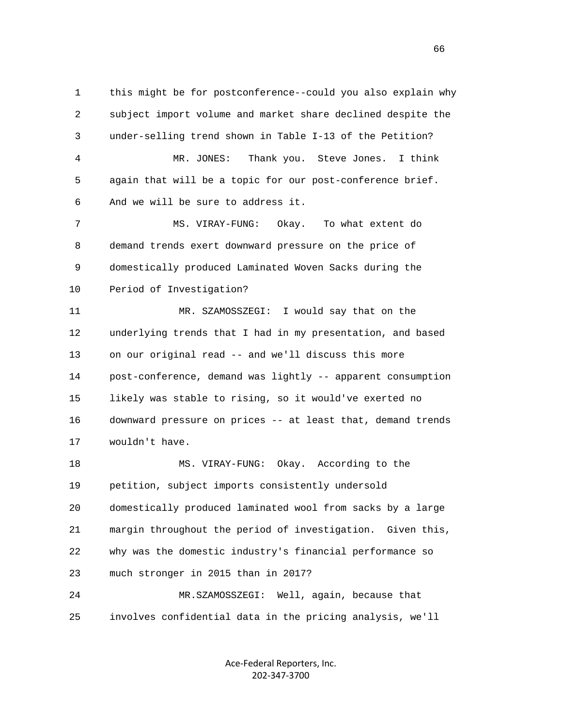1 this might be for postconference--could you also explain why 2 subject import volume and market share declined despite the 3 under-selling trend shown in Table I-13 of the Petition? 4 MR. JONES: Thank you. Steve Jones. I think 5 again that will be a topic for our post-conference brief. 6 And we will be sure to address it. 7 MS. VIRAY-FUNG: Okay. To what extent do

 8 demand trends exert downward pressure on the price of 9 domestically produced Laminated Woven Sacks during the 10 Period of Investigation?

 11 MR. SZAMOSSZEGI: I would say that on the 12 underlying trends that I had in my presentation, and based 13 on our original read -- and we'll discuss this more 14 post-conference, demand was lightly -- apparent consumption 15 likely was stable to rising, so it would've exerted no 16 downward pressure on prices -- at least that, demand trends 17 wouldn't have.

 18 MS. VIRAY-FUNG: Okay. According to the 19 petition, subject imports consistently undersold 20 domestically produced laminated wool from sacks by a large 21 margin throughout the period of investigation. Given this, 22 why was the domestic industry's financial performance so 23 much stronger in 2015 than in 2017? 24 MR.SZAMOSSZEGI: Well, again, because that

25 involves confidential data in the pricing analysis, we'll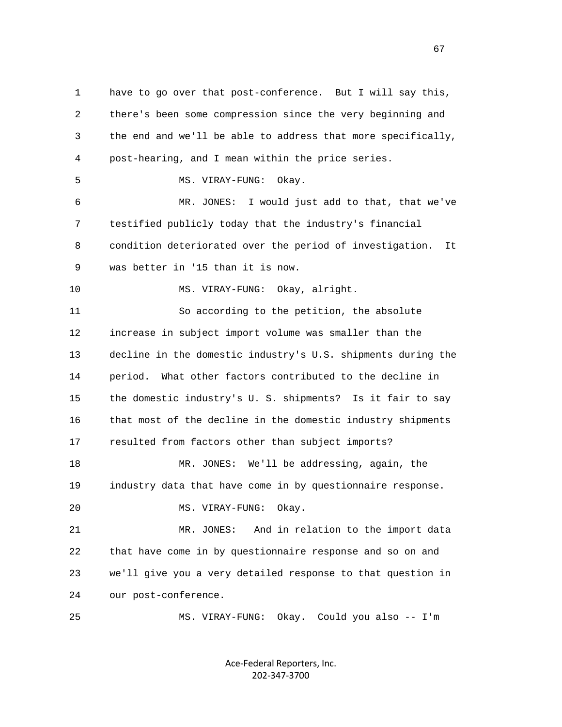1 have to go over that post-conference. But I will say this, 2 there's been some compression since the very beginning and 3 the end and we'll be able to address that more specifically, 4 post-hearing, and I mean within the price series. 5 MS. VIRAY-FUNG: Okay. 6 MR. JONES: I would just add to that, that we've 7 testified publicly today that the industry's financial 8 condition deteriorated over the period of investigation. It 9 was better in '15 than it is now. 10 MS. VIRAY-FUNG: Okay, alright. 11 So according to the petition, the absolute 12 increase in subject import volume was smaller than the 13 decline in the domestic industry's U.S. shipments during the 14 period. What other factors contributed to the decline in 15 the domestic industry's U. S. shipments? Is it fair to say 16 that most of the decline in the domestic industry shipments 17 resulted from factors other than subject imports? 18 MR. JONES: We'll be addressing, again, the 19 industry data that have come in by questionnaire response. 20 MS. VIRAY-FUNG: Okay. 21 MR. JONES: And in relation to the import data 22 that have come in by questionnaire response and so on and 23 we'll give you a very detailed response to that question in 24 our post-conference. 25 MS. VIRAY-FUNG: Okay. Could you also -- I'm

> Ace-Federal Reporters, Inc. 202-347-3700

 $\sim$  67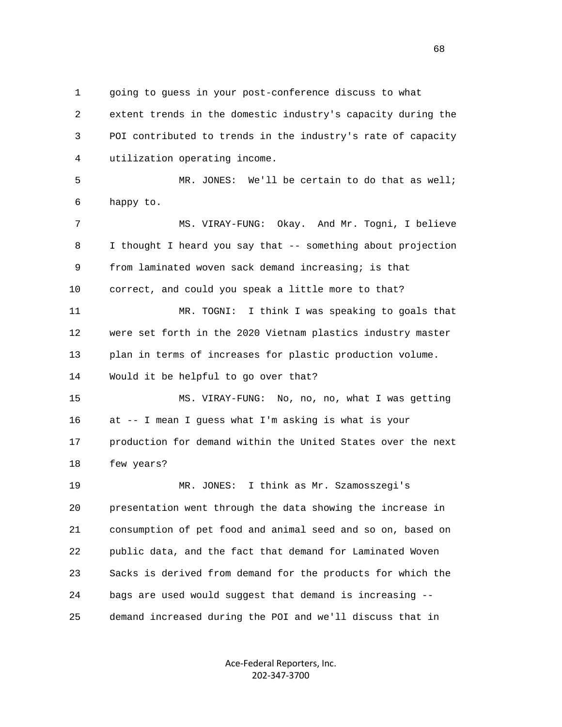1 going to guess in your post-conference discuss to what 2 extent trends in the domestic industry's capacity during the 3 POI contributed to trends in the industry's rate of capacity 4 utilization operating income.

 5 MR. JONES: We'll be certain to do that as well; 6 happy to.

 7 MS. VIRAY-FUNG: Okay. And Mr. Togni, I believe 8 I thought I heard you say that -- something about projection 9 from laminated woven sack demand increasing; is that 10 correct, and could you speak a little more to that? 11 MR. TOGNI: I think I was speaking to goals that 12 were set forth in the 2020 Vietnam plastics industry master 13 plan in terms of increases for plastic production volume. 14 Would it be helpful to go over that? 15 MS. VIRAY-FUNG: No, no, no, what I was getting 16 at -- I mean I guess what I'm asking is what is your 17 production for demand within the United States over the next 18 few years? 19 MR. JONES: I think as Mr. Szamosszegi's 20 presentation went through the data showing the increase in 21 consumption of pet food and animal seed and so on, based on 22 public data, and the fact that demand for Laminated Woven 23 Sacks is derived from demand for the products for which the 24 bags are used would suggest that demand is increasing --

25 demand increased during the POI and we'll discuss that in

Ace-Federal Reporters, Inc. 202-347-3700

 $\sim$  68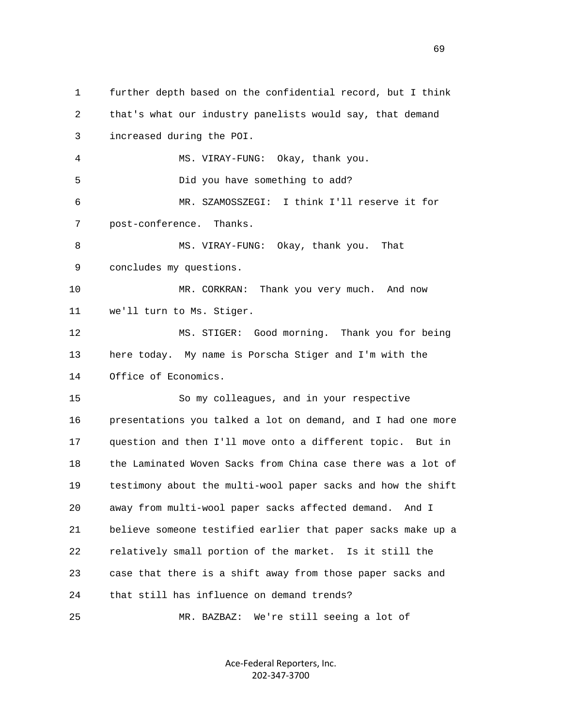1 further depth based on the confidential record, but I think 2 that's what our industry panelists would say, that demand 3 increased during the POI. 4 MS. VIRAY-FUNG: Okay, thank you. 5 Did you have something to add? 6 MR. SZAMOSSZEGI: I think I'll reserve it for 7 post-conference. Thanks. 8 MS. VIRAY-FUNG: Okay, thank you. That 9 concludes my questions. 10 MR. CORKRAN: Thank you very much. And now 11 we'll turn to Ms. Stiger. 12 MS. STIGER: Good morning. Thank you for being 13 here today. My name is Porscha Stiger and I'm with the 14 Office of Economics. 15 So my colleagues, and in your respective 16 presentations you talked a lot on demand, and I had one more 17 question and then I'll move onto a different topic. But in 18 the Laminated Woven Sacks from China case there was a lot of 19 testimony about the multi-wool paper sacks and how the shift 20 away from multi-wool paper sacks affected demand. And I 21 believe someone testified earlier that paper sacks make up a 22 relatively small portion of the market. Is it still the 23 case that there is a shift away from those paper sacks and 24 that still has influence on demand trends? 25 MR. BAZBAZ: We're still seeing a lot of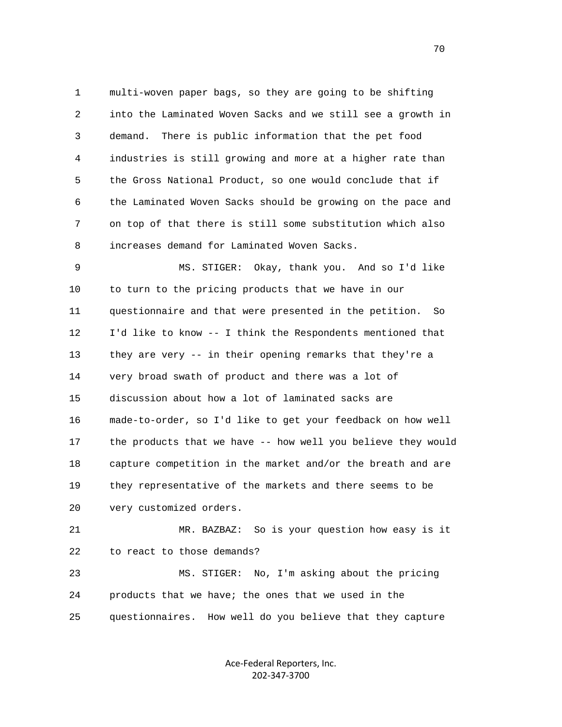1 multi-woven paper bags, so they are going to be shifting 2 into the Laminated Woven Sacks and we still see a growth in 3 demand. There is public information that the pet food 4 industries is still growing and more at a higher rate than 5 the Gross National Product, so one would conclude that if 6 the Laminated Woven Sacks should be growing on the pace and 7 on top of that there is still some substitution which also 8 increases demand for Laminated Woven Sacks.

 9 MS. STIGER: Okay, thank you. And so I'd like 10 to turn to the pricing products that we have in our 11 questionnaire and that were presented in the petition. So 12 I'd like to know -- I think the Respondents mentioned that 13 they are very -- in their opening remarks that they're a 14 very broad swath of product and there was a lot of 15 discussion about how a lot of laminated sacks are 16 made-to-order, so I'd like to get your feedback on how well 17 the products that we have -- how well you believe they would 18 capture competition in the market and/or the breath and are 19 they representative of the markets and there seems to be 20 very customized orders.

 21 MR. BAZBAZ: So is your question how easy is it 22 to react to those demands?

 23 MS. STIGER: No, I'm asking about the pricing 24 products that we have; the ones that we used in the 25 questionnaires. How well do you believe that they capture

> Ace-Federal Reporters, Inc. 202-347-3700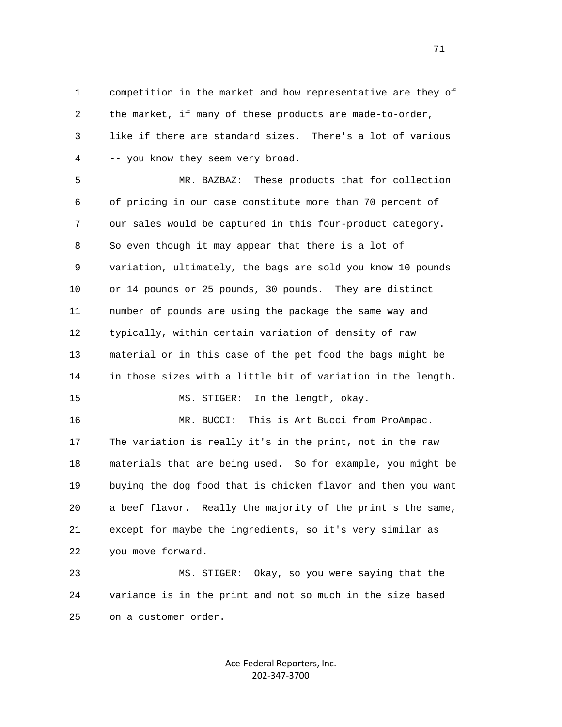1 competition in the market and how representative are they of 2 the market, if many of these products are made-to-order, 3 like if there are standard sizes. There's a lot of various 4 -- you know they seem very broad.

 5 MR. BAZBAZ: These products that for collection 6 of pricing in our case constitute more than 70 percent of 7 our sales would be captured in this four-product category. 8 So even though it may appear that there is a lot of 9 variation, ultimately, the bags are sold you know 10 pounds 10 or 14 pounds or 25 pounds, 30 pounds. They are distinct 11 number of pounds are using the package the same way and 12 typically, within certain variation of density of raw 13 material or in this case of the pet food the bags might be 14 in those sizes with a little bit of variation in the length. 15 MS. STIGER: In the length, okay. 16 MR. BUCCI: This is Art Bucci from ProAmpac. 17 The variation is really it's in the print, not in the raw 18 materials that are being used. So for example, you might be 19 buying the dog food that is chicken flavor and then you want 20 a beef flavor. Really the majority of the print's the same, 21 except for maybe the ingredients, so it's very similar as

22 you move forward.

 23 MS. STIGER: Okay, so you were saying that the 24 variance is in the print and not so much in the size based 25 on a customer order.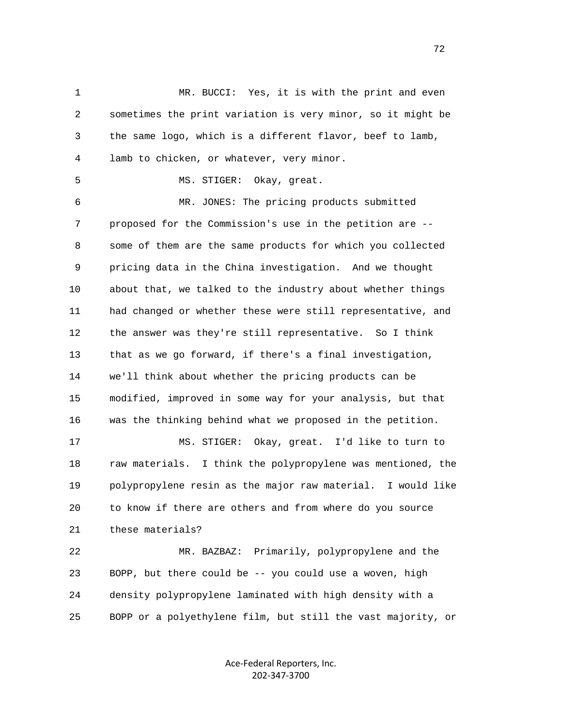1 MR. BUCCI: Yes, it is with the print and even 2 sometimes the print variation is very minor, so it might be 3 the same logo, which is a different flavor, beef to lamb, 4 lamb to chicken, or whatever, very minor.

5 MS. STIGER: Okay, great.

 6 MR. JONES: The pricing products submitted 7 proposed for the Commission's use in the petition are -- 8 some of them are the same products for which you collected 9 pricing data in the China investigation. And we thought 10 about that, we talked to the industry about whether things 11 had changed or whether these were still representative, and 12 the answer was they're still representative. So I think 13 that as we go forward, if there's a final investigation, 14 we'll think about whether the pricing products can be 15 modified, improved in some way for your analysis, but that 16 was the thinking behind what we proposed in the petition.

 17 MS. STIGER: Okay, great. I'd like to turn to 18 raw materials. I think the polypropylene was mentioned, the 19 polypropylene resin as the major raw material. I would like 20 to know if there are others and from where do you source 21 these materials?

 22 MR. BAZBAZ: Primarily, polypropylene and the 23 BOPP, but there could be -- you could use a woven, high 24 density polypropylene laminated with high density with a 25 BOPP or a polyethylene film, but still the vast majority, or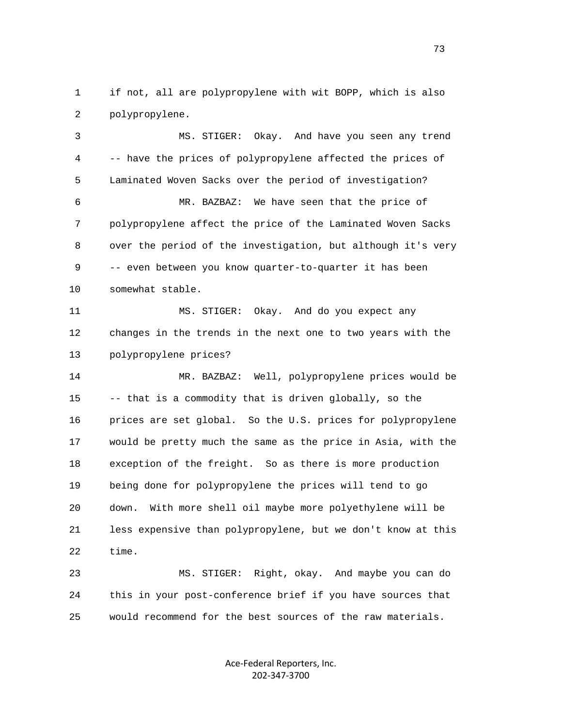1 if not, all are polypropylene with wit BOPP, which is also 2 polypropylene.

 3 MS. STIGER: Okay. And have you seen any trend 4 -- have the prices of polypropylene affected the prices of 5 Laminated Woven Sacks over the period of investigation? 6 MR. BAZBAZ: We have seen that the price of 7 polypropylene affect the price of the Laminated Woven Sacks 8 over the period of the investigation, but although it's very 9 -- even between you know quarter-to-quarter it has been 10 somewhat stable. 11 MS. STIGER: Okay. And do you expect any 12 changes in the trends in the next one to two years with the 13 polypropylene prices? 14 MR. BAZBAZ: Well, polypropylene prices would be 15 -- that is a commodity that is driven globally, so the 16 prices are set global. So the U.S. prices for polypropylene 17 would be pretty much the same as the price in Asia, with the 18 exception of the freight. So as there is more production 19 being done for polypropylene the prices will tend to go 20 down. With more shell oil maybe more polyethylene will be 21 less expensive than polypropylene, but we don't know at this

22 time.

 23 MS. STIGER: Right, okay. And maybe you can do 24 this in your post-conference brief if you have sources that 25 would recommend for the best sources of the raw materials.

> Ace-Federal Reporters, Inc. 202-347-3700

73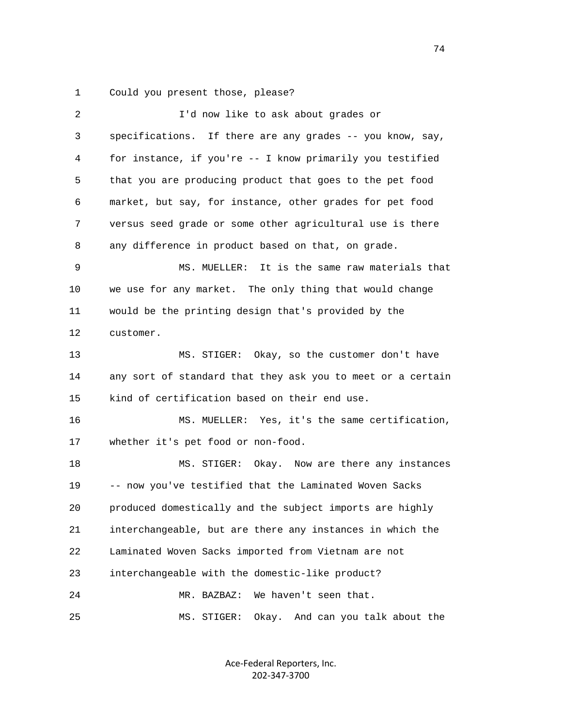1 Could you present those, please?

| 2  | I'd now like to ask about grades or                         |
|----|-------------------------------------------------------------|
| 3  | specifications. If there are any grades -- you know, say,   |
| 4  | for instance, if you're -- I know primarily you testified   |
| 5  | that you are producing product that goes to the pet food    |
| 6  | market, but say, for instance, other grades for pet food    |
| 7  | versus seed grade or some other agricultural use is there   |
| 8  | any difference in product based on that, on grade.          |
| 9  | It is the same raw materials that<br>MS. MUELLER:           |
| 10 | we use for any market. The only thing that would change     |
| 11 | would be the printing design that's provided by the         |
| 12 | customer.                                                   |
| 13 | MS. STIGER: Okay, so the customer don't have                |
| 14 | any sort of standard that they ask you to meet or a certain |
| 15 | kind of certification based on their end use.               |
| 16 | MS. MUELLER: Yes, it's the same certification,              |
| 17 | whether it's pet food or non-food.                          |
| 18 | MS. STIGER:<br>Okay. Now are there any instances            |
| 19 | -- now you've testified that the Laminated Woven Sacks      |
| 20 | produced domestically and the subject imports are highly    |
| 21 | interchangeable, but are there any instances in which the   |
| 22 | Laminated Woven Sacks imported from Vietnam are not         |
| 23 | interchangeable with the domestic-like product?             |
| 24 | We haven't seen that.<br>MR. BAZBAZ:                        |
| 25 | And can you talk about the<br>Okay.<br>MS. STIGER:          |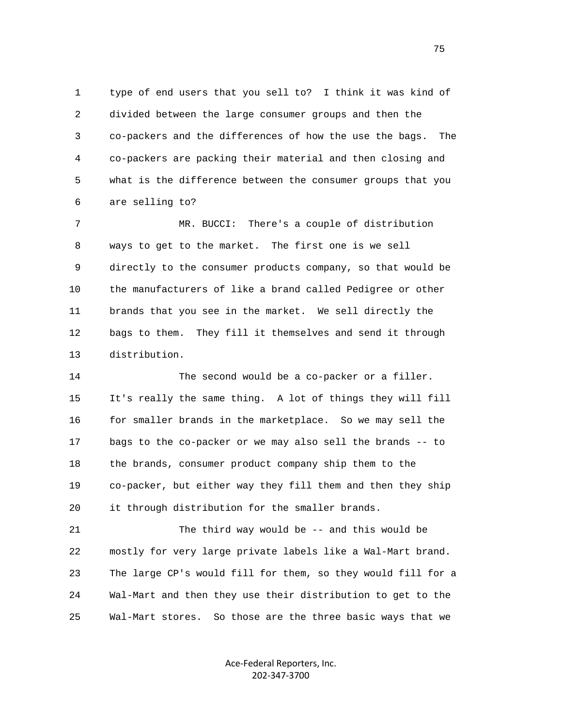1 type of end users that you sell to? I think it was kind of 2 divided between the large consumer groups and then the 3 co-packers and the differences of how the use the bags. The 4 co-packers are packing their material and then closing and 5 what is the difference between the consumer groups that you 6 are selling to?

 7 MR. BUCCI: There's a couple of distribution 8 ways to get to the market. The first one is we sell 9 directly to the consumer products company, so that would be 10 the manufacturers of like a brand called Pedigree or other 11 brands that you see in the market. We sell directly the 12 bags to them. They fill it themselves and send it through 13 distribution.

 14 The second would be a co-packer or a filler. 15 It's really the same thing. A lot of things they will fill 16 for smaller brands in the marketplace. So we may sell the 17 bags to the co-packer or we may also sell the brands -- to 18 the brands, consumer product company ship them to the 19 co-packer, but either way they fill them and then they ship 20 it through distribution for the smaller brands.

 21 The third way would be -- and this would be 22 mostly for very large private labels like a Wal-Mart brand. 23 The large CP's would fill for them, so they would fill for a 24 Wal-Mart and then they use their distribution to get to the 25 Wal-Mart stores. So those are the three basic ways that we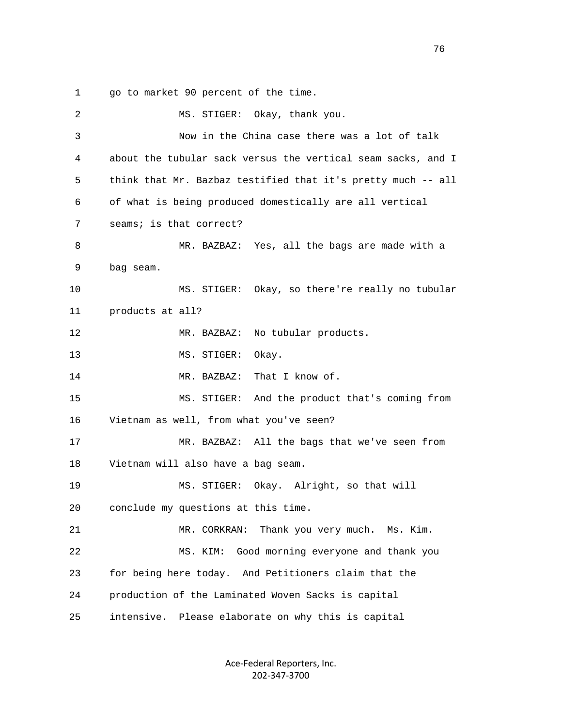1 go to market 90 percent of the time.

| 2  | MS. STIGER: Okay, thank you.                                 |
|----|--------------------------------------------------------------|
| 3  | Now in the China case there was a lot of talk                |
| 4  | about the tubular sack versus the vertical seam sacks, and I |
| 5  | think that Mr. Bazbaz testified that it's pretty much -- all |
| 6  | of what is being produced domestically are all vertical      |
| 7  | seams; is that correct?                                      |
| 8  | MR. BAZBAZ: Yes, all the bags are made with a                |
| 9  | bag seam.                                                    |
| 10 | MS. STIGER: Okay, so there're really no tubular              |
| 11 | products at all?                                             |
| 12 | No tubular products.<br>MR. BAZBAZ:                          |
| 13 | MS. STIGER:<br>Okay.                                         |
| 14 | That I know of.<br>MR. BAZBAZ:                               |
| 15 | And the product that's coming from<br>MS. STIGER:            |
| 16 | Vietnam as well, from what you've seen?                      |
| 17 | MR. BAZBAZ: All the bags that we've seen from                |
| 18 | Vietnam will also have a bag seam.                           |
| 19 | MS. STIGER: Okay. Alright, so that will                      |
| 20 | conclude my questions at this time.                          |
| 21 | Thank you very much. Ms. Kim.<br>MR. CORKRAN:                |
| 22 | Good morning everyone and thank you<br>MS. KIM:              |
| 23 | for being here today. And Petitioners claim that the         |
| 24 | production of the Laminated Woven Sacks is capital           |
| 25 | Please elaborate on why this is capital<br>intensive.        |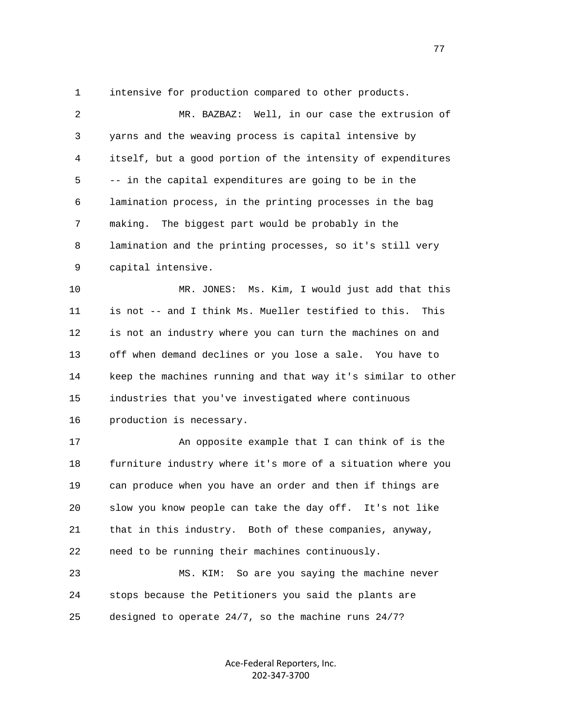1 intensive for production compared to other products.

 2 MR. BAZBAZ: Well, in our case the extrusion of 3 yarns and the weaving process is capital intensive by 4 itself, but a good portion of the intensity of expenditures 5 -- in the capital expenditures are going to be in the 6 lamination process, in the printing processes in the bag 7 making. The biggest part would be probably in the 8 lamination and the printing processes, so it's still very 9 capital intensive.

 10 MR. JONES: Ms. Kim, I would just add that this 11 is not -- and I think Ms. Mueller testified to this. This 12 is not an industry where you can turn the machines on and 13 off when demand declines or you lose a sale. You have to 14 keep the machines running and that way it's similar to other 15 industries that you've investigated where continuous 16 production is necessary.

 17 An opposite example that I can think of is the 18 furniture industry where it's more of a situation where you 19 can produce when you have an order and then if things are 20 slow you know people can take the day off. It's not like 21 that in this industry. Both of these companies, anyway, 22 need to be running their machines continuously.

 23 MS. KIM: So are you saying the machine never 24 stops because the Petitioners you said the plants are 25 designed to operate 24/7, so the machine runs 24/7?

> Ace-Federal Reporters, Inc. 202-347-3700

ли последници представите се производите на селото на 1977 година во 1977 година, кои е представа на 1977 годи<br>В 1972 година од селото на 1972 година од селото на 1972 година од селото на 1973 година, кои е представа на 1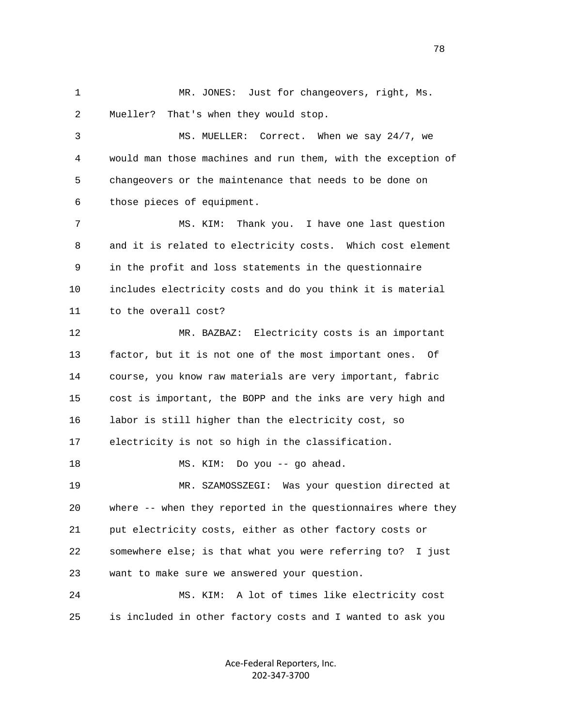1 MR. JONES: Just for changeovers, right, Ms. 2 Mueller? That's when they would stop.

 3 MS. MUELLER: Correct. When we say 24/7, we 4 would man those machines and run them, with the exception of 5 changeovers or the maintenance that needs to be done on 6 those pieces of equipment.

 7 MS. KIM: Thank you. I have one last question 8 and it is related to electricity costs. Which cost element 9 in the profit and loss statements in the questionnaire 10 includes electricity costs and do you think it is material 11 to the overall cost?

 12 MR. BAZBAZ: Electricity costs is an important 13 factor, but it is not one of the most important ones. Of 14 course, you know raw materials are very important, fabric 15 cost is important, the BOPP and the inks are very high and 16 labor is still higher than the electricity cost, so 17 electricity is not so high in the classification.

18 MS. KIM: Do you -- go ahead.

 19 MR. SZAMOSSZEGI: Was your question directed at 20 where -- when they reported in the questionnaires where they 21 put electricity costs, either as other factory costs or 22 somewhere else; is that what you were referring to? I just 23 want to make sure we answered your question.

 24 MS. KIM: A lot of times like electricity cost 25 is included in other factory costs and I wanted to ask you

> Ace-Federal Reporters, Inc. 202-347-3700

na na matsayin na matsayin na matsayin na matsayin na matsayin na matsayin na matsayin na matsayin na matsayin<br>Ta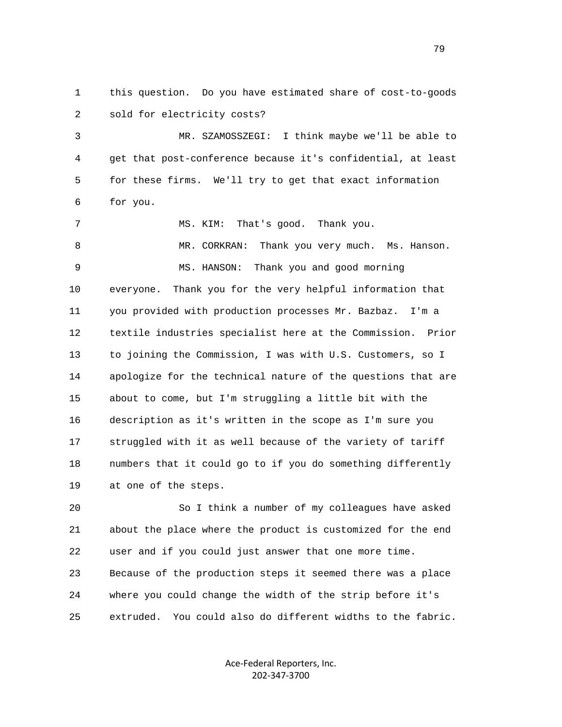1 this question. Do you have estimated share of cost-to-goods 2 sold for electricity costs?

 3 MR. SZAMOSSZEGI: I think maybe we'll be able to 4 get that post-conference because it's confidential, at least 5 for these firms. We'll try to get that exact information 6 for you.

 7 MS. KIM: That's good. Thank you. 8 MR. CORKRAN: Thank you very much. Ms. Hanson. 9 MS. HANSON: Thank you and good morning 10 everyone. Thank you for the very helpful information that 11 you provided with production processes Mr. Bazbaz. I'm a 12 textile industries specialist here at the Commission. Prior 13 to joining the Commission, I was with U.S. Customers, so I 14 apologize for the technical nature of the questions that are 15 about to come, but I'm struggling a little bit with the 16 description as it's written in the scope as I'm sure you 17 struggled with it as well because of the variety of tariff 18 numbers that it could go to if you do something differently 19 at one of the steps.

 20 So I think a number of my colleagues have asked 21 about the place where the product is customized for the end 22 user and if you could just answer that one more time. 23 Because of the production steps it seemed there was a place 24 where you could change the width of the strip before it's 25 extruded. You could also do different widths to the fabric.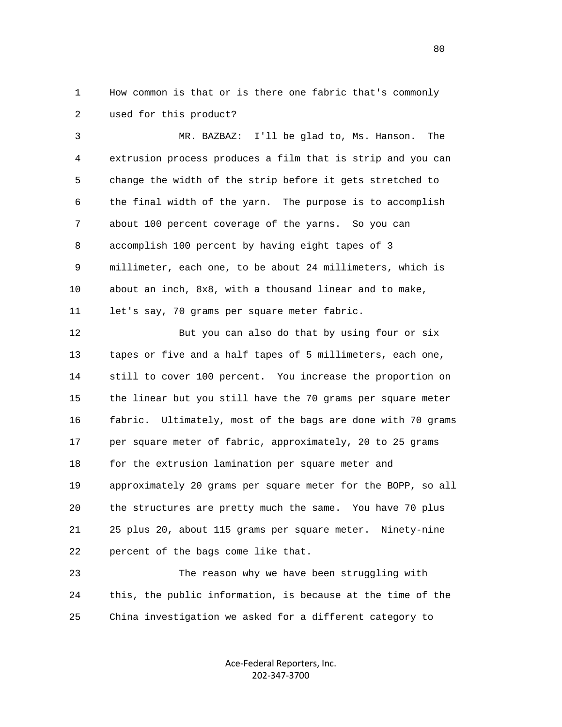1 How common is that or is there one fabric that's commonly 2 used for this product?

 3 MR. BAZBAZ: I'll be glad to, Ms. Hanson. The 4 extrusion process produces a film that is strip and you can 5 change the width of the strip before it gets stretched to 6 the final width of the yarn. The purpose is to accomplish 7 about 100 percent coverage of the yarns. So you can 8 accomplish 100 percent by having eight tapes of 3 9 millimeter, each one, to be about 24 millimeters, which is 10 about an inch, 8x8, with a thousand linear and to make, 11 let's say, 70 grams per square meter fabric.

12 But you can also do that by using four or six 13 tapes or five and a half tapes of 5 millimeters, each one, 14 still to cover 100 percent. You increase the proportion on 15 the linear but you still have the 70 grams per square meter 16 fabric. Ultimately, most of the bags are done with 70 grams 17 per square meter of fabric, approximately, 20 to 25 grams 18 for the extrusion lamination per square meter and 19 approximately 20 grams per square meter for the BOPP, so all 20 the structures are pretty much the same. You have 70 plus 21 25 plus 20, about 115 grams per square meter. Ninety-nine 22 percent of the bags come like that.

 23 The reason why we have been struggling with 24 this, the public information, is because at the time of the 25 China investigation we asked for a different category to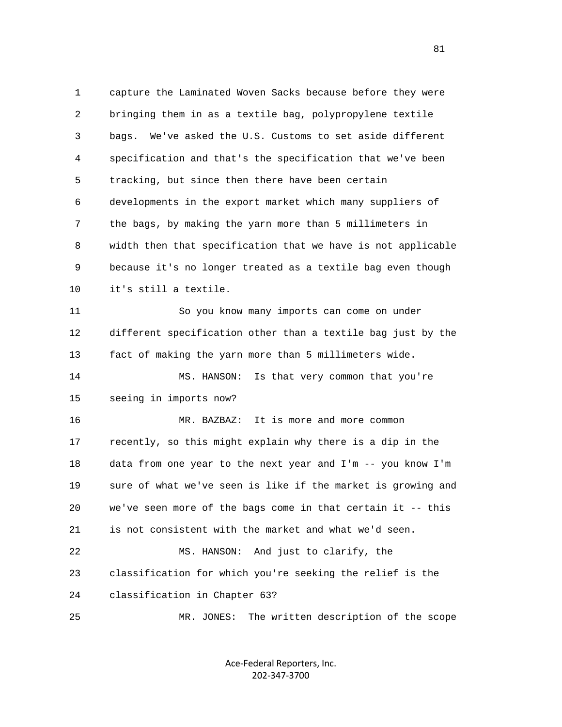1 capture the Laminated Woven Sacks because before they were 2 bringing them in as a textile bag, polypropylene textile 3 bags. We've asked the U.S. Customs to set aside different 4 specification and that's the specification that we've been 5 tracking, but since then there have been certain 6 developments in the export market which many suppliers of 7 the bags, by making the yarn more than 5 millimeters in 8 width then that specification that we have is not applicable 9 because it's no longer treated as a textile bag even though 10 it's still a textile. 11 So you know many imports can come on under 12 different specification other than a textile bag just by the 13 fact of making the yarn more than 5 millimeters wide. 14 MS. HANSON: Is that very common that you're 15 seeing in imports now? 16 MR. BAZBAZ: It is more and more common 17 recently, so this might explain why there is a dip in the 18 data from one year to the next year and I'm -- you know I'm 19 sure of what we've seen is like if the market is growing and 20 we've seen more of the bags come in that certain it -- this 21 is not consistent with the market and what we'd seen. 22 MS. HANSON: And just to clarify, the 23 classification for which you're seeking the relief is the 24 classification in Chapter 63? 25 MR. JONES: The written description of the scope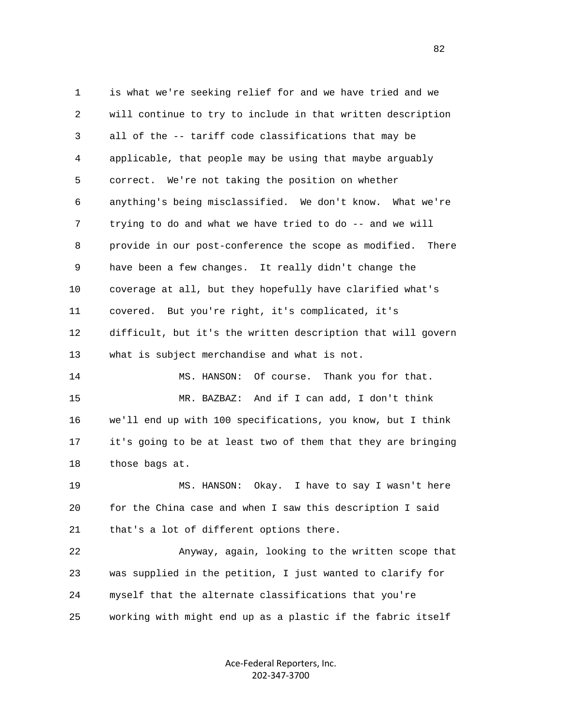1 is what we're seeking relief for and we have tried and we 2 will continue to try to include in that written description 3 all of the -- tariff code classifications that may be 4 applicable, that people may be using that maybe arguably 5 correct. We're not taking the position on whether 6 anything's being misclassified. We don't know. What we're 7 trying to do and what we have tried to do -- and we will 8 provide in our post-conference the scope as modified. There 9 have been a few changes. It really didn't change the 10 coverage at all, but they hopefully have clarified what's 11 covered. But you're right, it's complicated, it's 12 difficult, but it's the written description that will govern 13 what is subject merchandise and what is not. 14 MS. HANSON: Of course. Thank you for that. 15 MR. BAZBAZ: And if I can add, I don't think 16 we'll end up with 100 specifications, you know, but I think 17 it's going to be at least two of them that they are bringing 18 those bags at. 19 MS. HANSON: Okay. I have to say I wasn't here 20 for the China case and when I saw this description I said 21 that's a lot of different options there. 22 Anyway, again, looking to the written scope that 23 was supplied in the petition, I just wanted to clarify for 24 myself that the alternate classifications that you're 25 working with might end up as a plastic if the fabric itself

> Ace-Federal Reporters, Inc. 202-347-3700

en and the state of the state of the state of the state of the state of the state of the state of the state of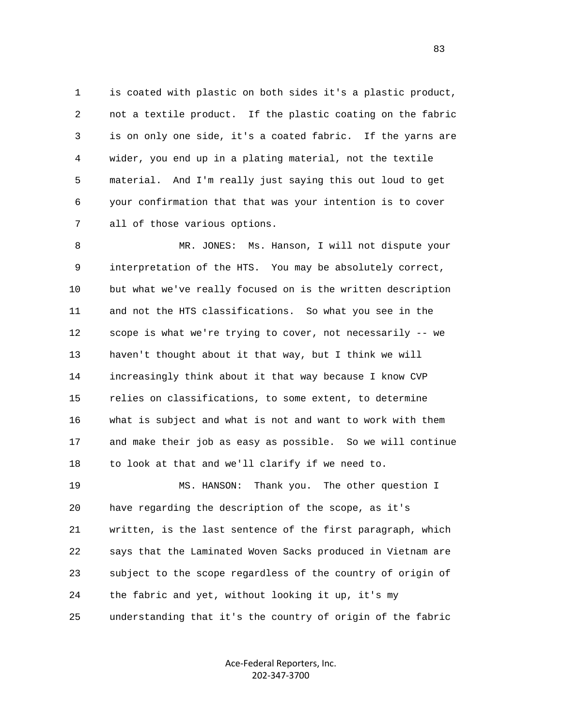1 is coated with plastic on both sides it's a plastic product, 2 not a textile product. If the plastic coating on the fabric 3 is on only one side, it's a coated fabric. If the yarns are 4 wider, you end up in a plating material, not the textile 5 material. And I'm really just saying this out loud to get 6 your confirmation that that was your intention is to cover 7 all of those various options.

 8 MR. JONES: Ms. Hanson, I will not dispute your 9 interpretation of the HTS. You may be absolutely correct, 10 but what we've really focused on is the written description 11 and not the HTS classifications. So what you see in the 12 scope is what we're trying to cover, not necessarily -- we 13 haven't thought about it that way, but I think we will 14 increasingly think about it that way because I know CVP 15 relies on classifications, to some extent, to determine 16 what is subject and what is not and want to work with them 17 and make their job as easy as possible. So we will continue 18 to look at that and we'll clarify if we need to. 19 MS. HANSON: Thank you. The other question I 20 have regarding the description of the scope, as it's

 21 written, is the last sentence of the first paragraph, which 22 says that the Laminated Woven Sacks produced in Vietnam are 23 subject to the scope regardless of the country of origin of 24 the fabric and yet, without looking it up, it's my 25 understanding that it's the country of origin of the fabric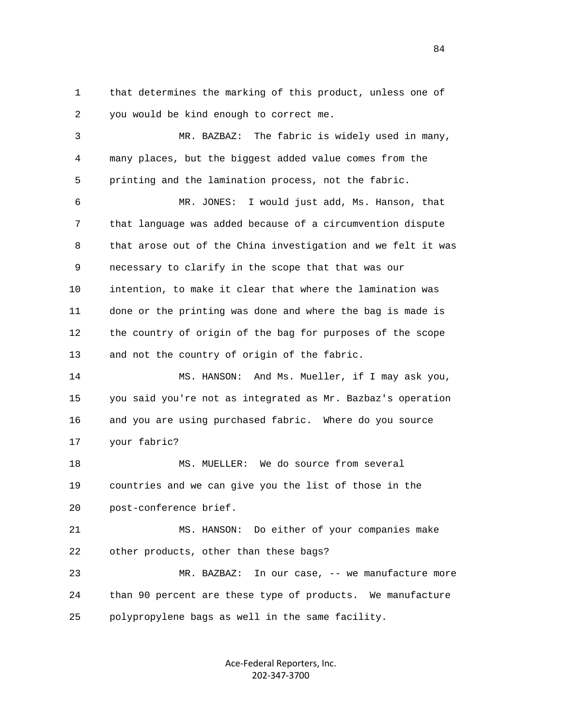1 that determines the marking of this product, unless one of 2 you would be kind enough to correct me.

 3 MR. BAZBAZ: The fabric is widely used in many, 4 many places, but the biggest added value comes from the 5 printing and the lamination process, not the fabric. 6 MR. JONES: I would just add, Ms. Hanson, that 7 that language was added because of a circumvention dispute 8 that arose out of the China investigation and we felt it was 9 necessary to clarify in the scope that that was our 10 intention, to make it clear that where the lamination was 11 done or the printing was done and where the bag is made is 12 the country of origin of the bag for purposes of the scope 13 and not the country of origin of the fabric. 14 MS. HANSON: And Ms. Mueller, if I may ask you, 15 you said you're not as integrated as Mr. Bazbaz's operation 16 and you are using purchased fabric. Where do you source 17 your fabric? 18 MS. MUELLER: We do source from several 19 countries and we can give you the list of those in the 20 post-conference brief.

 21 MS. HANSON: Do either of your companies make 22 other products, other than these bags?

 23 MR. BAZBAZ: In our case, -- we manufacture more 24 than 90 percent are these type of products. We manufacture 25 polypropylene bags as well in the same facility.

> Ace-Federal Reporters, Inc. 202-347-3700

84 and 2012 and 2012 and 2012 and 2012 and 2012 and 2012 and 2012 and 2012 and 2012 and 2012 and 201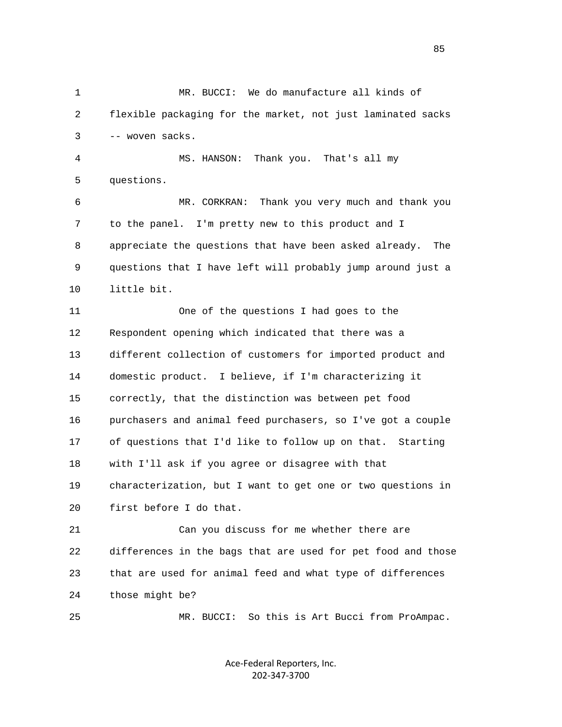1 MR. BUCCI: We do manufacture all kinds of 2 flexible packaging for the market, not just laminated sacks 3 -- woven sacks. 4 MS. HANSON: Thank you. That's all my 5 questions. 6 MR. CORKRAN: Thank you very much and thank you 7 to the panel. I'm pretty new to this product and I 8 appreciate the questions that have been asked already. The 9 questions that I have left will probably jump around just a 10 little bit. 11 One of the questions I had goes to the 12 Respondent opening which indicated that there was a 13 different collection of customers for imported product and 14 domestic product. I believe, if I'm characterizing it 15 correctly, that the distinction was between pet food 16 purchasers and animal feed purchasers, so I've got a couple 17 of questions that I'd like to follow up on that. Starting 18 with I'll ask if you agree or disagree with that 19 characterization, but I want to get one or two questions in 20 first before I do that. 21 Can you discuss for me whether there are 22 differences in the bags that are used for pet food and those 23 that are used for animal feed and what type of differences 24 those might be? 25 MR. BUCCI: So this is Art Bucci from ProAmpac.

> Ace-Federal Reporters, Inc. 202-347-3700

en de la construction de la construction de la construction de la construction de la construction de la constr<br>De la construction de la construction de la construction de la construction de la construction de la construct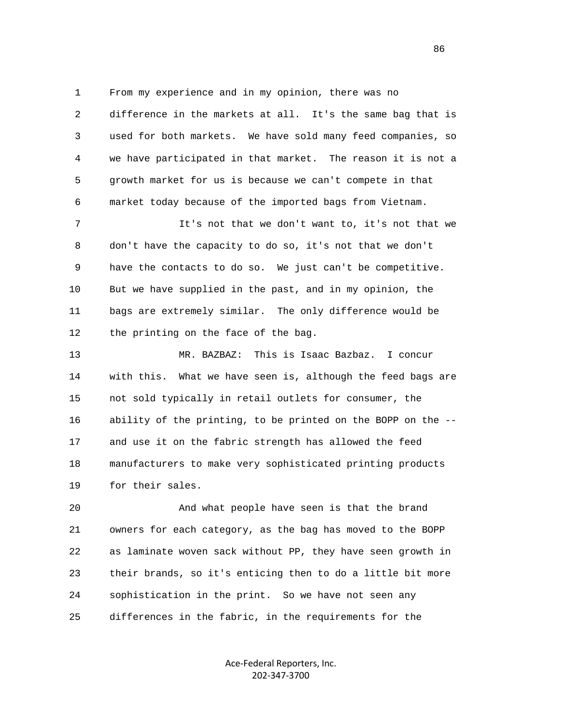1 From my experience and in my opinion, there was no

 2 difference in the markets at all. It's the same bag that is 3 used for both markets. We have sold many feed companies, so 4 we have participated in that market. The reason it is not a 5 growth market for us is because we can't compete in that 6 market today because of the imported bags from Vietnam.

 7 It's not that we don't want to, it's not that we 8 don't have the capacity to do so, it's not that we don't 9 have the contacts to do so. We just can't be competitive. 10 But we have supplied in the past, and in my opinion, the 11 bags are extremely similar. The only difference would be 12 the printing on the face of the bag.

 13 MR. BAZBAZ: This is Isaac Bazbaz. I concur 14 with this. What we have seen is, although the feed bags are 15 not sold typically in retail outlets for consumer, the 16 ability of the printing, to be printed on the BOPP on the -- 17 and use it on the fabric strength has allowed the feed 18 manufacturers to make very sophisticated printing products 19 for their sales.

 20 And what people have seen is that the brand 21 owners for each category, as the bag has moved to the BOPP 22 as laminate woven sack without PP, they have seen growth in 23 their brands, so it's enticing then to do a little bit more 24 sophistication in the print. So we have not seen any 25 differences in the fabric, in the requirements for the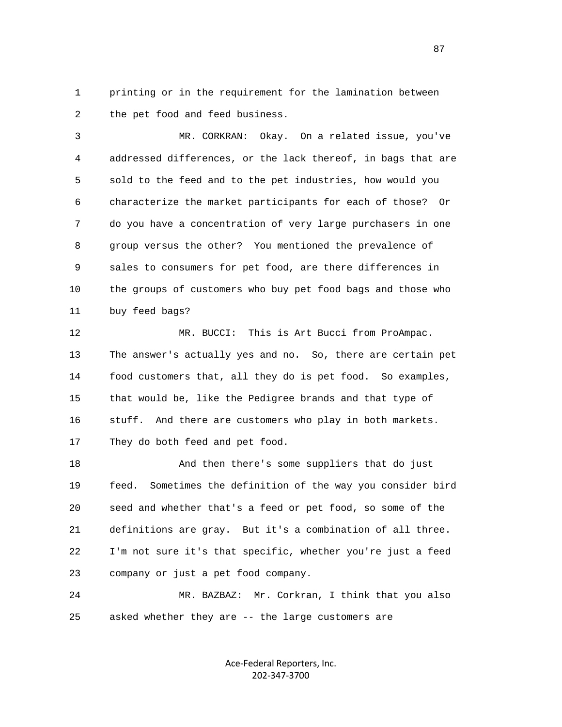1 printing or in the requirement for the lamination between 2 the pet food and feed business.

 3 MR. CORKRAN: Okay. On a related issue, you've 4 addressed differences, or the lack thereof, in bags that are 5 sold to the feed and to the pet industries, how would you 6 characterize the market participants for each of those? Or 7 do you have a concentration of very large purchasers in one 8 group versus the other? You mentioned the prevalence of 9 sales to consumers for pet food, are there differences in 10 the groups of customers who buy pet food bags and those who 11 buy feed bags?

 12 MR. BUCCI: This is Art Bucci from ProAmpac. 13 The answer's actually yes and no. So, there are certain pet 14 food customers that, all they do is pet food. So examples, 15 that would be, like the Pedigree brands and that type of 16 stuff. And there are customers who play in both markets. 17 They do both feed and pet food.

 18 And then there's some suppliers that do just 19 feed. Sometimes the definition of the way you consider bird 20 seed and whether that's a feed or pet food, so some of the 21 definitions are gray. But it's a combination of all three. 22 I'm not sure it's that specific, whether you're just a feed 23 company or just a pet food company.

 24 MR. BAZBAZ: Mr. Corkran, I think that you also 25 asked whether they are -- the large customers are

> Ace-Federal Reporters, Inc. 202-347-3700

en and the state of the state of the state of the state of the state of the state of the state of the state of the state of the state of the state of the state of the state of the state of the state of the state of the sta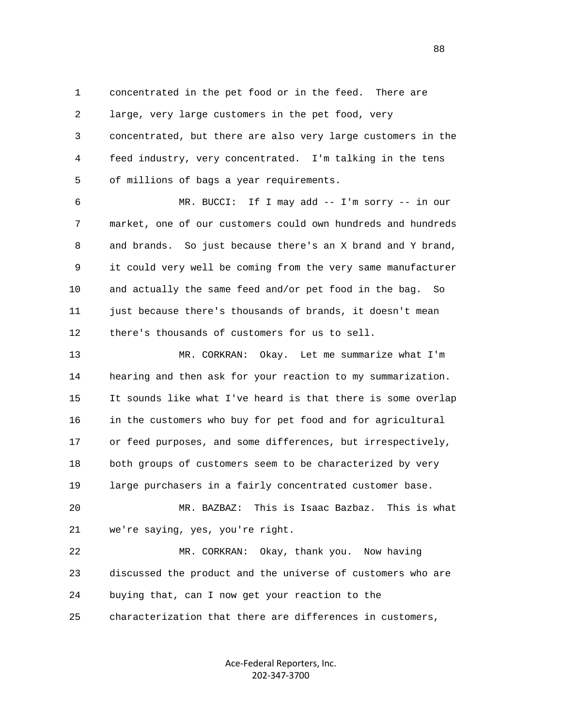1 concentrated in the pet food or in the feed. There are 2 large, very large customers in the pet food, very 3 concentrated, but there are also very large customers in the 4 feed industry, very concentrated. I'm talking in the tens 5 of millions of bags a year requirements.

 6 MR. BUCCI: If I may add -- I'm sorry -- in our 7 market, one of our customers could own hundreds and hundreds 8 and brands. So just because there's an X brand and Y brand, 9 it could very well be coming from the very same manufacturer 10 and actually the same feed and/or pet food in the bag. So 11 just because there's thousands of brands, it doesn't mean 12 there's thousands of customers for us to sell.

 13 MR. CORKRAN: Okay. Let me summarize what I'm 14 hearing and then ask for your reaction to my summarization. 15 It sounds like what I've heard is that there is some overlap 16 in the customers who buy for pet food and for agricultural 17 or feed purposes, and some differences, but irrespectively, 18 both groups of customers seem to be characterized by very 19 large purchasers in a fairly concentrated customer base.

 20 MR. BAZBAZ: This is Isaac Bazbaz. This is what 21 we're saying, yes, you're right.

 22 MR. CORKRAN: Okay, thank you. Now having 23 discussed the product and the universe of customers who are 24 buying that, can I now get your reaction to the 25 characterization that there are differences in customers,

> Ace-Federal Reporters, Inc. 202-347-3700

e e seu a constante de la constante de la constante de la constante de la constante de la constante de la cons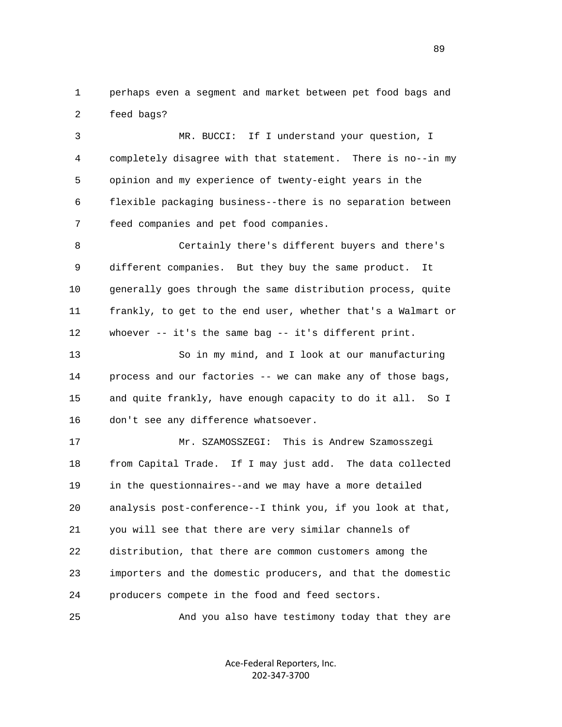1 perhaps even a segment and market between pet food bags and 2 feed bags?

 3 MR. BUCCI: If I understand your question, I 4 completely disagree with that statement. There is no--in my 5 opinion and my experience of twenty-eight years in the 6 flexible packaging business--there is no separation between 7 feed companies and pet food companies.

 8 Certainly there's different buyers and there's 9 different companies. But they buy the same product. It 10 generally goes through the same distribution process, quite 11 frankly, to get to the end user, whether that's a Walmart or 12 whoever -- it's the same bag -- it's different print.

 13 So in my mind, and I look at our manufacturing 14 process and our factories -- we can make any of those bags, 15 and quite frankly, have enough capacity to do it all. So I 16 don't see any difference whatsoever.

 17 Mr. SZAMOSSZEGI: This is Andrew Szamosszegi 18 from Capital Trade. If I may just add. The data collected 19 in the questionnaires--and we may have a more detailed 20 analysis post-conference--I think you, if you look at that, 21 you will see that there are very similar channels of 22 distribution, that there are common customers among the 23 importers and the domestic producers, and that the domestic 24 producers compete in the food and feed sectors.

25 And you also have testimony today that they are

Ace-Federal Reporters, Inc. 202-347-3700

en de la construction de la construction de la construction de la construction de la construction de la constr<br>De la construction de la construction de la construction de la construction de la construction de la construct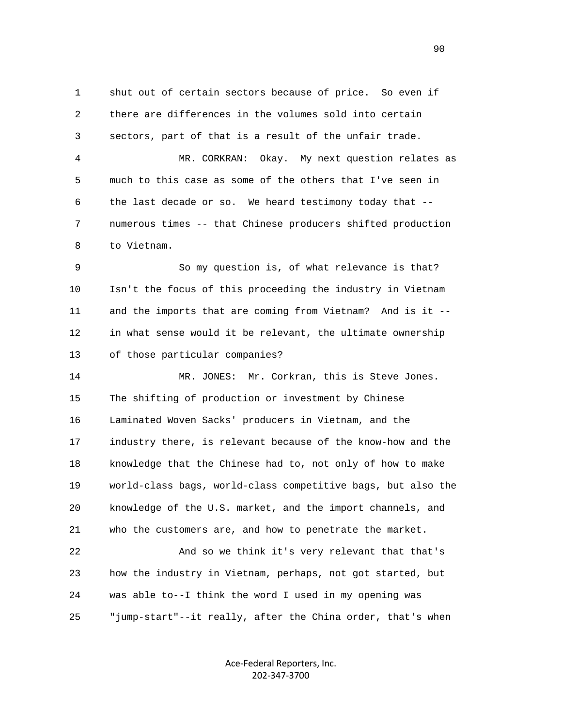1 shut out of certain sectors because of price. So even if 2 there are differences in the volumes sold into certain 3 sectors, part of that is a result of the unfair trade.

 4 MR. CORKRAN: Okay. My next question relates as 5 much to this case as some of the others that I've seen in 6 the last decade or so. We heard testimony today that -- 7 numerous times -- that Chinese producers shifted production 8 to Vietnam.

 9 So my question is, of what relevance is that? 10 Isn't the focus of this proceeding the industry in Vietnam 11 and the imports that are coming from Vietnam? And is it -- 12 in what sense would it be relevant, the ultimate ownership 13 of those particular companies?

 14 MR. JONES: Mr. Corkran, this is Steve Jones. 15 The shifting of production or investment by Chinese 16 Laminated Woven Sacks' producers in Vietnam, and the 17 industry there, is relevant because of the know-how and the 18 knowledge that the Chinese had to, not only of how to make 19 world-class bags, world-class competitive bags, but also the 20 knowledge of the U.S. market, and the import channels, and 21 who the customers are, and how to penetrate the market.

 22 And so we think it's very relevant that that's 23 how the industry in Vietnam, perhaps, not got started, but 24 was able to--I think the word I used in my opening was 25 "jump-start"--it really, after the China order, that's when

> Ace-Federal Reporters, Inc. 202-347-3700

en de la construction de la construction de la construction de la construction de la construction de la constr<br>1900 : la construction de la construction de la construction de la construction de la construction de la const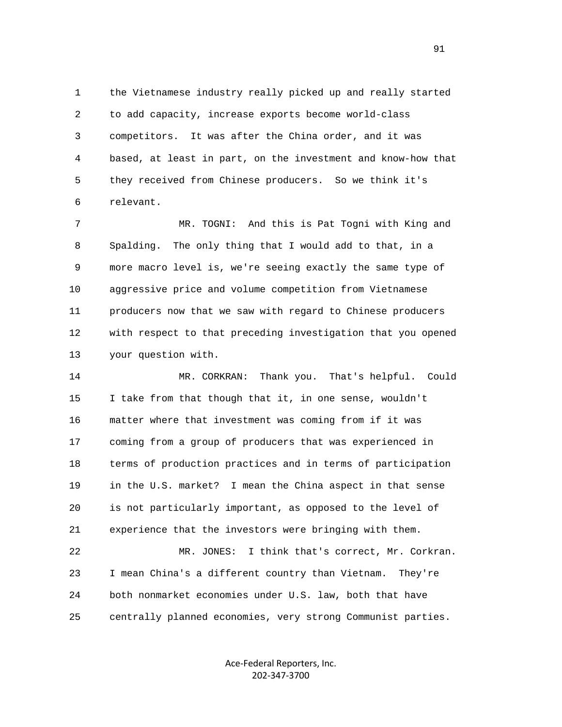1 the Vietnamese industry really picked up and really started 2 to add capacity, increase exports become world-class 3 competitors. It was after the China order, and it was 4 based, at least in part, on the investment and know-how that 5 they received from Chinese producers. So we think it's 6 relevant.

 7 MR. TOGNI: And this is Pat Togni with King and 8 Spalding. The only thing that I would add to that, in a 9 more macro level is, we're seeing exactly the same type of 10 aggressive price and volume competition from Vietnamese 11 producers now that we saw with regard to Chinese producers 12 with respect to that preceding investigation that you opened 13 your question with.

 14 MR. CORKRAN: Thank you. That's helpful. Could 15 I take from that though that it, in one sense, wouldn't 16 matter where that investment was coming from if it was 17 coming from a group of producers that was experienced in 18 terms of production practices and in terms of participation 19 in the U.S. market? I mean the China aspect in that sense 20 is not particularly important, as opposed to the level of 21 experience that the investors were bringing with them.

 22 MR. JONES: I think that's correct, Mr. Corkran. 23 I mean China's a different country than Vietnam. They're 24 both nonmarket economies under U.S. law, both that have 25 centrally planned economies, very strong Communist parties.

> Ace-Federal Reporters, Inc. 202-347-3700

91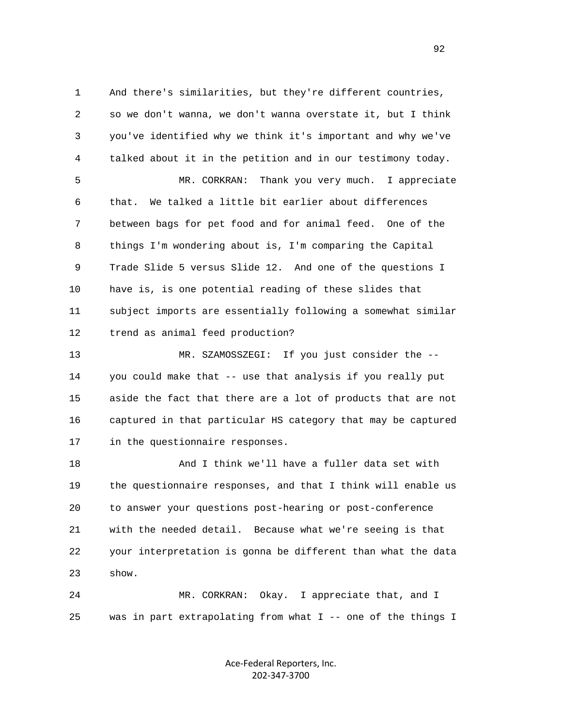1 And there's similarities, but they're different countries, 2 so we don't wanna, we don't wanna overstate it, but I think 3 you've identified why we think it's important and why we've 4 talked about it in the petition and in our testimony today.

 5 MR. CORKRAN: Thank you very much. I appreciate 6 that. We talked a little bit earlier about differences 7 between bags for pet food and for animal feed. One of the 8 things I'm wondering about is, I'm comparing the Capital 9 Trade Slide 5 versus Slide 12. And one of the questions I 10 have is, is one potential reading of these slides that 11 subject imports are essentially following a somewhat similar 12 trend as animal feed production?

 13 MR. SZAMOSSZEGI: If you just consider the -- 14 you could make that -- use that analysis if you really put 15 aside the fact that there are a lot of products that are not 16 captured in that particular HS category that may be captured 17 in the questionnaire responses.

 18 And I think we'll have a fuller data set with 19 the questionnaire responses, and that I think will enable us 20 to answer your questions post-hearing or post-conference 21 with the needed detail. Because what we're seeing is that 22 your interpretation is gonna be different than what the data 23 show.

 24 MR. CORKRAN: Okay. I appreciate that, and I 25 was in part extrapolating from what I -- one of the things I

> Ace-Federal Reporters, Inc. 202-347-3700

 $\sim$  92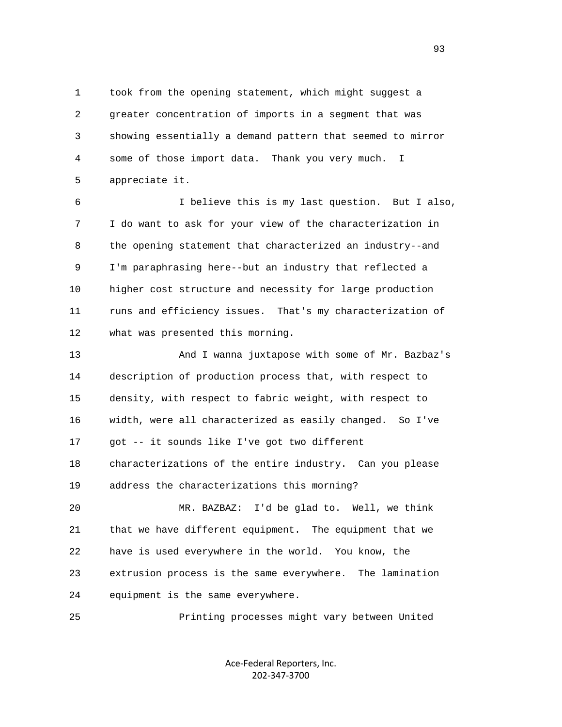1 took from the opening statement, which might suggest a 2 greater concentration of imports in a segment that was 3 showing essentially a demand pattern that seemed to mirror 4 some of those import data. Thank you very much. I 5 appreciate it.

 6 I believe this is my last question. But I also, 7 I do want to ask for your view of the characterization in 8 the opening statement that characterized an industry--and 9 I'm paraphrasing here--but an industry that reflected a 10 higher cost structure and necessity for large production 11 runs and efficiency issues. That's my characterization of 12 what was presented this morning.

 13 And I wanna juxtapose with some of Mr. Bazbaz's 14 description of production process that, with respect to 15 density, with respect to fabric weight, with respect to 16 width, were all characterized as easily changed. So I've 17 got -- it sounds like I've got two different 18 characterizations of the entire industry. Can you please 19 address the characterizations this morning? 20 MR. BAZBAZ: I'd be glad to. Well, we think 21 that we have different equipment. The equipment that we 22 have is used everywhere in the world. You know, the

 23 extrusion process is the same everywhere. The lamination 24 equipment is the same everywhere.

25 Printing processes might vary between United

Ace-Federal Reporters, Inc. 202-347-3700

experience of the contract of the contract of the contract of the contract of the contract of the contract of the contract of the contract of the contract of the contract of the contract of the contract of the contract of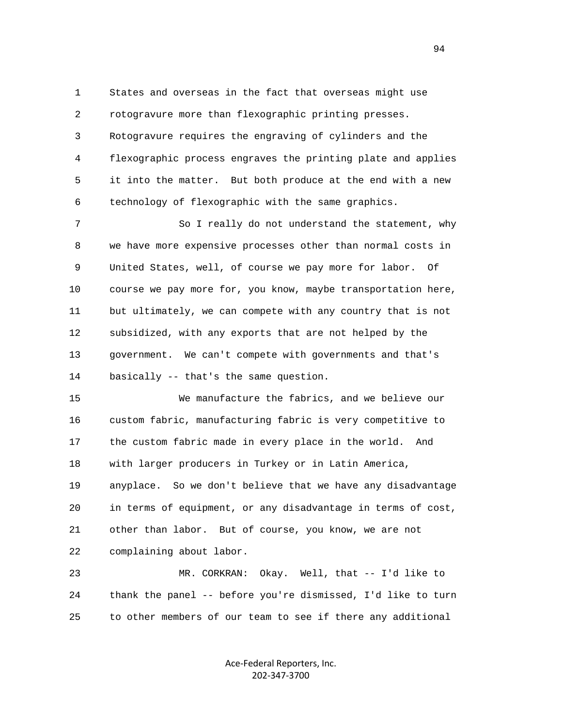1 States and overseas in the fact that overseas might use 2 rotogravure more than flexographic printing presses. 3 Rotogravure requires the engraving of cylinders and the 4 flexographic process engraves the printing plate and applies 5 it into the matter. But both produce at the end with a new 6 technology of flexographic with the same graphics.

 7 So I really do not understand the statement, why 8 we have more expensive processes other than normal costs in 9 United States, well, of course we pay more for labor. Of 10 course we pay more for, you know, maybe transportation here, 11 but ultimately, we can compete with any country that is not 12 subsidized, with any exports that are not helped by the 13 government. We can't compete with governments and that's 14 basically -- that's the same question.

 15 We manufacture the fabrics, and we believe our 16 custom fabric, manufacturing fabric is very competitive to 17 the custom fabric made in every place in the world. And 18 with larger producers in Turkey or in Latin America, 19 anyplace. So we don't believe that we have any disadvantage 20 in terms of equipment, or any disadvantage in terms of cost, 21 other than labor. But of course, you know, we are not 22 complaining about labor.

 23 MR. CORKRAN: Okay. Well, that -- I'd like to 24 thank the panel -- before you're dismissed, I'd like to turn 25 to other members of our team to see if there any additional

> Ace-Federal Reporters, Inc. 202-347-3700

94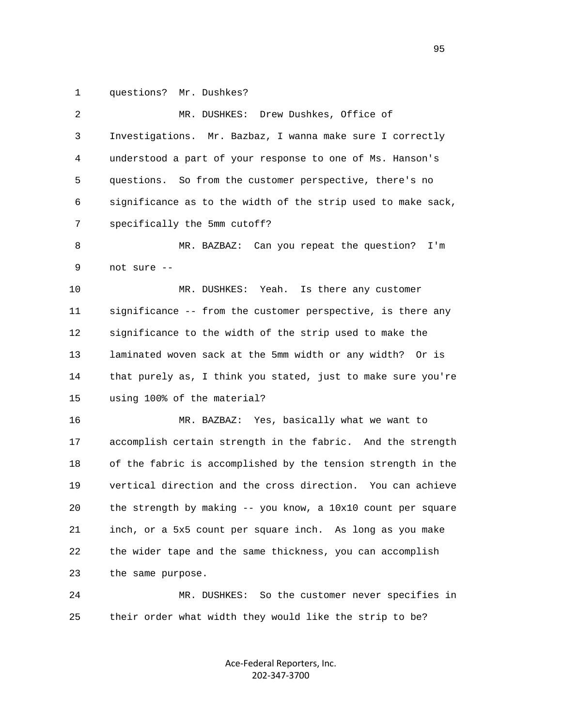1 questions? Mr. Dushkes?

| 2            | MR. DUSHKES: Drew Dushkes, Office of                              |
|--------------|-------------------------------------------------------------------|
| $\mathsf{3}$ | Investigations. Mr. Bazbaz, I wanna make sure I correctly         |
| 4            | understood a part of your response to one of Ms. Hanson's         |
| 5            | questions. So from the customer perspective, there's no           |
| 6            | significance as to the width of the strip used to make sack,      |
| 7            | specifically the 5mm cutoff?                                      |
| 8            | MR. BAZBAZ: Can you repeat the question?<br>I'm                   |
| 9            | not sure --                                                       |
| 10           | MR. DUSHKES: Yeah.<br>Is there any customer                       |
| 11           | significance -- from the customer perspective, is there any       |
| 12           | significance to the width of the strip used to make the           |
| 13           | laminated woven sack at the 5mm width or any width? Or is         |
| 14           | that purely as, I think you stated, just to make sure you're      |
| 15           | using 100% of the material?                                       |
| 16           | MR. BAZBAZ: Yes, basically what we want to                        |
| 17           | accomplish certain strength in the fabric. And the strength       |
| 18           | of the fabric is accomplished by the tension strength in the      |
| 19           | vertical direction and the cross direction. You can achieve       |
| 20           | the strength by making $-$ - you know, a $10x10$ count per square |
| 21           | inch, or a 5x5 count per square inch. As long as you make         |
| 22           | the wider tape and the same thickness, you can accomplish         |
| 23           | the same purpose.                                                 |
| 24           | So the customer never specifies in<br>MR. DUSHKES:                |
| 25           | their order what width they would like the strip to be?           |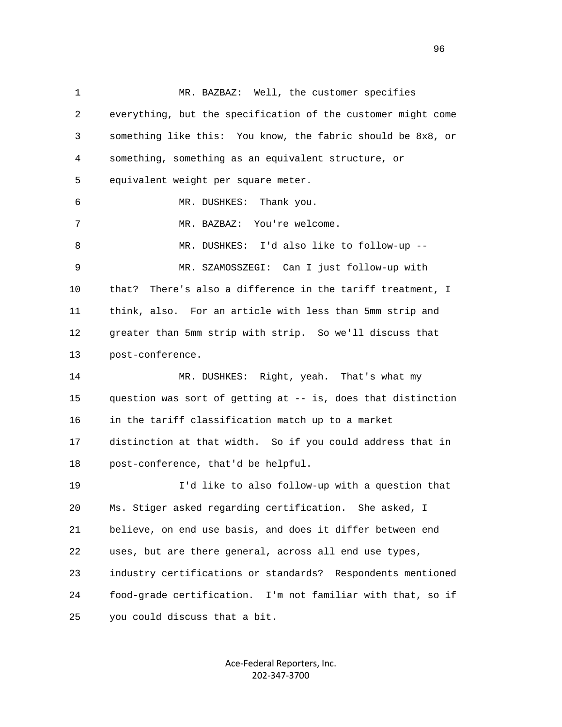1 MR. BAZBAZ: Well, the customer specifies 2 everything, but the specification of the customer might come 3 something like this: You know, the fabric should be 8x8, or 4 something, something as an equivalent structure, or 5 equivalent weight per square meter. 6 MR. DUSHKES: Thank you. 7 MR. BAZBAZ: You're welcome. 8 MR. DUSHKES: I'd also like to follow-up -- 9 MR. SZAMOSSZEGI: Can I just follow-up with 10 that? There's also a difference in the tariff treatment, I 11 think, also. For an article with less than 5mm strip and 12 greater than 5mm strip with strip. So we'll discuss that 13 post-conference. 14 MR. DUSHKES: Right, yeah. That's what my 15 question was sort of getting at -- is, does that distinction 16 in the tariff classification match up to a market 17 distinction at that width. So if you could address that in 18 post-conference, that'd be helpful. 19 I'd like to also follow-up with a question that 20 Ms. Stiger asked regarding certification. She asked, I 21 believe, on end use basis, and does it differ between end 22 uses, but are there general, across all end use types, 23 industry certifications or standards? Respondents mentioned 24 food-grade certification. I'm not familiar with that, so if 25 you could discuss that a bit.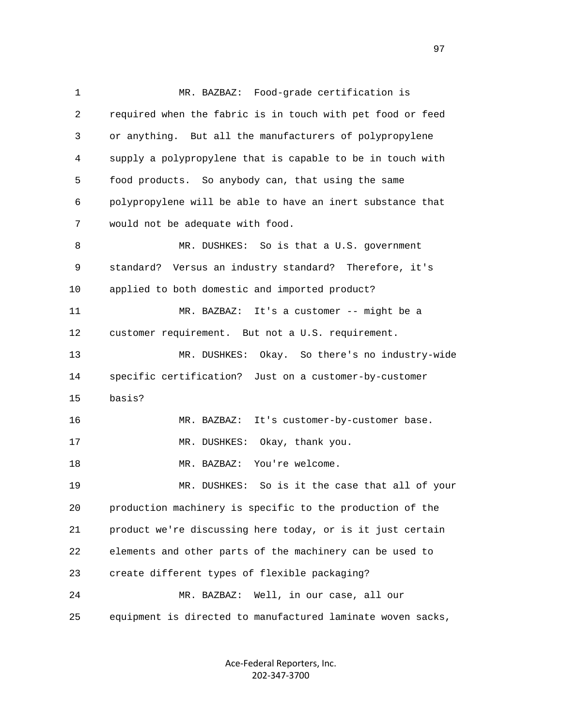1 MR. BAZBAZ: Food-grade certification is 2 required when the fabric is in touch with pet food or feed 3 or anything. But all the manufacturers of polypropylene 4 supply a polypropylene that is capable to be in touch with 5 food products. So anybody can, that using the same 6 polypropylene will be able to have an inert substance that 7 would not be adequate with food. 8 MR. DUSHKES: So is that a U.S. government 9 standard? Versus an industry standard? Therefore, it's 10 applied to both domestic and imported product? 11 MR. BAZBAZ: It's a customer -- might be a 12 customer requirement. But not a U.S. requirement. 13 MR. DUSHKES: Okay. So there's no industry-wide 14 specific certification? Just on a customer-by-customer 15 basis? 16 MR. BAZBAZ: It's customer-by-customer base. 17 MR. DUSHKES: Okay, thank you. 18 MR. BAZBAZ: You're welcome. 19 MR. DUSHKES: So is it the case that all of your 20 production machinery is specific to the production of the 21 product we're discussing here today, or is it just certain 22 elements and other parts of the machinery can be used to 23 create different types of flexible packaging? 24 MR. BAZBAZ: Well, in our case, all our 25 equipment is directed to manufactured laminate woven sacks,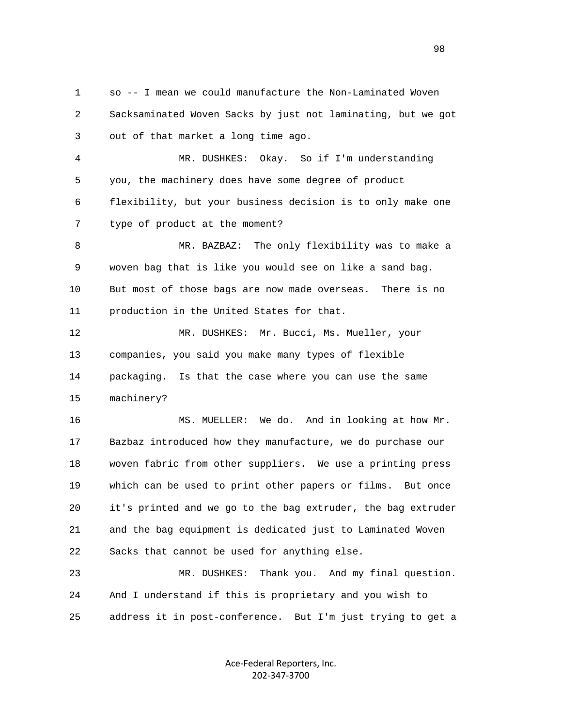1 so -- I mean we could manufacture the Non-Laminated Woven 2 Sacksaminated Woven Sacks by just not laminating, but we got 3 out of that market a long time ago. 4 MR. DUSHKES: Okay. So if I'm understanding 5 you, the machinery does have some degree of product

 6 flexibility, but your business decision is to only make one 7 type of product at the moment?

 8 MR. BAZBAZ: The only flexibility was to make a 9 woven bag that is like you would see on like a sand bag. 10 But most of those bags are now made overseas. There is no 11 production in the United States for that.

 12 MR. DUSHKES: Mr. Bucci, Ms. Mueller, your 13 companies, you said you make many types of flexible 14 packaging. Is that the case where you can use the same 15 machinery?

 16 MS. MUELLER: We do. And in looking at how Mr. 17 Bazbaz introduced how they manufacture, we do purchase our 18 woven fabric from other suppliers. We use a printing press 19 which can be used to print other papers or films. But once 20 it's printed and we go to the bag extruder, the bag extruder 21 and the bag equipment is dedicated just to Laminated Woven 22 Sacks that cannot be used for anything else.

 23 MR. DUSHKES: Thank you. And my final question. 24 And I understand if this is proprietary and you wish to 25 address it in post-conference. But I'm just trying to get a

> Ace-Federal Reporters, Inc. 202-347-3700

en 1980 en 1980 en 1980 en 1980 en 1980 en 1980 en 1980 en 1980 en 1980 en 1980 en 1980 en 1980 en 1980 en 19<br>De grote en 1980 en 1980 en 1980 en 1980 en 1980 en 1980 en 1980 en 1980 en 1980 en 1980 en 1980 en 1980 en 19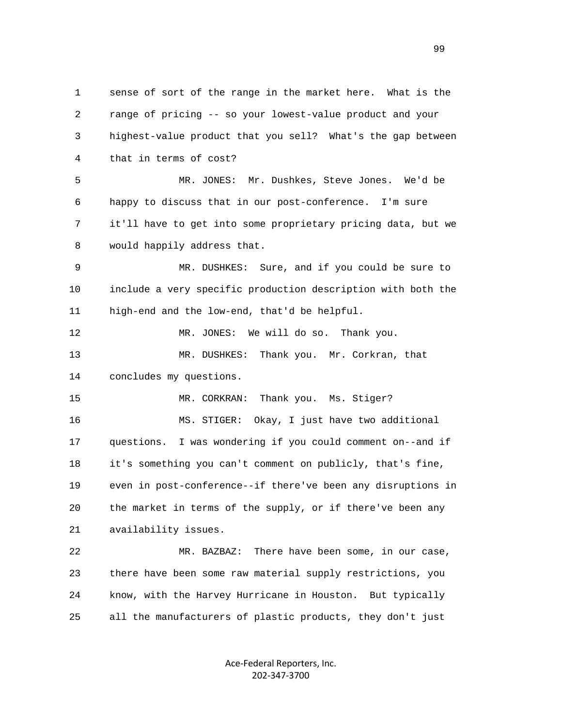1 sense of sort of the range in the market here. What is the 2 range of pricing -- so your lowest-value product and your 3 highest-value product that you sell? What's the gap between 4 that in terms of cost? 5 MR. JONES: Mr. Dushkes, Steve Jones. We'd be 6 happy to discuss that in our post-conference. I'm sure 7 it'll have to get into some proprietary pricing data, but we 8 would happily address that. 9 MR. DUSHKES: Sure, and if you could be sure to 10 include a very specific production description with both the 11 high-end and the low-end, that'd be helpful. 12 MR. JONES: We will do so. Thank you. 13 MR. DUSHKES: Thank you. Mr. Corkran, that 14 concludes my questions. 15 MR. CORKRAN: Thank you. Ms. Stiger? 16 MS. STIGER: Okay, I just have two additional 17 questions. I was wondering if you could comment on--and if 18 it's something you can't comment on publicly, that's fine, 19 even in post-conference--if there've been any disruptions in 20 the market in terms of the supply, or if there've been any 21 availability issues. 22 MR. BAZBAZ: There have been some, in our case, 23 there have been some raw material supply restrictions, you 24 know, with the Harvey Hurricane in Houston. But typically 25 all the manufacturers of plastic products, they don't just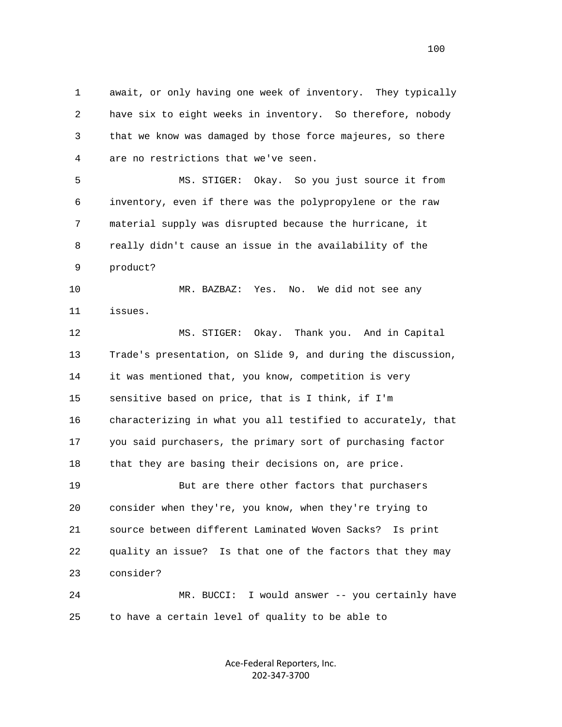1 await, or only having one week of inventory. They typically 2 have six to eight weeks in inventory. So therefore, nobody 3 that we know was damaged by those force majeures, so there 4 are no restrictions that we've seen.

 5 MS. STIGER: Okay. So you just source it from 6 inventory, even if there was the polypropylene or the raw 7 material supply was disrupted because the hurricane, it 8 really didn't cause an issue in the availability of the 9 product?

 10 MR. BAZBAZ: Yes. No. We did not see any 11 issues.

 12 MS. STIGER: Okay. Thank you. And in Capital 13 Trade's presentation, on Slide 9, and during the discussion, 14 it was mentioned that, you know, competition is very 15 sensitive based on price, that is I think, if I'm 16 characterizing in what you all testified to accurately, that 17 you said purchasers, the primary sort of purchasing factor 18 that they are basing their decisions on, are price. 19 But are there other factors that purchasers 20 consider when they're, you know, when they're trying to 21 source between different Laminated Woven Sacks? Is print

 22 quality an issue? Is that one of the factors that they may 23 consider?

 24 MR. BUCCI: I would answer -- you certainly have 25 to have a certain level of quality to be able to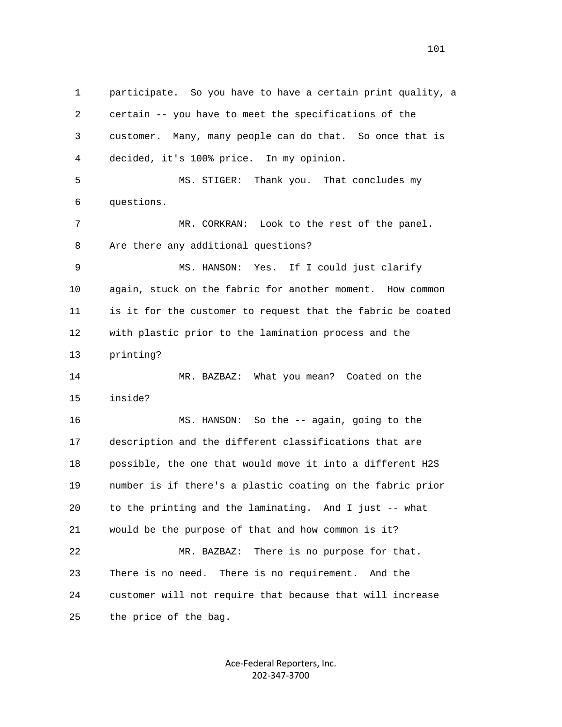1 participate. So you have to have a certain print quality, a 2 certain -- you have to meet the specifications of the 3 customer. Many, many people can do that. So once that is 4 decided, it's 100% price. In my opinion. 5 MS. STIGER: Thank you. That concludes my 6 questions. 7 MR. CORKRAN: Look to the rest of the panel. 8 Are there any additional questions? 9 MS. HANSON: Yes. If I could just clarify 10 again, stuck on the fabric for another moment. How common 11 is it for the customer to request that the fabric be coated 12 with plastic prior to the lamination process and the 13 printing? 14 MR. BAZBAZ: What you mean? Coated on the 15 inside? 16 MS. HANSON: So the -- again, going to the 17 description and the different classifications that are 18 possible, the one that would move it into a different H2S 19 number is if there's a plastic coating on the fabric prior 20 to the printing and the laminating. And I just -- what 21 would be the purpose of that and how common is it? 22 MR. BAZBAZ: There is no purpose for that. 23 There is no need. There is no requirement. And the 24 customer will not require that because that will increase 25 the price of the bag.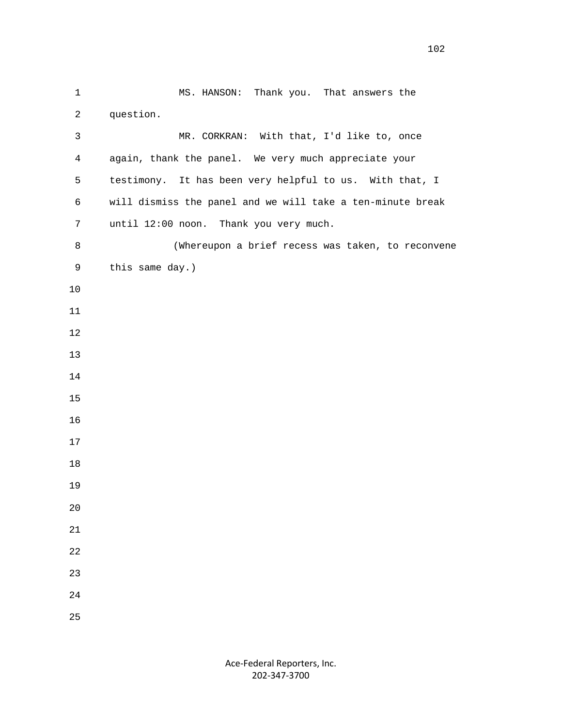1 MS. HANSON: Thank you. That answers the 2 question. 3 MR. CORKRAN: With that, I'd like to, once 4 again, thank the panel. We very much appreciate your 5 testimony. It has been very helpful to us. With that, I 6 will dismiss the panel and we will take a ten-minute break 7 until 12:00 noon. Thank you very much. 8 (Whereupon a brief recess was taken, to reconvene 9 this same day.)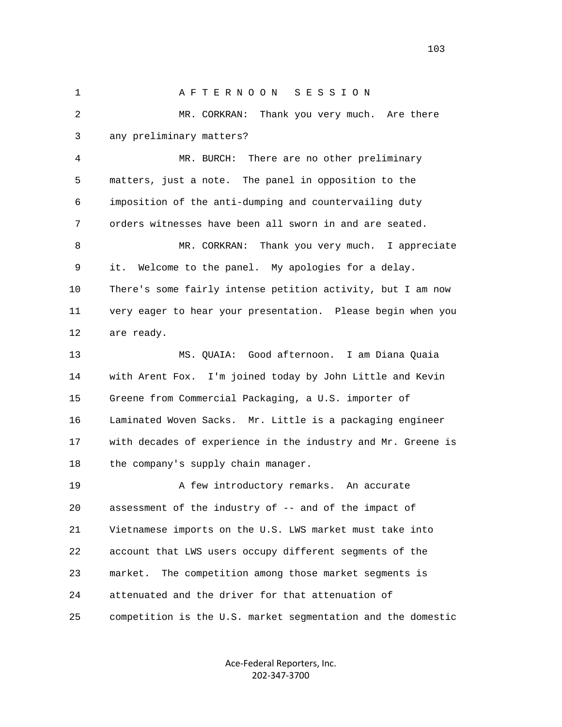1 A F T E R N O O N S E S S I O N 2 MR. CORKRAN: Thank you very much. Are there 3 any preliminary matters? 4 MR. BURCH: There are no other preliminary 5 matters, just a note. The panel in opposition to the 6 imposition of the anti-dumping and countervailing duty 7 orders witnesses have been all sworn in and are seated. 8 MR. CORKRAN: Thank you very much. I appreciate 9 it. Welcome to the panel. My apologies for a delay. 10 There's some fairly intense petition activity, but I am now 11 very eager to hear your presentation. Please begin when you 12 are ready. 13 MS. QUAIA: Good afternoon. I am Diana Quaia 14 with Arent Fox. I'm joined today by John Little and Kevin 15 Greene from Commercial Packaging, a U.S. importer of 16 Laminated Woven Sacks. Mr. Little is a packaging engineer 17 with decades of experience in the industry and Mr. Greene is 18 the company's supply chain manager. 19 A few introductory remarks. An accurate 20 assessment of the industry of -- and of the impact of 21 Vietnamese imports on the U.S. LWS market must take into 22 account that LWS users occupy different segments of the 23 market. The competition among those market segments is 24 attenuated and the driver for that attenuation of 25 competition is the U.S. market segmentation and the domestic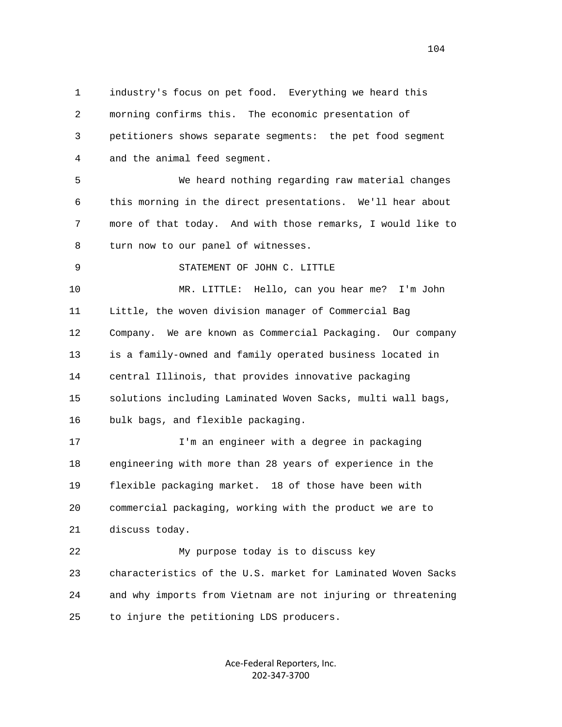1 industry's focus on pet food. Everything we heard this 2 morning confirms this. The economic presentation of 3 petitioners shows separate segments: the pet food segment 4 and the animal feed segment. 5 We heard nothing regarding raw material changes 6 this morning in the direct presentations. We'll hear about 7 more of that today. And with those remarks, I would like to 8 turn now to our panel of witnesses. 9 STATEMENT OF JOHN C. LITTLE 10 MR. LITTLE: Hello, can you hear me? I'm John 11 Little, the woven division manager of Commercial Bag 12 Company. We are known as Commercial Packaging. Our company 13 is a family-owned and family operated business located in 14 central Illinois, that provides innovative packaging 15 solutions including Laminated Woven Sacks, multi wall bags, 16 bulk bags, and flexible packaging. 17 I'm an engineer with a degree in packaging 18 engineering with more than 28 years of experience in the 19 flexible packaging market. 18 of those have been with 20 commercial packaging, working with the product we are to 21 discuss today. 22 My purpose today is to discuss key 23 characteristics of the U.S. market for Laminated Woven Sacks 24 and why imports from Vietnam are not injuring or threatening 25 to injure the petitioning LDS producers.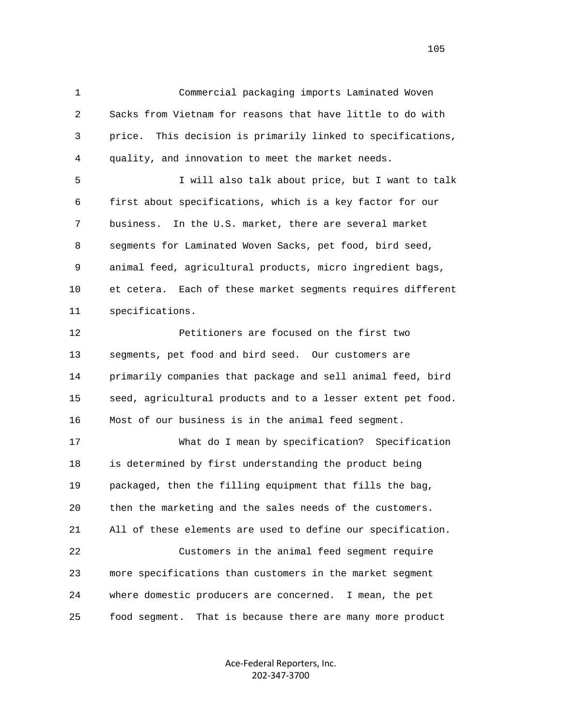1 Commercial packaging imports Laminated Woven 2 Sacks from Vietnam for reasons that have little to do with 3 price. This decision is primarily linked to specifications, 4 quality, and innovation to meet the market needs. 5 I will also talk about price, but I want to talk 6 first about specifications, which is a key factor for our

 7 business. In the U.S. market, there are several market 8 segments for Laminated Woven Sacks, pet food, bird seed, 9 animal feed, agricultural products, micro ingredient bags, 10 et cetera. Each of these market segments requires different 11 specifications.

 12 Petitioners are focused on the first two 13 segments, pet food and bird seed. Our customers are 14 primarily companies that package and sell animal feed, bird 15 seed, agricultural products and to a lesser extent pet food. 16 Most of our business is in the animal feed segment.

 17 What do I mean by specification? Specification 18 is determined by first understanding the product being 19 packaged, then the filling equipment that fills the bag, 20 then the marketing and the sales needs of the customers. 21 All of these elements are used to define our specification. 22 Customers in the animal feed segment require 23 more specifications than customers in the market segment 24 where domestic producers are concerned. I mean, the pet 25 food segment. That is because there are many more product

> Ace-Federal Reporters, Inc. 202-347-3700

105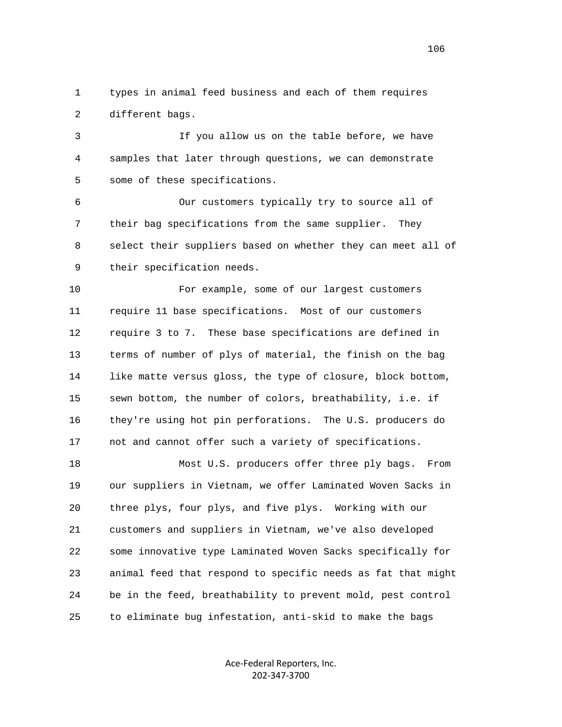1 types in animal feed business and each of them requires 2 different bags.

 3 If you allow us on the table before, we have 4 samples that later through questions, we can demonstrate 5 some of these specifications.

 6 Our customers typically try to source all of 7 their bag specifications from the same supplier. They 8 select their suppliers based on whether they can meet all of 9 their specification needs.

 10 For example, some of our largest customers 11 require 11 base specifications. Most of our customers 12 require 3 to 7. These base specifications are defined in 13 terms of number of plys of material, the finish on the bag 14 like matte versus gloss, the type of closure, block bottom, 15 sewn bottom, the number of colors, breathability, i.e. if 16 they're using hot pin perforations. The U.S. producers do 17 not and cannot offer such a variety of specifications.

 18 Most U.S. producers offer three ply bags. From 19 our suppliers in Vietnam, we offer Laminated Woven Sacks in 20 three plys, four plys, and five plys. Working with our 21 customers and suppliers in Vietnam, we've also developed 22 some innovative type Laminated Woven Sacks specifically for 23 animal feed that respond to specific needs as fat that might 24 be in the feed, breathability to prevent mold, pest control 25 to eliminate bug infestation, anti-skid to make the bags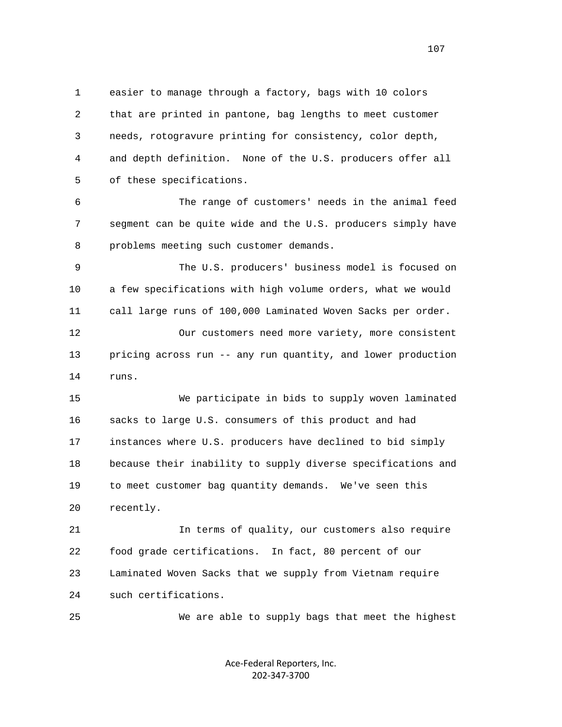1 easier to manage through a factory, bags with 10 colors 2 that are printed in pantone, bag lengths to meet customer 3 needs, rotogravure printing for consistency, color depth, 4 and depth definition. None of the U.S. producers offer all 5 of these specifications.

 6 The range of customers' needs in the animal feed 7 segment can be quite wide and the U.S. producers simply have 8 problems meeting such customer demands.

 9 The U.S. producers' business model is focused on 10 a few specifications with high volume orders, what we would 11 call large runs of 100,000 Laminated Woven Sacks per order.

 12 Our customers need more variety, more consistent 13 pricing across run -- any run quantity, and lower production 14 runs.

 15 We participate in bids to supply woven laminated 16 sacks to large U.S. consumers of this product and had 17 instances where U.S. producers have declined to bid simply 18 because their inability to supply diverse specifications and 19 to meet customer bag quantity demands. We've seen this 20 recently.

 21 In terms of quality, our customers also require 22 food grade certifications. In fact, 80 percent of our 23 Laminated Woven Sacks that we supply from Vietnam require 24 such certifications.

25 We are able to supply bags that meet the highest

Ace-Federal Reporters, Inc. 202-347-3700

107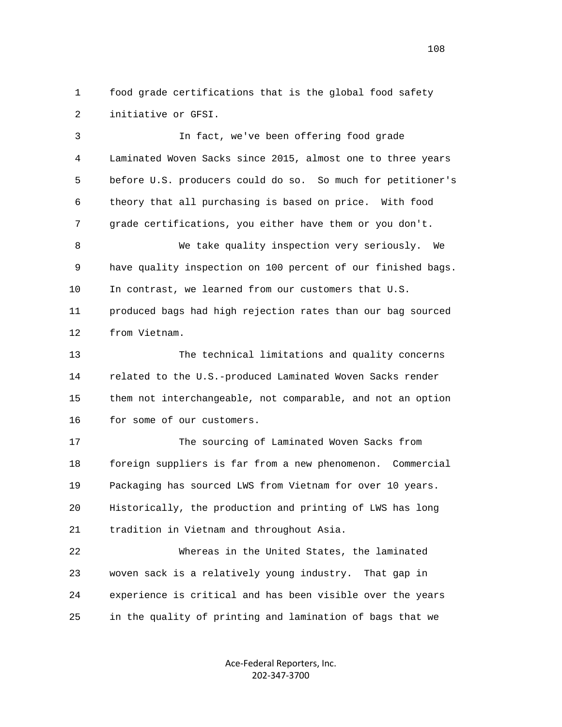1 food grade certifications that is the global food safety 2 initiative or GFSI.

 3 In fact, we've been offering food grade 4 Laminated Woven Sacks since 2015, almost one to three years 5 before U.S. producers could do so. So much for petitioner's 6 theory that all purchasing is based on price. With food 7 grade certifications, you either have them or you don't.

 8 We take quality inspection very seriously. We 9 have quality inspection on 100 percent of our finished bags. 10 In contrast, we learned from our customers that U.S. 11 produced bags had high rejection rates than our bag sourced 12 from Vietnam.

 13 The technical limitations and quality concerns 14 related to the U.S.-produced Laminated Woven Sacks render 15 them not interchangeable, not comparable, and not an option 16 for some of our customers.

 17 The sourcing of Laminated Woven Sacks from 18 foreign suppliers is far from a new phenomenon. Commercial 19 Packaging has sourced LWS from Vietnam for over 10 years. 20 Historically, the production and printing of LWS has long 21 tradition in Vietnam and throughout Asia.

 22 Whereas in the United States, the laminated 23 woven sack is a relatively young industry. That gap in 24 experience is critical and has been visible over the years 25 in the quality of printing and lamination of bags that we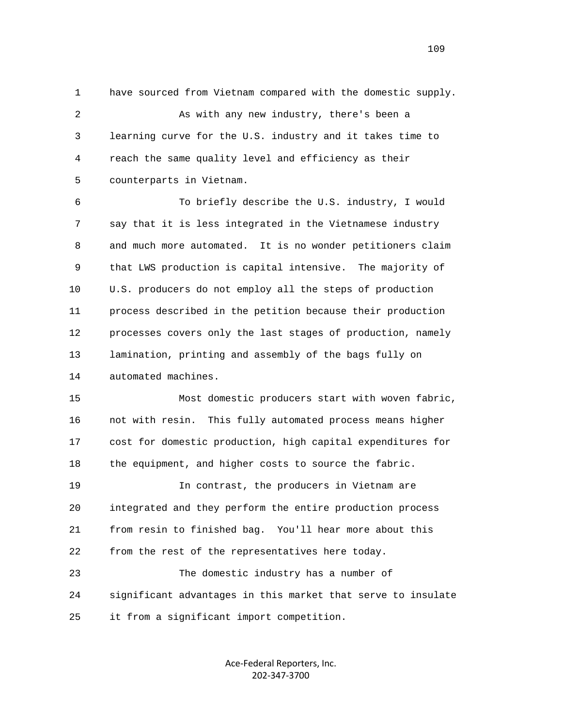1 have sourced from Vietnam compared with the domestic supply. 2 As with any new industry, there's been a 3 learning curve for the U.S. industry and it takes time to 4 reach the same quality level and efficiency as their 5 counterparts in Vietnam.

 6 To briefly describe the U.S. industry, I would 7 say that it is less integrated in the Vietnamese industry 8 and much more automated. It is no wonder petitioners claim 9 that LWS production is capital intensive. The majority of 10 U.S. producers do not employ all the steps of production 11 process described in the petition because their production 12 processes covers only the last stages of production, namely 13 lamination, printing and assembly of the bags fully on 14 automated machines.

 15 Most domestic producers start with woven fabric, 16 not with resin. This fully automated process means higher 17 cost for domestic production, high capital expenditures for 18 the equipment, and higher costs to source the fabric. 19 In contrast, the producers in Vietnam are 20 integrated and they perform the entire production process 21 from resin to finished bag. You'll hear more about this 22 from the rest of the representatives here today.

 23 The domestic industry has a number of 24 significant advantages in this market that serve to insulate 25 it from a significant import competition.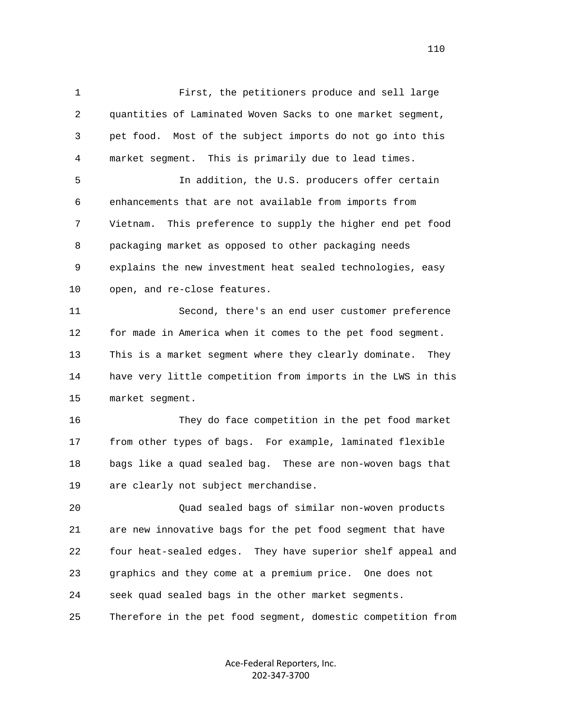1 First, the petitioners produce and sell large 2 quantities of Laminated Woven Sacks to one market segment, 3 pet food. Most of the subject imports do not go into this 4 market segment. This is primarily due to lead times. 5 In addition, the U.S. producers offer certain 6 enhancements that are not available from imports from 7 Vietnam. This preference to supply the higher end pet food 8 packaging market as opposed to other packaging needs 9 explains the new investment heat sealed technologies, easy 10 open, and re-close features. 11 Second, there's an end user customer preference 12 for made in America when it comes to the pet food segment.

 13 This is a market segment where they clearly dominate. They 14 have very little competition from imports in the LWS in this 15 market segment.

 16 They do face competition in the pet food market 17 from other types of bags. For example, laminated flexible 18 bags like a quad sealed bag. These are non-woven bags that 19 are clearly not subject merchandise.

 20 Quad sealed bags of similar non-woven products 21 are new innovative bags for the pet food segment that have 22 four heat-sealed edges. They have superior shelf appeal and 23 graphics and they come at a premium price. One does not 24 seek quad sealed bags in the other market segments. 25 Therefore in the pet food segment, domestic competition from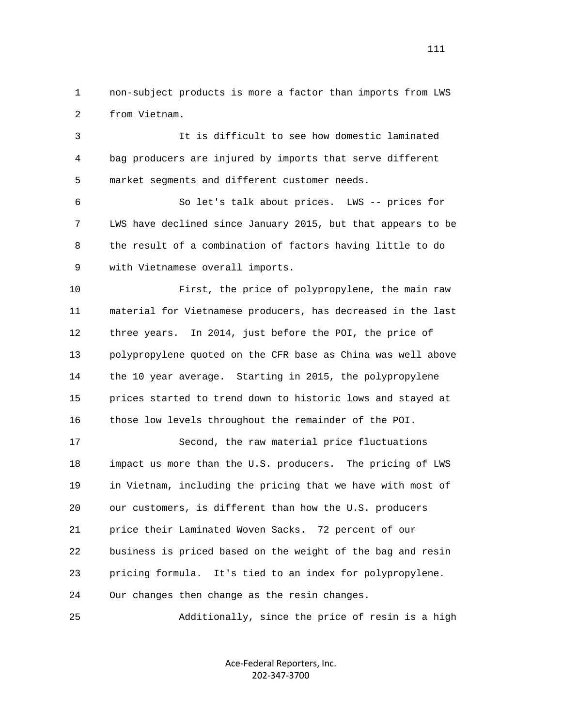1 non-subject products is more a factor than imports from LWS 2 from Vietnam.

 3 It is difficult to see how domestic laminated 4 bag producers are injured by imports that serve different 5 market segments and different customer needs.

 6 So let's talk about prices. LWS -- prices for 7 LWS have declined since January 2015, but that appears to be 8 the result of a combination of factors having little to do 9 with Vietnamese overall imports.

 10 First, the price of polypropylene, the main raw 11 material for Vietnamese producers, has decreased in the last 12 three years. In 2014, just before the POI, the price of 13 polypropylene quoted on the CFR base as China was well above 14 the 10 year average. Starting in 2015, the polypropylene 15 prices started to trend down to historic lows and stayed at 16 those low levels throughout the remainder of the POI.

 17 Second, the raw material price fluctuations 18 impact us more than the U.S. producers. The pricing of LWS 19 in Vietnam, including the pricing that we have with most of 20 our customers, is different than how the U.S. producers 21 price their Laminated Woven Sacks. 72 percent of our 22 business is priced based on the weight of the bag and resin 23 pricing formula. It's tied to an index for polypropylene. 24 Our changes then change as the resin changes.

25 Additionally, since the price of resin is a high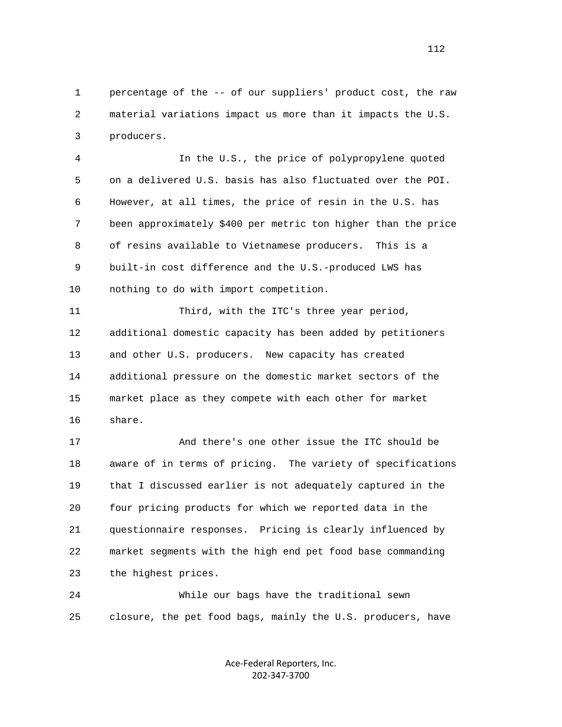1 percentage of the -- of our suppliers' product cost, the raw 2 material variations impact us more than it impacts the U.S. 3 producers.

 4 In the U.S., the price of polypropylene quoted 5 on a delivered U.S. basis has also fluctuated over the POI. 6 However, at all times, the price of resin in the U.S. has 7 been approximately \$400 per metric ton higher than the price 8 of resins available to Vietnamese producers. This is a 9 built-in cost difference and the U.S.-produced LWS has 10 nothing to do with import competition.

 11 Third, with the ITC's three year period, 12 additional domestic capacity has been added by petitioners 13 and other U.S. producers. New capacity has created 14 additional pressure on the domestic market sectors of the 15 market place as they compete with each other for market 16 share.

 17 And there's one other issue the ITC should be 18 aware of in terms of pricing. The variety of specifications 19 that I discussed earlier is not adequately captured in the 20 four pricing products for which we reported data in the 21 questionnaire responses. Pricing is clearly influenced by 22 market segments with the high end pet food base commanding 23 the highest prices.

 24 While our bags have the traditional sewn 25 closure, the pet food bags, mainly the U.S. producers, have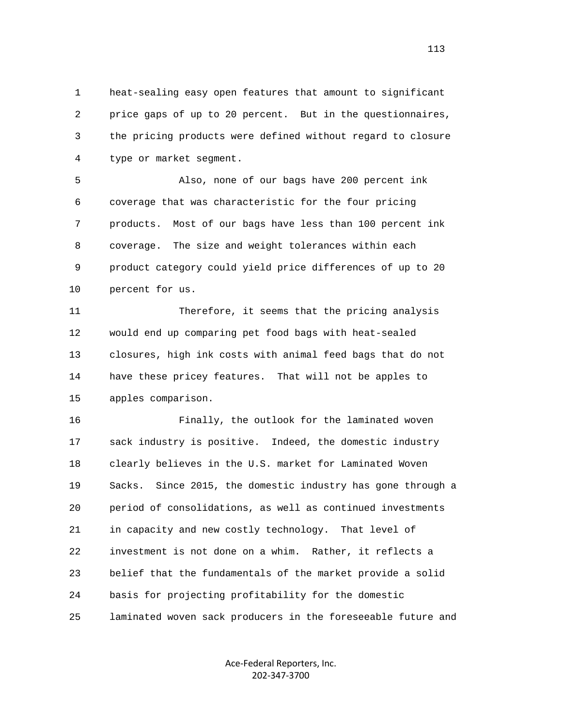1 heat-sealing easy open features that amount to significant 2 price gaps of up to 20 percent. But in the questionnaires, 3 the pricing products were defined without regard to closure 4 type or market segment.

 5 Also, none of our bags have 200 percent ink 6 coverage that was characteristic for the four pricing 7 products. Most of our bags have less than 100 percent ink 8 coverage. The size and weight tolerances within each 9 product category could yield price differences of up to 20 10 percent for us.

 11 Therefore, it seems that the pricing analysis 12 would end up comparing pet food bags with heat-sealed 13 closures, high ink costs with animal feed bags that do not 14 have these pricey features. That will not be apples to 15 apples comparison.

 16 Finally, the outlook for the laminated woven 17 sack industry is positive. Indeed, the domestic industry 18 clearly believes in the U.S. market for Laminated Woven 19 Sacks. Since 2015, the domestic industry has gone through a 20 period of consolidations, as well as continued investments 21 in capacity and new costly technology. That level of 22 investment is not done on a whim. Rather, it reflects a 23 belief that the fundamentals of the market provide a solid 24 basis for projecting profitability for the domestic 25 laminated woven sack producers in the foreseeable future and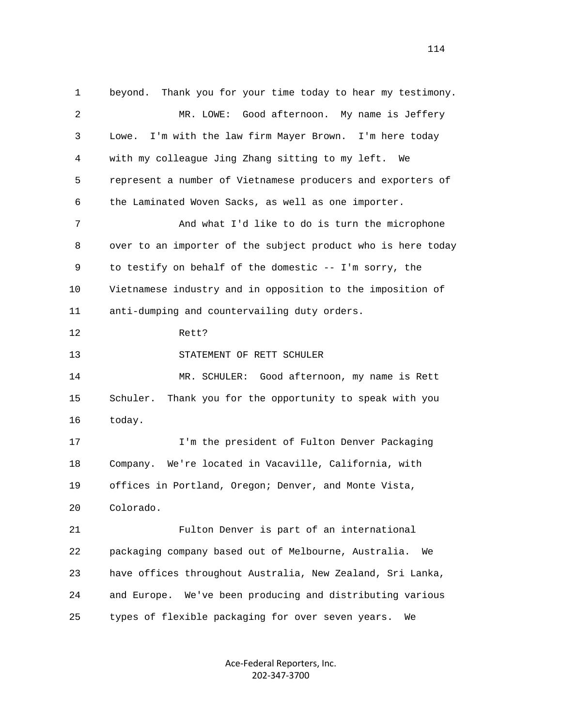1 beyond. Thank you for your time today to hear my testimony. 2 MR. LOWE: Good afternoon. My name is Jeffery 3 Lowe. I'm with the law firm Mayer Brown. I'm here today 4 with my colleague Jing Zhang sitting to my left. We 5 represent a number of Vietnamese producers and exporters of 6 the Laminated Woven Sacks, as well as one importer. 7 And what I'd like to do is turn the microphone 8 over to an importer of the subject product who is here today 9 to testify on behalf of the domestic -- I'm sorry, the 10 Vietnamese industry and in opposition to the imposition of 11 anti-dumping and countervailing duty orders. 12 Rett? 13 STATEMENT OF RETT SCHULER 14 MR. SCHULER: Good afternoon, my name is Rett 15 Schuler. Thank you for the opportunity to speak with you 16 today. 17 I'm the president of Fulton Denver Packaging 18 Company. We're located in Vacaville, California, with 19 offices in Portland, Oregon; Denver, and Monte Vista, 20 Colorado. 21 Fulton Denver is part of an international 22 packaging company based out of Melbourne, Australia. We 23 have offices throughout Australia, New Zealand, Sri Lanka, 24 and Europe. We've been producing and distributing various 25 types of flexible packaging for over seven years. We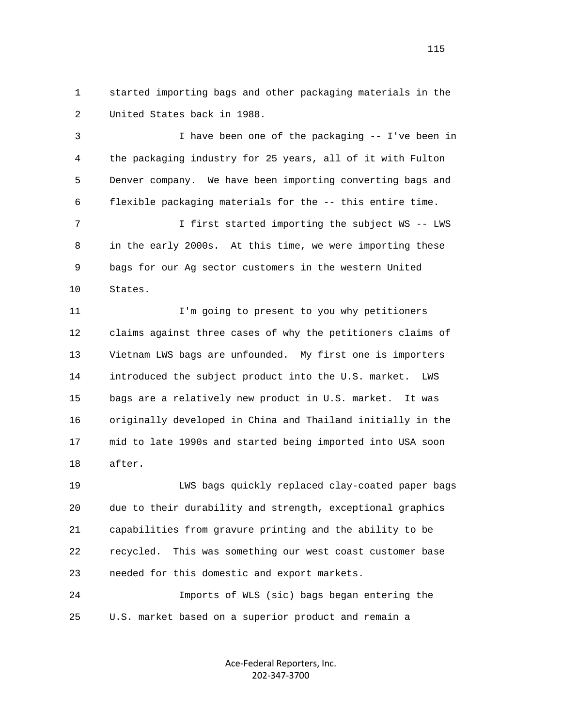1 started importing bags and other packaging materials in the 2 United States back in 1988.

 3 I have been one of the packaging -- I've been in 4 the packaging industry for 25 years, all of it with Fulton 5 Denver company. We have been importing converting bags and 6 flexible packaging materials for the -- this entire time.

 7 I first started importing the subject WS -- LWS 8 in the early 2000s. At this time, we were importing these 9 bags for our Ag sector customers in the western United 10 States.

 11 I'm going to present to you why petitioners 12 claims against three cases of why the petitioners claims of 13 Vietnam LWS bags are unfounded. My first one is importers 14 introduced the subject product into the U.S. market. LWS 15 bags are a relatively new product in U.S. market. It was 16 originally developed in China and Thailand initially in the 17 mid to late 1990s and started being imported into USA soon 18 after.

 19 LWS bags quickly replaced clay-coated paper bags 20 due to their durability and strength, exceptional graphics 21 capabilities from gravure printing and the ability to be 22 recycled. This was something our west coast customer base 23 needed for this domestic and export markets.

 24 Imports of WLS (sic) bags began entering the 25 U.S. market based on a superior product and remain a

> Ace-Federal Reporters, Inc. 202-347-3700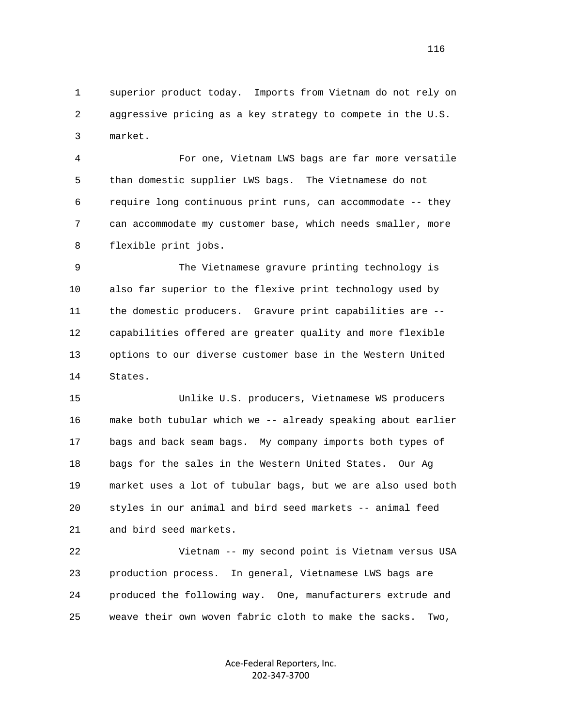1 superior product today. Imports from Vietnam do not rely on 2 aggressive pricing as a key strategy to compete in the U.S. 3 market.

 4 For one, Vietnam LWS bags are far more versatile 5 than domestic supplier LWS bags. The Vietnamese do not 6 require long continuous print runs, can accommodate -- they 7 can accommodate my customer base, which needs smaller, more 8 flexible print jobs.

 9 The Vietnamese gravure printing technology is 10 also far superior to the flexive print technology used by 11 the domestic producers. Gravure print capabilities are -- 12 capabilities offered are greater quality and more flexible 13 options to our diverse customer base in the Western United 14 States.

 15 Unlike U.S. producers, Vietnamese WS producers 16 make both tubular which we -- already speaking about earlier 17 bags and back seam bags. My company imports both types of 18 bags for the sales in the Western United States. Our Ag 19 market uses a lot of tubular bags, but we are also used both 20 styles in our animal and bird seed markets -- animal feed 21 and bird seed markets.

 22 Vietnam -- my second point is Vietnam versus USA 23 production process. In general, Vietnamese LWS bags are 24 produced the following way. One, manufacturers extrude and 25 weave their own woven fabric cloth to make the sacks. Two,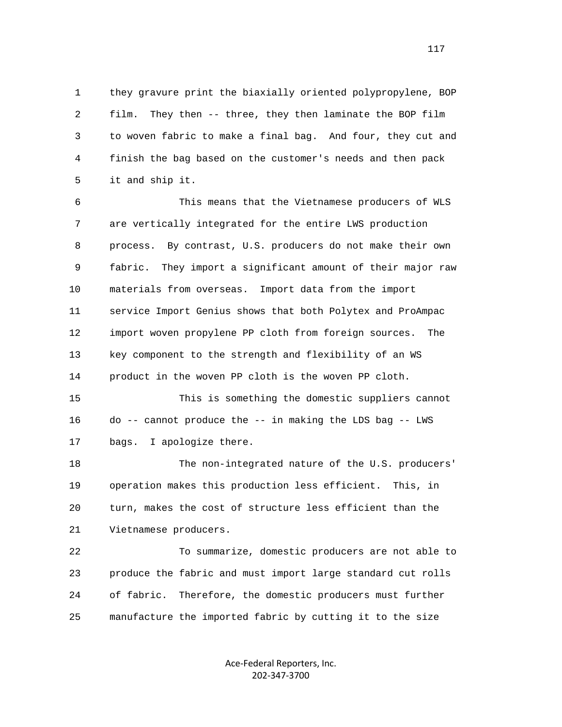1 they gravure print the biaxially oriented polypropylene, BOP 2 film. They then -- three, they then laminate the BOP film 3 to woven fabric to make a final bag. And four, they cut and 4 finish the bag based on the customer's needs and then pack 5 it and ship it.

 6 This means that the Vietnamese producers of WLS 7 are vertically integrated for the entire LWS production 8 process. By contrast, U.S. producers do not make their own 9 fabric. They import a significant amount of their major raw 10 materials from overseas. Import data from the import 11 service Import Genius shows that both Polytex and ProAmpac 12 import woven propylene PP cloth from foreign sources. The 13 key component to the strength and flexibility of an WS 14 product in the woven PP cloth is the woven PP cloth.

 15 This is something the domestic suppliers cannot 16 do -- cannot produce the -- in making the LDS bag -- LWS 17 bags. I apologize there.

 18 The non-integrated nature of the U.S. producers' 19 operation makes this production less efficient. This, in 20 turn, makes the cost of structure less efficient than the 21 Vietnamese producers.

 22 To summarize, domestic producers are not able to 23 produce the fabric and must import large standard cut rolls 24 of fabric. Therefore, the domestic producers must further 25 manufacture the imported fabric by cutting it to the size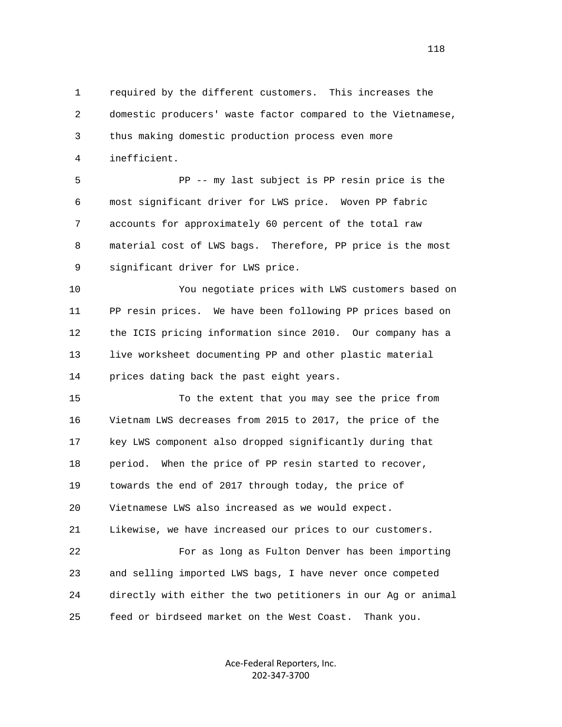1 required by the different customers. This increases the 2 domestic producers' waste factor compared to the Vietnamese, 3 thus making domestic production process even more 4 inefficient.

 5 PP -- my last subject is PP resin price is the 6 most significant driver for LWS price. Woven PP fabric 7 accounts for approximately 60 percent of the total raw 8 material cost of LWS bags. Therefore, PP price is the most 9 significant driver for LWS price.

 10 You negotiate prices with LWS customers based on 11 PP resin prices. We have been following PP prices based on 12 the ICIS pricing information since 2010. Our company has a 13 live worksheet documenting PP and other plastic material 14 prices dating back the past eight years.

 15 To the extent that you may see the price from 16 Vietnam LWS decreases from 2015 to 2017, the price of the 17 key LWS component also dropped significantly during that 18 period. When the price of PP resin started to recover, 19 towards the end of 2017 through today, the price of 20 Vietnamese LWS also increased as we would expect. 21 Likewise, we have increased our prices to our customers. 22 For as long as Fulton Denver has been importing

 23 and selling imported LWS bags, I have never once competed 24 directly with either the two petitioners in our Ag or animal 25 feed or birdseed market on the West Coast. Thank you.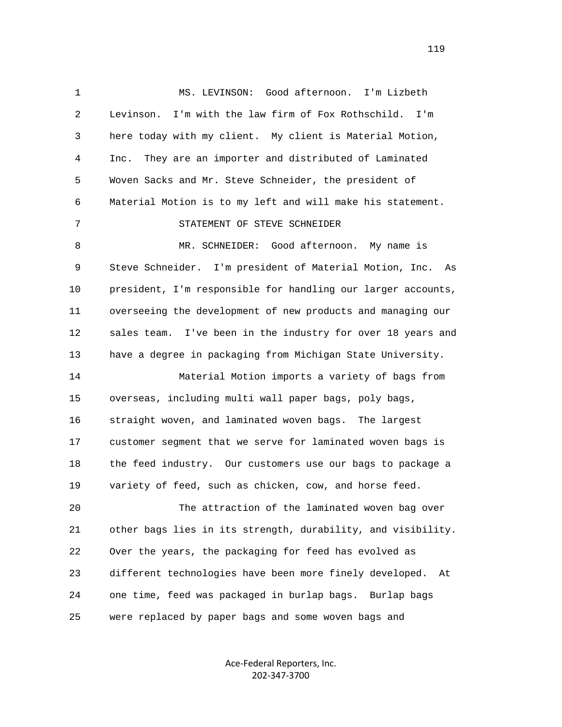1 MS. LEVINSON: Good afternoon. I'm Lizbeth 2 Levinson. I'm with the law firm of Fox Rothschild. I'm 3 here today with my client. My client is Material Motion, 4 Inc. They are an importer and distributed of Laminated 5 Woven Sacks and Mr. Steve Schneider, the president of 6 Material Motion is to my left and will make his statement. 7 STATEMENT OF STEVE SCHNEIDER 8 MR. SCHNEIDER: Good afternoon. My name is 9 Steve Schneider. I'm president of Material Motion, Inc. As 10 president, I'm responsible for handling our larger accounts, 11 overseeing the development of new products and managing our 12 sales team. I've been in the industry for over 18 years and 13 have a degree in packaging from Michigan State University. 14 Material Motion imports a variety of bags from 15 overseas, including multi wall paper bags, poly bags, 16 straight woven, and laminated woven bags. The largest 17 customer segment that we serve for laminated woven bags is 18 the feed industry. Our customers use our bags to package a 19 variety of feed, such as chicken, cow, and horse feed. 20 The attraction of the laminated woven bag over 21 other bags lies in its strength, durability, and visibility. 22 Over the years, the packaging for feed has evolved as 23 different technologies have been more finely developed. At 24 one time, feed was packaged in burlap bags. Burlap bags 25 were replaced by paper bags and some woven bags and

> Ace-Federal Reporters, Inc. 202-347-3700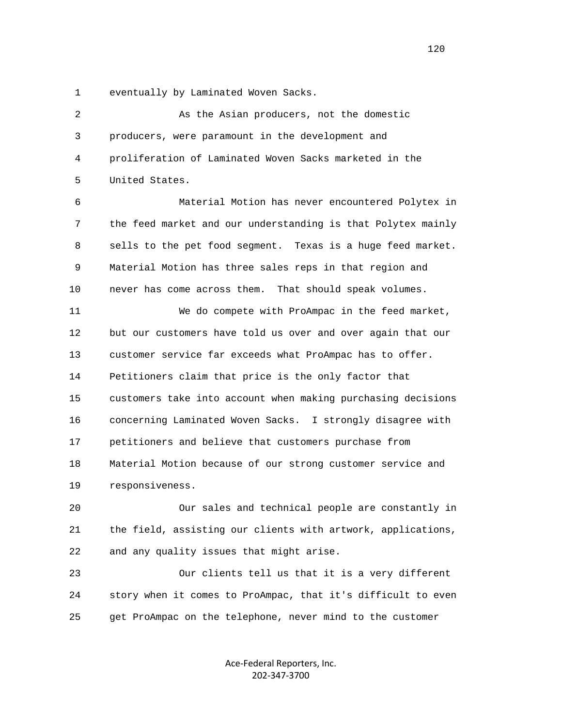1 eventually by Laminated Woven Sacks.

| $\overline{a}$ | As the Asian producers, not the domestic                     |
|----------------|--------------------------------------------------------------|
| 3              | producers, were paramount in the development and             |
| 4              | proliferation of Laminated Woven Sacks marketed in the       |
| 5              | United States.                                               |
| 6              | Material Motion has never encountered Polytex in             |
| 7              | the feed market and our understanding is that Polytex mainly |
| 8              | sells to the pet food segment. Texas is a huge feed market.  |
| 9              | Material Motion has three sales reps in that region and      |
| 10             | never has come across them. That should speak volumes.       |
| 11             | We do compete with ProAmpac in the feed market,              |
| 12             | but our customers have told us over and over again that our  |
| 13             | customer service far exceeds what ProAmpac has to offer.     |
| 14             | Petitioners claim that price is the only factor that         |
| 15             | customers take into account when making purchasing decisions |
| 16             | concerning Laminated Woven Sacks. I strongly disagree with   |
| 17             | petitioners and believe that customers purchase from         |
| 18             | Material Motion because of our strong customer service and   |
| 19             | responsiveness.                                              |
| 20             | Our sales and technical people are constantly in             |
| 21             | the field, assisting our clients with artwork, applications, |
| 22             | and any quality issues that might arise.                     |

 23 Our clients tell us that it is a very different 24 story when it comes to ProAmpac, that it's difficult to even 25 get ProAmpac on the telephone, never mind to the customer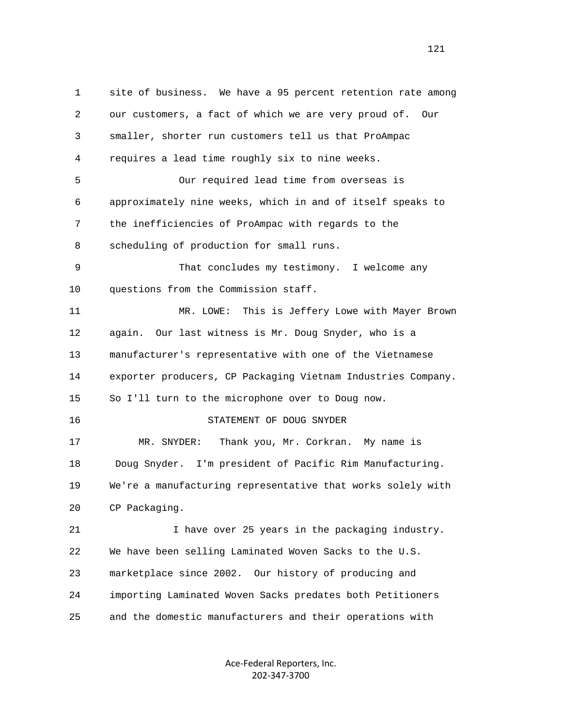1 site of business. We have a 95 percent retention rate among 2 our customers, a fact of which we are very proud of. Our 3 smaller, shorter run customers tell us that ProAmpac 4 requires a lead time roughly six to nine weeks. 5 Our required lead time from overseas is 6 approximately nine weeks, which in and of itself speaks to 7 the inefficiencies of ProAmpac with regards to the 8 scheduling of production for small runs. 9 That concludes my testimony. I welcome any 10 questions from the Commission staff. 11 MR. LOWE: This is Jeffery Lowe with Mayer Brown 12 again. Our last witness is Mr. Doug Snyder, who is a 13 manufacturer's representative with one of the Vietnamese 14 exporter producers, CP Packaging Vietnam Industries Company. 15 So I'll turn to the microphone over to Doug now. 16 STATEMENT OF DOUG SNYDER 17 MR. SNYDER: Thank you, Mr. Corkran. My name is 18 Doug Snyder. I'm president of Pacific Rim Manufacturing. 19 We're a manufacturing representative that works solely with 20 CP Packaging. 21 I have over 25 years in the packaging industry. 22 We have been selling Laminated Woven Sacks to the U.S. 23 marketplace since 2002. Our history of producing and 24 importing Laminated Woven Sacks predates both Petitioners 25 and the domestic manufacturers and their operations with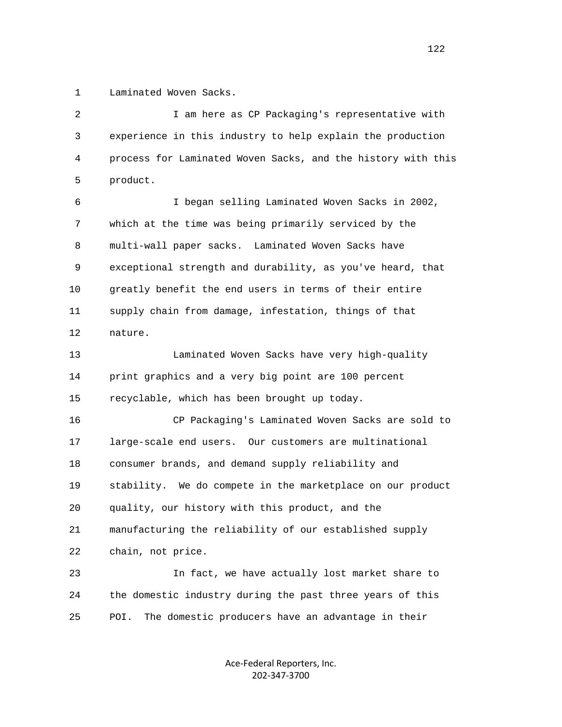1 Laminated Woven Sacks.

| 2  | I am here as CP Packaging's representative with              |
|----|--------------------------------------------------------------|
| 3  | experience in this industry to help explain the production   |
| 4  | process for Laminated Woven Sacks, and the history with this |
| 5  | product.                                                     |
| 6  | I began selling Laminated Woven Sacks in 2002,               |
| 7  | which at the time was being primarily serviced by the        |
| 8  | multi-wall paper sacks. Laminated Woven Sacks have           |
| 9  | exceptional strength and durability, as you've heard, that   |
| 10 | greatly benefit the end users in terms of their entire       |
| 11 | supply chain from damage, infestation, things of that        |
| 12 | nature.                                                      |
| 13 | Laminated Woven Sacks have very high-quality                 |
| 14 | print graphics and a very big point are 100 percent          |
| 15 | recyclable, which has been brought up today.                 |
| 16 | CP Packaging's Laminated Woven Sacks are sold to             |
| 17 | large-scale end users. Our customers are multinational       |
| 18 | consumer brands, and demand supply reliability and           |
| 19 | stability. We do compete in the marketplace on our product   |
| 20 | quality, our history with this product, and the              |
| 21 | manufacturing the reliability of our established supply      |
| 22 | chain, not price.                                            |
| 23 | In fact, we have actually lost market share to               |
| 24 | the domestic industry during the past three years of this    |
| 25 | The domestic producers have an advantage in their<br>POI.    |
|    |                                                              |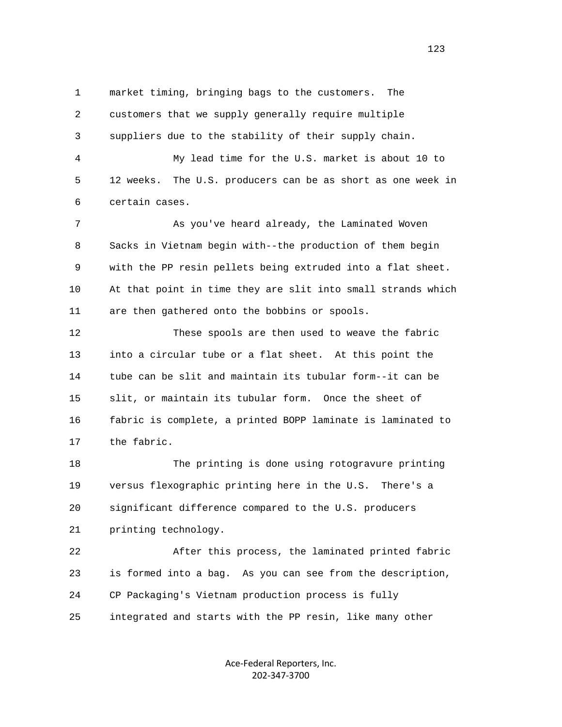1 market timing, bringing bags to the customers. The 2 customers that we supply generally require multiple 3 suppliers due to the stability of their supply chain.

 4 My lead time for the U.S. market is about 10 to 5 12 weeks. The U.S. producers can be as short as one week in 6 certain cases.

7 As you've heard already, the Laminated Woven 8 Sacks in Vietnam begin with--the production of them begin 9 with the PP resin pellets being extruded into a flat sheet. 10 At that point in time they are slit into small strands which 11 are then gathered onto the bobbins or spools.

 12 These spools are then used to weave the fabric 13 into a circular tube or a flat sheet. At this point the 14 tube can be slit and maintain its tubular form--it can be 15 slit, or maintain its tubular form. Once the sheet of 16 fabric is complete, a printed BOPP laminate is laminated to 17 the fabric.

 18 The printing is done using rotogravure printing 19 versus flexographic printing here in the U.S. There's a 20 significant difference compared to the U.S. producers 21 printing technology.

 22 After this process, the laminated printed fabric 23 is formed into a bag. As you can see from the description, 24 CP Packaging's Vietnam production process is fully 25 integrated and starts with the PP resin, like many other

> Ace-Federal Reporters, Inc. 202-347-3700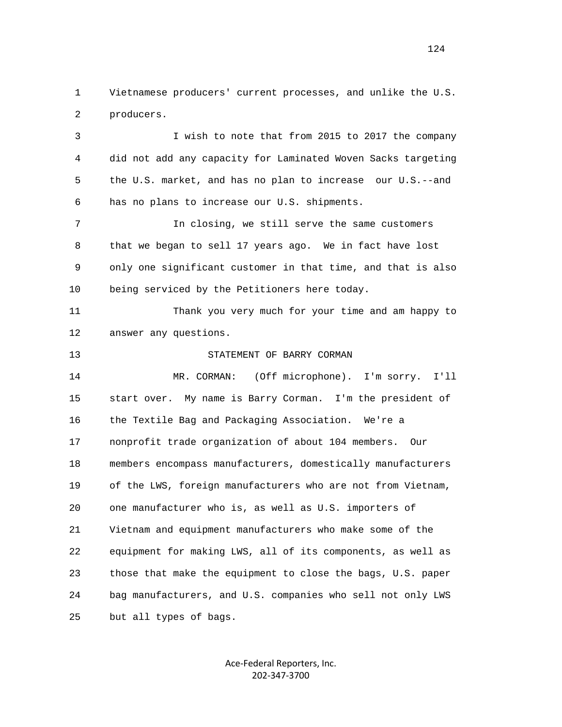1 Vietnamese producers' current processes, and unlike the U.S. 2 producers.

 3 I wish to note that from 2015 to 2017 the company 4 did not add any capacity for Laminated Woven Sacks targeting 5 the U.S. market, and has no plan to increase our U.S.--and 6 has no plans to increase our U.S. shipments.

 7 In closing, we still serve the same customers 8 that we began to sell 17 years ago. We in fact have lost 9 only one significant customer in that time, and that is also 10 being serviced by the Petitioners here today.

 11 Thank you very much for your time and am happy to 12 answer any questions.

13 STATEMENT OF BARRY CORMAN

 14 MR. CORMAN: (Off microphone). I'm sorry. I'll 15 start over. My name is Barry Corman. I'm the president of 16 the Textile Bag and Packaging Association. We're a 17 nonprofit trade organization of about 104 members. Our 18 members encompass manufacturers, domestically manufacturers 19 of the LWS, foreign manufacturers who are not from Vietnam, 20 one manufacturer who is, as well as U.S. importers of 21 Vietnam and equipment manufacturers who make some of the 22 equipment for making LWS, all of its components, as well as 23 those that make the equipment to close the bags, U.S. paper 24 bag manufacturers, and U.S. companies who sell not only LWS 25 but all types of bags.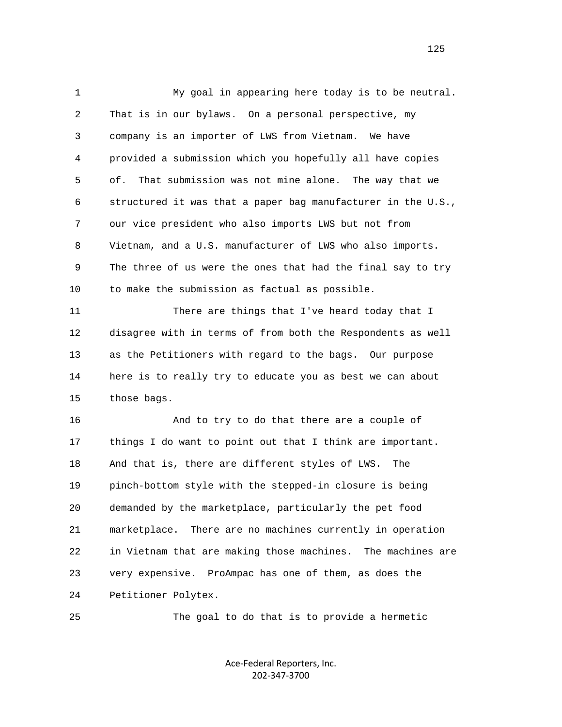1 My goal in appearing here today is to be neutral. 2 That is in our bylaws. On a personal perspective, my 3 company is an importer of LWS from Vietnam. We have 4 provided a submission which you hopefully all have copies 5 of. That submission was not mine alone. The way that we 6 structured it was that a paper bag manufacturer in the U.S., 7 our vice president who also imports LWS but not from 8 Vietnam, and a U.S. manufacturer of LWS who also imports. 9 The three of us were the ones that had the final say to try 10 to make the submission as factual as possible. 11 There are things that I've heard today that I 12 disagree with in terms of from both the Respondents as well 13 as the Petitioners with regard to the bags. Our purpose 14 here is to really try to educate you as best we can about 15 those bags. 16 And to try to do that there are a couple of 17 things I do want to point out that I think are important. 18 And that is, there are different styles of LWS. The 19 pinch-bottom style with the stepped-in closure is being 20 demanded by the marketplace, particularly the pet food 21 marketplace. There are no machines currently in operation 22 in Vietnam that are making those machines. The machines are 23 very expensive. ProAmpac has one of them, as does the 24 Petitioner Polytex.

25 The goal to do that is to provide a hermetic

Ace-Federal Reporters, Inc. 202-347-3700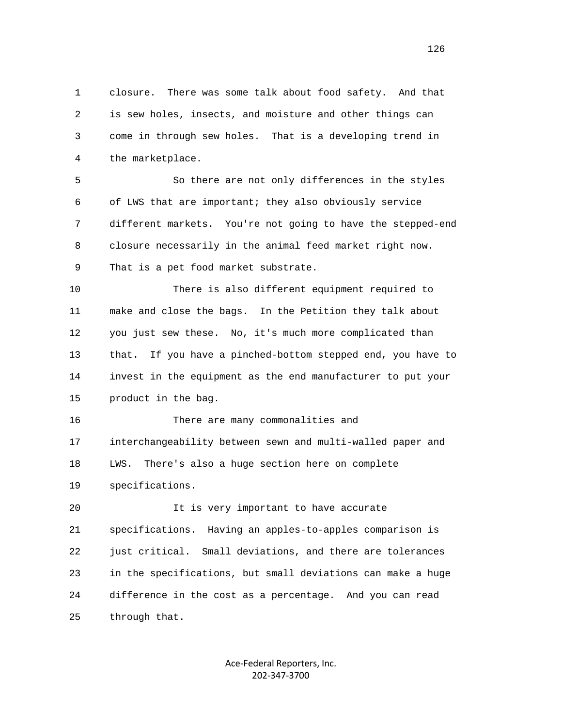1 closure. There was some talk about food safety. And that 2 is sew holes, insects, and moisture and other things can 3 come in through sew holes. That is a developing trend in 4 the marketplace.

 5 So there are not only differences in the styles 6 of LWS that are important; they also obviously service 7 different markets. You're not going to have the stepped-end 8 closure necessarily in the animal feed market right now. 9 That is a pet food market substrate.

 10 There is also different equipment required to 11 make and close the bags. In the Petition they talk about 12 you just sew these. No, it's much more complicated than 13 that. If you have a pinched-bottom stepped end, you have to 14 invest in the equipment as the end manufacturer to put your 15 product in the bag.

 16 There are many commonalities and 17 interchangeability between sewn and multi-walled paper and 18 LWS. There's also a huge section here on complete 19 specifications.

 20 It is very important to have accurate 21 specifications. Having an apples-to-apples comparison is 22 just critical. Small deviations, and there are tolerances 23 in the specifications, but small deviations can make a huge 24 difference in the cost as a percentage. And you can read 25 through that.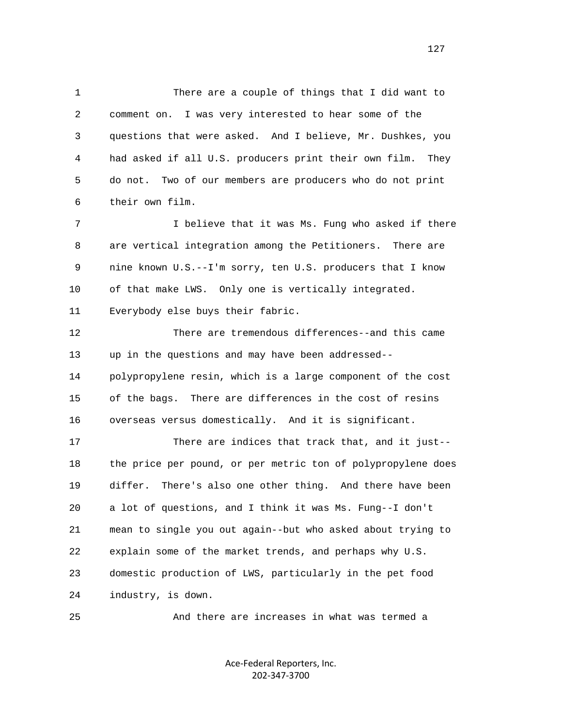1 There are a couple of things that I did want to 2 comment on. I was very interested to hear some of the 3 questions that were asked. And I believe, Mr. Dushkes, you 4 had asked if all U.S. producers print their own film. They 5 do not. Two of our members are producers who do not print 6 their own film.

 7 I believe that it was Ms. Fung who asked if there 8 are vertical integration among the Petitioners. There are 9 nine known U.S.--I'm sorry, ten U.S. producers that I know 10 of that make LWS. Only one is vertically integrated. 11 Everybody else buys their fabric.

 12 There are tremendous differences--and this came 13 up in the questions and may have been addressed-- 14 polypropylene resin, which is a large component of the cost 15 of the bags. There are differences in the cost of resins 16 overseas versus domestically. And it is significant.

 17 There are indices that track that, and it just-- 18 the price per pound, or per metric ton of polypropylene does 19 differ. There's also one other thing. And there have been 20 a lot of questions, and I think it was Ms. Fung--I don't 21 mean to single you out again--but who asked about trying to 22 explain some of the market trends, and perhaps why U.S. 23 domestic production of LWS, particularly in the pet food 24 industry, is down.

25 And there are increases in what was termed a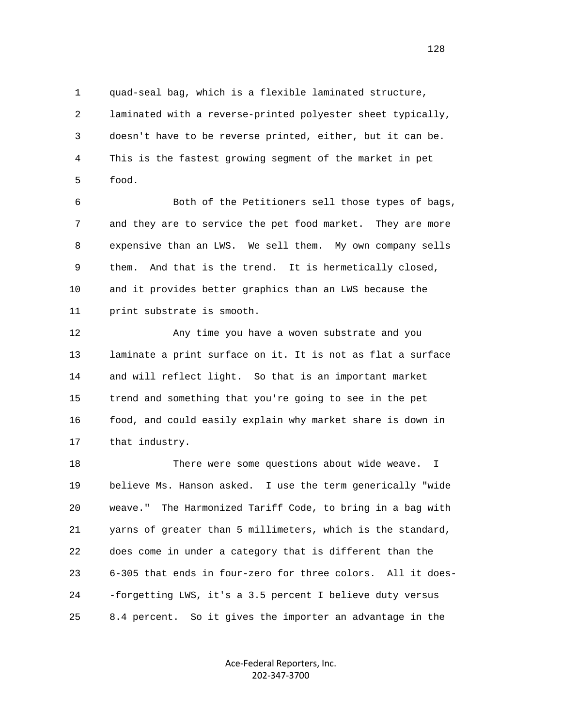1 quad-seal bag, which is a flexible laminated structure, 2 laminated with a reverse-printed polyester sheet typically, 3 doesn't have to be reverse printed, either, but it can be. 4 This is the fastest growing segment of the market in pet 5 food.

 6 Both of the Petitioners sell those types of bags, 7 and they are to service the pet food market. They are more 8 expensive than an LWS. We sell them. My own company sells 9 them. And that is the trend. It is hermetically closed, 10 and it provides better graphics than an LWS because the 11 print substrate is smooth.

 12 Any time you have a woven substrate and you 13 laminate a print surface on it. It is not as flat a surface 14 and will reflect light. So that is an important market 15 trend and something that you're going to see in the pet 16 food, and could easily explain why market share is down in 17 that industry.

 18 There were some questions about wide weave. I 19 believe Ms. Hanson asked. I use the term generically "wide 20 weave." The Harmonized Tariff Code, to bring in a bag with 21 yarns of greater than 5 millimeters, which is the standard, 22 does come in under a category that is different than the 23 6-305 that ends in four-zero for three colors. All it does- 24 -forgetting LWS, it's a 3.5 percent I believe duty versus 25 8.4 percent. So it gives the importer an advantage in the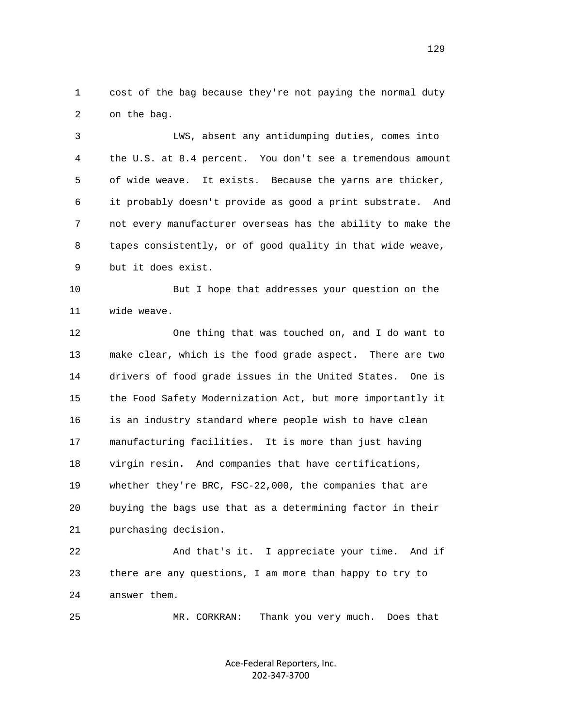1 cost of the bag because they're not paying the normal duty 2 on the bag.

 3 LWS, absent any antidumping duties, comes into 4 the U.S. at 8.4 percent. You don't see a tremendous amount 5 of wide weave. It exists. Because the yarns are thicker, 6 it probably doesn't provide as good a print substrate. And 7 not every manufacturer overseas has the ability to make the 8 tapes consistently, or of good quality in that wide weave, 9 but it does exist.

 10 But I hope that addresses your question on the 11 wide weave.

 12 One thing that was touched on, and I do want to 13 make clear, which is the food grade aspect. There are two 14 drivers of food grade issues in the United States. One is 15 the Food Safety Modernization Act, but more importantly it 16 is an industry standard where people wish to have clean 17 manufacturing facilities. It is more than just having 18 virgin resin. And companies that have certifications, 19 whether they're BRC, FSC-22,000, the companies that are 20 buying the bags use that as a determining factor in their 21 purchasing decision.

 22 And that's it. I appreciate your time. And if 23 there are any questions, I am more than happy to try to 24 answer them.

25 MR. CORKRAN: Thank you very much. Does that

Ace-Federal Reporters, Inc. 202-347-3700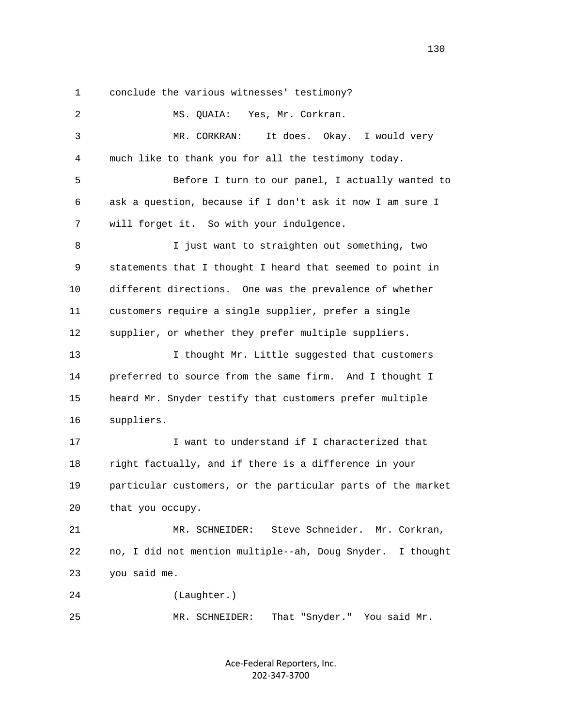1 conclude the various witnesses' testimony?

| $\overline{c}$ | Yes, Mr. Corkran.<br>MS. QUAIA:                               |
|----------------|---------------------------------------------------------------|
| 3              | It does. Okay.<br>MR. CORKRAN:<br>I would very                |
| 4              | much like to thank you for all the testimony today.           |
| 5              | Before I turn to our panel, I actually wanted to              |
| 6              | ask a question, because if I don't ask it now I am sure I     |
| 7              | will forget it. So with your indulgence.                      |
| 8              | I just want to straighten out something, two                  |
| 9              | statements that I thought I heard that seemed to point in     |
| 10             | different directions. One was the prevalence of whether       |
| 11             | customers require a single supplier, prefer a single          |
| 12             | supplier, or whether they prefer multiple suppliers.          |
| 13             | I thought Mr. Little suggested that customers                 |
| 14             | preferred to source from the same firm. And I thought I       |
| 15             | heard Mr. Snyder testify that customers prefer multiple       |
| 16             | suppliers.                                                    |
| 17             | I want to understand if I characterized that                  |
| 18             | right factually, and if there is a difference in your         |
| 19             | particular customers, or the particular parts of the market   |
| 20             | that you occupy.                                              |
| 21             | Steve Schneider. Mr. Corkran,<br>MR. SCHNEIDER:               |
| 22             | no, I did not mention multiple--ah, Doug Snyder.<br>I thought |
| 23             | you said me.                                                  |
| 24             | (Laughter.)                                                   |
| 25             | That "Snyder." You said Mr.<br>MR. SCHNEIDER:                 |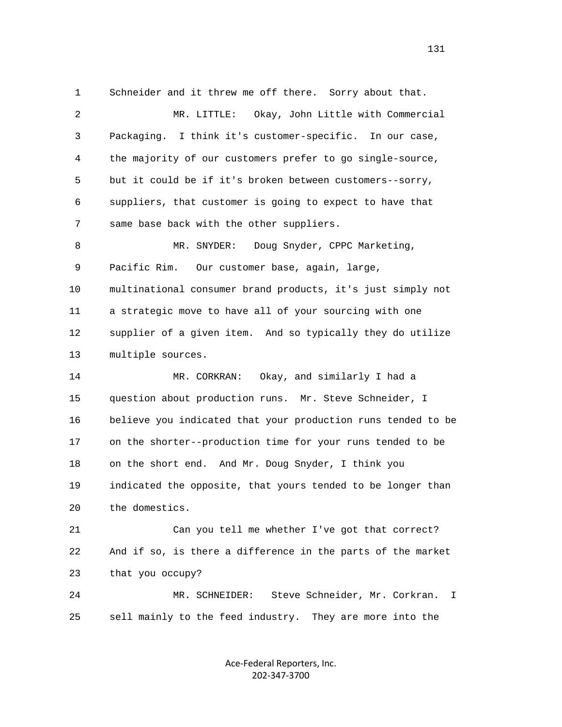1 Schneider and it threw me off there. Sorry about that. 2 MR. LITTLE: Okay, John Little with Commercial 3 Packaging. I think it's customer-specific. In our case, 4 the majority of our customers prefer to go single-source, 5 but it could be if it's broken between customers--sorry, 6 suppliers, that customer is going to expect to have that 7 same base back with the other suppliers. 8 MR. SNYDER: Doug Snyder, CPPC Marketing,

 9 Pacific Rim. Our customer base, again, large, 10 multinational consumer brand products, it's just simply not 11 a strategic move to have all of your sourcing with one 12 supplier of a given item. And so typically they do utilize 13 multiple sources.

 14 MR. CORKRAN: Okay, and similarly I had a 15 question about production runs. Mr. Steve Schneider, I 16 believe you indicated that your production runs tended to be 17 on the shorter--production time for your runs tended to be 18 on the short end. And Mr. Doug Snyder, I think you 19 indicated the opposite, that yours tended to be longer than 20 the domestics.

 21 Can you tell me whether I've got that correct? 22 And if so, is there a difference in the parts of the market 23 that you occupy?

 24 MR. SCHNEIDER: Steve Schneider, Mr. Corkran. I 25 sell mainly to the feed industry. They are more into the

> Ace-Federal Reporters, Inc. 202-347-3700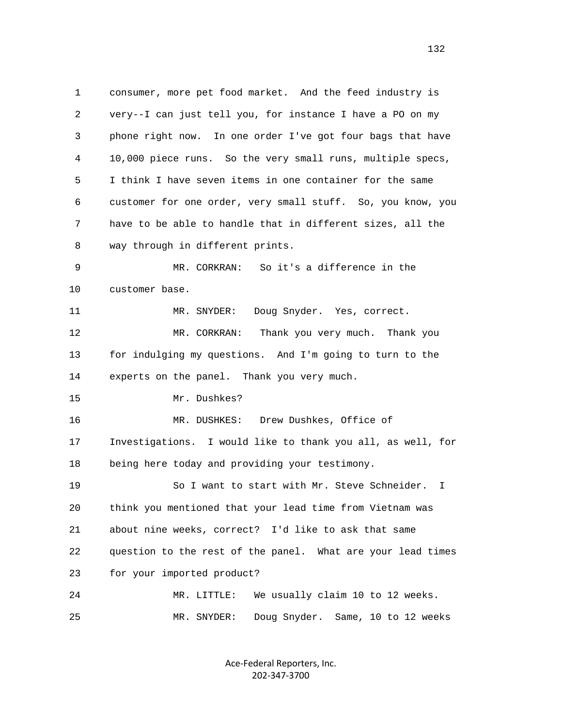1 consumer, more pet food market. And the feed industry is 2 very--I can just tell you, for instance I have a PO on my 3 phone right now. In one order I've got four bags that have 4 10,000 piece runs. So the very small runs, multiple specs, 5 I think I have seven items in one container for the same 6 customer for one order, very small stuff. So, you know, you 7 have to be able to handle that in different sizes, all the 8 way through in different prints. 9 MR. CORKRAN: So it's a difference in the 10 customer base. 11 MR. SNYDER: Doug Snyder. Yes, correct. 12 MR. CORKRAN: Thank you very much. Thank you 13 for indulging my questions. And I'm going to turn to the 14 experts on the panel. Thank you very much. 15 Mr. Dushkes? 16 MR. DUSHKES: Drew Dushkes, Office of 17 Investigations. I would like to thank you all, as well, for 18 being here today and providing your testimony. 19 So I want to start with Mr. Steve Schneider. I 20 think you mentioned that your lead time from Vietnam was 21 about nine weeks, correct? I'd like to ask that same 22 question to the rest of the panel. What are your lead times 23 for your imported product? 24 MR. LITTLE: We usually claim 10 to 12 weeks. 25 MR. SNYDER: Doug Snyder. Same, 10 to 12 weeks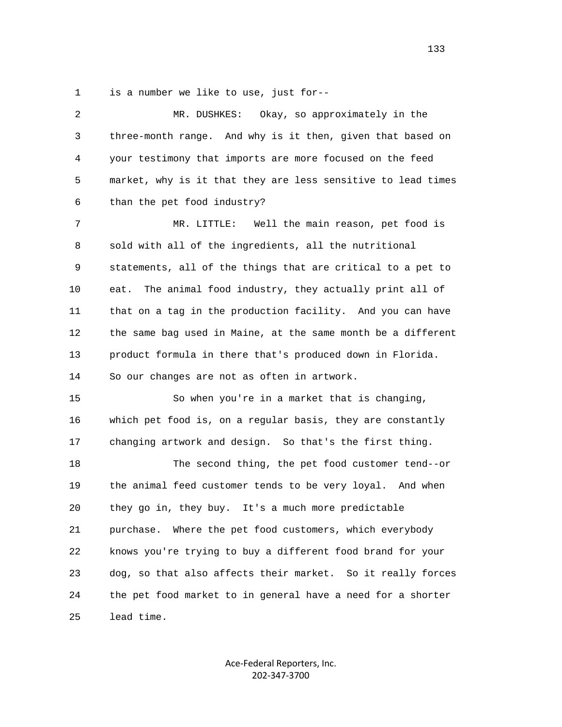1 is a number we like to use, just for--

| 2  | Okay, so approximately in the<br>MR. DUSHKES:                |
|----|--------------------------------------------------------------|
| 3  | three-month range. And why is it then, given that based on   |
| 4  | your testimony that imports are more focused on the feed     |
| 5  | market, why is it that they are less sensitive to lead times |
| 6  | than the pet food industry?                                  |
| 7  | Well the main reason, pet food is<br>MR. LITTLE:             |
| 8  | sold with all of the ingredients, all the nutritional        |
| 9  | statements, all of the things that are critical to a pet to  |
| 10 | The animal food industry, they actually print all of<br>eat. |
| 11 | that on a tag in the production facility. And you can have   |
| 12 | the same bag used in Maine, at the same month be a different |
| 13 | product formula in there that's produced down in Florida.    |
| 14 | So our changes are not as often in artwork.                  |
| 15 | So when you're in a market that is changing,                 |
| 16 | which pet food is, on a regular basis, they are constantly   |
| 17 | changing artwork and design. So that's the first thing.      |
| 18 | The second thing, the pet food customer tend--or             |
| 19 | the animal feed customer tends to be very loyal. And when    |
| 20 | they go in, they buy. It's a much more predictable           |
| 21 | purchase. Where the pet food customers, which everybody      |
| 22 | knows you're trying to buy a different food brand for your   |
| 23 | dog, so that also affects their market. So it really forces  |
| 24 | the pet food market to in general have a need for a shorter  |
| 25 | lead time.                                                   |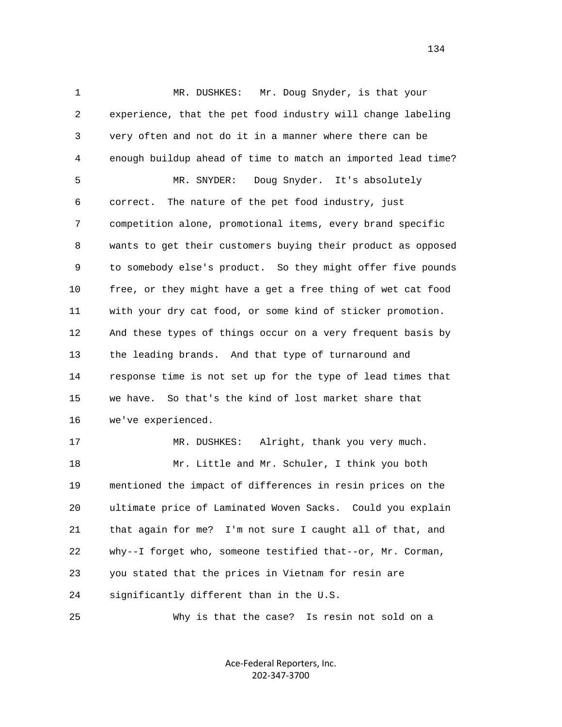1 MR. DUSHKES: Mr. Doug Snyder, is that your 2 experience, that the pet food industry will change labeling 3 very often and not do it in a manner where there can be 4 enough buildup ahead of time to match an imported lead time? 5 MR. SNYDER: Doug Snyder. It's absolutely 6 correct. The nature of the pet food industry, just 7 competition alone, promotional items, every brand specific 8 wants to get their customers buying their product as opposed 9 to somebody else's product. So they might offer five pounds 10 free, or they might have a get a free thing of wet cat food 11 with your dry cat food, or some kind of sticker promotion. 12 And these types of things occur on a very frequent basis by 13 the leading brands. And that type of turnaround and 14 response time is not set up for the type of lead times that 15 we have. So that's the kind of lost market share that 16 we've experienced. 17 MR. DUSHKES: Alright, thank you very much. 18 Mr. Little and Mr. Schuler, I think you both 19 mentioned the impact of differences in resin prices on the 20 ultimate price of Laminated Woven Sacks. Could you explain 21 that again for me? I'm not sure I caught all of that, and

22 why--I forget who, someone testified that--or, Mr. Corman,

23 you stated that the prices in Vietnam for resin are

24 significantly different than in the U.S.

25 Why is that the case? Is resin not sold on a

Ace-Federal Reporters, Inc. 202-347-3700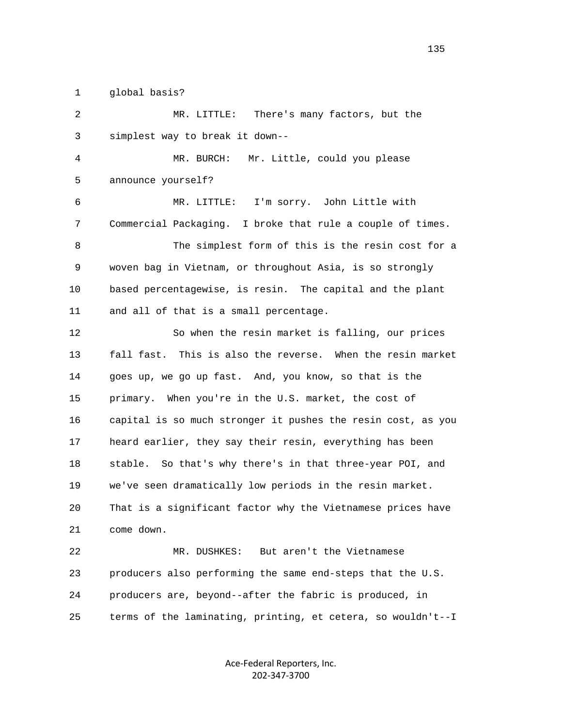1 global basis?

 2 MR. LITTLE: There's many factors, but the 3 simplest way to break it down-- 4 MR. BURCH: Mr. Little, could you please 5 announce yourself? 6 MR. LITTLE: I'm sorry. John Little with 7 Commercial Packaging. I broke that rule a couple of times. 8 The simplest form of this is the resin cost for a 9 woven bag in Vietnam, or throughout Asia, is so strongly 10 based percentagewise, is resin. The capital and the plant 11 and all of that is a small percentage. 12 So when the resin market is falling, our prices 13 fall fast. This is also the reverse. When the resin market 14 goes up, we go up fast. And, you know, so that is the 15 primary. When you're in the U.S. market, the cost of 16 capital is so much stronger it pushes the resin cost, as you 17 heard earlier, they say their resin, everything has been 18 stable. So that's why there's in that three-year POI, and 19 we've seen dramatically low periods in the resin market. 20 That is a significant factor why the Vietnamese prices have 21 come down. 22 MR. DUSHKES: But aren't the Vietnamese 23 producers also performing the same end-steps that the U.S. 24 producers are, beyond--after the fabric is produced, in 25 terms of the laminating, printing, et cetera, so wouldn't--I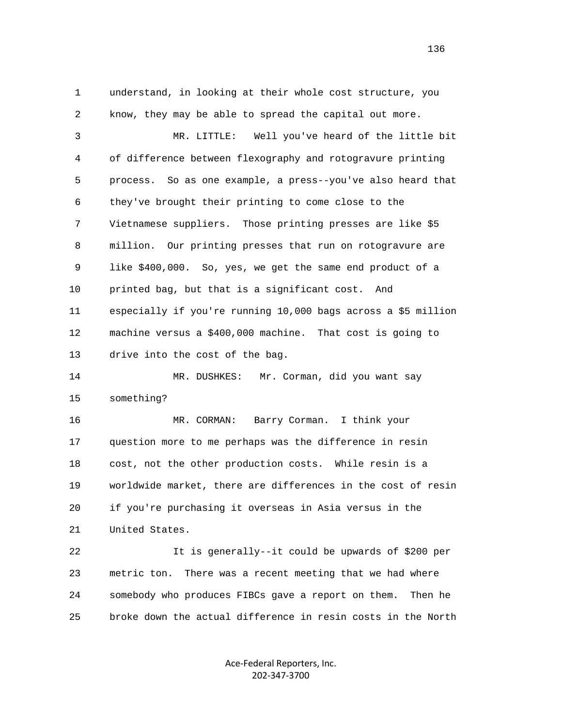1 understand, in looking at their whole cost structure, you 2 know, they may be able to spread the capital out more. 3 MR. LITTLE: Well you've heard of the little bit 4 of difference between flexography and rotogravure printing 5 process. So as one example, a press--you've also heard that 6 they've brought their printing to come close to the 7 Vietnamese suppliers. Those printing presses are like \$5 8 million. Our printing presses that run on rotogravure are 9 like \$400,000. So, yes, we get the same end product of a 10 printed bag, but that is a significant cost. And 11 especially if you're running 10,000 bags across a \$5 million 12 machine versus a \$400,000 machine. That cost is going to 13 drive into the cost of the bag. 14 MR. DUSHKES: Mr. Corman, did you want say

15 something?

 16 MR. CORMAN: Barry Corman. I think your 17 question more to me perhaps was the difference in resin 18 cost, not the other production costs. While resin is a 19 worldwide market, there are differences in the cost of resin 20 if you're purchasing it overseas in Asia versus in the 21 United States.

 22 It is generally--it could be upwards of \$200 per 23 metric ton. There was a recent meeting that we had where 24 somebody who produces FIBCs gave a report on them. Then he 25 broke down the actual difference in resin costs in the North

> Ace-Federal Reporters, Inc. 202-347-3700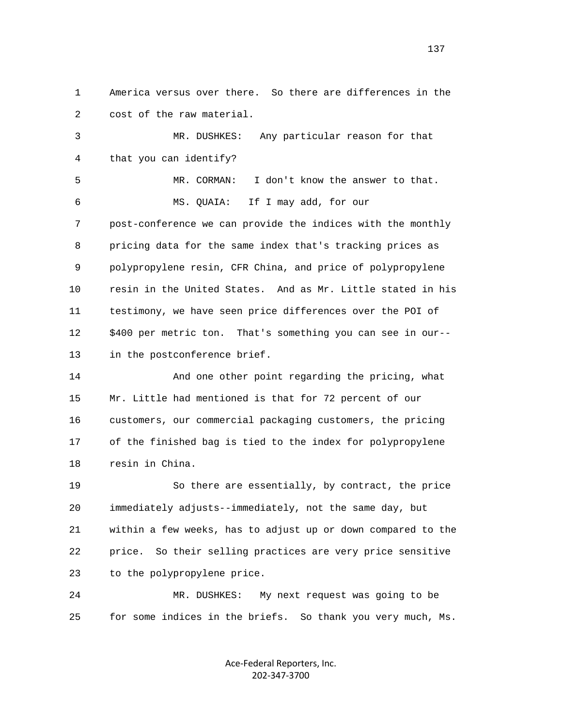1 America versus over there. So there are differences in the 2 cost of the raw material.

 3 MR. DUSHKES: Any particular reason for that 4 that you can identify? 5 MR. CORMAN: I don't know the answer to that. 6 MS. QUAIA: If I may add, for our 7 post-conference we can provide the indices with the monthly 8 pricing data for the same index that's tracking prices as 9 polypropylene resin, CFR China, and price of polypropylene 10 resin in the United States. And as Mr. Little stated in his

 11 testimony, we have seen price differences over the POI of 12 \$400 per metric ton. That's something you can see in our-- 13 in the postconference brief.

 14 And one other point regarding the pricing, what 15 Mr. Little had mentioned is that for 72 percent of our 16 customers, our commercial packaging customers, the pricing 17 of the finished bag is tied to the index for polypropylene 18 resin in China.

 19 So there are essentially, by contract, the price 20 immediately adjusts--immediately, not the same day, but 21 within a few weeks, has to adjust up or down compared to the 22 price. So their selling practices are very price sensitive 23 to the polypropylene price.

 24 MR. DUSHKES: My next request was going to be 25 for some indices in the briefs. So thank you very much, Ms.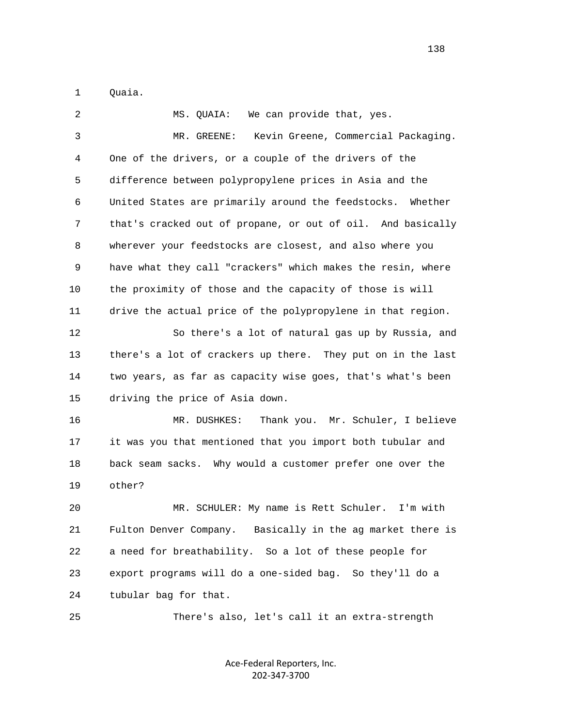1 Quaia.

| 2  | We can provide that, yes.<br>MS. QUAIA:                     |
|----|-------------------------------------------------------------|
| 3  | Kevin Greene, Commercial Packaging.<br>MR. GREENE:          |
| 4  | One of the drivers, or a couple of the drivers of the       |
| 5  | difference between polypropylene prices in Asia and the     |
| 6  | United States are primarily around the feedstocks. Whether  |
| 7  | that's cracked out of propane, or out of oil. And basically |
| 8  | wherever your feedstocks are closest, and also where you    |
| 9  | have what they call "crackers" which makes the resin, where |
| 10 | the proximity of those and the capacity of those is will    |
| 11 | drive the actual price of the polypropylene in that region. |
| 12 | So there's a lot of natural gas up by Russia, and           |
| 13 | there's a lot of crackers up there. They put on in the last |
| 14 | two years, as far as capacity wise goes, that's what's been |
| 15 | driving the price of Asia down.                             |
| 16 | Thank you. Mr. Schuler, I believe<br>MR. DUSHKES:           |
| 17 | it was you that mentioned that you import both tubular and  |
| 18 | back seam sacks. Why would a customer prefer one over the   |
| 19 | other?                                                      |
| 20 | MR. SCHULER: My name is Rett Schuler. I'm with              |
| 21 | Fulton Denver Company. Basically in the ag market there is  |
| 22 | a need for breathability. So a lot of these people for      |
| 23 | export programs will do a one-sided bag. So they'll do a    |
| 24 | tubular bag for that.                                       |
| 25 | There's also, let's call it an extra-strength               |

Ace-Federal Reporters, Inc. 202-347-3700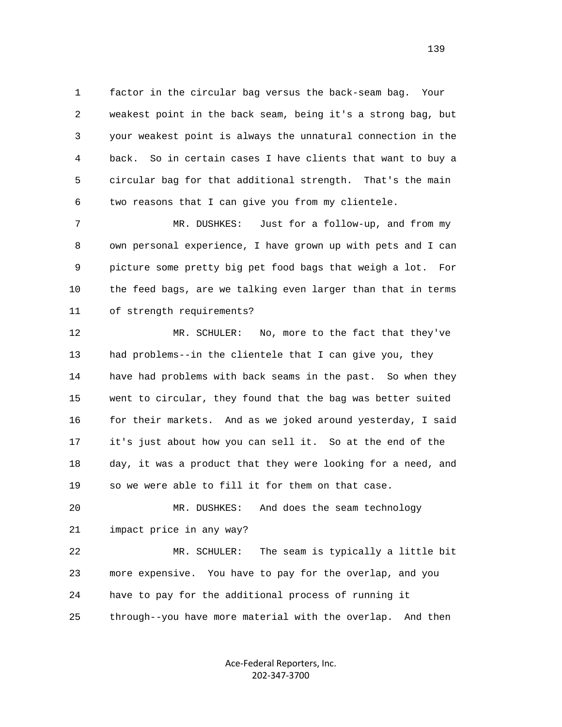1 factor in the circular bag versus the back-seam bag. Your 2 weakest point in the back seam, being it's a strong bag, but 3 your weakest point is always the unnatural connection in the 4 back. So in certain cases I have clients that want to buy a 5 circular bag for that additional strength. That's the main 6 two reasons that I can give you from my clientele.

 7 MR. DUSHKES: Just for a follow-up, and from my 8 own personal experience, I have grown up with pets and I can 9 picture some pretty big pet food bags that weigh a lot. For 10 the feed bags, are we talking even larger than that in terms 11 of strength requirements?

 12 MR. SCHULER: No, more to the fact that they've 13 had problems--in the clientele that I can give you, they 14 have had problems with back seams in the past. So when they 15 went to circular, they found that the bag was better suited 16 for their markets. And as we joked around yesterday, I said 17 it's just about how you can sell it. So at the end of the 18 day, it was a product that they were looking for a need, and 19 so we were able to fill it for them on that case.

 20 MR. DUSHKES: And does the seam technology 21 impact price in any way?

 22 MR. SCHULER: The seam is typically a little bit 23 more expensive. You have to pay for the overlap, and you 24 have to pay for the additional process of running it 25 through--you have more material with the overlap. And then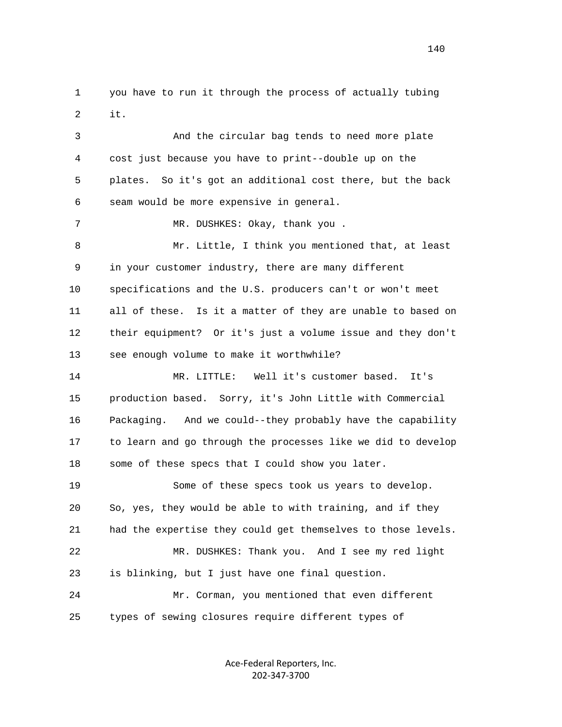1 you have to run it through the process of actually tubing 2 it.

> 3 And the circular bag tends to need more plate 4 cost just because you have to print--double up on the 5 plates. So it's got an additional cost there, but the back 6 seam would be more expensive in general. 7 MR. DUSHKES: Okay, thank you.

 8 Mr. Little, I think you mentioned that, at least 9 in your customer industry, there are many different 10 specifications and the U.S. producers can't or won't meet 11 all of these. Is it a matter of they are unable to based on 12 their equipment? Or it's just a volume issue and they don't 13 see enough volume to make it worthwhile?

 14 MR. LITTLE: Well it's customer based. It's 15 production based. Sorry, it's John Little with Commercial 16 Packaging. And we could--they probably have the capability 17 to learn and go through the processes like we did to develop 18 some of these specs that I could show you later.

 19 Some of these specs took us years to develop. 20 So, yes, they would be able to with training, and if they 21 had the expertise they could get themselves to those levels. 22 MR. DUSHKES: Thank you. And I see my red light 23 is blinking, but I just have one final question.

 24 Mr. Corman, you mentioned that even different 25 types of sewing closures require different types of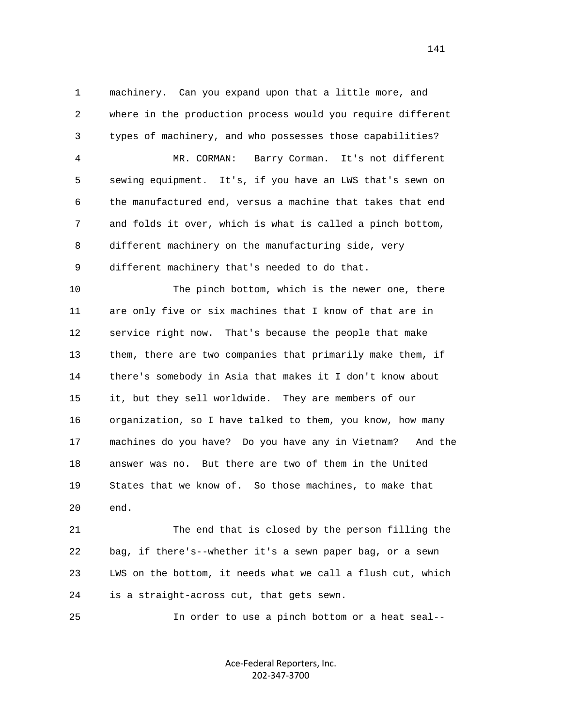1 machinery. Can you expand upon that a little more, and 2 where in the production process would you require different 3 types of machinery, and who possesses those capabilities? 4 MR. CORMAN: Barry Corman. It's not different 5 sewing equipment. It's, if you have an LWS that's sewn on 6 the manufactured end, versus a machine that takes that end 7 and folds it over, which is what is called a pinch bottom, 8 different machinery on the manufacturing side, very 9 different machinery that's needed to do that.

 10 The pinch bottom, which is the newer one, there 11 are only five or six machines that I know of that are in 12 service right now. That's because the people that make 13 them, there are two companies that primarily make them, if 14 there's somebody in Asia that makes it I don't know about 15 it, but they sell worldwide. They are members of our 16 organization, so I have talked to them, you know, how many 17 machines do you have? Do you have any in Vietnam? And the 18 answer was no. But there are two of them in the United 19 States that we know of. So those machines, to make that 20 end.

 21 The end that is closed by the person filling the 22 bag, if there's--whether it's a sewn paper bag, or a sewn 23 LWS on the bottom, it needs what we call a flush cut, which 24 is a straight-across cut, that gets sewn.

25 In order to use a pinch bottom or a heat seal--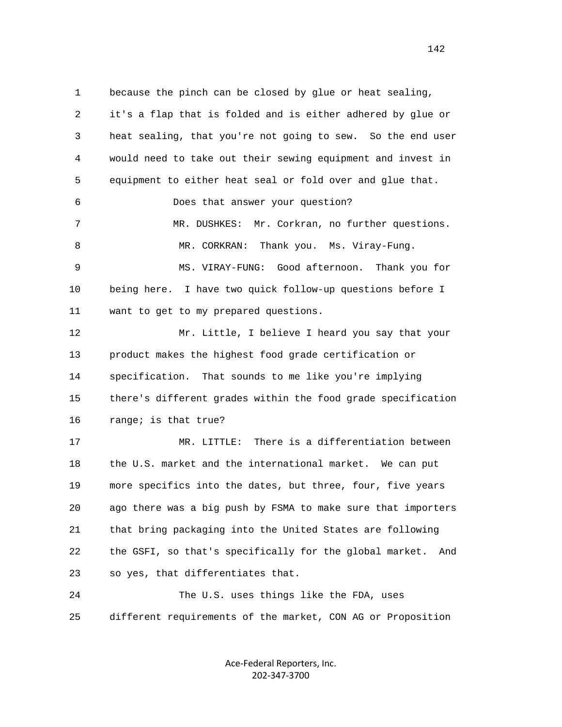1 because the pinch can be closed by glue or heat sealing, 2 it's a flap that is folded and is either adhered by glue or 3 heat sealing, that you're not going to sew. So the end user 4 would need to take out their sewing equipment and invest in 5 equipment to either heat seal or fold over and glue that. 6 Does that answer your question? 7 MR. DUSHKES: Mr. Corkran, no further questions. 8 MR. CORKRAN: Thank you. Ms. Viray-Fung. 9 MS. VIRAY-FUNG: Good afternoon. Thank you for 10 being here. I have two quick follow-up questions before I 11 want to get to my prepared questions. 12 Mr. Little, I believe I heard you say that your 13 product makes the highest food grade certification or 14 specification. That sounds to me like you're implying 15 there's different grades within the food grade specification 16 range; is that true? 17 MR. LITTLE: There is a differentiation between 18 the U.S. market and the international market. We can put 19 more specifics into the dates, but three, four, five years 20 ago there was a big push by FSMA to make sure that importers 21 that bring packaging into the United States are following 22 the GSFI, so that's specifically for the global market. And 23 so yes, that differentiates that. 24 The U.S. uses things like the FDA, uses 25 different requirements of the market, CON AG or Proposition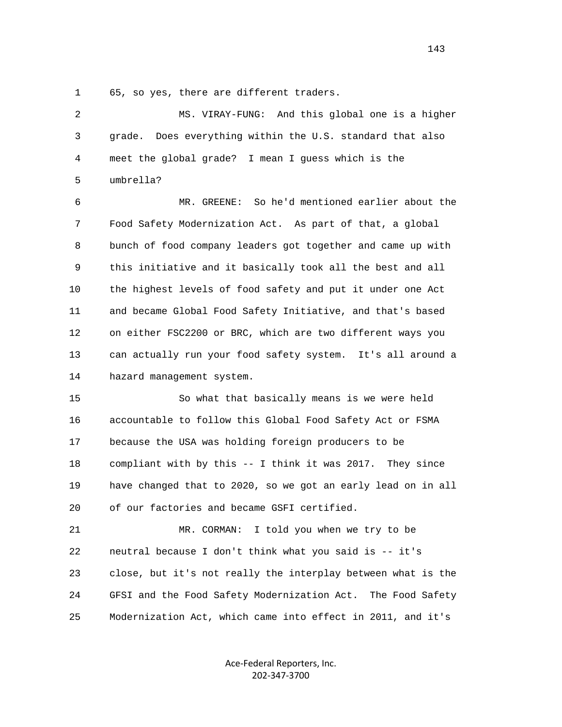1 65, so yes, there are different traders.

 2 MS. VIRAY-FUNG: And this global one is a higher 3 grade. Does everything within the U.S. standard that also 4 meet the global grade? I mean I guess which is the 5 umbrella?

 6 MR. GREENE: So he'd mentioned earlier about the 7 Food Safety Modernization Act. As part of that, a global 8 bunch of food company leaders got together and came up with 9 this initiative and it basically took all the best and all 10 the highest levels of food safety and put it under one Act 11 and became Global Food Safety Initiative, and that's based 12 on either FSC2200 or BRC, which are two different ways you 13 can actually run your food safety system. It's all around a 14 hazard management system.

 15 So what that basically means is we were held 16 accountable to follow this Global Food Safety Act or FSMA 17 because the USA was holding foreign producers to be 18 compliant with by this -- I think it was 2017. They since 19 have changed that to 2020, so we got an early lead on in all 20 of our factories and became GSFI certified.

 21 MR. CORMAN: I told you when we try to be 22 neutral because I don't think what you said is -- it's 23 close, but it's not really the interplay between what is the 24 GFSI and the Food Safety Modernization Act. The Food Safety 25 Modernization Act, which came into effect in 2011, and it's

> Ace-Federal Reporters, Inc. 202-347-3700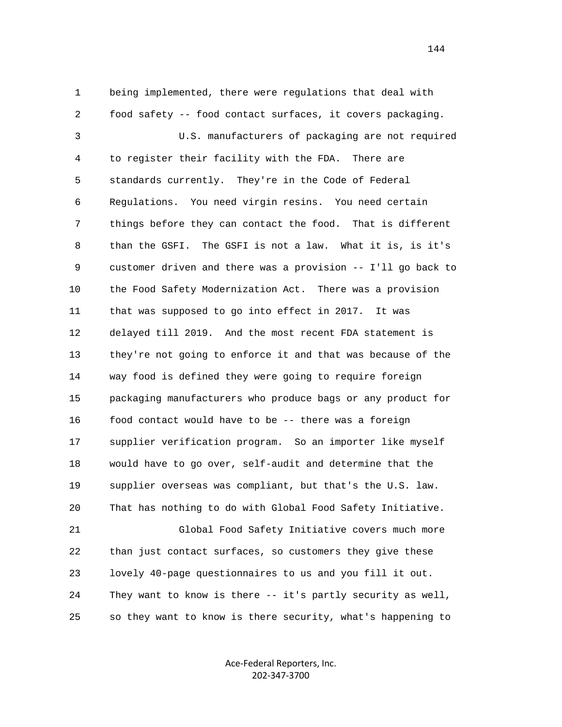1 being implemented, there were regulations that deal with 2 food safety -- food contact surfaces, it covers packaging. 3 U.S. manufacturers of packaging are not required 4 to register their facility with the FDA. There are 5 standards currently. They're in the Code of Federal 6 Regulations. You need virgin resins. You need certain 7 things before they can contact the food. That is different 8 than the GSFI. The GSFI is not a law. What it is, is it's 9 customer driven and there was a provision -- I'll go back to 10 the Food Safety Modernization Act. There was a provision 11 that was supposed to go into effect in 2017. It was 12 delayed till 2019. And the most recent FDA statement is 13 they're not going to enforce it and that was because of the 14 way food is defined they were going to require foreign 15 packaging manufacturers who produce bags or any product for 16 food contact would have to be -- there was a foreign 17 supplier verification program. So an importer like myself 18 would have to go over, self-audit and determine that the 19 supplier overseas was compliant, but that's the U.S. law. 20 That has nothing to do with Global Food Safety Initiative.

 21 Global Food Safety Initiative covers much more 22 than just contact surfaces, so customers they give these 23 lovely 40-page questionnaires to us and you fill it out. 24 They want to know is there -- it's partly security as well, 25 so they want to know is there security, what's happening to

> Ace-Federal Reporters, Inc. 202-347-3700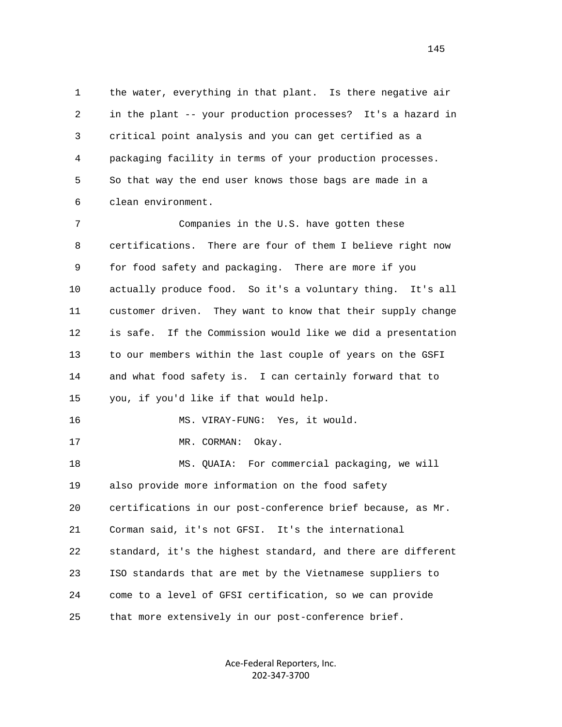1 the water, everything in that plant. Is there negative air 2 in the plant -- your production processes? It's a hazard in 3 critical point analysis and you can get certified as a 4 packaging facility in terms of your production processes. 5 So that way the end user knows those bags are made in a 6 clean environment.

 7 Companies in the U.S. have gotten these 8 certifications. There are four of them I believe right now 9 for food safety and packaging. There are more if you 10 actually produce food. So it's a voluntary thing. It's all 11 customer driven. They want to know that their supply change 12 is safe. If the Commission would like we did a presentation 13 to our members within the last couple of years on the GSFI 14 and what food safety is. I can certainly forward that to 15 you, if you'd like if that would help. 16 MS. VIRAY-FUNG: Yes, it would. 17 MR. CORMAN: Okay. 18 MS. QUAIA: For commercial packaging, we will 19 also provide more information on the food safety 20 certifications in our post-conference brief because, as Mr. 21 Corman said, it's not GFSI. It's the international 22 standard, it's the highest standard, and there are different 23 ISO standards that are met by the Vietnamese suppliers to 24 come to a level of GFSI certification, so we can provide 25 that more extensively in our post-conference brief.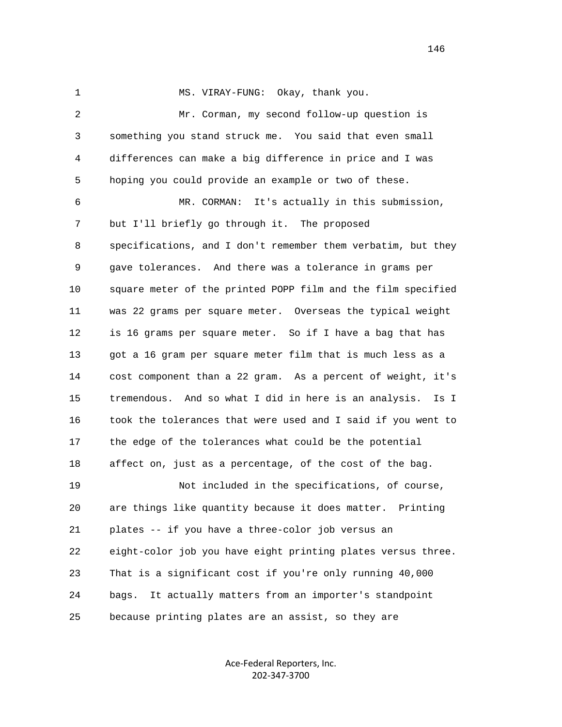1 MS. VIRAY-FUNG: Okay, thank you. 2 Mr. Corman, my second follow-up question is 3 something you stand struck me. You said that even small 4 differences can make a big difference in price and I was 5 hoping you could provide an example or two of these. 6 MR. CORMAN: It's actually in this submission, 7 but I'll briefly go through it. The proposed 8 specifications, and I don't remember them verbatim, but they 9 gave tolerances. And there was a tolerance in grams per 10 square meter of the printed POPP film and the film specified 11 was 22 grams per square meter. Overseas the typical weight 12 is 16 grams per square meter. So if I have a bag that has 13 got a 16 gram per square meter film that is much less as a 14 cost component than a 22 gram. As a percent of weight, it's 15 tremendous. And so what I did in here is an analysis. Is I 16 took the tolerances that were used and I said if you went to 17 the edge of the tolerances what could be the potential 18 affect on, just as a percentage, of the cost of the bag. 19 Not included in the specifications, of course, 20 are things like quantity because it does matter. Printing 21 plates -- if you have a three-color job versus an 22 eight-color job you have eight printing plates versus three. 23 That is a significant cost if you're only running 40,000 24 bags. It actually matters from an importer's standpoint 25 because printing plates are an assist, so they are

> Ace-Federal Reporters, Inc. 202-347-3700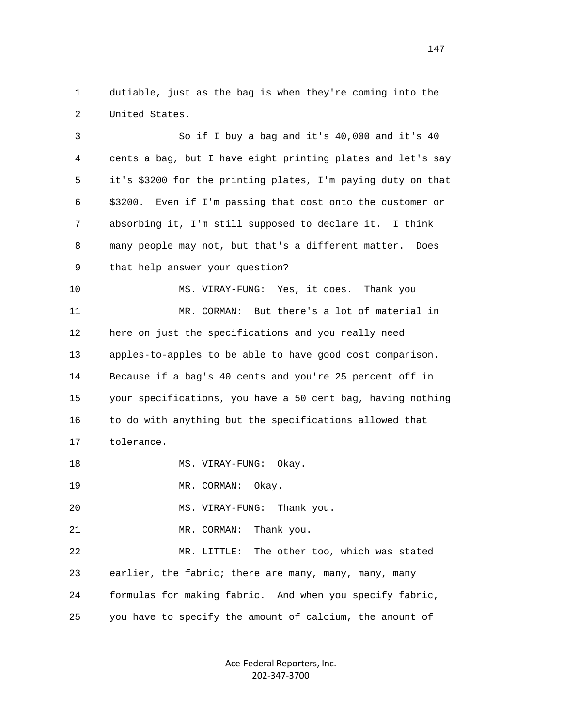1 dutiable, just as the bag is when they're coming into the 2 United States.

 3 So if I buy a bag and it's 40,000 and it's 40 4 cents a bag, but I have eight printing plates and let's say 5 it's \$3200 for the printing plates, I'm paying duty on that 6 \$3200. Even if I'm passing that cost onto the customer or 7 absorbing it, I'm still supposed to declare it. I think 8 many people may not, but that's a different matter. Does 9 that help answer your question? 10 MS. VIRAY-FUNG: Yes, it does. Thank you 11 MR. CORMAN: But there's a lot of material in 12 here on just the specifications and you really need 13 apples-to-apples to be able to have good cost comparison. 14 Because if a bag's 40 cents and you're 25 percent off in 15 your specifications, you have a 50 cent bag, having nothing 16 to do with anything but the specifications allowed that 17 tolerance. 18 MS. VIRAY-FUNG: Okay. 19 MR. CORMAN: Okay. 20 MS. VIRAY-FUNG: Thank you. 21 MR. CORMAN: Thank you. 22 MR. LITTLE: The other too, which was stated 23 earlier, the fabric; there are many, many, many, many

 24 formulas for making fabric. And when you specify fabric, 25 you have to specify the amount of calcium, the amount of

> Ace-Federal Reporters, Inc. 202-347-3700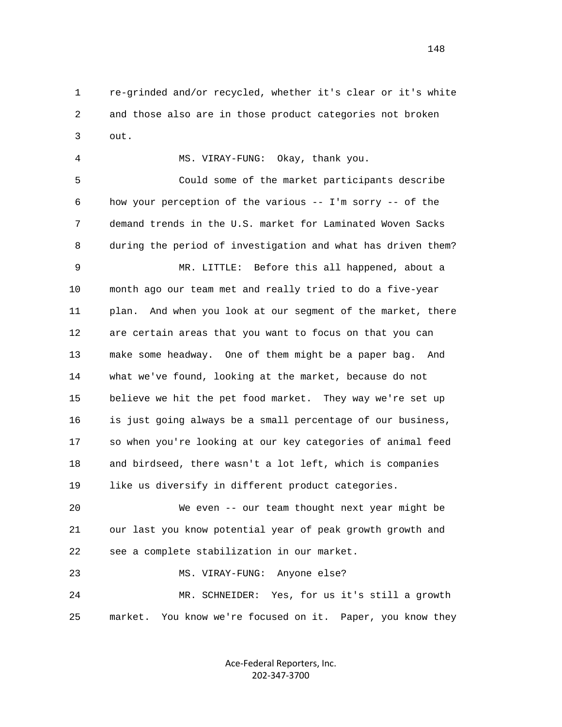1 re-grinded and/or recycled, whether it's clear or it's white 2 and those also are in those product categories not broken 3 out.

 4 MS. VIRAY-FUNG: Okay, thank you. 5 Could some of the market participants describe 6 how your perception of the various -- I'm sorry -- of the 7 demand trends in the U.S. market for Laminated Woven Sacks 8 during the period of investigation and what has driven them? 9 MR. LITTLE: Before this all happened, about a 10 month ago our team met and really tried to do a five-year 11 plan. And when you look at our segment of the market, there 12 are certain areas that you want to focus on that you can 13 make some headway. One of them might be a paper bag. And

 14 what we've found, looking at the market, because do not 15 believe we hit the pet food market. They way we're set up 16 is just going always be a small percentage of our business, 17 so when you're looking at our key categories of animal feed 18 and birdseed, there wasn't a lot left, which is companies 19 like us diversify in different product categories.

 20 We even -- our team thought next year might be 21 our last you know potential year of peak growth growth and 22 see a complete stabilization in our market.

23 MS. VIRAY-FUNG: Anyone else?

 24 MR. SCHNEIDER: Yes, for us it's still a growth 25 market. You know we're focused on it. Paper, you know they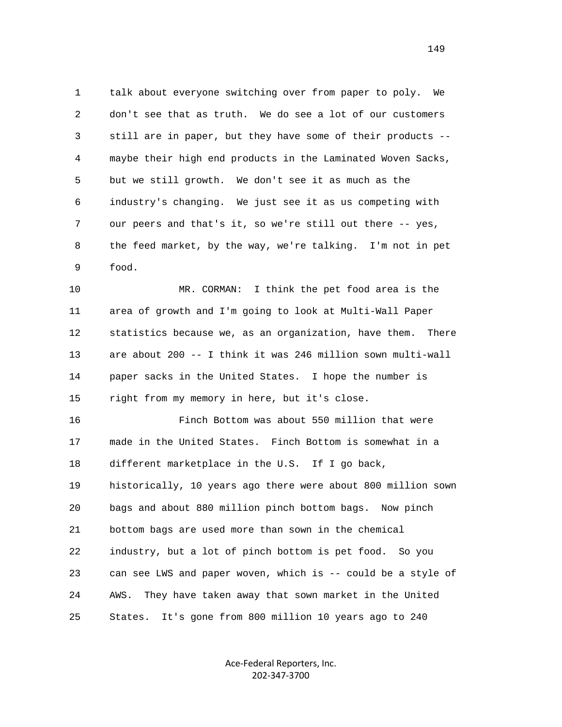1 talk about everyone switching over from paper to poly. We 2 don't see that as truth. We do see a lot of our customers 3 still are in paper, but they have some of their products -- 4 maybe their high end products in the Laminated Woven Sacks, 5 but we still growth. We don't see it as much as the 6 industry's changing. We just see it as us competing with 7 our peers and that's it, so we're still out there -- yes, 8 the feed market, by the way, we're talking. I'm not in pet 9 food.

 10 MR. CORMAN: I think the pet food area is the 11 area of growth and I'm going to look at Multi-Wall Paper 12 statistics because we, as an organization, have them. There 13 are about 200 -- I think it was 246 million sown multi-wall 14 paper sacks in the United States. I hope the number is 15 right from my memory in here, but it's close.

 16 Finch Bottom was about 550 million that were 17 made in the United States. Finch Bottom is somewhat in a 18 different marketplace in the U.S. If I go back, 19 historically, 10 years ago there were about 800 million sown 20 bags and about 880 million pinch bottom bags. Now pinch 21 bottom bags are used more than sown in the chemical 22 industry, but a lot of pinch bottom is pet food. So you 23 can see LWS and paper woven, which is -- could be a style of 24 AWS. They have taken away that sown market in the United 25 States. It's gone from 800 million 10 years ago to 240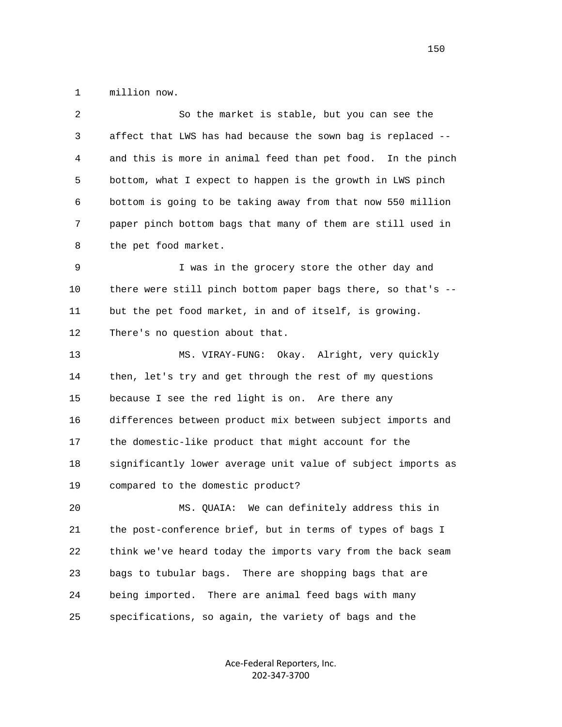1 million now.

| 2  | So the market is stable, but you can see the                 |
|----|--------------------------------------------------------------|
| 3  | affect that LWS has had because the sown bag is replaced --  |
| 4  | and this is more in animal feed than pet food. In the pinch  |
| 5  | bottom, what I expect to happen is the growth in LWS pinch   |
| 6  | bottom is going to be taking away from that now 550 million  |
| 7  | paper pinch bottom bags that many of them are still used in  |
| 8  | the pet food market.                                         |
| 9  | I was in the grocery store the other day and                 |
| 10 | there were still pinch bottom paper bags there, so that's -- |
| 11 | but the pet food market, in and of itself, is growing.       |
| 12 | There's no question about that.                              |
| 13 | MS. VIRAY-FUNG: Okay. Alright, very quickly                  |
| 14 | then, let's try and get through the rest of my questions     |
| 15 | because I see the red light is on. Are there any             |
| 16 | differences between product mix between subject imports and  |
| 17 | the domestic-like product that might account for the         |
| 18 | significantly lower average unit value of subject imports as |
| 19 | compared to the domestic product?                            |
| 20 | MS. QUAIA: We can definitely address this in                 |
| 21 | the post-conference brief, but in terms of types of bags I   |
| 22 | think we've heard today the imports vary from the back seam  |
| 23 | There are shopping bags that are<br>bags to tubular bags.    |
| 24 | There are animal feed bags with many<br>being imported.      |
| 25 | specifications, so again, the variety of bags and the        |
|    |                                                              |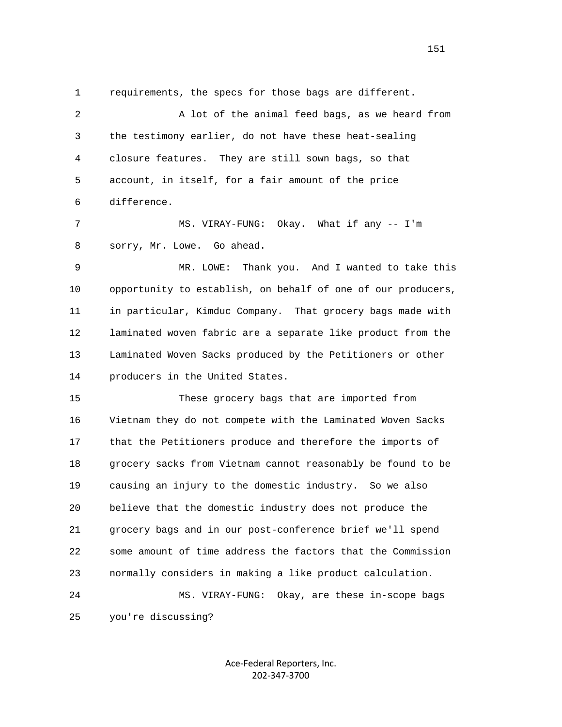1 requirements, the specs for those bags are different.

 2 A lot of the animal feed bags, as we heard from 3 the testimony earlier, do not have these heat-sealing 4 closure features. They are still sown bags, so that 5 account, in itself, for a fair amount of the price 6 difference. 7 MS. VIRAY-FUNG: Okay. What if any -- I'm 8 sorry, Mr. Lowe. Go ahead. 9 MR. LOWE: Thank you. And I wanted to take this

 10 opportunity to establish, on behalf of one of our producers, 11 in particular, Kimduc Company. That grocery bags made with 12 laminated woven fabric are a separate like product from the 13 Laminated Woven Sacks produced by the Petitioners or other 14 producers in the United States.

 15 These grocery bags that are imported from 16 Vietnam they do not compete with the Laminated Woven Sacks 17 that the Petitioners produce and therefore the imports of 18 grocery sacks from Vietnam cannot reasonably be found to be 19 causing an injury to the domestic industry. So we also 20 believe that the domestic industry does not produce the 21 grocery bags and in our post-conference brief we'll spend 22 some amount of time address the factors that the Commission 23 normally considers in making a like product calculation. 24 MS. VIRAY-FUNG: Okay, are these in-scope bags

25 you're discussing?

Ace-Federal Reporters, Inc. 202-347-3700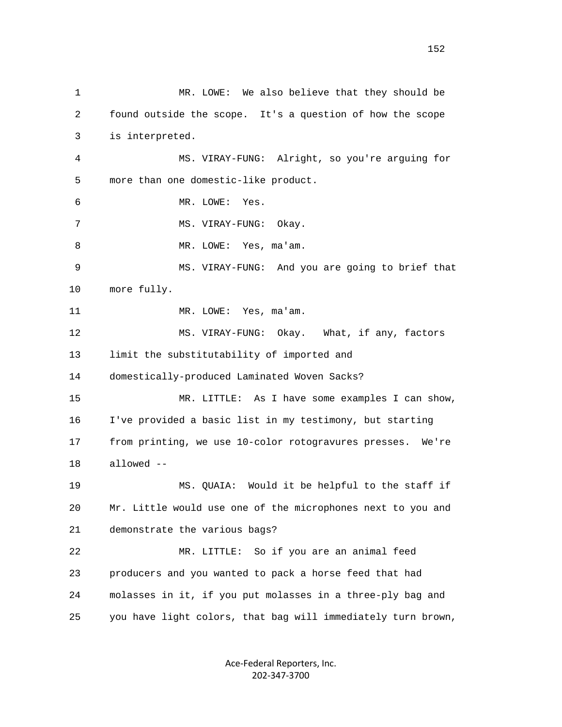1 MR. LOWE: We also believe that they should be 2 found outside the scope. It's a question of how the scope 3 is interpreted. 4 MS. VIRAY-FUNG: Alright, so you're arguing for 5 more than one domestic-like product. 6 MR. LOWE: Yes. 7 MS. VIRAY-FUNG: Okay. 8 MR. LOWE: Yes, ma'am. 9 MS. VIRAY-FUNG: And you are going to brief that 10 more fully. 11 MR. LOWE: Yes, ma'am. 12 MS. VIRAY-FUNG: Okay. What, if any, factors 13 limit the substitutability of imported and 14 domestically-produced Laminated Woven Sacks? 15 MR. LITTLE: As I have some examples I can show, 16 I've provided a basic list in my testimony, but starting 17 from printing, we use 10-color rotogravures presses. We're 18 allowed -- 19 MS. QUAIA: Would it be helpful to the staff if 20 Mr. Little would use one of the microphones next to you and 21 demonstrate the various bags? 22 MR. LITTLE: So if you are an animal feed 23 producers and you wanted to pack a horse feed that had 24 molasses in it, if you put molasses in a three-ply bag and 25 you have light colors, that bag will immediately turn brown,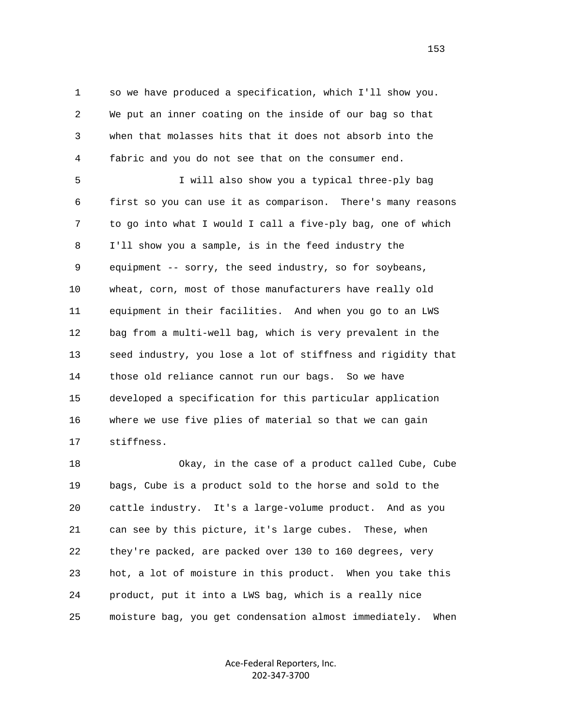1 so we have produced a specification, which I'll show you. 2 We put an inner coating on the inside of our bag so that 3 when that molasses hits that it does not absorb into the 4 fabric and you do not see that on the consumer end.

 5 I will also show you a typical three-ply bag 6 first so you can use it as comparison. There's many reasons 7 to go into what I would I call a five-ply bag, one of which 8 I'll show you a sample, is in the feed industry the 9 equipment -- sorry, the seed industry, so for soybeans, 10 wheat, corn, most of those manufacturers have really old 11 equipment in their facilities. And when you go to an LWS 12 bag from a multi-well bag, which is very prevalent in the 13 seed industry, you lose a lot of stiffness and rigidity that 14 those old reliance cannot run our bags. So we have 15 developed a specification for this particular application 16 where we use five plies of material so that we can gain 17 stiffness.

 18 Okay, in the case of a product called Cube, Cube 19 bags, Cube is a product sold to the horse and sold to the 20 cattle industry. It's a large-volume product. And as you 21 can see by this picture, it's large cubes. These, when 22 they're packed, are packed over 130 to 160 degrees, very 23 hot, a lot of moisture in this product. When you take this 24 product, put it into a LWS bag, which is a really nice 25 moisture bag, you get condensation almost immediately. When

> Ace-Federal Reporters, Inc. 202-347-3700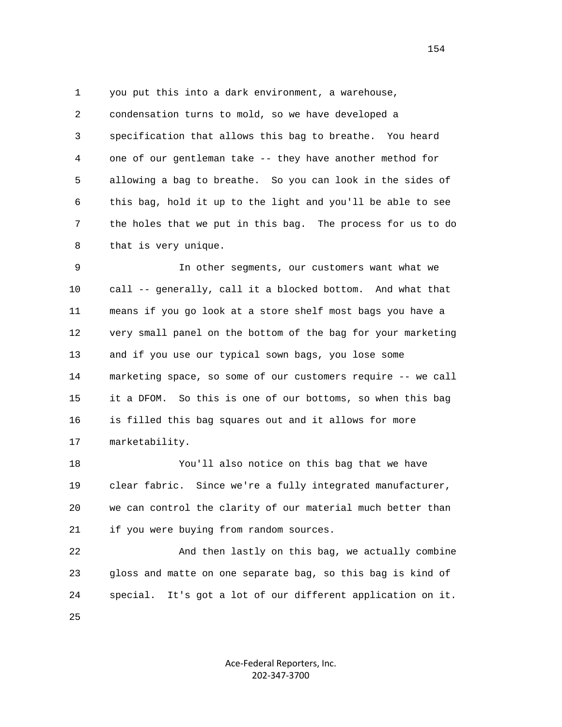1 you put this into a dark environment, a warehouse, 2 condensation turns to mold, so we have developed a 3 specification that allows this bag to breathe. You heard 4 one of our gentleman take -- they have another method for 5 allowing a bag to breathe. So you can look in the sides of 6 this bag, hold it up to the light and you'll be able to see 7 the holes that we put in this bag. The process for us to do 8 that is very unique.

 9 In other segments, our customers want what we 10 call -- generally, call it a blocked bottom. And what that 11 means if you go look at a store shelf most bags you have a 12 very small panel on the bottom of the bag for your marketing 13 and if you use our typical sown bags, you lose some 14 marketing space, so some of our customers require -- we call 15 it a DFOM. So this is one of our bottoms, so when this bag 16 is filled this bag squares out and it allows for more 17 marketability.

 18 You'll also notice on this bag that we have 19 clear fabric. Since we're a fully integrated manufacturer, 20 we can control the clarity of our material much better than 21 if you were buying from random sources.

22 And then lastly on this bag, we actually combine 23 gloss and matte on one separate bag, so this bag is kind of 24 special. It's got a lot of our different application on it.

25

Ace-Federal Reporters, Inc. 202-347-3700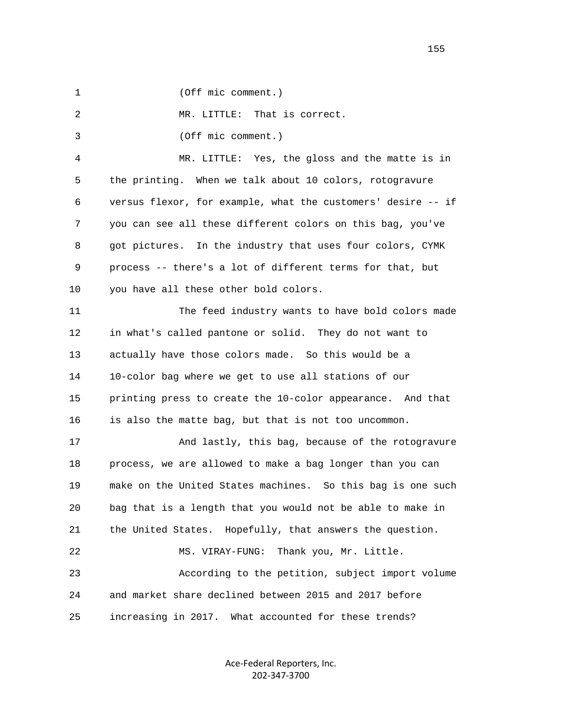1 (Off mic comment.)

2 MR. LITTLE: That is correct.

3 (Off mic comment.)

 4 MR. LITTLE: Yes, the gloss and the matte is in 5 the printing. When we talk about 10 colors, rotogravure 6 versus flexor, for example, what the customers' desire -- if 7 you can see all these different colors on this bag, you've 8 got pictures. In the industry that uses four colors, CYMK 9 process -- there's a lot of different terms for that, but 10 you have all these other bold colors.

 11 The feed industry wants to have bold colors made 12 in what's called pantone or solid. They do not want to 13 actually have those colors made. So this would be a 14 10-color bag where we get to use all stations of our 15 printing press to create the 10-color appearance. And that 16 is also the matte bag, but that is not too uncommon.

17 And lastly, this bag, because of the rotogravure 18 process, we are allowed to make a bag longer than you can 19 make on the United States machines. So this bag is one such 20 bag that is a length that you would not be able to make in 21 the United States. Hopefully, that answers the question. 22 MS. VIRAY-FUNG: Thank you, Mr. Little. 23 According to the petition, subject import volume 24 and market share declined between 2015 and 2017 before 25 increasing in 2017. What accounted for these trends?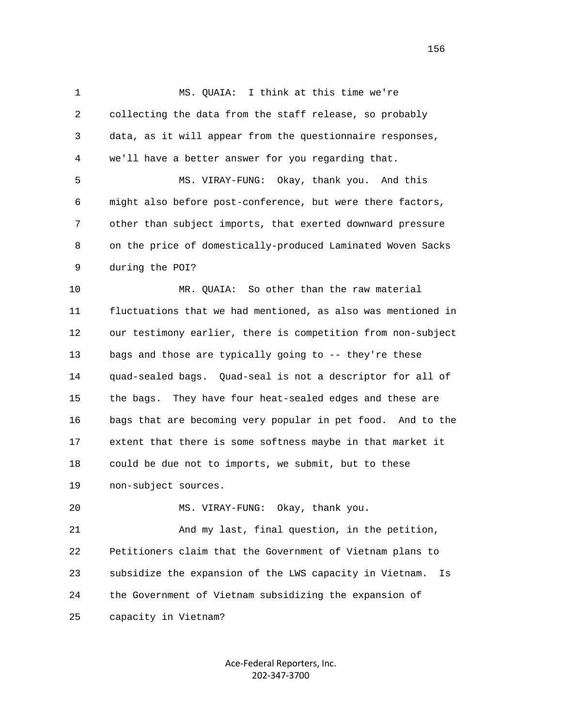1 MS. QUAIA: I think at this time we're 2 collecting the data from the staff release, so probably 3 data, as it will appear from the questionnaire responses, 4 we'll have a better answer for you regarding that. 5 MS. VIRAY-FUNG: Okay, thank you. And this 6 might also before post-conference, but were there factors, 7 other than subject imports, that exerted downward pressure 8 on the price of domestically-produced Laminated Woven Sacks 9 during the POI? 10 MR. QUAIA: So other than the raw material 11 fluctuations that we had mentioned, as also was mentioned in 12 our testimony earlier, there is competition from non-subject 13 bags and those are typically going to -- they're these 14 quad-sealed bags. Quad-seal is not a descriptor for all of 15 the bags. They have four heat-sealed edges and these are 16 bags that are becoming very popular in pet food. And to the 17 extent that there is some softness maybe in that market it 18 could be due not to imports, we submit, but to these 19 non-subject sources. 20 MS. VIRAY-FUNG: Okay, thank you. 21 And my last, final question, in the petition, 22 Petitioners claim that the Government of Vietnam plans to 23 subsidize the expansion of the LWS capacity in Vietnam. Is 24 the Government of Vietnam subsidizing the expansion of 25 capacity in Vietnam?

> Ace-Federal Reporters, Inc. 202-347-3700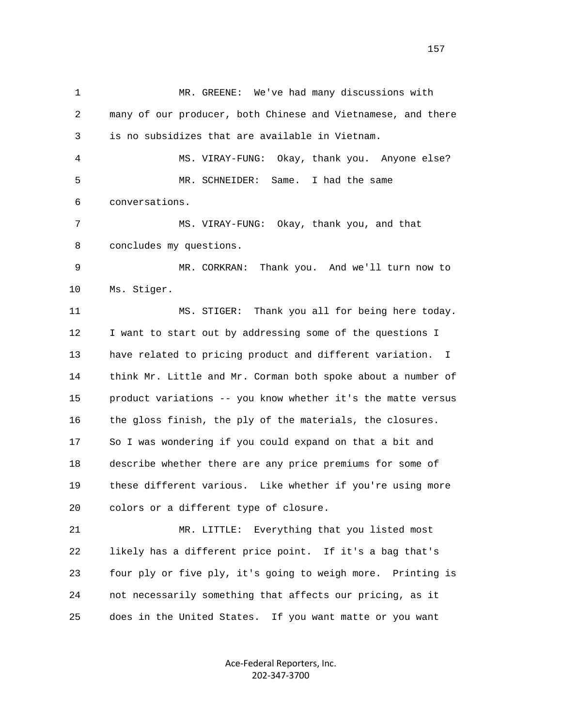1 MR. GREENE: We've had many discussions with 2 many of our producer, both Chinese and Vietnamese, and there 3 is no subsidizes that are available in Vietnam. 4 MS. VIRAY-FUNG: Okay, thank you. Anyone else? 5 MR. SCHNEIDER: Same. I had the same 6 conversations. 7 MS. VIRAY-FUNG: Okay, thank you, and that 8 concludes my questions. 9 MR. CORKRAN: Thank you. And we'll turn now to 10 Ms. Stiger. 11 MS. STIGER: Thank you all for being here today. 12 I want to start out by addressing some of the questions I 13 have related to pricing product and different variation. I 14 think Mr. Little and Mr. Corman both spoke about a number of 15 product variations -- you know whether it's the matte versus 16 the gloss finish, the ply of the materials, the closures. 17 So I was wondering if you could expand on that a bit and 18 describe whether there are any price premiums for some of 19 these different various. Like whether if you're using more 20 colors or a different type of closure. 21 MR. LITTLE: Everything that you listed most 22 likely has a different price point. If it's a bag that's 23 four ply or five ply, it's going to weigh more. Printing is 24 not necessarily something that affects our pricing, as it 25 does in the United States. If you want matte or you want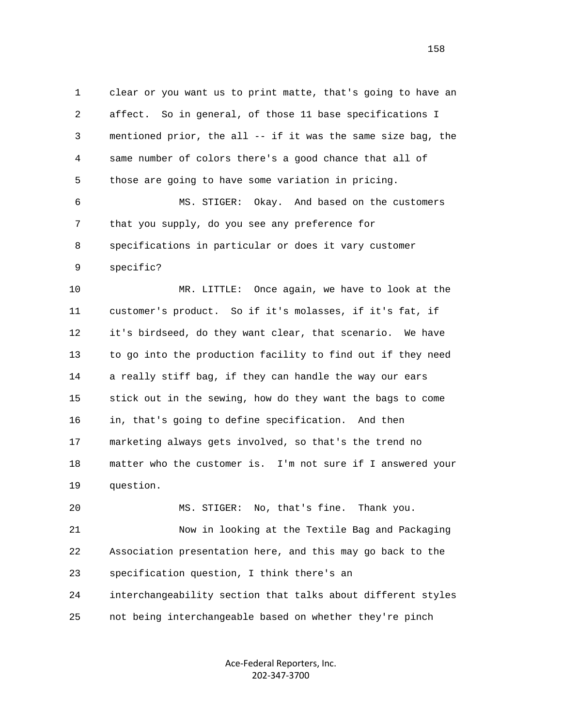1 clear or you want us to print matte, that's going to have an 2 affect. So in general, of those 11 base specifications I 3 mentioned prior, the all -- if it was the same size bag, the 4 same number of colors there's a good chance that all of 5 those are going to have some variation in pricing. 6 MS. STIGER: Okay. And based on the customers 7 that you supply, do you see any preference for

 8 specifications in particular or does it vary customer 9 specific?

 10 MR. LITTLE: Once again, we have to look at the 11 customer's product. So if it's molasses, if it's fat, if 12 it's birdseed, do they want clear, that scenario. We have 13 to go into the production facility to find out if they need 14 a really stiff bag, if they can handle the way our ears 15 stick out in the sewing, how do they want the bags to come 16 in, that's going to define specification. And then 17 marketing always gets involved, so that's the trend no 18 matter who the customer is. I'm not sure if I answered your 19 question.

 20 MS. STIGER: No, that's fine. Thank you. 21 Now in looking at the Textile Bag and Packaging 22 Association presentation here, and this may go back to the 23 specification question, I think there's an 24 interchangeability section that talks about different styles

25 not being interchangeable based on whether they're pinch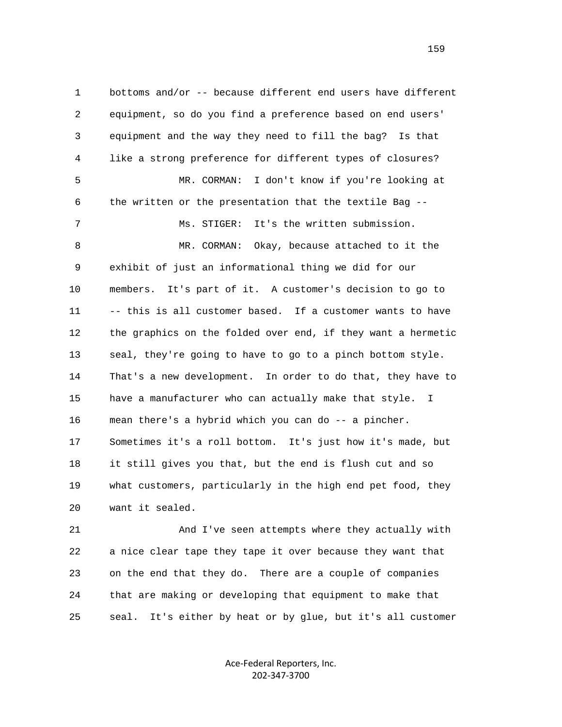1 bottoms and/or -- because different end users have different 2 equipment, so do you find a preference based on end users' 3 equipment and the way they need to fill the bag? Is that 4 like a strong preference for different types of closures? 5 MR. CORMAN: I don't know if you're looking at 6 the written or the presentation that the textile Bag -- 7 Ms. STIGER: It's the written submission. 8 MR. CORMAN: Okay, because attached to it the 9 exhibit of just an informational thing we did for our 10 members. It's part of it. A customer's decision to go to 11 -- this is all customer based. If a customer wants to have 12 the graphics on the folded over end, if they want a hermetic 13 seal, they're going to have to go to a pinch bottom style. 14 That's a new development. In order to do that, they have to 15 have a manufacturer who can actually make that style. I 16 mean there's a hybrid which you can do -- a pincher. 17 Sometimes it's a roll bottom. It's just how it's made, but 18 it still gives you that, but the end is flush cut and so 19 what customers, particularly in the high end pet food, they 20 want it sealed.

 21 And I've seen attempts where they actually with 22 a nice clear tape they tape it over because they want that 23 on the end that they do. There are a couple of companies 24 that are making or developing that equipment to make that 25 seal. It's either by heat or by glue, but it's all customer

> Ace-Federal Reporters, Inc. 202-347-3700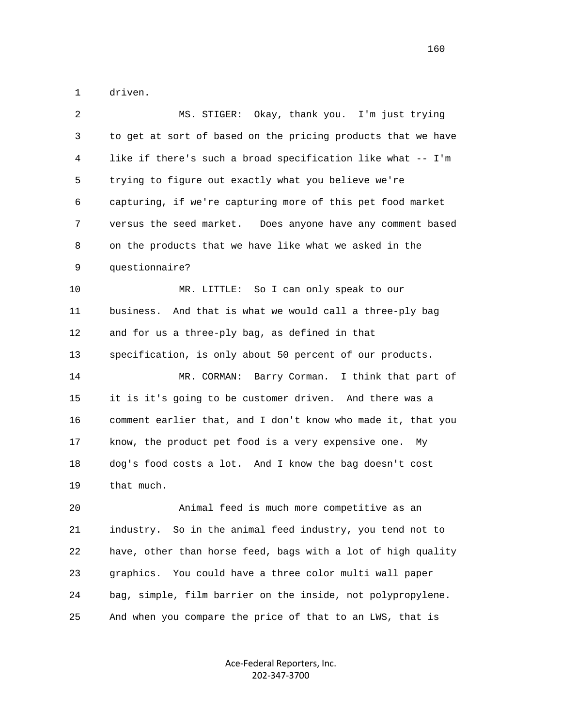1 driven.

| 2  | MS. STIGER: Okay, thank you. I'm just trying                 |
|----|--------------------------------------------------------------|
| 3  | to get at sort of based on the pricing products that we have |
| 4  | like if there's such a broad specification like what -- I'm  |
| 5  | trying to figure out exactly what you believe we're          |
| 6  | capturing, if we're capturing more of this pet food market   |
| 7  | versus the seed market. Does anyone have any comment based   |
| 8  | on the products that we have like what we asked in the       |
| 9  | questionnaire?                                               |
| 10 | MR. LITTLE: So I can only speak to our                       |
| 11 | business. And that is what we would call a three-ply bag     |
| 12 | and for us a three-ply bag, as defined in that               |
| 13 | specification, is only about 50 percent of our products.     |
| 14 | MR. CORMAN: Barry Corman. I think that part of               |
| 15 | it is it's going to be customer driven. And there was a      |
| 16 | comment earlier that, and I don't know who made it, that you |
| 17 | know, the product pet food is a very expensive one. My       |
| 18 | dog's food costs a lot. And I know the bag doesn't cost      |
| 19 | that much.                                                   |
| 20 | Animal feed is much more competitive as an                   |
| 21 | industry. So in the animal feed industry, you tend not to    |
| 22 | have, other than horse feed, bags with a lot of high quality |
| 23 | You could have a three color multi wall paper<br>graphics.   |
| 24 | bag, simple, film barrier on the inside, not polypropylene.  |
|    |                                                              |

25 And when you compare the price of that to an LWS, that is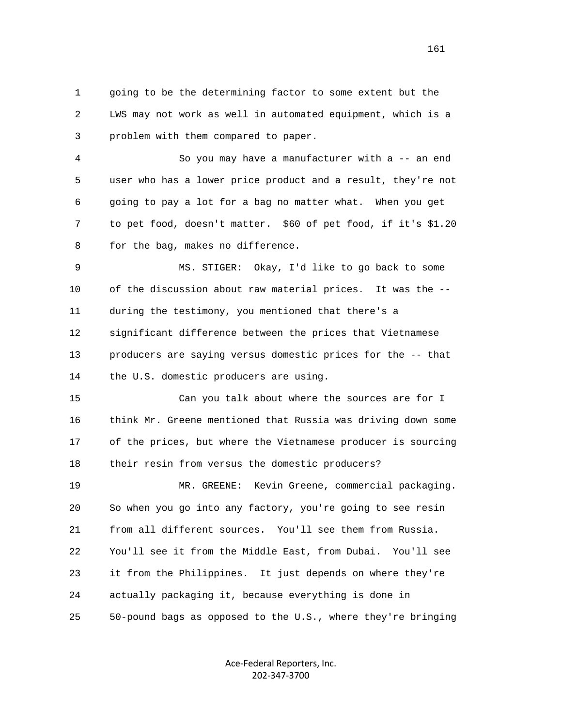1 going to be the determining factor to some extent but the 2 LWS may not work as well in automated equipment, which is a 3 problem with them compared to paper.

 4 So you may have a manufacturer with a -- an end 5 user who has a lower price product and a result, they're not 6 going to pay a lot for a bag no matter what. When you get 7 to pet food, doesn't matter. \$60 of pet food, if it's \$1.20 8 for the bag, makes no difference.

 9 MS. STIGER: Okay, I'd like to go back to some 10 of the discussion about raw material prices. It was the -- 11 during the testimony, you mentioned that there's a 12 significant difference between the prices that Vietnamese 13 producers are saying versus domestic prices for the -- that 14 the U.S. domestic producers are using.

 15 Can you talk about where the sources are for I 16 think Mr. Greene mentioned that Russia was driving down some 17 of the prices, but where the Vietnamese producer is sourcing 18 their resin from versus the domestic producers?

 19 MR. GREENE: Kevin Greene, commercial packaging. 20 So when you go into any factory, you're going to see resin 21 from all different sources. You'll see them from Russia. 22 You'll see it from the Middle East, from Dubai. You'll see 23 it from the Philippines. It just depends on where they're 24 actually packaging it, because everything is done in 25 50-pound bags as opposed to the U.S., where they're bringing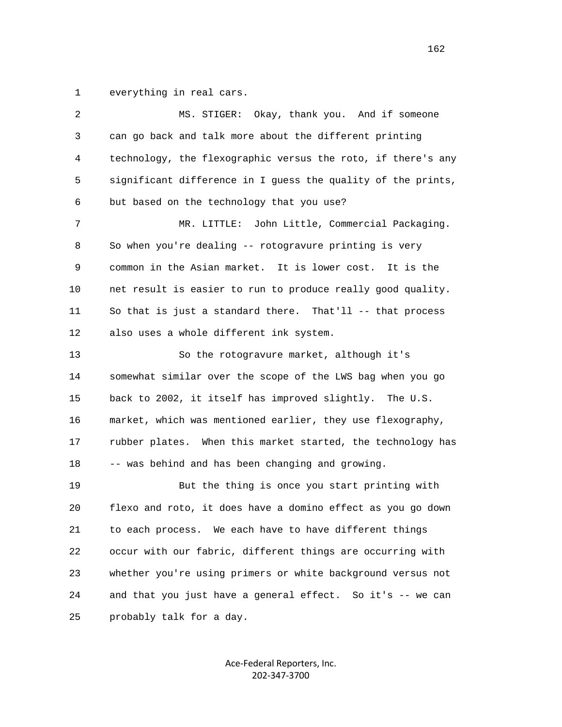1 everything in real cars.

| 2  | MS. STIGER: Okay, thank you. And if someone                  |
|----|--------------------------------------------------------------|
| 3  | can go back and talk more about the different printing       |
| 4  | technology, the flexographic versus the roto, if there's any |
| 5  | significant difference in I guess the quality of the prints, |
| 6  | but based on the technology that you use?                    |
| 7  | MR. LITTLE: John Little, Commercial Packaging.               |
| 8  | So when you're dealing -- rotogravure printing is very       |
| 9  | common in the Asian market. It is lower cost. It is the      |
| 10 | net result is easier to run to produce really good quality.  |
| 11 | So that is just a standard there. That'll -- that process    |
| 12 | also uses a whole different ink system.                      |
| 13 | So the rotogravure market, although it's                     |
| 14 | somewhat similar over the scope of the LWS bag when you go   |
| 15 | back to 2002, it itself has improved slightly. The U.S.      |
| 16 | market, which was mentioned earlier, they use flexography,   |
| 17 | rubber plates. When this market started, the technology has  |
| 18 | -- was behind and has been changing and growing.             |
| 19 | But the thing is once you start printing with                |
| 20 | flexo and roto, it does have a domino effect as you go down  |
| 21 | to each process. We each have to have different things       |
| 22 | occur with our fabric, different things are occurring with   |
| 23 | whether you're using primers or white background versus not  |
| 24 | and that you just have a general effect. So it's -- we can   |
| 25 | probably talk for a day.                                     |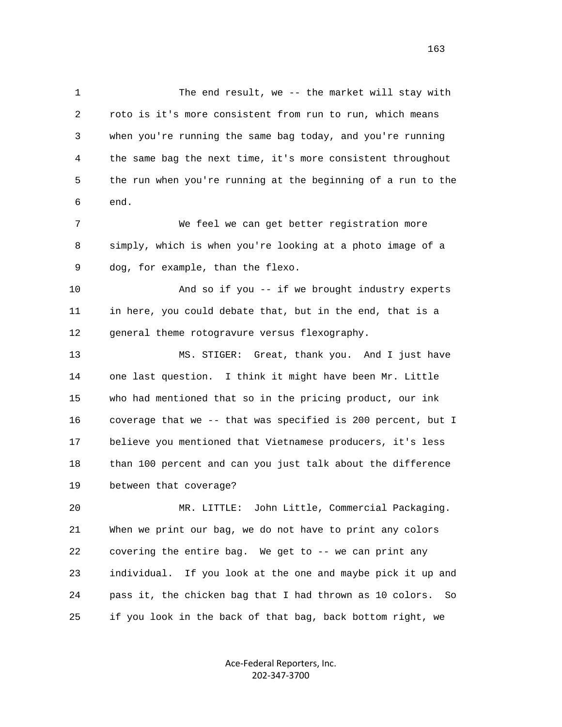1 The end result, we -- the market will stay with 2 roto is it's more consistent from run to run, which means 3 when you're running the same bag today, and you're running 4 the same bag the next time, it's more consistent throughout 5 the run when you're running at the beginning of a run to the 6 end.

 7 We feel we can get better registration more 8 simply, which is when you're looking at a photo image of a 9 dog, for example, than the flexo.

 10 And so if you -- if we brought industry experts 11 in here, you could debate that, but in the end, that is a 12 general theme rotogravure versus flexography.

 13 MS. STIGER: Great, thank you. And I just have 14 one last question. I think it might have been Mr. Little 15 who had mentioned that so in the pricing product, our ink 16 coverage that we -- that was specified is 200 percent, but I 17 believe you mentioned that Vietnamese producers, it's less 18 than 100 percent and can you just talk about the difference 19 between that coverage?

 20 MR. LITTLE: John Little, Commercial Packaging. 21 When we print our bag, we do not have to print any colors 22 covering the entire bag. We get to -- we can print any 23 individual. If you look at the one and maybe pick it up and 24 pass it, the chicken bag that I had thrown as 10 colors. So 25 if you look in the back of that bag, back bottom right, we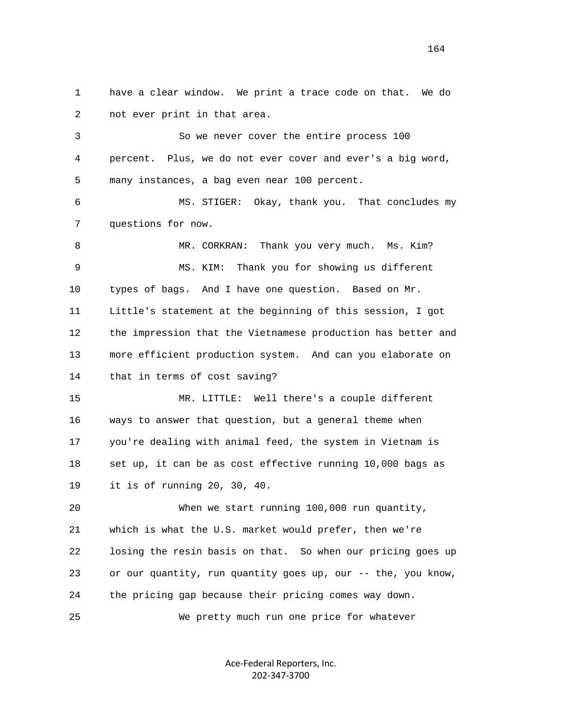1 have a clear window. We print a trace code on that. We do 2 not ever print in that area.

 3 So we never cover the entire process 100 4 percent. Plus, we do not ever cover and ever's a big word, 5 many instances, a bag even near 100 percent. 6 MS. STIGER: Okay, thank you. That concludes my 7 questions for now. 8 MR. CORKRAN: Thank you very much. Ms. Kim? 9 MS. KIM: Thank you for showing us different 10 types of bags. And I have one question. Based on Mr. 11 Little's statement at the beginning of this session, I got 12 the impression that the Vietnamese production has better and 13 more efficient production system. And can you elaborate on 14 that in terms of cost saving?

 15 MR. LITTLE: Well there's a couple different 16 ways to answer that question, but a general theme when 17 you're dealing with animal feed, the system in Vietnam is 18 set up, it can be as cost effective running 10,000 bags as 19 it is of running 20, 30, 40.

 20 When we start running 100,000 run quantity, 21 which is what the U.S. market would prefer, then we're 22 losing the resin basis on that. So when our pricing goes up 23 or our quantity, run quantity goes up, our -- the, you know, 24 the pricing gap because their pricing comes way down.

25 We pretty much run one price for whatever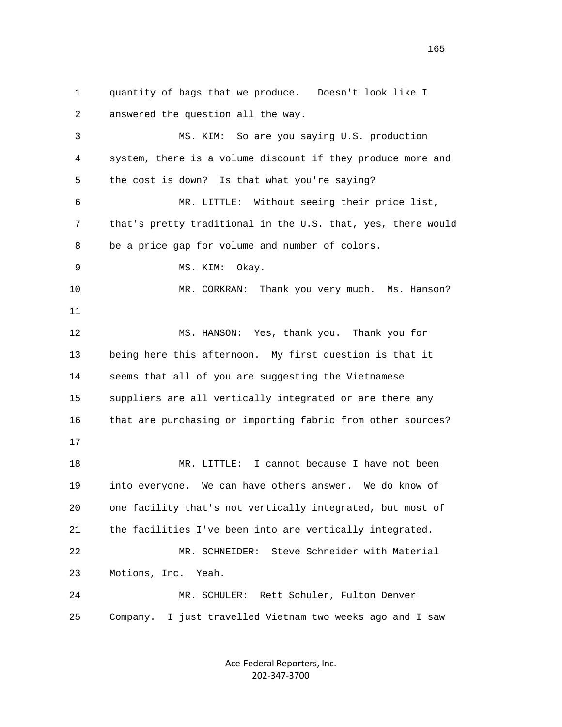1 quantity of bags that we produce. Doesn't look like I 2 answered the question all the way. 3 MS. KIM: So are you saying U.S. production 4 system, there is a volume discount if they produce more and 5 the cost is down? Is that what you're saying? 6 MR. LITTLE: Without seeing their price list, 7 that's pretty traditional in the U.S. that, yes, there would 8 be a price gap for volume and number of colors. 9 MS. KIM: Okay. 10 MR. CORKRAN: Thank you very much. Ms. Hanson? 11 12 MS. HANSON: Yes, thank you. Thank you for 13 being here this afternoon. My first question is that it 14 seems that all of you are suggesting the Vietnamese 15 suppliers are all vertically integrated or are there any 16 that are purchasing or importing fabric from other sources? 17 18 MR. LITTLE: I cannot because I have not been 19 into everyone. We can have others answer. We do know of 20 one facility that's not vertically integrated, but most of 21 the facilities I've been into are vertically integrated. 22 MR. SCHNEIDER: Steve Schneider with Material 23 Motions, Inc. Yeah. 24 MR. SCHULER: Rett Schuler, Fulton Denver 25 Company. I just travelled Vietnam two weeks ago and I saw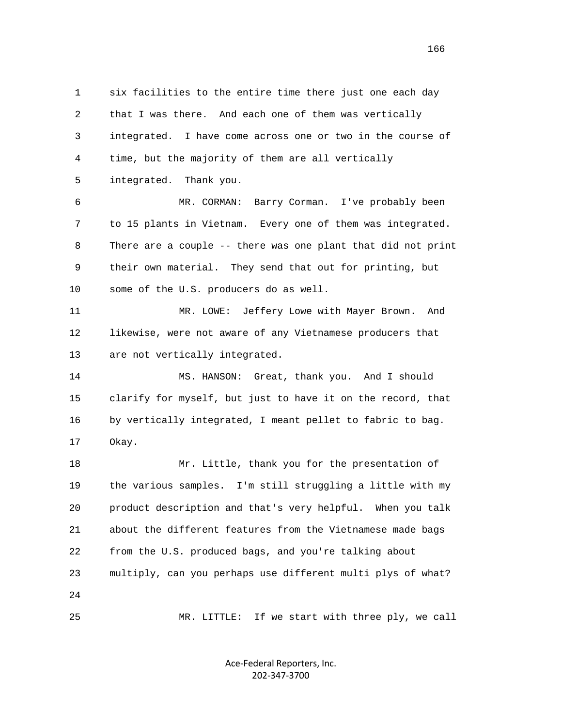1 six facilities to the entire time there just one each day 2 that I was there. And each one of them was vertically 3 integrated. I have come across one or two in the course of 4 time, but the majority of them are all vertically 5 integrated. Thank you. 6 MR. CORMAN: Barry Corman. I've probably been

 7 to 15 plants in Vietnam. Every one of them was integrated. 8 There are a couple -- there was one plant that did not print 9 their own material. They send that out for printing, but 10 some of the U.S. producers do as well.

 11 MR. LOWE: Jeffery Lowe with Mayer Brown. And 12 likewise, were not aware of any Vietnamese producers that 13 are not vertically integrated.

 14 MS. HANSON: Great, thank you. And I should 15 clarify for myself, but just to have it on the record, that 16 by vertically integrated, I meant pellet to fabric to bag. 17 Okay.

 18 Mr. Little, thank you for the presentation of 19 the various samples. I'm still struggling a little with my 20 product description and that's very helpful. When you talk 21 about the different features from the Vietnamese made bags 22 from the U.S. produced bags, and you're talking about 23 multiply, can you perhaps use different multi plys of what? 24 25 MR. LITTLE: If we start with three ply, we call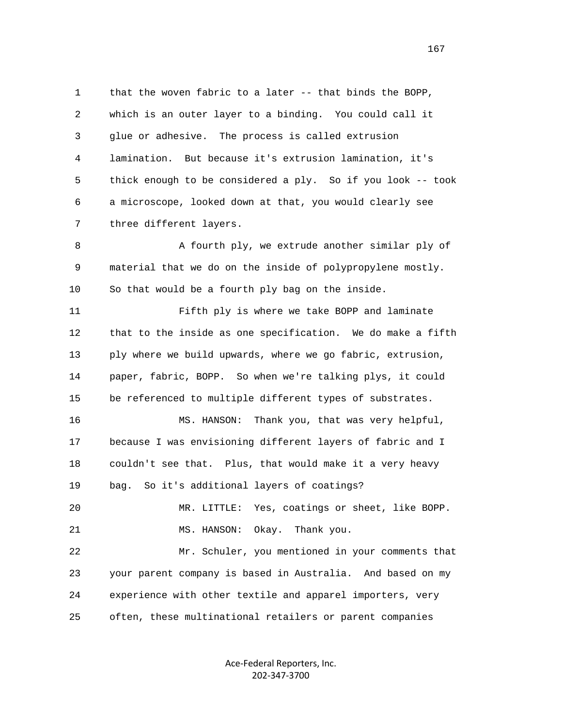1 that the woven fabric to a later -- that binds the BOPP, 2 which is an outer layer to a binding. You could call it 3 glue or adhesive. The process is called extrusion 4 lamination. But because it's extrusion lamination, it's 5 thick enough to be considered a ply. So if you look -- took 6 a microscope, looked down at that, you would clearly see 7 three different layers.

 8 A fourth ply, we extrude another similar ply of 9 material that we do on the inside of polypropylene mostly. 10 So that would be a fourth ply bag on the inside.

 11 Fifth ply is where we take BOPP and laminate 12 that to the inside as one specification. We do make a fifth 13 ply where we build upwards, where we go fabric, extrusion, 14 paper, fabric, BOPP. So when we're talking plys, it could 15 be referenced to multiple different types of substrates.

 16 MS. HANSON: Thank you, that was very helpful, 17 because I was envisioning different layers of fabric and I 18 couldn't see that. Plus, that would make it a very heavy 19 bag. So it's additional layers of coatings?

 20 MR. LITTLE: Yes, coatings or sheet, like BOPP. 21 MS. HANSON: Okay. Thank you.

 22 Mr. Schuler, you mentioned in your comments that 23 your parent company is based in Australia. And based on my 24 experience with other textile and apparel importers, very 25 often, these multinational retailers or parent companies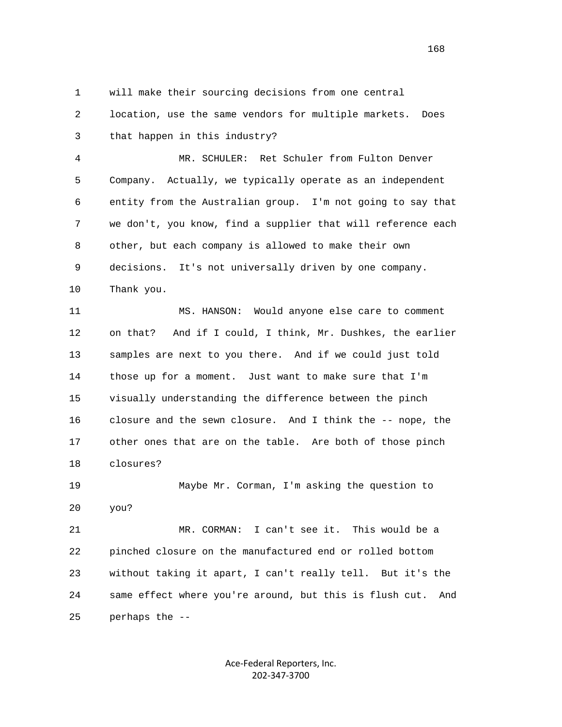1 will make their sourcing decisions from one central 2 location, use the same vendors for multiple markets. Does 3 that happen in this industry?

 4 MR. SCHULER: Ret Schuler from Fulton Denver 5 Company. Actually, we typically operate as an independent 6 entity from the Australian group. I'm not going to say that 7 we don't, you know, find a supplier that will reference each 8 other, but each company is allowed to make their own 9 decisions. It's not universally driven by one company. 10 Thank you.

 11 MS. HANSON: Would anyone else care to comment 12 on that? And if I could, I think, Mr. Dushkes, the earlier 13 samples are next to you there. And if we could just told 14 those up for a moment. Just want to make sure that I'm 15 visually understanding the difference between the pinch 16 closure and the sewn closure. And I think the -- nope, the 17 other ones that are on the table. Are both of those pinch 18 closures?

 19 Maybe Mr. Corman, I'm asking the question to 20 you?

 21 MR. CORMAN: I can't see it. This would be a 22 pinched closure on the manufactured end or rolled bottom 23 without taking it apart, I can't really tell. But it's the 24 same effect where you're around, but this is flush cut. And 25 perhaps the --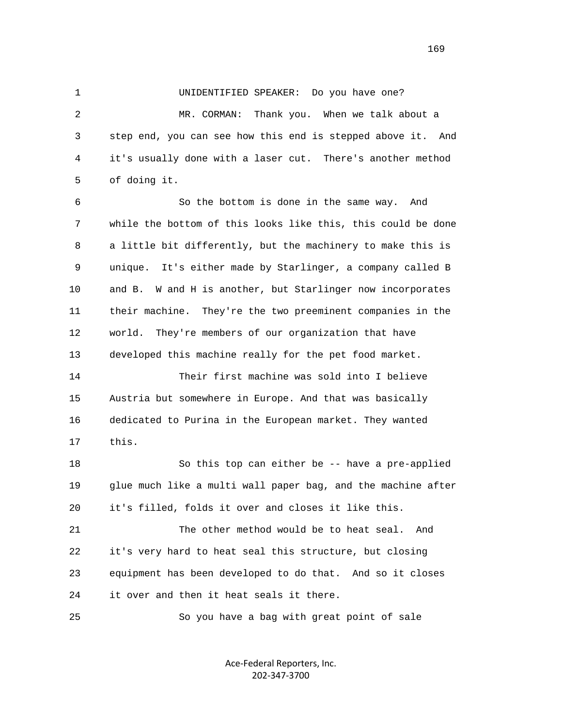1 UNIDENTIFIED SPEAKER: Do you have one?

 2 MR. CORMAN: Thank you. When we talk about a 3 step end, you can see how this end is stepped above it. And 4 it's usually done with a laser cut. There's another method 5 of doing it.

 6 So the bottom is done in the same way. And 7 while the bottom of this looks like this, this could be done 8 a little bit differently, but the machinery to make this is 9 unique. It's either made by Starlinger, a company called B 10 and B. W and H is another, but Starlinger now incorporates 11 their machine. They're the two preeminent companies in the 12 world. They're members of our organization that have 13 developed this machine really for the pet food market.

 14 Their first machine was sold into I believe 15 Austria but somewhere in Europe. And that was basically 16 dedicated to Purina in the European market. They wanted 17 this.

 18 So this top can either be -- have a pre-applied 19 glue much like a multi wall paper bag, and the machine after 20 it's filled, folds it over and closes it like this.

 21 The other method would be to heat seal. And 22 it's very hard to heat seal this structure, but closing 23 equipment has been developed to do that. And so it closes 24 it over and then it heat seals it there.

25 So you have a bag with great point of sale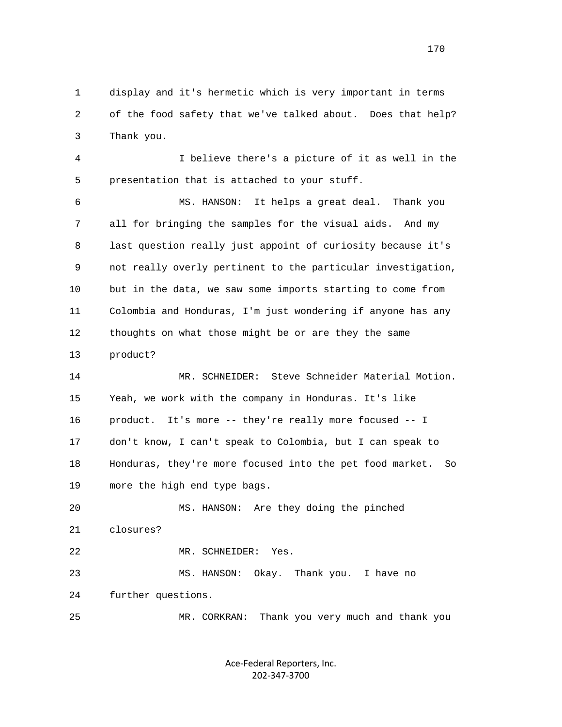1 display and it's hermetic which is very important in terms 2 of the food safety that we've talked about. Does that help? 3 Thank you.

 4 I believe there's a picture of it as well in the 5 presentation that is attached to your stuff.

 6 MS. HANSON: It helps a great deal. Thank you 7 all for bringing the samples for the visual aids. And my 8 last question really just appoint of curiosity because it's 9 not really overly pertinent to the particular investigation, 10 but in the data, we saw some imports starting to come from 11 Colombia and Honduras, I'm just wondering if anyone has any 12 thoughts on what those might be or are they the same 13 product?

 14 MR. SCHNEIDER: Steve Schneider Material Motion. 15 Yeah, we work with the company in Honduras. It's like 16 product. It's more -- they're really more focused -- I 17 don't know, I can't speak to Colombia, but I can speak to 18 Honduras, they're more focused into the pet food market. So 19 more the high end type bags.

 20 MS. HANSON: Are they doing the pinched 21 closures? 22 MR. SCHNEIDER: Yes. 23 MS. HANSON: Okay. Thank you. I have no 24 further questions.

25 MR. CORKRAN: Thank you very much and thank you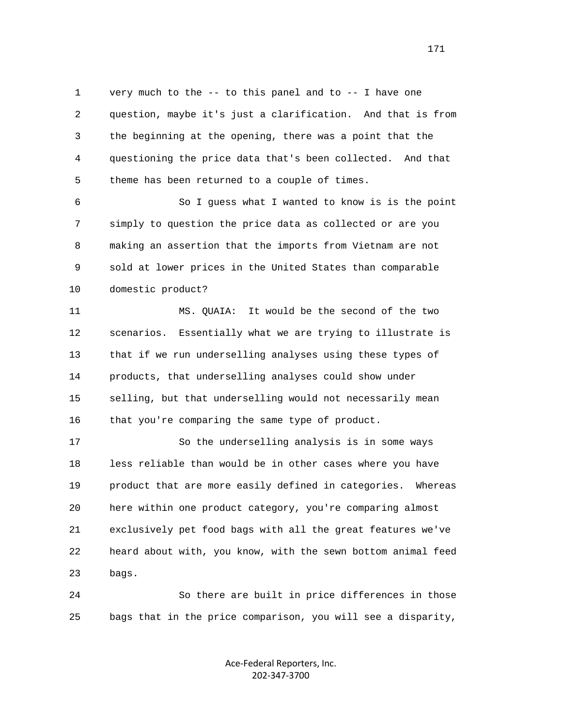1 very much to the -- to this panel and to -- I have one 2 question, maybe it's just a clarification. And that is from 3 the beginning at the opening, there was a point that the 4 questioning the price data that's been collected. And that 5 theme has been returned to a couple of times.

 6 So I guess what I wanted to know is is the point 7 simply to question the price data as collected or are you 8 making an assertion that the imports from Vietnam are not 9 sold at lower prices in the United States than comparable 10 domestic product?

 11 MS. QUAIA: It would be the second of the two 12 scenarios. Essentially what we are trying to illustrate is 13 that if we run underselling analyses using these types of 14 products, that underselling analyses could show under 15 selling, but that underselling would not necessarily mean 16 that you're comparing the same type of product.

 17 So the underselling analysis is in some ways 18 less reliable than would be in other cases where you have 19 product that are more easily defined in categories. Whereas 20 here within one product category, you're comparing almost 21 exclusively pet food bags with all the great features we've 22 heard about with, you know, with the sewn bottom animal feed 23 bags.

 24 So there are built in price differences in those 25 bags that in the price comparison, you will see a disparity,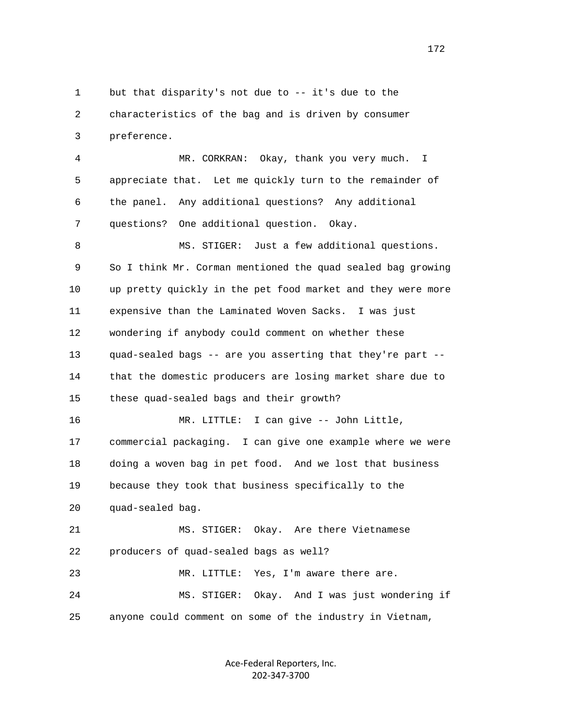1 but that disparity's not due to -- it's due to the 2 characteristics of the bag and is driven by consumer 3 preference.

 4 MR. CORKRAN: Okay, thank you very much. I 5 appreciate that. Let me quickly turn to the remainder of 6 the panel. Any additional questions? Any additional 7 questions? One additional question. Okay.

 8 MS. STIGER: Just a few additional questions. 9 So I think Mr. Corman mentioned the quad sealed bag growing 10 up pretty quickly in the pet food market and they were more 11 expensive than the Laminated Woven Sacks. I was just 12 wondering if anybody could comment on whether these 13 quad-sealed bags -- are you asserting that they're part -- 14 that the domestic producers are losing market share due to 15 these quad-sealed bags and their growth?

 16 MR. LITTLE: I can give -- John Little, 17 commercial packaging. I can give one example where we were 18 doing a woven bag in pet food. And we lost that business 19 because they took that business specifically to the 20 quad-sealed bag.

 21 MS. STIGER: Okay. Are there Vietnamese 22 producers of quad-sealed bags as well? 23 MR. LITTLE: Yes, I'm aware there are.

 24 MS. STIGER: Okay. And I was just wondering if 25 anyone could comment on some of the industry in Vietnam,

> Ace-Federal Reporters, Inc. 202-347-3700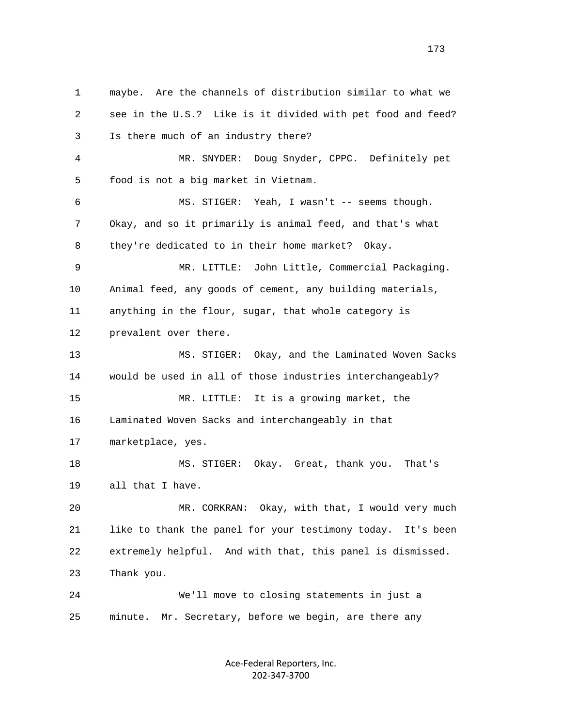1 maybe. Are the channels of distribution similar to what we 2 see in the U.S.? Like is it divided with pet food and feed? 3 Is there much of an industry there? 4 MR. SNYDER: Doug Snyder, CPPC. Definitely pet 5 food is not a big market in Vietnam. 6 MS. STIGER: Yeah, I wasn't -- seems though. 7 Okay, and so it primarily is animal feed, and that's what 8 they're dedicated to in their home market? Okay. 9 MR. LITTLE: John Little, Commercial Packaging. 10 Animal feed, any goods of cement, any building materials, 11 anything in the flour, sugar, that whole category is 12 prevalent over there. 13 MS. STIGER: Okay, and the Laminated Woven Sacks 14 would be used in all of those industries interchangeably? 15 MR. LITTLE: It is a growing market, the 16 Laminated Woven Sacks and interchangeably in that 17 marketplace, yes. 18 MS. STIGER: Okay. Great, thank you. That's 19 all that I have. 20 MR. CORKRAN: Okay, with that, I would very much 21 like to thank the panel for your testimony today. It's been 22 extremely helpful. And with that, this panel is dismissed. 23 Thank you. 24 We'll move to closing statements in just a 25 minute. Mr. Secretary, before we begin, are there any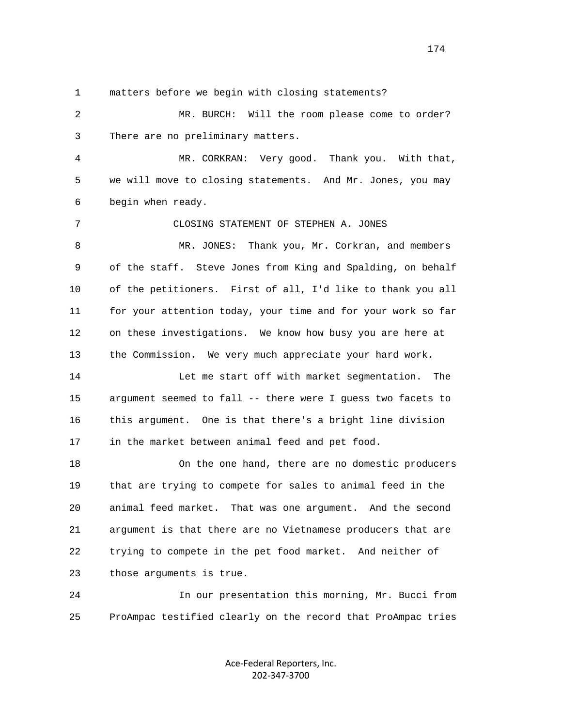1 matters before we begin with closing statements?

 2 MR. BURCH: Will the room please come to order? 3 There are no preliminary matters.

 4 MR. CORKRAN: Very good. Thank you. With that, 5 we will move to closing statements. And Mr. Jones, you may 6 begin when ready.

 7 CLOSING STATEMENT OF STEPHEN A. JONES 8 MR. JONES: Thank you, Mr. Corkran, and members 9 of the staff. Steve Jones from King and Spalding, on behalf 10 of the petitioners. First of all, I'd like to thank you all 11 for your attention today, your time and for your work so far 12 on these investigations. We know how busy you are here at 13 the Commission. We very much appreciate your hard work.

 14 Let me start off with market segmentation. The 15 argument seemed to fall -- there were I guess two facets to 16 this argument. One is that there's a bright line division 17 in the market between animal feed and pet food.

 18 On the one hand, there are no domestic producers 19 that are trying to compete for sales to animal feed in the 20 animal feed market. That was one argument. And the second 21 argument is that there are no Vietnamese producers that are 22 trying to compete in the pet food market. And neither of 23 those arguments is true.

 24 In our presentation this morning, Mr. Bucci from 25 ProAmpac testified clearly on the record that ProAmpac tries

> Ace-Federal Reporters, Inc. 202-347-3700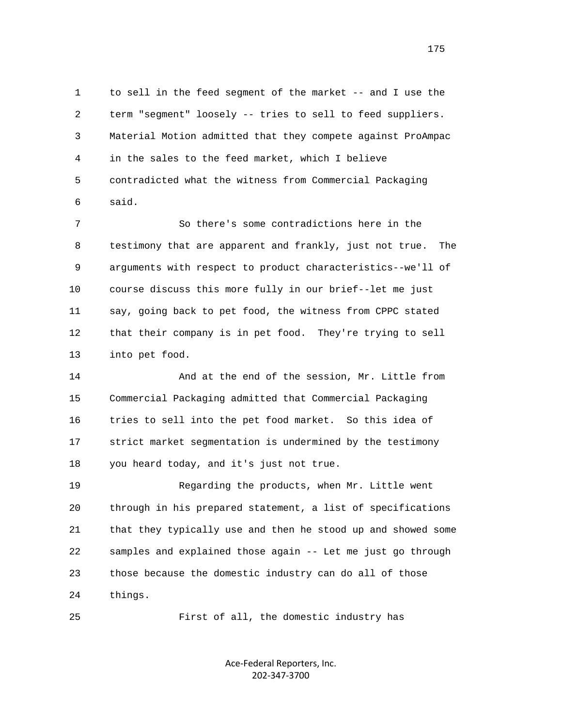1 to sell in the feed segment of the market -- and I use the 2 term "segment" loosely -- tries to sell to feed suppliers. 3 Material Motion admitted that they compete against ProAmpac 4 in the sales to the feed market, which I believe 5 contradicted what the witness from Commercial Packaging 6 said.

 7 So there's some contradictions here in the 8 testimony that are apparent and frankly, just not true. The 9 arguments with respect to product characteristics--we'll of 10 course discuss this more fully in our brief--let me just 11 say, going back to pet food, the witness from CPPC stated 12 that their company is in pet food. They're trying to sell 13 into pet food.

 14 And at the end of the session, Mr. Little from 15 Commercial Packaging admitted that Commercial Packaging 16 tries to sell into the pet food market. So this idea of 17 strict market segmentation is undermined by the testimony 18 you heard today, and it's just not true.

 19 Regarding the products, when Mr. Little went 20 through in his prepared statement, a list of specifications 21 that they typically use and then he stood up and showed some 22 samples and explained those again -- Let me just go through 23 those because the domestic industry can do all of those 24 things.

25 First of all, the domestic industry has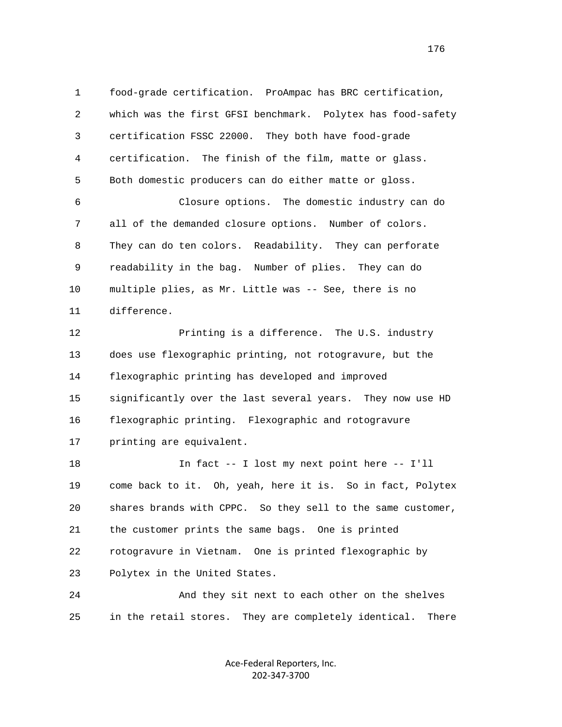1 food-grade certification. ProAmpac has BRC certification, 2 which was the first GFSI benchmark. Polytex has food-safety 3 certification FSSC 22000. They both have food-grade 4 certification. The finish of the film, matte or glass. 5 Both domestic producers can do either matte or gloss. 6 Closure options. The domestic industry can do 7 all of the demanded closure options. Number of colors.

 8 They can do ten colors. Readability. They can perforate 9 readability in the bag. Number of plies. They can do 10 multiple plies, as Mr. Little was -- See, there is no 11 difference.

12 **Printing is a difference.** The U.S. industry 13 does use flexographic printing, not rotogravure, but the 14 flexographic printing has developed and improved 15 significantly over the last several years. They now use HD 16 flexographic printing. Flexographic and rotogravure 17 printing are equivalent.

 18 In fact -- I lost my next point here -- I'll 19 come back to it. Oh, yeah, here it is. So in fact, Polytex 20 shares brands with CPPC. So they sell to the same customer, 21 the customer prints the same bags. One is printed 22 rotogravure in Vietnam. One is printed flexographic by 23 Polytex in the United States.

 24 And they sit next to each other on the shelves 25 in the retail stores. They are completely identical. There

> Ace-Federal Reporters, Inc. 202-347-3700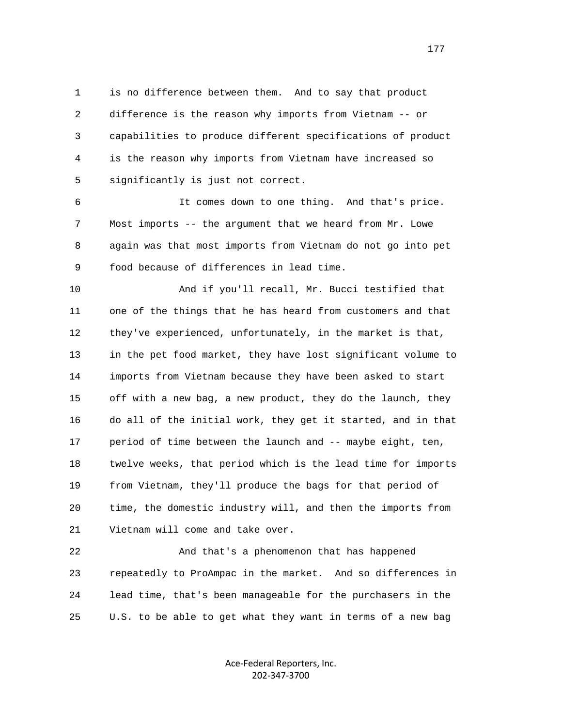1 is no difference between them. And to say that product 2 difference is the reason why imports from Vietnam -- or 3 capabilities to produce different specifications of product 4 is the reason why imports from Vietnam have increased so 5 significantly is just not correct.

 6 It comes down to one thing. And that's price. 7 Most imports -- the argument that we heard from Mr. Lowe 8 again was that most imports from Vietnam do not go into pet 9 food because of differences in lead time.

 10 And if you'll recall, Mr. Bucci testified that 11 one of the things that he has heard from customers and that 12 they've experienced, unfortunately, in the market is that, 13 in the pet food market, they have lost significant volume to 14 imports from Vietnam because they have been asked to start 15 off with a new bag, a new product, they do the launch, they 16 do all of the initial work, they get it started, and in that 17 period of time between the launch and -- maybe eight, ten, 18 twelve weeks, that period which is the lead time for imports 19 from Vietnam, they'll produce the bags for that period of 20 time, the domestic industry will, and then the imports from 21 Vietnam will come and take over.

 22 And that's a phenomenon that has happened 23 repeatedly to ProAmpac in the market. And so differences in 24 lead time, that's been manageable for the purchasers in the 25 U.S. to be able to get what they want in terms of a new bag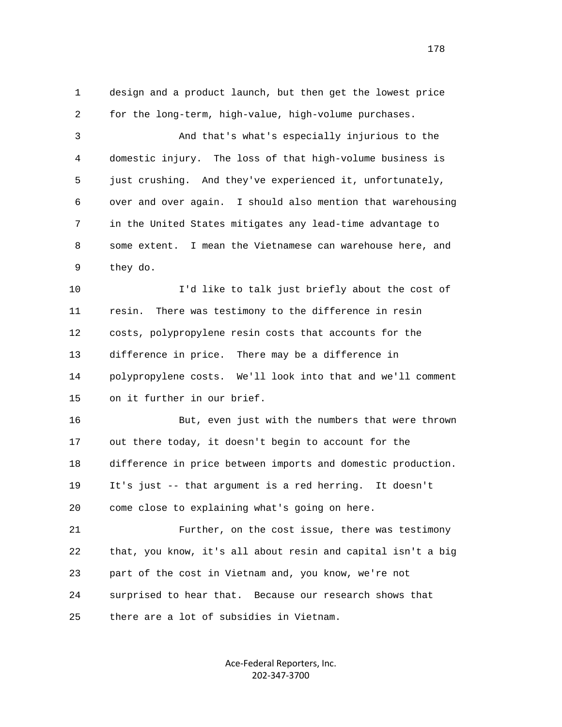1 design and a product launch, but then get the lowest price 2 for the long-term, high-value, high-volume purchases.

 3 And that's what's especially injurious to the 4 domestic injury. The loss of that high-volume business is 5 just crushing. And they've experienced it, unfortunately, 6 over and over again. I should also mention that warehousing 7 in the United States mitigates any lead-time advantage to 8 some extent. I mean the Vietnamese can warehouse here, and 9 they do.

 10 I'd like to talk just briefly about the cost of 11 resin. There was testimony to the difference in resin 12 costs, polypropylene resin costs that accounts for the 13 difference in price. There may be a difference in 14 polypropylene costs. We'll look into that and we'll comment 15 on it further in our brief.

 16 But, even just with the numbers that were thrown 17 out there today, it doesn't begin to account for the 18 difference in price between imports and domestic production. 19 It's just -- that argument is a red herring. It doesn't 20 come close to explaining what's going on here.

 21 Further, on the cost issue, there was testimony 22 that, you know, it's all about resin and capital isn't a big 23 part of the cost in Vietnam and, you know, we're not 24 surprised to hear that. Because our research shows that 25 there are a lot of subsidies in Vietnam.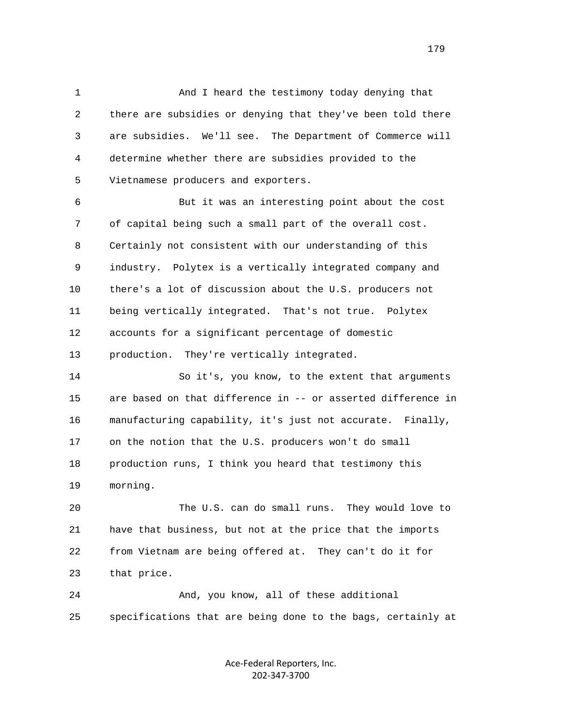1 And I heard the testimony today denying that 2 there are subsidies or denying that they've been told there 3 are subsidies. We'll see. The Department of Commerce will 4 determine whether there are subsidies provided to the 5 Vietnamese producers and exporters.

 6 But it was an interesting point about the cost 7 of capital being such a small part of the overall cost. 8 Certainly not consistent with our understanding of this 9 industry. Polytex is a vertically integrated company and 10 there's a lot of discussion about the U.S. producers not 11 being vertically integrated. That's not true. Polytex 12 accounts for a significant percentage of domestic 13 production. They're vertically integrated.

 14 So it's, you know, to the extent that arguments 15 are based on that difference in -- or asserted difference in 16 manufacturing capability, it's just not accurate. Finally, 17 on the notion that the U.S. producers won't do small 18 production runs, I think you heard that testimony this 19 morning.

 20 The U.S. can do small runs. They would love to 21 have that business, but not at the price that the imports 22 from Vietnam are being offered at. They can't do it for 23 that price.

 24 And, you know, all of these additional 25 specifications that are being done to the bags, certainly at

> Ace-Federal Reporters, Inc. 202-347-3700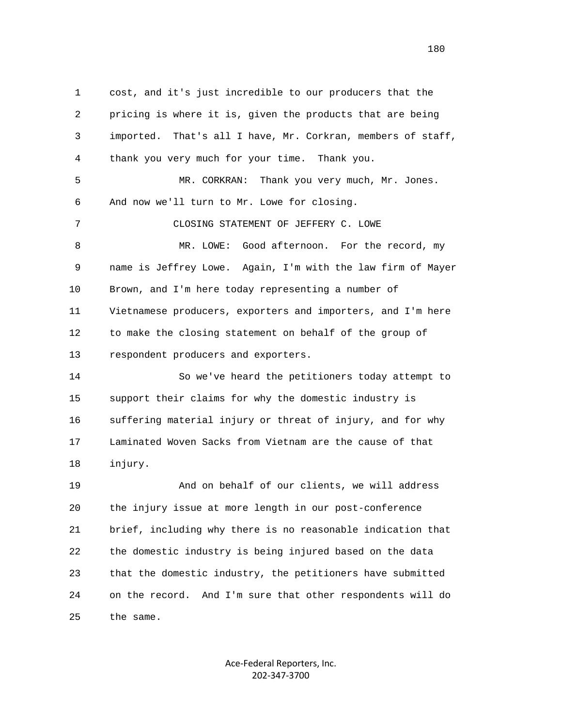1 cost, and it's just incredible to our producers that the 2 pricing is where it is, given the products that are being 3 imported. That's all I have, Mr. Corkran, members of staff, 4 thank you very much for your time. Thank you. 5 MR. CORKRAN: Thank you very much, Mr. Jones. 6 And now we'll turn to Mr. Lowe for closing. 7 CLOSING STATEMENT OF JEFFERY C. LOWE 8 MR. LOWE: Good afternoon. For the record, my 9 name is Jeffrey Lowe. Again, I'm with the law firm of Mayer 10 Brown, and I'm here today representing a number of 11 Vietnamese producers, exporters and importers, and I'm here 12 to make the closing statement on behalf of the group of 13 respondent producers and exporters. 14 So we've heard the petitioners today attempt to 15 support their claims for why the domestic industry is 16 suffering material injury or threat of injury, and for why 17 Laminated Woven Sacks from Vietnam are the cause of that 18 injury. 19 And on behalf of our clients, we will address 20 the injury issue at more length in our post-conference 21 brief, including why there is no reasonable indication that 22 the domestic industry is being injured based on the data 23 that the domestic industry, the petitioners have submitted 24 on the record. And I'm sure that other respondents will do

25 the same.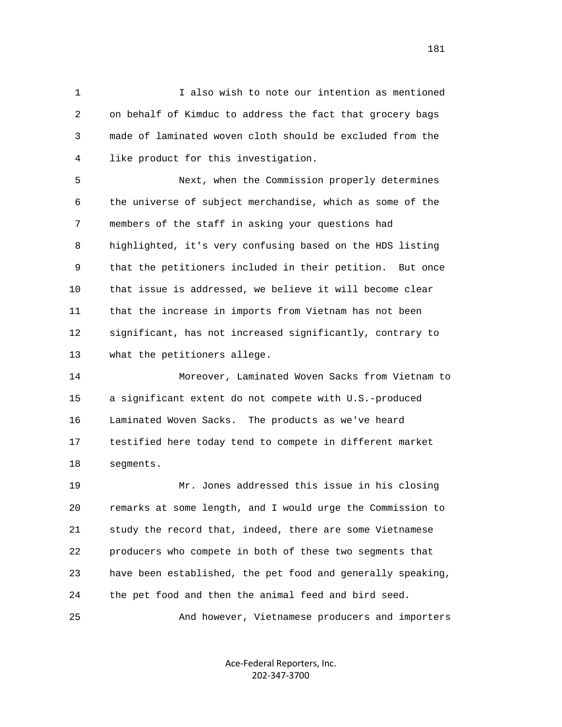1 I also wish to note our intention as mentioned 2 on behalf of Kimduc to address the fact that grocery bags 3 made of laminated woven cloth should be excluded from the 4 like product for this investigation.

 5 Next, when the Commission properly determines 6 the universe of subject merchandise, which as some of the 7 members of the staff in asking your questions had 8 highlighted, it's very confusing based on the HDS listing 9 that the petitioners included in their petition. But once 10 that issue is addressed, we believe it will become clear 11 that the increase in imports from Vietnam has not been 12 significant, has not increased significantly, contrary to 13 what the petitioners allege.

 14 Moreover, Laminated Woven Sacks from Vietnam to 15 a significant extent do not compete with U.S.-produced 16 Laminated Woven Sacks. The products as we've heard 17 testified here today tend to compete in different market 18 segments.

 19 Mr. Jones addressed this issue in his closing 20 remarks at some length, and I would urge the Commission to 21 study the record that, indeed, there are some Vietnamese 22 producers who compete in both of these two segments that 23 have been established, the pet food and generally speaking, 24 the pet food and then the animal feed and bird seed.

25 And however, Vietnamese producers and importers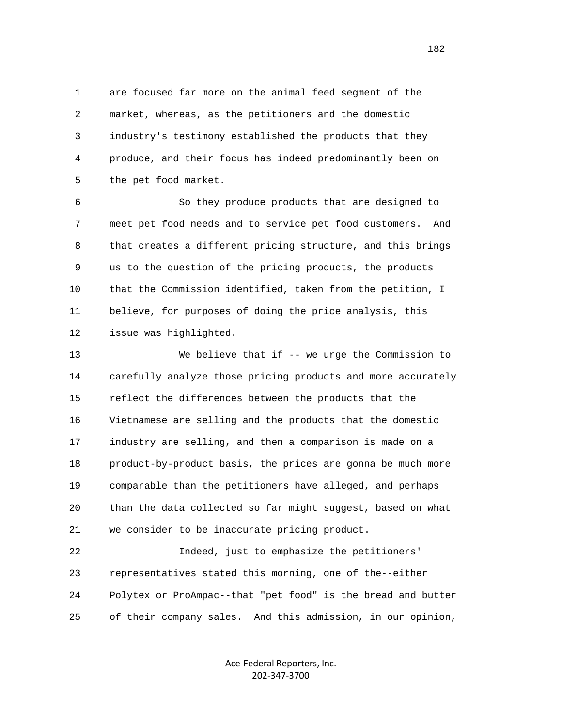1 are focused far more on the animal feed segment of the 2 market, whereas, as the petitioners and the domestic 3 industry's testimony established the products that they 4 produce, and their focus has indeed predominantly been on 5 the pet food market.

 6 So they produce products that are designed to 7 meet pet food needs and to service pet food customers. And 8 that creates a different pricing structure, and this brings 9 us to the question of the pricing products, the products 10 that the Commission identified, taken from the petition, I 11 believe, for purposes of doing the price analysis, this 12 issue was highlighted.

 13 We believe that if -- we urge the Commission to 14 carefully analyze those pricing products and more accurately 15 reflect the differences between the products that the 16 Vietnamese are selling and the products that the domestic 17 industry are selling, and then a comparison is made on a 18 product-by-product basis, the prices are gonna be much more 19 comparable than the petitioners have alleged, and perhaps 20 than the data collected so far might suggest, based on what 21 we consider to be inaccurate pricing product.

 22 Indeed, just to emphasize the petitioners' 23 representatives stated this morning, one of the--either 24 Polytex or ProAmpac--that "pet food" is the bread and butter 25 of their company sales. And this admission, in our opinion,

> Ace-Federal Reporters, Inc. 202-347-3700

182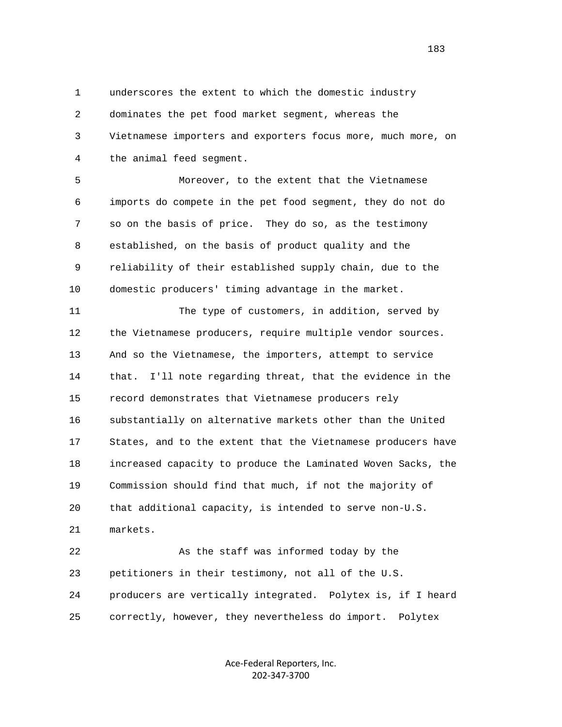1 underscores the extent to which the domestic industry 2 dominates the pet food market segment, whereas the 3 Vietnamese importers and exporters focus more, much more, on 4 the animal feed segment.

 5 Moreover, to the extent that the Vietnamese 6 imports do compete in the pet food segment, they do not do 7 so on the basis of price. They do so, as the testimony 8 established, on the basis of product quality and the 9 reliability of their established supply chain, due to the 10 domestic producers' timing advantage in the market.

 11 The type of customers, in addition, served by 12 the Vietnamese producers, require multiple vendor sources. 13 And so the Vietnamese, the importers, attempt to service 14 that. I'll note regarding threat, that the evidence in the 15 record demonstrates that Vietnamese producers rely 16 substantially on alternative markets other than the United 17 States, and to the extent that the Vietnamese producers have 18 increased capacity to produce the Laminated Woven Sacks, the 19 Commission should find that much, if not the majority of 20 that additional capacity, is intended to serve non-U.S. 21 markets.

 22 As the staff was informed today by the 23 petitioners in their testimony, not all of the U.S. 24 producers are vertically integrated. Polytex is, if I heard 25 correctly, however, they nevertheless do import. Polytex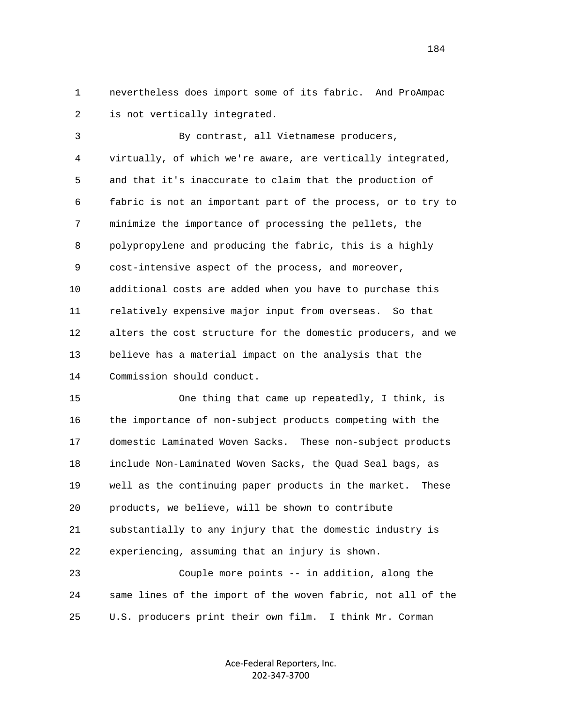1 nevertheless does import some of its fabric. And ProAmpac 2 is not vertically integrated.

 3 By contrast, all Vietnamese producers, 4 virtually, of which we're aware, are vertically integrated, 5 and that it's inaccurate to claim that the production of 6 fabric is not an important part of the process, or to try to 7 minimize the importance of processing the pellets, the 8 polypropylene and producing the fabric, this is a highly 9 cost-intensive aspect of the process, and moreover, 10 additional costs are added when you have to purchase this 11 relatively expensive major input from overseas. So that 12 alters the cost structure for the domestic producers, and we 13 believe has a material impact on the analysis that the 14 Commission should conduct.

 15 One thing that came up repeatedly, I think, is 16 the importance of non-subject products competing with the 17 domestic Laminated Woven Sacks. These non-subject products 18 include Non-Laminated Woven Sacks, the Quad Seal bags, as 19 well as the continuing paper products in the market. These 20 products, we believe, will be shown to contribute 21 substantially to any injury that the domestic industry is 22 experiencing, assuming that an injury is shown.

 23 Couple more points -- in addition, along the 24 same lines of the import of the woven fabric, not all of the 25 U.S. producers print their own film. I think Mr. Corman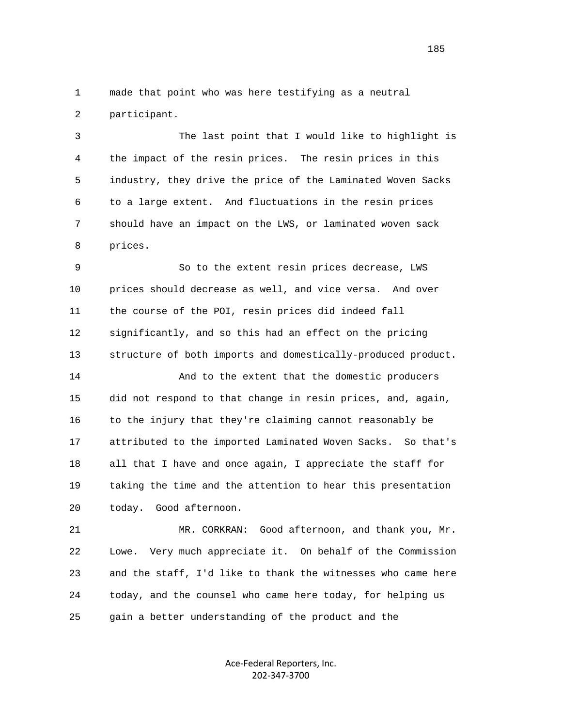1 made that point who was here testifying as a neutral 2 participant.

 3 The last point that I would like to highlight is 4 the impact of the resin prices. The resin prices in this 5 industry, they drive the price of the Laminated Woven Sacks 6 to a large extent. And fluctuations in the resin prices 7 should have an impact on the LWS, or laminated woven sack 8 prices.

 9 So to the extent resin prices decrease, LWS 10 prices should decrease as well, and vice versa. And over 11 the course of the POI, resin prices did indeed fall 12 significantly, and so this had an effect on the pricing 13 structure of both imports and domestically-produced product.

 14 And to the extent that the domestic producers 15 did not respond to that change in resin prices, and, again, 16 to the injury that they're claiming cannot reasonably be 17 attributed to the imported Laminated Woven Sacks. So that's 18 all that I have and once again, I appreciate the staff for 19 taking the time and the attention to hear this presentation 20 today. Good afternoon.

 21 MR. CORKRAN: Good afternoon, and thank you, Mr. 22 Lowe. Very much appreciate it. On behalf of the Commission 23 and the staff, I'd like to thank the witnesses who came here 24 today, and the counsel who came here today, for helping us 25 gain a better understanding of the product and the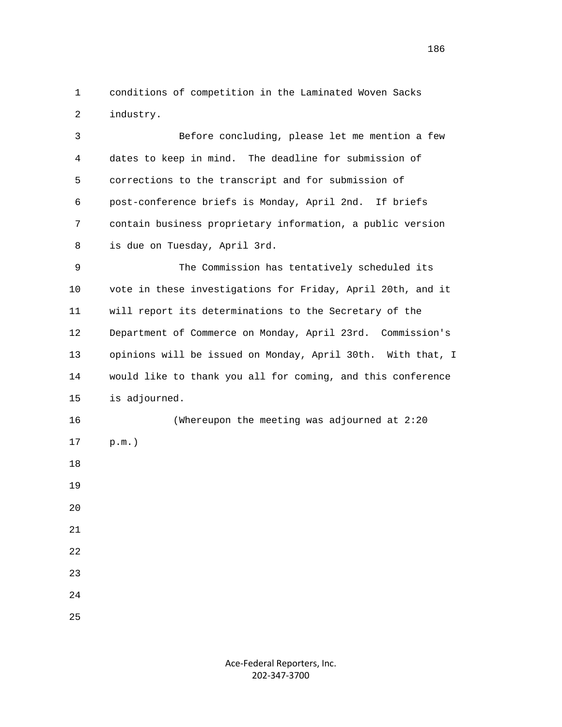1 conditions of competition in the Laminated Woven Sacks 2 industry.

 3 Before concluding, please let me mention a few 4 dates to keep in mind. The deadline for submission of 5 corrections to the transcript and for submission of 6 post-conference briefs is Monday, April 2nd. If briefs 7 contain business proprietary information, a public version 8 is due on Tuesday, April 3rd.

 9 The Commission has tentatively scheduled its 10 vote in these investigations for Friday, April 20th, and it 11 will report its determinations to the Secretary of the 12 Department of Commerce on Monday, April 23rd. Commission's 13 opinions will be issued on Monday, April 30th. With that, I 14 would like to thank you all for coming, and this conference 15 is adjourned.

 16 (Whereupon the meeting was adjourned at 2:20 17 p.m.) 18 19 20 21 22 23 24 25